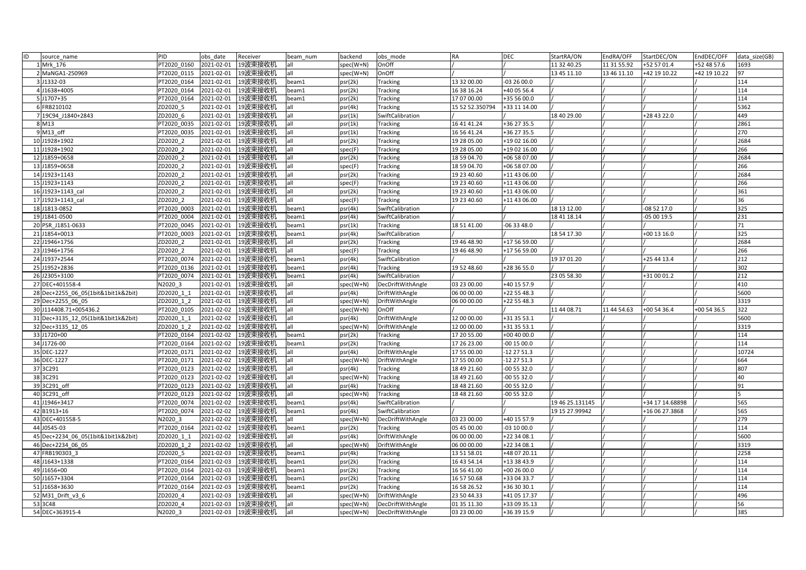| ID<br>source_name                   | PID         | obs date   | Receiver           | beam num | backend   | obs mode          | <b>RA</b>       | <b>DEC</b>   | StartRA/ON      | EndRA/OFF   | StartDEC/ON     | EndDEC/OFF   | data size(GB) |
|-------------------------------------|-------------|------------|--------------------|----------|-----------|-------------------|-----------------|--------------|-----------------|-------------|-----------------|--------------|---------------|
| 1 Mrk 176                           | PT2020 0160 | 2021-02-01 | 19波束接收机            | all      | spec(W+N) | OnOff             |                 |              | 11 32 40.25     | 11 31 55.92 | +52 57 01.4     | +52 48 57.6  | 1693          |
| 2 MaNGA1-250969                     | PT2020 0115 | 2021-02-01 | 19波束接收机            | all      | spec(W+N) | OnOff             |                 |              | 13 45 11.10     | 13 46 11.10 | +42 19 10.22    | +42 19 10.22 | 97            |
| 3 J1332-03                          | PT2020 0164 | 2021-02-01 | 19波束接收机            | beam1    | psr(2k)   | <b>Tracking</b>   | 13 32 00.00     | $-032600.0$  |                 |             |                 |              | 114           |
| 4 J1638+4005                        | PT2020 0164 | 2021-02-01 | 19波束接收机            | beam1    | psr(2k)   | <b>Tracking</b>   | 16 38 16.24     | +40 05 56.4  |                 |             |                 |              | 114           |
| 5 J1707+35                          | PT2020 0164 | 2021-02-01 | 19波束接收机            | beam1    | psr(2k)   | Tracking          | 17 07 00.00     | +35 56 00.0  |                 |             |                 |              | 114           |
| 6 FRB210102                         | ZD2020 5    | 2021-02-01 | 19波束接收机            | all      | psr(4k)   | Tracking          | 15 52 52.350794 | +33 11 14.00 |                 |             |                 |              | 5362          |
| 7 19C94 J1840+2843                  | ZD2020 6    | 2021-02-01 | 19波束接收机            | lall     | psr(1k)   | SwiftCalibration  |                 |              | 18 40 29.00     |             | +28 43 22.0     |              | 449           |
| 8 M13                               | PT2020 0035 | 2021-02-01 | 19波束接收机            | all      | psr(1k)   | <b>Tracking</b>   | 16 41 41.24     | +36 27 35.5  |                 |             |                 |              | 2861          |
| 9 M13 off                           | PT2020 0035 | 2021-02-01 | 19波束接收机            | all      | psr(1k)   | <b>Tracking</b>   | 16 56 41.24     | +36 27 35.5  |                 |             |                 |              | 270           |
| 10 J1928+1902                       | ZD2020 2    | 2021-02-01 | 19波束接收机            | all      | psr(2k)   | Tracking          | 19 28 05.00     | +19 02 16.00 |                 |             |                 |              | 2684          |
| 11 J1928+1902                       | ZD2020 2    | 2021-02-01 | 19波束接收机            | lall     | spec(F)   | <b>Tracking</b>   | 19 28 05.00     | +19 02 16.00 |                 |             |                 |              | 266           |
| 12 J1859+0658                       | ZD2020 2    | 2021-02-01 | 19波束接收机            | all      | psr(2k)   | <b>Tracking</b>   | 18 59 04.70     | +06 58 07.00 |                 |             |                 |              | 2684          |
| 13 J1859+0658                       | ZD2020 2    | 2021-02-01 | 19波束接收机            | lall     | spec(F)   | <b>Tracking</b>   | 18 59 04.70     | +06 58 07.00 |                 |             |                 |              | 266           |
| 14 J1923+1143                       | ZD2020 2    | 2021-02-01 | 19波束接收机            | lall     | psr(2k)   | Tracking          | 19 23 40.60     | +11 43 06.00 |                 |             |                 |              | 2684          |
| 15 J1923+1143                       | ZD2020 2    | 2021-02-01 | 19波束接收机            | lall     | spec(F)   | <b>Tracking</b>   | 19 23 40.60     | +11 43 06.00 |                 |             |                 |              | 266           |
| 16 J1923+1143 cal                   | ZD2020 2    | 2021-02-01 | 19波束接收机            | all      | psr(2k)   | <b>Tracking</b>   | 19 23 40.60     | +11 43 06.00 |                 |             |                 |              | 361           |
| 17 J1923+1143 cal                   | ZD2020 2    | 2021-02-01 | 19波束接收机            | all      | spec(F)   | <b>Tracking</b>   | 19 23 40.60     | +11 43 06.00 |                 |             |                 |              | 36            |
| 18 J1813-0852                       | PT2020 0003 | 2021-02-01 | 19波束接收机            | beam1    | psr(4k)   | SwiftCalibration  |                 |              | 18 13 12.00     |             | -08 52 17.0     |              | 325           |
| 19 J1841-0500                       | PT2020 0004 | 2021-02-01 | 19波束接收机            | beam1    | psr(4k)   | SwiftCalibration  |                 |              | 18 41 18.14     |             | 05 00 19.5      |              | 231           |
| 20 PSR J1851-0633                   | PT2020 0045 | 2021-02-01 | 19波束接收机            | beam1    | psr(1k)   | <b>Tracking</b>   | 18 51 41.00     | $-063348.0$  |                 |             |                 |              | 71            |
| 21 J1854+0013                       | PT2020 0003 | 2021-02-01 | 19波束接收机            | beam1    | psr(4k)   | SwiftCalibration  |                 |              | 18 54 17.30     |             | +00 13 16.0     |              | 325           |
| 22 J1946+1756                       | ZD2020 2    | 2021-02-01 | 19波束接收机            | all      | psr(2k)   | <b>Tracking</b>   | 19 46 48.90     | +17 56 59.00 |                 |             |                 |              | 2684          |
| 23 J1946+1756                       | ZD2020 2    | 2021-02-01 | 19波束接收机            | all      | spec(F)   | Tracking          | 19 46 48.90     | +17 56 59.00 |                 |             |                 |              | 266           |
| 24 J1937+2544                       | PT2020_0074 | 2021-02-01 | 19波束接收机            | beam1    | psr(4k)   | SwiftCalibration  |                 |              | 19 37 01.20     |             | +25 44 13.4     |              | 212           |
| 25 J1952+2836                       | PT2020 0136 | 2021-02-01 | 19波束接收机            | beam1    | psr(4k)   | <b>Tracking</b>   | 19 52 48.60     | +28 36 55.0  |                 |             |                 |              | 302           |
| 26 J2305+3100                       | PT2020 0074 | 2021-02-01 | 19波束接收机            | beam1    | psr(4k)   | SwiftCalibration  |                 |              | 23 05 58.30     |             | +31 00 01.2     |              | 212           |
| 27 DEC+401558-4                     | N2020 3     | 2021-02-01 | 19波束接收机            | all      | spec(W+N) | DecDriftWithAngle | 03 23 00.00     | +40 15 57.9  |                 |             |                 |              | 410           |
| 28 Dec+2255 06 05(1bit&1bit1k&2bit) | ZD2020 1 1  | 2021-02-01 | 19波束接收机            | lall     | psr(4k)   | DriftWithAngle    | 06 00 00.00     | +22 55 48.3  |                 |             |                 |              | 5600          |
| 29 Dec+2255 06 05                   | ZD2020 1 2  | 2021-02-01 | 19波束接收机            | all      | spec(W+N) | DriftWithAngle    | 06 00 00.00     | +22 55 48.3  |                 |             |                 |              | 3319          |
| 30 J114408.71+005436.2              | PT2020 0105 |            | 2021-02-02 19波束接收机 | all      | spec(W+N) | OnOff             |                 |              | 11 44 08.71     | 11 44 54.63 | +00 54 36.4     | $+005436.5$  | 322           |
| 31 Dec+3135_12_05(1bit&1bit1k&2bit) | ZD2020 1 1  | 2021-02-02 | 19波束接收机            | all      | psr(4k)   | DriftWithAngle    | 12 00 00.00     | +31 35 53.1  |                 |             |                 |              | 5600          |
| 32 Dec+3135 12 05                   | ZD2020 1 2  | 2021-02-02 | 19波束接收机            | all      | spec(W+N) | DriftWithAngle    | 12 00 00.00     | +31 35 53.1  |                 |             |                 |              | 3319          |
| 33 J1720+00                         | PT2020 0164 | 2021-02-02 | 19波束接收机            | beam1    | psr(2k)   | <b>Tracking</b>   | 17 20 55.00     | +00 40 00.0  |                 |             |                 |              | 114           |
| 34 J1726-00                         | PT2020 0164 | 2021-02-02 | 19波束接收机            | beam1    | psr(2k)   | Tracking          | 17 26 23.00     | 00 15 00.0   |                 |             |                 |              | 114           |
| 35 DEC-1227                         | PT2020 0171 | 2021-02-02 | 19波束接收机            | all      | psr(4k)   | DriftWithAngle    | 17 55 00.00     | -12 27 51.3  |                 |             |                 |              | 10724         |
| 36 DEC-1227                         | PT2020 0171 | 2021-02-02 | 19波束接收机            | lall     | spec(W+N) | DriftWithAngle    | 17 55 00.00     | $-122751.3$  |                 |             |                 |              | 664           |
| 37 3C291                            | PT2020 0123 | 2021-02-02 | 19波束接收机            | lall     | psr(4k)   | <b>Tracking</b>   | 18 49 21.60     | $-005532.0$  |                 |             |                 |              | 807           |
| 38 3C291                            | PT2020 0123 | 2021-02-02 | 19波束接收机            | lall     | spec(W+N) | <b>Tracking</b>   | 18 49 21.60     | $-005532.0$  |                 |             |                 |              | 40            |
| 39 3C291 off                        | PT2020 0123 | 2021-02-02 | 19波束接收机            | all      | psr(4k)   | Tracking          | 18 48 21.60     | $-005532.0$  |                 |             |                 |              | 91            |
| 40 3C291 off                        | PT2020 0123 | 2021-02-02 | 19波束接收机            | all      | spec(W+N) | <b>Tracking</b>   | 18 48 21.60     | $-005532.0$  |                 |             |                 |              |               |
| 41 J1946+3417                       | PT2020 0074 | 2021-02-02 | 19波束接收机            | beam1    | psr(4k)   | SwiftCalibration  |                 |              | 19 46 25.131145 |             | +34 17 14.68898 |              | 565           |
| 42 B1913+16                         | PT2020 0074 | 2021-02-02 | 19波束接收机            | beam1    | psr(4k)   | SwiftCalibration  |                 |              | 19 15 27.99942  |             | +16 06 27.3868  |              | 565           |
| 43 DEC+401558-5                     | N2020 3     | 2021-02-02 | 19波束接收机            | all      | spec(W+N) | DecDriftWithAngle | 03 23 00.00     | +40 15 57.9  |                 |             |                 |              | 279           |
| 44 J0545-03                         | PT2020 0164 | 2021-02-02 | 19波束接收机            | beam1    | psr(2k)   | <b>Tracking</b>   | 05 45 00.00     | $-031000.0$  |                 |             |                 |              | 114           |
| 45 Dec+2234 06 05(1bit&1bit1k&2bit) | ZD2020 1 1  | 2021-02-02 | 19波束接收机            | all      | psr(4k)   | DriftWithAngle    | 06 00 00.00     | +22 34 08.1  |                 |             |                 |              | 5600          |
| 46 Dec+2234 06 05                   | ZD2020 1 2  | 2021-02-02 | 19波束接收机            | all      | spec(W+N) | DriftWithAngle    | 06 00 00.00     | +22 34 08.1  |                 |             |                 |              | 3319          |
| 47 FRB190303 3                      | ZD2020 5    | 2021-02-03 | 19波束接收机            | beam1    | psr(4k)   | <b>Tracking</b>   | 13 51 58.01     | +48 07 20.11 |                 |             |                 |              | 2258          |
| 48 J1643+1338                       | PT2020 0164 | 2021-02-03 | 19波束接收机            | beam1    | psr(2k)   | Tracking          | 16 43 54.14     | +13 38 43.9  |                 |             |                 |              | 114           |
| 49 J1656+00                         | PT2020 0164 | 2021-02-03 | 19波束接收机            | beam1    | psr(2k)   | <b>Tracking</b>   | 16 56 41.00     | $+002600.0$  |                 |             |                 |              | 114           |
| 50 J1657+3304                       | PT2020 0164 | 2021-02-03 | 19波束接收机            | beam1    | psr(2k)   | <b>Tracking</b>   | 16 57 50.68     | +33 04 33.7  |                 |             |                 |              | 114           |
| 51 J1658+3630                       | PT2020 0164 | 2021-02-03 | 19波束接收机            | beam1    | psr(2k)   | <b>Tracking</b>   | 16 58 26.52     | +36 30 30.1  |                 |             |                 |              | 114           |
| 52 M31_Drift_v3_6                   | ZD2020 4    | 2021-02-03 | 19波束接收机            |          | spec(W+N) | DriftWithAngle    | 23 50 44.33     | +41 05 17.37 |                 |             |                 |              | 496           |
| 53 3C48                             | ZD2020 4    | 2021-02-03 | 19波束接收机            | lall     | spec(W+N) | DecDriftWithAngle | 01 35 11.30     | +33 09 35.13 |                 |             |                 |              | 56            |
| 54 DEC+363915-4                     | N2020 3     |            | 2021-02-03 19波束接收机 | lall     | spec(W+N) | DecDriftWithAngle | 03 23 00.00     | +36 39 15.9  |                 |             |                 |              | 385           |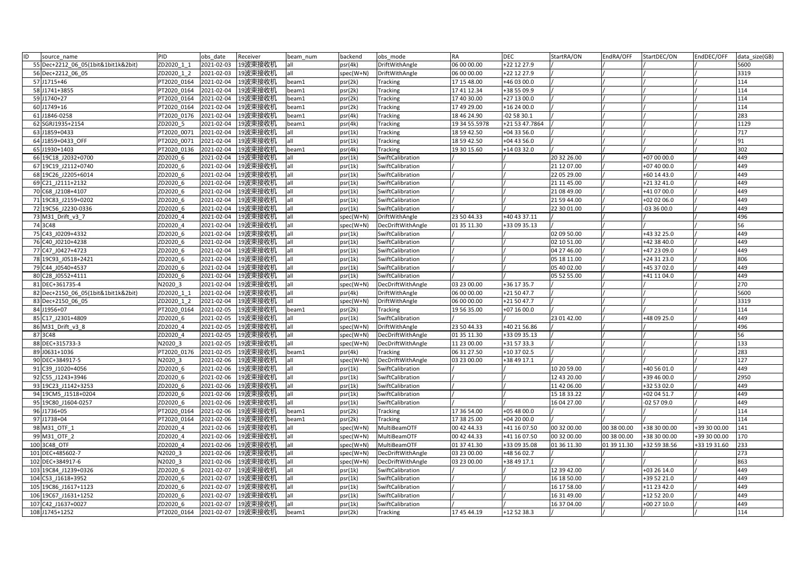| ID | source name                         | PID         | obs date   | Receiver            | beam num | backend   | obs mode            | <b>RA</b>                | <b>DEC</b>     | StartRA/ON  | EndRA/OFF   | StartDEC/ON  | EndDEC/OFF   | data size(GB) |
|----|-------------------------------------|-------------|------------|---------------------|----------|-----------|---------------------|--------------------------|----------------|-------------|-------------|--------------|--------------|---------------|
|    | 55 Dec+2212 06 05(1bit&1bit1k&2bit) | ZD2020 1 1  | 2021-02-03 | 19波束接收机             | all      | psr(4k)   | DriftWithAngle      | 06 00 00.00              | +22 12 27.9    |             |             |              |              | 5600          |
|    | 56 Dec+2212 06 05                   | ZD2020 1 2  | 2021-02-03 | 19波束接收机             |          | spec(W+N) | DriftWithAngle      | 06 00 00.00              | +22 12 27.9    |             |             |              |              | 3319          |
|    | 57 J1715+46                         | PT2020 0164 | 2021-02-04 | 19波束接收机             | beam1    | psr(2k)   | Tracking            | 17 15 48.00              | +46 03 00.0    |             |             |              |              | 114           |
|    | 58 J1741+3855                       | PT2020 0164 | 2021-02-04 | 19波束接收机             | beam1    | psr(2k)   | <b>Tracking</b>     | 17 41 12.34              | +38 55 09.9    |             |             |              |              | 114           |
|    | 59 J1740+27                         | PT2020 0164 | 2021-02-04 | 19波束接收机             | beam1    | psr(2k)   | <b>Tracking</b>     | 17 40 30.00              | +27 13 00.0    |             |             |              |              | 114           |
|    | 60 J1749+16                         | PT2020 0164 | 2021-02-04 | 19波束接收机             | beam1    | psr(2k)   | <b>Tracking</b>     | 17 49 29.00              | +16 24 00.0    |             |             |              |              | 114           |
|    | 61 J1846-0258                       | PT2020 0176 | 2021-02-04 | 19波束接收机             | beam1    | psr(4k)   | <b>Tracking</b>     | 18 46 24.90              | $-025830.1$    |             |             |              |              | 283           |
|    | 62 SGRJ1935+2154                    | ZD2020 5    | 2021-02-04 | 19波束接收机             | beam1    | psr(4k)   | Tracking            | 19 34 55.5978            | +21 53 47.7864 |             |             |              |              | 1129          |
|    | 63 J1859+0433                       | PT2020 0071 | 2021-02-04 | 19波束接收机             | all      | psr(1k)   | Tracking            | 18 59 42.50              | +04 33 56.0    |             |             |              |              | 717           |
|    | 64 J1859+0433 OFF                   | PT2020 0071 | 2021-02-04 | 19波束接收机             | all      | psr(1k)   | <b>Tracking</b>     | 18 59 42.50              | +04 43 56.0    |             |             |              |              | 91            |
|    | 65 J1930+1403                       | PT2020 0136 | 2021-02-04 | 19波束接收机             | beam1    | psr(4k)   | Tracking            | 19 30 15.60              | +14 03 32.0    |             |             |              |              | 302           |
|    | 66 19C18 J2032+0700                 | ZD2020 6    | 2021-02-04 | 19波束接收机             | all      | psr(1k)   | SwiftCalibration    |                          |                | 20 32 26.00 |             | +07 00 00.0  |              | 449           |
|    | 67 19C19 J2112+0740                 | ZD2020 6    | 2021-02-04 | 19波束接收机             | all      | psr(1k)   | SwiftCalibration    |                          |                | 21 12 07.00 |             | +07 40 00.0  |              | 449           |
|    | 68 19C26_J2205+6014                 | ZD2020 6    | 2021-02-04 | 19波束接收机             | all      | psr(1k)   | SwiftCalibration    |                          |                | 22 05 29.00 |             | +60 14 43.0  |              | 449           |
|    | 69 C21 J2111+2132                   | ZD2020 6    | 2021-02-04 | 19波束接收机             | all      | psr(1k)   | SwiftCalibration    |                          |                | 21 11 45.00 |             | $+213241.0$  |              | 449           |
|    | 70 C68 J2108+4107                   | ZD2020 6    | 2021-02-04 | 19波束接收机             | all      | psr(1k)   | SwiftCalibration    |                          |                | 21 08 49.00 |             | +41 07 00.0  |              | 449           |
|    | 71 19C83 J2159+0202                 | ZD2020 6    | 2021-02-04 | 19波束接收机             | all      | psr(1k)   | SwiftCalibration    |                          |                | 21 59 44.00 |             | +02 02 06.0  |              | 449           |
|    | 72 19C56 J2230-0336                 | ZD2020 6    | 2021-02-04 | 19波束接收机             | all      | psr(1k)   | SwiftCalibration    |                          |                | 22 30 01.00 |             | -03 36 00.0  |              | 449           |
|    | 73 M31_Drift_v3_7                   | ZD2020 4    | 2021-02-04 | 19波束接收机             | all      | spec(W+N) | DriftWithAngle      | 23 50 44.33              | +40 43 37.11   |             |             |              |              | 496           |
|    | 74 3C48                             | ZD2020 4    | 2021-02-04 | 19波束接收机             | all      | spec(W+N) | DecDriftWithAngle   | $\overline{01}$ 35 11.30 | +33 09 35.13   |             |             |              |              | 56            |
|    | 75 C43 J0209+4332                   | ZD2020 6    | 2021-02-04 | 19波束接收机             | all      | psr(1k)   | SwiftCalibration    |                          |                | 02 09 50.00 |             | +43 32 25.0  |              | 449           |
|    | 76 C40 J0210+4238                   | ZD2020 6    | 2021-02-04 | 19波束接收机             | all      | psr(1k)   | SwiftCalibration    |                          |                | 02 10 51.00 |             | +42 38 40.0  |              | 449           |
|    | 77 C47 J0427+4723                   | ZD2020 6    | 2021-02-04 | 19波束接收机             | all      | psr(1k)   | SwiftCalibration    |                          |                | 04 27 46.00 |             | +47 23 09.0  |              | 449           |
|    | 78 19 03 10518 + 2421               | ZD2020 6    | 2021-02-04 | 19波束接收机             | all      | psr(1k)   | SwiftCalibration    |                          |                | 05 18 11.00 |             | +24 31 23.0  |              | 806           |
|    | 79 C44 J0540+4537                   | ZD2020 6    | 2021-02-04 | 19波束接收机             | all      | psr(1k)   | SwiftCalibration    |                          |                | 05 40 02.00 |             | +45 37 02.0  |              | 449           |
|    | 80 C28 J0552+4111                   | ZD2020 6    | 2021-02-04 | 19波束接收机             | all      | psr(1k)   | SwiftCalibration    |                          |                | 05 52 55.00 |             | +41 11 04.0  |              | 449           |
|    | 81 DEC+361735-4                     | N2020 3     | 2021-02-04 | 19波束接收机             | all      | spec(W+N) | DecDriftWithAngle   | 03 23 00.00              | +36 17 35.7    |             |             |              |              | 270           |
|    | 82 Dec+2150_06_05(1bit&1bit1k&2bit) | ZD2020 1 1  | 2021-02-04 | 19波束接收机             | all      | psr(4k)   | DriftWithAngle      | 06 00 00.00              | $+215047.7$    |             |             |              |              | 5600          |
|    | 83 Dec+2150 06 05                   | ZD2020 1 2  | 2021-02-04 | 19波束接收机             | all      | spec(W+N) | DriftWithAngle      | 06 00 00.00              | +21 50 47.7    |             |             |              |              | 3319          |
|    | 84 J1956+07                         | PT2020 0164 | 2021-02-05 | 19波束接收机             | beam1    | psr(2k)   | Tracking            | 19 56 35.00              | +07 16 00.0    |             |             |              |              | 114           |
|    | 85 C17 J2301+4809                   | ZD2020 6    | 2021-02-05 | 19波束接收机             | all      | psr(1k)   | SwiftCalibration    |                          |                | 23 01 42.00 |             | +48 09 25.0  |              | 449           |
|    | 86 M31 Drift v3 8                   | ZD2020 4    | 2021-02-05 | 19波束接收机             | all      | spec(W+N) | DriftWithAngle      | 23 50 44.33              | +40 21 56.86   |             |             |              |              | 496           |
|    | 87 3C48                             | ZD2020 4    | 2021-02-05 | 19波束接收机             | all      | spec(W+N) | DecDriftWithAngle   | 01 35 11.30              | +33 09 35.13   |             |             |              |              | 56            |
|    | 88 DEC+315733-3                     | N2020 3     | 2021-02-05 | 19波束接收机             | all      | spec(W+N) | )ecDriftWithAngle   | 11 23 00.00              | +31 57 33.3    |             |             |              |              | 133           |
|    | 89 J0631+1036                       | PT2020 0176 | 2021-02-05 | 19波束接收机             | beam1    | psr(4k)   | Tracking            | 06 31 27.50              | +10 37 02.5    |             |             |              |              | 283           |
|    | 90 DEC+384917-5                     | N2020 3     | 2021-02-06 | 19波束接收机             |          | spec(W+N) | DecDriftWithAngle   | 03 23 00.00              | +38 49 17.1    |             |             |              |              | 127           |
|    | 91 C39 J1020+4056                   | ZD2020 6    | 2021-02-06 | 19波束接收机             | all      | psr(1k)   | SwiftCalibration    |                          |                | 10 20 59.00 |             | +40 56 01.0  |              | 449           |
|    | 92 C55 J1243+3946                   | ZD2020 6    | 2021-02-06 | 19波束接收机             | all      | psr(1k)   | SwiftCalibration    |                          |                | 12 43 20.00 |             | +39 46 00.0  |              | 2950          |
|    | 93 19C23 J1142+3253                 | ZD2020 6    | 2021-02-06 | 19波束接收机             | all      | psr(1k)   | SwiftCalibration    |                          |                | 11 42 06 00 |             | +32 53 02.0  |              | 449           |
|    | 94 19CM5 J1518+0204                 | ZD2020 6    | 2021-02-06 | 19波束接收机             | all      | psr(1k)   | SwiftCalibration    |                          |                | 15 18 33.22 |             | +02 04 51.7  |              | 449           |
|    | 95 19C80 J1604-0257                 | ZD2020 6    | 2021-02-06 | 19波束接收机             | all      | psr(1k)   | SwiftCalibration    |                          |                | 16 04 27.00 |             | $-025709.0$  |              | 449           |
|    | 96 J1736+05                         | PT2020 0164 | 2021-02-06 | 19波束接收机             | beam1    | psr(2k)   | <b>Tracking</b>     | 17 36 54.00              | +05 48 00.0    |             |             |              |              | 114           |
|    | 97 J1738+04                         | PT2020 0164 | 2021-02-06 | 19波束接收机             | beam1    | psr(2k)   | Tracking            | 17 38 25.00              | +04 20 00.0    |             |             |              |              | 114           |
|    | 98 M31 OTF 1                        | ZD2020 4    | 2021-02-06 | 19波束接收机             | all      | spec(W+N) | <b>MultiBeamOTF</b> | 00 42 44.33              | +41 16 07.50   | 00 32 00.00 | 00 38 00.00 | +38 30 00.00 | +39 30 00.00 | 141           |
|    | 99 M31 OTF 2                        | ZD2020 4    | 2021-02-06 | 19波束接收机             | all      | spec(W+N) | MultiBeamOTF        | 00 42 44.33              | +41 16 07.50   | 00 32 00.00 | 00 38 00.00 | +38 30 00.00 | +39 30 00.00 | 170           |
|    | 100 3C48 OTF                        | ZD2020 4    | 2021-02-06 | 19波束接收机             | all      | spec(W+N) | MultiBeamOTF        | 01 37 41.30              | +33 09 35.08   | 01 36 11.30 | 01 39 11.30 | +32 59 38.56 | +33 19 31.60 | 233           |
|    | 101 DEC+485602-7                    | N2020 3     | 2021-02-06 | 19波束接收机             | all      | spec(W+N) | DecDriftWithAngle   | 03 23 00.00              | +48 56 02.7    |             |             |              |              | 273           |
|    | 102 DEC+384917-6                    | N2020 3     | 2021-02-06 | 19波束接收机             | all      | spec(W+N) | ecDriftWithAngle    | 03 23 00.00              | +38 49 17.1    |             |             |              |              | 863           |
|    | 103 19C84 J1239+0326                | ZD2020 6    | 2021-02-07 | 19波束接收机             | all      | psr(1k)   | SwiftCalibration    |                          |                | 12 39 42.00 |             | +03 26 14.0  |              | 449           |
|    | 104 C53 J1618+3952                  | ZD2020 6    | 2021-02-07 | 19波束接收机             | all      | psr(1k)   | SwiftCalibration    |                          |                | 16 18 50.00 |             | +39 52 21.0  |              | 449           |
|    | 105 19C86 J1617+1123                | ZD2020 6    | 2021-02-07 | 19波束接收机             | all      | psr(1k)   | SwiftCalibration    |                          |                | 16 17 58.00 |             | $+112342.0$  |              | 449           |
|    | 106 19C67 J1631+1252                | ZD2020 6    | 2021-02-07 | 19波束接收机             | all      | psr(1k)   | SwiftCalibration    |                          |                | 16 31 49.00 |             | +12 52 20.0  |              | 449           |
|    | 107 C42 J1637+0027                  | ZD2020 6    | 2021-02-07 | 19波束接收机             | all      | psr(1k)   | SwiftCalibration    |                          |                | 16 37 04.00 |             | +00 27 10.0  |              | 449           |
|    | 108 J1745+1252                      | PT2020 0164 |            | 2021-02-07  19波束接收机 | beam1    | psr(2k)   | <b>Tracking</b>     | 17 45 44.19              | +12 52 38.3    |             |             |              |              | 114           |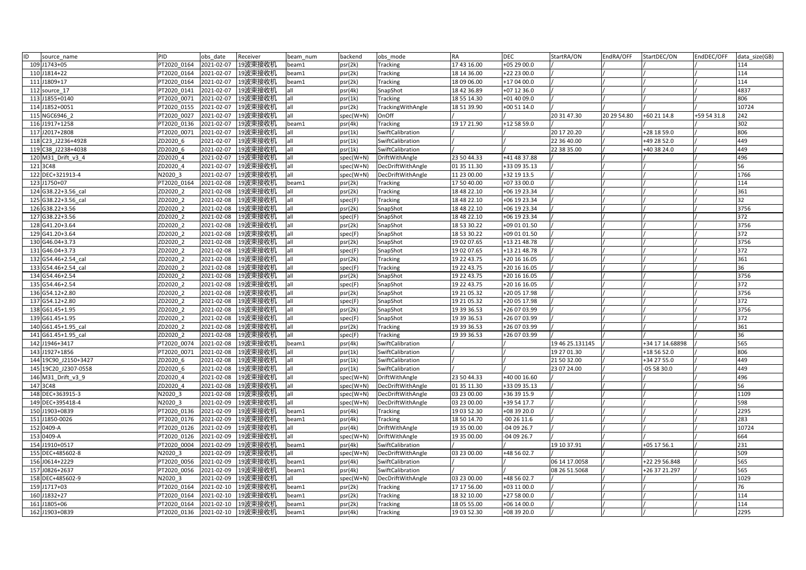| ID | source name          | PID         | obs date   | Receiver             | beam num | backend   | obs mode          | <b>RA</b>   | <b>DEC</b>   | StartRA/ON      | EndRA/OFF   | StartDEC/ON     | EndDEC/OFF  | data size(GB) |
|----|----------------------|-------------|------------|----------------------|----------|-----------|-------------------|-------------|--------------|-----------------|-------------|-----------------|-------------|---------------|
|    | 109 J1743+05         | PT2020 0164 | 2021-02-07 | 19波束接收机              | beam1    | osr(2k)   | Tracking          | 17 43 16.00 | +05 29 00.0  |                 |             |                 |             | 114           |
|    | 110 J1814+22         | PT2020 0164 | 2021-02-07 | 19波束接收机              | beam1    | osr(2k)   | Tracking          | 18 14 36.00 | +22 23 00.0  |                 |             |                 |             | 114           |
|    | 111 J1809+17         | PT2020 0164 | 2021-02-07 | 19波束接收机              | beam1    | osr(2k)   | <b>Tracking</b>   | 18 09 06.00 | +17 04 00.0  |                 |             |                 |             | 114           |
|    | 112 source 17        | PT2020 0141 | 2021-02-07 | 19波束接收机              | all      | osr(4k)   | SnapShot          | 18 42 36.89 | +07 12 36.0  |                 |             |                 |             | 4837          |
|    | 113 J1855+0140       | PT2020 0071 | 2021-02-07 | 19波束接收机              | all      | psr(1k)   | Tracking          | 18 55 14.30 | +01 40 09.0  |                 |             |                 |             | 806           |
|    | 114 J1852+0051       | PT2020 0155 | 2021-02-07 | 19波束接收机              | all      | psr(2k)   | TrackingWithAngle | 18 51 39.90 | +00 51 14.0  |                 |             |                 |             | 10724         |
|    | 115 NGC6946 2        | PT2020 0027 | 2021-02-07 | 19波束接收机              | all      | spec(W+N) | OnOff             |             |              | 20 31 47.30     | 20 29 54.80 | +60 21 14.8     | +59 54 31.8 | 242           |
|    | 116 J1917+1258       | PT2020 0136 | 2021-02-07 | 19波束接收机              | beam1    | osr(4k)   | Tracking          | 19 17 21.90 | +12 58 59.0  |                 |             |                 |             | 302           |
|    | 117 J2017+2808       | PT2020 0071 | 2021-02-07 | 19波束接收机              | all      | psr(1k)   | SwiftCalibration  |             |              | 20 17 20.20     |             | +28 18 59.0     |             | 806           |
|    | 118 C23 J2236+4928   | ZD2020 6    | 2021-02-07 | 19波束接收机              | all      | psr(1k)   | SwiftCalibration  |             |              | 22 36 40.00     |             | +49 28 52.0     |             | 449           |
|    | 119 C38 J2238+4038   | ZD2020 6    | 2021-02-07 | 19波束接收机              | all      | psr(1k)   | SwiftCalibration  |             |              | 22 38 35.00     |             | +40 38 24.0     |             | 449           |
|    | 120 M31 Drift v3 4   | ZD2020 4    | 2021-02-07 | 19波束接收机              | all      | spec(W+N) | DriftWithAngle    | 23 50 44.33 | +41 48 37.88 |                 |             |                 |             | 496           |
|    | 121 3C48             | ZD2020 4    | 2021-02-07 | 19波束接收机              | all      | spec(W+N) | DecDriftWithAngle | 01 35 11.30 | +33 09 35.13 |                 |             |                 |             | 56            |
|    | 122 DEC+321913-4     | N2020 3     | 2021-02-07 | 19波束接收机              | all      | spec(W+N) | DecDriftWithAngle | 11 23 00.00 | +32 19 13.5  |                 |             |                 |             | 1766          |
|    | 123 J1750+07         | PT2020 0164 | 2021-02-08 | 19波束接收机              | beam1    | osr(2k)   | Tracking          | 17 50 40.00 | +07 33 00.0  |                 |             |                 |             | 114           |
|    | 124 G38.22+3.56_cal  | ZD2020 2    | 2021-02-08 | 9波束接收机               | all      | osr(2k)   | Tracking          | 18 48 22.10 | +06 19 23.34 |                 |             |                 |             | 361           |
|    | 125 G38.22+3.56 cal  | ZD2020 2    | 2021-02-08 | 19波束接收机              | all      | spec(F)   | Tracking          | 18 48 22.10 | +06 19 23.34 |                 |             |                 |             | 32            |
|    | 126 G38.22+3.56      | ZD2020 2    | 2021-02-08 | 19波束接收机              | all      | psr(2k)   | SnapShot          | 18 48 22.10 | +06 19 23.34 |                 |             |                 |             | 3756          |
|    | 127 G38.22+3.56      | ZD2020 2    | 2021-02-08 | 19波束接收机              | all      | spec(F)   | SnapShot          | 18 48 22.10 | +06 19 23.34 |                 |             |                 |             | 372           |
|    | 128 G41.20+3.64      | ZD2020 2    | 2021-02-08 | 19波束接收机              | all      | psr(2k)   | SnapShot          | 18 53 30.22 | +09 01 01.50 |                 |             |                 |             | 3756          |
|    | 129 G41.20+3.64      | ZD2020 2    | 2021-02-08 | 19波束接收机              | all      | spec(F)   | SnapShot          | 18 53 30.22 | +09 01 01.50 |                 |             |                 |             | 372           |
|    | 130 G46.04+3.73      | ZD2020 2    | 2021-02-08 | 19波束接收机              | all      | psr(2k)   | SnapShot          | 19 02 07.65 | +13 21 48.78 |                 |             |                 |             | 3756          |
|    | 131 G46.04+3.73      | ZD2020 2    | 2021-02-08 | 19波束接收机              | all      | spec(F)   | SnapShot          | 19 02 07.65 | +13 21 48.78 |                 |             |                 |             | 372           |
|    | 132 G54.46+2.54 cal  | ZD2020 2    | 2021-02-08 | 19波束接收机              | all      | psr(2k)   | Tracking          | 19 22 43.75 | +20 16 16.05 |                 |             |                 |             | 361           |
|    | 133 G54.46+2.54 cal  | ZD2020 2    | 2021-02-08 | 19波束接收机              | all      | spec(F)   | Tracking          | 19 22 43.75 | +20 16 16.05 |                 |             |                 |             | 36            |
|    | 134 G54.46+2.54      | ZD2020 2    | 2021-02-08 | 19波束接收机              | all      | psr(2k)   | SnapShot          | 19 22 43.75 | +20 16 16.05 |                 |             |                 |             | 3756          |
|    | 135 G54.46+2.54      | ZD2020 2    | 2021-02-08 | 19波束接收机              | all      | spec(F)   | SnapShot          | 19 22 43.75 | +20 16 16.05 |                 |             |                 |             | 372           |
|    | 136 G54.12+2.80      | ZD2020 2    | 2021-02-08 | 19波束接收机              | all      | psr(2k)   | SnapShot          | 19 21 05.32 | +20 05 17.98 |                 |             |                 |             | 3756          |
|    | 137 G54.12+2.80      | ZD2020 2    | 2021-02-08 | 19波束接收机              | all      | spec(F)   | SnapShot          | 19 21 05.32 | +20 05 17.98 |                 |             |                 |             | 372           |
|    | 138 G61.45+1.95      | ZD2020 2    | 2021-02-08 | 19波束接收机              | all      | osr(2k)   | SnapShot          | 19 39 36.53 | +26 07 03.99 |                 |             |                 |             | 3756          |
|    | 139 G61.45+1.95      | ZD2020 2    | 2021-02-08 | 19波束接收机              | all      | spec(F)   | SnapShot          | 19 39 36.53 | +26 07 03.99 |                 |             |                 |             | 372           |
|    | 140 G61.45+1.95_cal  | ZD2020 2    | 2021-02-08 | 19波束接收机              | all      | osr(2k)   | <b>Tracking</b>   | 19 39 36.53 | +26 07 03.99 |                 |             |                 |             | 361           |
|    | 141 G61.45+1.95 cal  | ZD2020 2    | 2021-02-08 | 19波束接收机              | all      | spec(F)   | Tracking          | 19 39 36.53 | +26 07 03.99 |                 |             |                 |             | 36            |
|    | 142 J1946+3417       | PT2020 0074 | 2021-02-08 | 19波束接收机              | beam1    | psr(4k)   | SwiftCalibration  |             |              | 19 46 25.131145 |             | +34 17 14.68898 |             | 565           |
|    | 143 J1927+1856       | PT2020 0071 | 2021-02-08 | 19波束接收机              | all      | psr(1k)   | SwiftCalibration  |             |              | 19 27 01.30     |             | +18 56 52.0     |             | 806           |
|    | 144 19C90 J2150+3427 | ZD2020 6    | 2021-02-08 | 19波束接收机              | all      | psr(1k)   | SwiftCalibration  |             |              | 21 50 32.00     |             | +34 27 55.0     |             | 449           |
|    | 145 19C20 J2307-0558 | ZD2020 6    | 2021-02-08 | 19波束接收机              | all      | osr(1k)   | SwiftCalibration  |             |              | 23 07 24.00     |             | 05 58 30.0      |             | 449           |
|    | 146 M31 Drift v3 9   | ZD2020 4    | 2021-02-08 | 19波束接收机              | all      | spec(W+N) | DriftWithAngle    | 23 50 44.33 | +40 00 16.60 |                 |             |                 |             | 496           |
|    | 147 3C48             | ZD2020 4    | 2021-02-08 | 19波束接收机              | all      | spec(W+N) | DecDriftWithAngle | 01 35 11.30 | +33 09 35.13 |                 |             |                 |             | 56            |
|    | 148 DEC+363915-3     | N2020 3     | 2021-02-08 | 19波束接收机              | all      | spec(W+N) | DecDriftWithAngle | 03 23 00.00 | +36 39 15.9  |                 |             |                 |             | 1109          |
|    | 149 DEC+395418-4     | N2020 3     | 2021-02-09 | !9波束接收机              | all      | spec(W+N) | DecDriftWithAngle | 03 23 00.00 | +39 54 17.7  |                 |             |                 |             | 598           |
|    | 150 J1903+0839       | PT2020 0136 | 2021-02-09 | 19波束接收机              | beam1    | psr(4k)   | Tracking          | 19 03 52.30 | +08 39 20.0  |                 |             |                 |             | 2295          |
|    | 151 J1850-0026       | PT2020 0176 | 2021-02-09 | 19波束接收机              | beam1    | osr(4k)   | Tracking          | 18 50 14.70 | 00 26 11.6   |                 |             |                 |             | 283           |
|    | 152 0409-A           | PT2020 0126 | 2021-02-09 | 19波束接收机              | all      | osr(4k)   | DriftWithAngle    | 19 35 00.00 | -04 09 26.7  |                 |             |                 |             | 10724         |
|    | 153 0409-A           | PT2020_0126 | 2021-02-09 | 19波束接收机              | all      | spec(W+N) | DriftWithAngle    | 19 35 00.00 | $-040926.7$  |                 |             |                 |             | 664           |
|    | 154 J1910+0517       | PT2020 0004 | 2021-02-09 | 19波束接收机              | beam1    | osr(4k)   | SwiftCalibration  |             |              | 19 10 37.91     |             | +05 17 56.1     |             | 231           |
|    | 155 DEC+485602-8     | N2020 3     | 2021-02-09 | 19波束接收机              | all      | spec(W+N) | DecDriftWithAngle | 03 23 00.00 | +48 56 02.7  |                 |             |                 |             | 509           |
|    | 156 J0614+2229       | PT2020 0056 | 2021-02-09 | 19波束接收机              | beam1    | psr(4k)   | SwiftCalibration  |             |              | 06 14 17 0058   |             | +22 29 56.848   |             | 565           |
|    | 157 J0826+2637       | PT2020 0056 | 2021-02-09 | 19波束接收机              | beam1    | osr(4k)   | SwiftCalibration  |             |              | 08 26 51.5068   |             | +26 37 21.297   |             | 565           |
|    | 158 DEC+485602-9     | N2020 3     | 2021-02-09 | 19波束接收机              | all      | spec(W+N) | DecDriftWithAngle | 03 23 00.00 | +48 56 02.7  |                 |             |                 |             | 1029          |
|    | 159 J1717+03         | PT2020 0164 | 2021-02-10 | 19波束接收机              | beam1    | psr(2k)   | Tracking          | 17 17 56.00 | +03 11 00.0  |                 |             |                 |             | 76            |
|    | 160 J1832+27         | PT2020 0164 | 2021-02-10 | 19波束接收机              | beam1    | osr(2k)   | Tracking          | 18 32 10.00 | +27 58 00.0  |                 |             |                 |             | 114           |
|    | 161 J1805+06         | PT2020 0164 | 2021-02-10 | 19波束接收机              | beam1    | osr(2k)   | Tracking          | 18 05 55.00 | +06 14 00.0  |                 |             |                 |             | 114           |
|    | 162 J1903+0839       | PT2020 0136 |            | 2021-02-10   19波束接收机 | beam1    | psr(4k)   | <b>Tracking</b>   | 19 03 52.30 | +08 39 20.0  |                 |             |                 |             | 2295          |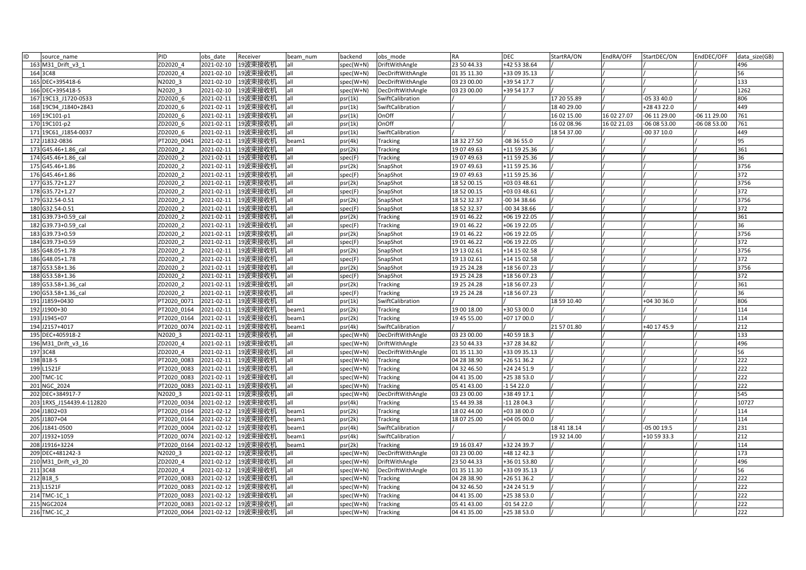| ID<br>source_name         | PID         | obs date   | Receiver           | beam num | backend     | obs_mode          | RA          | <b>DEC</b>   | StartRA/ON  | EndRA/OFF   | StartDEC/ON    | EndDEC/OFF   | data size(GB) |
|---------------------------|-------------|------------|--------------------|----------|-------------|-------------------|-------------|--------------|-------------|-------------|----------------|--------------|---------------|
| 163 M31 Drift v3 1        | ZD2020 4    | 2021-02-10 | 19波束接收机            | all      | spec(W+N)   | DriftWithAngle    | 23 50 44.33 | +42 53 38.64 |             |             |                |              | 496           |
| 164 3C48                  | ZD2020 4    | 2021-02-10 | 19波束接收机            | all      | spec(W+N)   | DecDriftWithAngle | 01 35 11.30 | +33 09 35.13 |             |             |                |              | 56            |
| 165 DEC+395418-6          | N2020 3     | 2021-02-10 | 19波束接收机            | all      | spec(W+N)   | DecDriftWithAngle | 03 23 00.00 | +39 54 17.7  |             |             |                |              | 133           |
| 166 DEC+395418-5          | N2020 3     | 2021-02-10 | 19波束接收机            | all      | spec(W+N)   | DecDriftWithAngle | 03 23 00.00 | +39 54 17.7  |             |             |                |              | 1262          |
| 167 19C13 J1720-0533      | ZD2020 6    | 2021-02-11 | 19波束接收机            | all      | psr(1k)     | SwiftCalibration  |             |              | 17 20 55.89 |             | $-053340.0$    |              | 806           |
| 168 19C94 J1840+2843      | ZD2020 6    | 2021-02-11 | 19波束接收机            | all      | psr(1k)     | SwiftCalibration  |             |              | 18 40 29.00 |             | +28 43 22.0    |              | 449           |
| 169 19C101-p1             | ZD2020 6    | 2021-02-11 | 19波束接收机            | all      | psr(1k)     | OnOff             |             |              | 16 02 15.00 | 16 02 27.07 | $-06$ 11 29.00 | -06 11 29.00 | 761           |
| 170 19C101-p2             | ZD2020 6    | 2021-02-11 | 19波束接收机            | all      | psr(1k)     | OnOff             |             |              | 16 02 08.96 | 16 02 21.03 | -06 08 53.00   | 06 08 53.00  | 761           |
| 171 19C61 J1854-0037      | ZD2020_6    | 2021-02-11 | 19波束接收机            | all      | psr(1k)     | SwiftCalibration  |             |              | 18 54 37.00 |             | -00 37 10.0    |              | 449           |
| 172 J1832-0836            | PT2020 0041 | 2021-02-11 | 19波束接收机            | beam1    | psr(4k)     | Tracking          | 18 32 27.50 | -08 36 55.0  |             |             |                |              | 95            |
| 173 G45.46+1.86_cal       | ZD2020 2    | 2021-02-11 | 19波束接收机            | all      | psr(2k)     | <b>Tracking</b>   | 19 07 49.63 | +11 59 25.36 |             |             |                |              | 361           |
| 174 G45.46+1.86 cal       | ZD2020 2    | 2021-02-11 | 19波束接收机            | all      | spec(F)     | <b>Tracking</b>   | 19 07 49.63 | +11 59 25.36 |             |             |                |              | 36            |
| 175 G45.46+1.86           | ZD2020 2    | 2021-02-11 | 19波束接收机            | all      | psr(2k)     | SnapShot          | 19 07 49.63 | +11 59 25.36 |             |             |                |              | 3756          |
| 176 G45.46+1.86           | ZD2020 2    | 2021-02-11 | 19波束接收机            | all      | spec(F)     | SnapShot          | 19 07 49.63 | +11 59 25.36 |             |             |                |              | 372           |
| 177 G35.72+1.27           | ZD2020 2    | 2021-02-11 | 19波束接收机            | all      | psr(2k)     | SnapShot          | 18 52 00.15 | +03 03 48.61 |             |             |                |              | 3756          |
| 178 G35.72+1.27           | ZD2020 2    | 2021-02-11 | 19波束接收机            | all      | spec(F)     | SnapShot          | 18 52 00.15 | +03 03 48.61 |             |             |                |              | 372           |
| 179 G32.54-0.51           | ZD2020 2    | 2021-02-11 | 19波束接收机            | all      | psr(2k)     | SnapShot          | 18 52 32.37 | -00 34 38.66 |             |             |                |              | 3756          |
| 180 G32.54-0.51           | ZD2020 2    | 2021-02-11 | 19波束接收机            | all      | spec(F)     | SnapShot          | 18 52 32.37 | -00 34 38.66 |             |             |                |              | 372           |
| 181 G39.73+0.59 cal       | ZD2020 2    | 2021-02-11 | 19波束接收机            | all      | psr(2k)     | <b>Tracking</b>   | 19 01 46.22 | +06 19 22.05 |             |             |                |              | 361           |
| 182 G39.73+0.59 cal       | ZD2020 2    | 2021-02-11 | 19波束接收机            | all      | spec(F)     | <b>Tracking</b>   | 19 01 46.22 | +06 19 22.05 |             |             |                |              | 36            |
| 183 G39.73+0.59           | ZD2020 2    | 2021-02-11 | 19波束接收机            | all      | psr(2k)     | SnapShot          | 19 01 46.22 | +06 19 22.05 |             |             |                |              | 3756          |
| 184 G39.73+0.59           | ZD2020 2    | 2021-02-11 | 19波束接收机            | all      | spec(F)     | SnapShot          | 19 01 46.22 | +06 19 22.05 |             |             |                |              | 372           |
| 185 G48.05+1.78           | ZD2020 2    | 2021-02-11 | 19波束接收机            | all      | psr(2k)     | SnapShot          | 19 13 02.61 | +14 15 02.58 |             |             |                |              | 3756          |
| 186 G48.05+1.78           | ZD2020_2    | 2021-02-11 | 19波束接收机            | all      | spec(F)     | SnapShot          | 19 13 02.61 | +14 15 02.58 |             |             |                |              | 372           |
| 187 G53.58+1.36           | ZD2020 2    | 2021-02-11 | 19波束接收机            | all      | psr(2k)     | SnapShot          | 19 25 24.28 | +18 56 07.23 |             |             |                |              | 3756          |
| 188 G53.58+1.36           | ZD2020 2    | 2021-02-11 | 19波束接收机            | all      | spec(F)     | SnapShot          | 19 25 24.28 | +18 56 07.23 |             |             |                |              | 372           |
| 189 G53.58+1.36 cal       | ZD2020_2    | 2021-02-11 | 19波束接收机            | all      | psr(2k)     | <b>Tracking</b>   | 19 25 24.28 | +18 56 07.23 |             |             |                |              | 361           |
| 190 G53.58+1.36 cal       | ZD2020 2    | 2021-02-11 | 19波束接收机            | all      | spec(F)     | Tracking          | 19 25 24.28 | +18 56 07.23 |             |             |                |              | 36            |
| 191 J1859+0430            | PT2020 0071 | 2021-02-11 | 19波束接收机            | all      | psr(1k)     | SwiftCalibration  |             |              | 18 59 10.40 |             | $+043036.0$    |              | 806           |
| 192 J1900+30              | PT2020 0164 | 2021-02-11 | 19波束接收机            | beam1    | psr(2k)     | <b>Tracking</b>   | 19 00 18.00 | +30 53 00.0  |             |             |                |              | 114           |
| 193 J1945+07              | PT2020 0164 | 2021-02-11 | 19波束接收机            | beam1    | psr(2k)     | <b>Tracking</b>   | 19 45 55.00 | +07 17 00.0  |             |             |                |              | 114           |
| 194 J2157+4017            | PT2020 0074 | 2021-02-11 | 19波束接收机            | beam1    | psr(4k)     | SwiftCalibration  |             |              | 21 57 01.80 |             | +40 17 45.9    |              | 212           |
| 195 DEC+405918-2          | N2020 3     | 2021-02-11 | 19波束接收机            | all      | spec(W+N)   | DecDriftWithAngle | 03 23 00.00 | +40 59 18.3  |             |             |                |              | 133           |
| 196 M31_Drift_v3_16       | ZD2020 4    | 2021-02-11 | 19波束接收机            | all      | spec(W+N)   | DriftWithAngle    | 23 50 44.33 | +37 28 34.82 |             |             |                |              | 496           |
| 197 3C48                  | ZD2020 4    | 2021-02-11 | 19波束接收机            | all      | spec(W+N)   | DecDriftWithAngle | 01 35 11.30 | +33 09 35.13 |             |             |                |              | 56            |
| 198 B18-5                 | PT2020 0083 | 2021-02-11 | 19波束接收机            | all      | spec(W+N)   | <b>Tracking</b>   | 04 28 38.90 | +26 51 36.2  |             |             |                |              | 222           |
| 199 L1521F                | PT2020 0083 | 2021-02-11 | 19波束接收机            | all      | spec(W+N)   | Tracking          | 04 32 46.50 | +24 24 51.9  |             |             |                |              | 222           |
| 200 TMC-1C                | PT2020 0083 | 2021-02-11 | 19波束接收机            | all      | spec(W+N)   | <b>Tracking</b>   | 04 41 35.00 | +25 38 53.0  |             |             |                |              | 222           |
| 201 NGC 2024              | PT2020 0083 | 2021-02-11 | 19波束接收机            | all      | spec(W+N)   | <b>Tracking</b>   | 05 41 43.00 | -1 54 22.0   |             |             |                |              | 222           |
| 202 DEC+384917-7          | N2020 3     | 2021-02-11 | 19波束接收机            | all      | $spec(W+N)$ | DecDriftWithAngle | 03 23 00.00 | +38 49 17.1  |             |             |                |              | 545           |
| 203 1RXS J154439.4-112820 | PT2020 0034 | 2021-02-12 | 19波束接收机            | all      | psr(4k)     | <b>Tracking</b>   | 15 44 39.38 | -11 28 04.3  |             |             |                |              | 10727         |
| 204 J1802+03              | PT2020 0164 | 2021-02-12 | 19波束接收机            | beam1    | psr(2k)     | <b>Tracking</b>   | 18 02 44.00 | +03 38 00.0  |             |             |                |              | 114           |
| 205 J1807+04              | PT2020 0164 | 2021-02-12 | 19波束接收机            | beam1    | psr(2k)     | Tracking          | 18 07 25.00 | +04 05 00.0  |             |             |                |              | 114           |
| 206 J1841-0500            | PT2020 0004 | 2021-02-12 | 19波束接收机            | beam1    | psr(4k)     | SwiftCalibration  |             |              | 18 41 18 14 |             | $-050019.5$    |              | 231           |
| 207 J1932+1059            | PT2020 0074 | 2021-02-12 | 19波束接收机            | beam1    | psr(4k)     | SwiftCalibration  |             |              | 19 32 14.00 |             | +10 59 33.3    |              | 212           |
| 208 J1916+3224            | PT2020 0164 | 2021-02-12 | 19波束接收机            | beam1    | psr(2k)     | Tracking          | 19 16 03.47 | +32 24 39.7  |             |             |                |              | 114           |
| 209 DEC+481242-3          | N2020 3     | 2021-02-12 | 19波束接收机            | all      | spec(W+N)   | DecDriftWithAngle | 03 23 00.00 | +48 12 42.3  |             |             |                |              | 173           |
| 210 M31 Drift v3 20       | ZD2020 4    | 2021-02-12 | 19波束接收机            | all      | spec(W+N)   | DriftWithAngle    | 23 50 44.33 | +36 01 53.80 |             |             |                |              | 496           |
| 211 3C48                  | ZD2020 4    | 2021-02-12 | 19波束接收机            | all      | spec(W+N)   | DecDriftWithAngle | 01 35 11.30 | +33 09 35.13 |             |             |                |              | 56            |
| 212 B18 5                 | PT2020 0083 | 2021-02-12 | 19波束接收机            | all      | spec(W+N)   | Tracking          | 04 28 38.90 | +26 51 36.2  |             |             |                |              | 222           |
| 213 L1521F                | PT2020 0083 | 2021-02-12 | 19波束接收机            | all      | spec(W+N)   | Tracking          | 04 32 46.50 | +24 24 51.9  |             |             |                |              | 222           |
| 214 TMC-1C 1              | PT2020 0083 | 2021-02-12 | 19波束接收机            | all      | spec(W+N)   | Tracking          | 04 41 35.00 | +25 38 53.0  |             |             |                |              | 222           |
| 215 NGC2024               | PT2020 0083 | 2021-02-12 | 19波束接收机            | all      | $spec(W+N)$ | <b>Tracking</b>   | 05 41 43.00 | $-015422.0$  |             |             |                |              | 222           |
| 216 TMC-1C 2              | PT2020 0064 |            | 2021-02-12 19波束接收机 | all      | spec(W+N)   | <b>Tracking</b>   | 04 41 35.00 | +25 38 53.0  |             |             |                |              | 222           |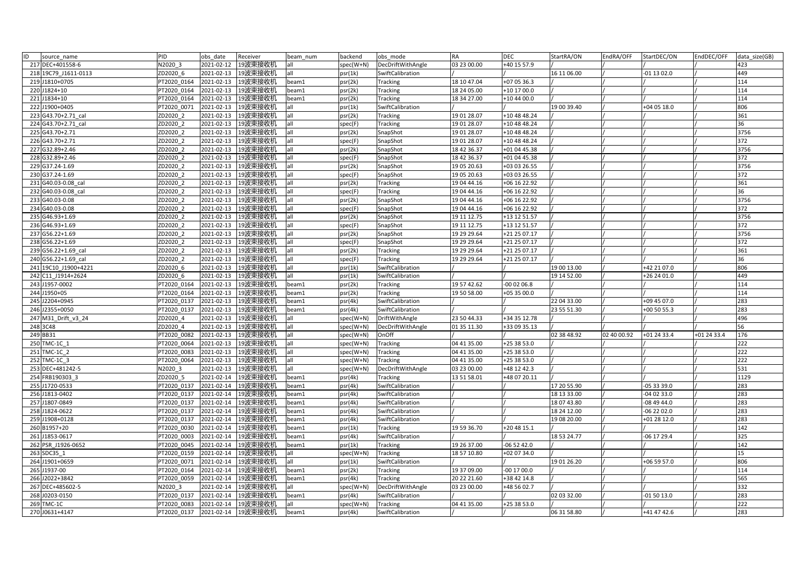| ID<br>source name    | PID         | obs date         | Receiver             | beam num | backend   | obs mode          | <b>RA</b>   | <b>DEC</b>   | StartRA/ON  | EndRA/OFF   | StartDEC/ON   | EndDEC/OFF  | data size(GB) |
|----------------------|-------------|------------------|----------------------|----------|-----------|-------------------|-------------|--------------|-------------|-------------|---------------|-------------|---------------|
| 217 DEC+401558-6     | N2020 3     | 2021-02-12       | 19波束接收机              | all      | spec(W+N) | DecDriftWithAngle | 03 23 00.00 | +40 15 57.9  |             |             |               |             | 423           |
| 218 19C79 J1611-0113 | ZD2020 6    | 2021-02-13       | 19波束接收机              | all      | psr(1k)   | SwiftCalibration  |             |              | 16 11 06.00 |             | $-01$ 13 02.0 |             | 449           |
| 219 J1810+0705       | PT2020 0164 | 2021-02-13       | 19波束接收机              | beam1    | psr(2k)   | Tracking          | 18 10 47.04 | +07 05 36.3  |             |             |               |             | 114           |
| 220 J1824+10         | PT2020 0164 | 2021-02-13       | 19波束接收机              | beam1    | psr(2k)   | Tracking          | 18 24 05.00 | +10 17 00.0  |             |             |               |             | 114           |
| 221 J1834+10         | PT2020 0164 | 2021-02-13       | 19波束接收机              | beam1    | psr(2k)   | Tracking          | 18 34 27.00 | +10 44 00.0  |             |             |               |             | 114           |
| 222 J1900+0405       | PT2020 0071 | 2021-02-13       | 19波束接收机              | all      | psr(1k)   | SwiftCalibration  |             |              | 19 00 39.40 |             | +04 05 18.0   |             | 806           |
| 223 G43.70+2.71 cal  | ZD2020 2    | 2021-02-13       | 19波束接收机              | lall     | psr(2k)   | Tracking          | 19 01 28.07 | +10 48 48.24 |             |             |               |             | 361           |
| 224 G43.70+2.71 cal  | ZD2020 2    | 2021-02-13       | 19波束接收机              | all      | spec(F)   | Tracking          | 19 01 28.07 | +10 48 48.24 |             |             |               |             | 36            |
| 225 G43.70+2.71      | ZD2020 2    | $2021 - 02 - 13$ | 19波束接收机              | all      | psr(2k)   | SnapShot          | 19 01 28.07 | +10 48 48.24 |             |             |               |             | 3756          |
| 226 G43.70+2.71      | ZD2020 2    | 2021-02-13       | 19波束接收机              | lall     | spec(F)   | SnapShot          | 19 01 28.07 | +10 48 48.24 |             |             |               |             | 372           |
| 227 G32.89+2.46      | ZD2020 2    | 2021-02-13       | 19波束接收机              | lall     | psr(2k)   | SnapShot          | 18 42 36.37 | +01 04 45.38 |             |             |               |             | 3756          |
| 228 G32.89+2.46      | ZD2020 2    | 2021-02-13       | 19波束接收机              | all      | spec(F)   | SnapShot          | 18 42 36.37 | +01 04 45.38 |             |             |               |             | 372           |
| 229 G37.24-1.69      | ZD2020 2    | 2021-02-13       | 19波束接收机              | all      | psr(2k)   | SnapShot          | 19 05 20.63 | +03 03 26.55 |             |             |               |             | 3756          |
| 230 G37.24-1.69      | ZD2020 2    | 2021-02-13       | 19波束接收机              | all      | spec(F)   | SnapShot          | 19 05 20.63 | +03 03 26.55 |             |             |               |             | 372           |
| 231 G40.03-0.08 cal  | ZD2020 2    | 2021-02-13       | 19波束接收机              | lall     | psr(2k)   | Tracking          | 19 04 44.16 | +06 16 22.92 |             |             |               |             | 361           |
| 232 G40.03-0.08 cal  | ZD2020 2    | 2021-02-13       | 19波束接收机              | all      | spec(F)   | Tracking          | 19 04 44.16 | +06 16 22.92 |             |             |               |             | 36            |
| 233 G40.03-0.08      | ZD2020 2    | 2021-02-13       | 19波束接收机              | all      | psr(2k)   | SnapShot          | 19 04 44.16 | +06 16 22.92 |             |             |               |             | 3756          |
| 234 G40.03-0.08      | ZD2020 2    | 2021-02-13       | 19波束接收机              | all      | spec(F)   | SnapShot          | 19 04 44.16 | +06 16 22.92 |             |             |               |             | 372           |
| 235 G46.93+1.69      | ZD2020 2    | 2021-02-13       | 19波束接收机              | all      | psr(2k)   | SnapShot          | 19 11 12.75 | +13 12 51.57 |             |             |               |             | 3756          |
| 236 G46.93+1.69      | ZD2020 2    | 2021-02-13       | 19波束接收机              | all      | spec(F)   | SnapShot          | 19 11 12.75 | +13 12 51.57 |             |             |               |             | 372           |
| 237 G56.22+1.69      | ZD2020 2    | 2021-02-13       | 19波束接收机              | lall     | psr(2k)   | SnapShot          | 19 29 29.64 | +21 25 07.17 |             |             |               |             | 3756          |
| 238 G56.22+1.69      | ZD2020 2    | 2021-02-13       | 19波束接收机              | all      | spec(F)   | SnapShot          | 19 29 29.64 | +21 25 07.17 |             |             |               |             | 372           |
| 239 G56.22+1.69 cal  | ZD2020 2    | 2021-02-13       | 19波束接收机              | all      | psr(2k)   | Tracking          | 19 29 29.64 | +21 25 07.17 |             |             |               |             | 361           |
| 240 G56.22+1.69 cal  | ZD2020_2    | 2021-02-13       | 19波束接收机              | all      | spec(F)   | Tracking          | 19 29 29.64 | +21 25 07.17 |             |             |               |             | 36            |
| 241 19C10 J1900+4221 | ZD2020 6    | 2021-02-13       | 19波束接收机              | all      | psr(1k)   | SwiftCalibration  |             |              | 19 00 13.00 |             | +42 21 07.0   |             | 806           |
| 242 C11 J1914+2624   | ZD2020 6    | 2021-02-13       | 19波束接收机              | all      | psr(1k)   | SwiftCalibration  |             |              | 19 14 52.00 |             | +26 24 01.0   |             | 449           |
| 243 J1957-0002       | PT2020 0164 | 2021-02-13       | 19波束接收机              | beam1    | psr(2k)   | Tracking          | 19 57 42.62 | 00 02 06.8   |             |             |               |             | 114           |
| 244 J1950+05         | PT2020 0164 | 2021-02-13       | 19波束接收机              | beam1    | psr(2k)   | <b>Tracking</b>   | 19 50 58.00 | +05 35 00.0  |             |             |               |             | 114           |
| 245 J2204+0945       | PT2020 0137 | 2021-02-13       | 19波束接收机              | beam1    | psr(4k)   | SwiftCalibration  |             |              | 22 04 33.00 |             | +09 45 07.0   |             | 283           |
| 246 J2355+0050       | T2020 0137  | 2021-02-13       | 19波束接收机              | beam1    | psr(4k)   | SwiftCalibration  |             |              | 23 55 51.30 |             | +00 50 55.3   |             | 283           |
| 247 M31 Drift v3 24  | ZD2020 4    | 2021-02-13       | 19波束接收机              | all      | spec(W+N) | DriftWithAngle    | 23 50 44.33 | +34 35 12.78 |             |             |               |             | 496           |
| 248 3C48             | ZD2020 4    | 2021-02-13       | 19波束接收机              | lall     | spec(W+N) | DecDriftWithAngle | 01 35 11.30 | +33 09 35.13 |             |             |               |             | 56            |
| 249 BB31             | PT2020 0082 | 2021-02-13       | 19波束接收机              | all      | spec(W+N) | OnOff             |             |              | 02 38 48.92 | 02 40 00.92 | +01 24 33.4   | +01 24 33.4 | 176           |
| 250 TMC-1C 1         | T2020 0064  | 2021-02-13       | 19波束接收机              | all      | spec(W+N) | <b>Tracking</b>   | 04 41 35.00 | +25 38 53.0  |             |             |               |             | 222           |
| 251 TMC-1C 2         | PT2020 0083 | 2021-02-13       | 19波束接收机              | lall     | spec(W+N) | Tracking          | 04 41 35.00 | +25 38 53.0  |             |             |               |             | 222           |
| 252 TMC-1C 3         | PT2020 0064 | 2021-02-13       | 19波束接收机              | all      | spec(W+N) | Tracking          | 04 41 35.00 | +25 38 53.0  |             |             |               |             | 222           |
| 253 DEC+481242-5     | N2020 3     | 2021-02-13       | 19波束接收机              | all      | spec(W+N) | DecDriftWithAngle | 03 23 00.00 | +48 12 42.3  |             |             |               |             | 531           |
| 254 FRB190303 3      | ZD2020 5    | 2021-02-14       | 19波束接收机              | beam1    | psr(4k)   | Tracking          | 13 51 58.01 | +48 07 20.11 |             |             |               |             | 1129          |
| 255 J1720-0533       | PT2020 0137 | 2021-02-14       | 19波束接收机              | beam1    | psr(4k)   | SwiftCalibration  |             |              | 17 20 55.90 |             | $-053339.0$   |             | 283           |
| 256 J1813-0402       | T2020 0137  | 2021-02-14       | 19波束接收机              | beam1    | psr(4k)   | SwiftCalibration  |             |              | 18 13 33.00 |             | $-040233.0$   |             | 283           |
| 257 J1807-0849       | PT2020 0137 | 2021-02-14       | 19波束接收机              | beam1    | psr(4k)   | SwiftCalibration  |             |              | 18 07 43.80 |             | $-084944.0$   |             | 283           |
| 258 J1824-0622       | PT2020 0137 | 2021-02-14       | 19波束接收机              | beam1    | psr(4k)   | SwiftCalibration  |             |              | 18 24 12.00 |             | $-062202.0$   |             | 283           |
| 259 J1908+0128       | PT2020_0137 | 2021-02-14       | 19波束接收机              | beam1    | psr(4k)   | SwiftCalibration  |             |              | 19 08 20.00 |             | +01 28 12.0   |             | 283           |
| 260 B1957+20         | PT2020 0030 | 2021-02-14       | 19波束接收机              | beam1    | psr(1k)   | Tracking          | 19 59 36.70 | +20 48 15.1  |             |             |               |             | 142           |
| 261 J1853-0617       | PT2020 0003 | 2021-02-14       | 19波束接收机              | beam1    | psr(4k)   | SwiftCalibration  |             |              | 18 53 24.77 |             | $-06$ 17 29.4 |             | 325           |
| 262 PSR J1926-0652   | PT2020 0045 | 2021-02-14       | 19波束接收机              | beam1    | psr(1k)   | Tracking          | 19 26 37.00 | -06 52 42.0  |             |             |               |             | 142           |
| 263 SDC35 1          | T2020 0159  | 2021-02-14       | 19波束接收机              | lall     | spec(W+N) | Tracking          | 18 57 10.80 | +02 07 34.0  |             |             |               |             | 15            |
| 264 J1901+0659       | T2020 0071  | 2021-02-14       | 19波束接收机              | all      | psr(1k)   | SwiftCalibration  |             |              | 19 01 26.20 |             | +06 59 57.0   |             | 806           |
| 265 J1937-00         | PT2020 0164 | 2021-02-14       | 19波束接收机              | beam1    | psr(2k)   | Tracking          | 19 37 09.00 | 00 17 00.0   |             |             |               |             | 114           |
| 266 J2022+3842       | PT2020 0059 | 2021-02-14       | 19波束接收机              | beam1    | psr(4k)   | Tracking          | 20 22 21.60 | +38 42 14.8  |             |             |               |             | 565           |
| 267 DEC+485602-5     | V2020 3     | 2021-02-14       | 19波束接收机              | all      | spec(W+N) | DecDriftWithAngle | 03 23 00.00 | +48 56 02.7  |             |             |               |             | 332           |
| 268 J0203-0150       | PT2020 0137 | 2021-02-14       | 19波束接收机              | beam1    | psr(4k)   | SwiftCalibration  |             |              | 02 03 32.00 |             | $-015013.0$   |             | 283           |
| 269 TMC-1C           | PT2020 0083 | 2021-02-14       | 19波束接收机              | all      | spec(W+N) | <b>Tracking</b>   | 04 41 35.00 | +25 38 53.0  |             |             |               |             | 222           |
| 270 J0631+4147       | PT2020_0137 |                  | 2021-02-14   19波束接收机 | beam1    | psr(4k)   | SwiftCalibration  |             |              | 06 31 58.80 |             | +41 47 42.6   |             | 283           |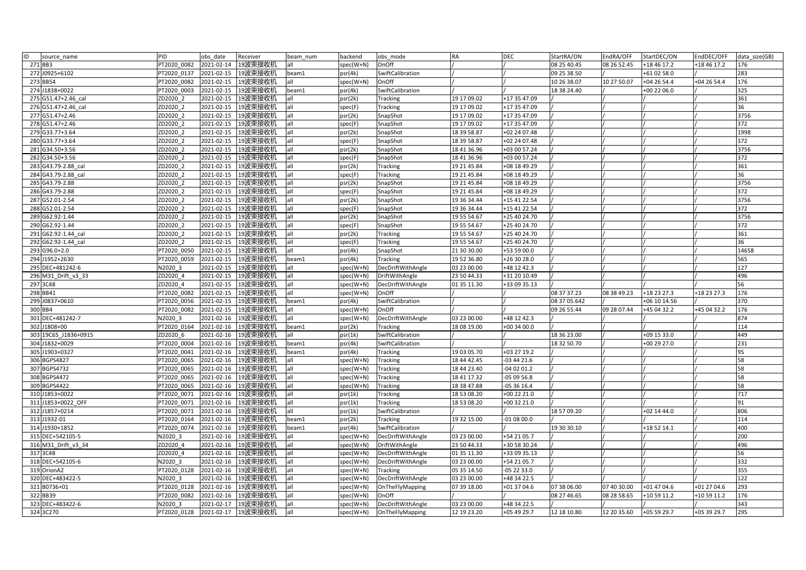| ID<br>source name    | <b>PID</b>  | obs date   | Receiver            | beam num | backend   | obs mode          | <b>RA</b>   | DEC          | StartRA/ON   | EndRA/OFF   | StartDEC/ON  | EndDEC/OFF  | data size(GB)    |
|----------------------|-------------|------------|---------------------|----------|-----------|-------------------|-------------|--------------|--------------|-------------|--------------|-------------|------------------|
| 271 BB3              | PT2020 0082 | 2021-02-14 | 19波束接收机             | all      | spec(W+N) | OnOff             |             |              | 08 25 40.45  | 08 26 52.45 | +18 46 17.2  | +18 46 17.2 | 176              |
| 272 J0925+6102       | T2020 0137  | 2021-02-15 | 19波束接收机             | beam1    | psr(4k)   | SwiftCalibration  |             |              | 09 25 38.50  |             | +61 02 58.0  |             | 283              |
| 273 BB54             | PT2020_0082 | 2021-02-15 | 19波束接收机             | lall     | spec(W+N) | OnOff             |             |              | 10 26 38.07  | 10 27 50.07 | +04 26 54.4  | +04 26 54.4 | 176              |
| 274 J1838+0022       | PT2020 0003 | 2021-02-15 | 19波束接收机             | beam1    | psr(4k)   | SwiftCalibration  |             |              | 18 38 24.40  |             | +00 22 06.0  |             | 325              |
| 275 G51.47+2.46 cal  | ZD2020 2    | 2021-02-15 | 19波束接收机             | lall     | psr(2k)   | Tracking          | 19 17 09.02 | +17 35 47.09 |              |             |              |             | 361              |
| 276 G51.47+2.46 cal  | ZD2020 2    | 2021-02-15 | 19波束接收机             | lall     | spec(F)   | Tracking          | 19 17 09 02 | +17 35 47.09 |              |             |              |             | 36               |
| 277 G51.47+2.46      | ZD2020 2    | 2021-02-15 | 19波束接收机             | lall     | psr(2k)   | SnapShot          | 19 17 09.02 | +17 35 47.09 |              |             |              |             | 3756             |
| 278 G51.47+2.46      | ZD2020 2    | 2021-02-15 | 19波束接收机             | lall     | spec(F)   | SnapShot          | 19 17 09.02 | +17 35 47.09 |              |             |              |             | 372              |
| 279 G33.77+3.64      | ZD2020 2    | 2021-02-15 | 19波束接收机             | lall     | psr(2k)   | SnapShot          | 18 39 58.87 | +02 24 07.48 |              |             |              |             | 1998             |
| 280 G33.77+3.64      | ZD2020 2    | 2021-02-15 | 19波束接收机             | all      | spec(F)   | SnapShot          | 18 39 58.87 | +02 24 07.48 |              |             |              |             | 372              |
| 281 G34.50+3.56      | ZD2020 2    | 2021-02-15 | 19波束接收机             | lall     | psr(2k)   | SnapShot          | 18 41 36.96 | +03 00 57.24 |              |             |              |             | 3756             |
| 282 G34.50+3.56      | ZD2020 2    | 2021-02-15 | 19波束接收机             | lall     | spec(F)   | SnapShot          | 18 41 36.96 | +03 00 57.24 |              |             |              |             | 372              |
| 283 G43.79-2.88 cal  | ZD2020 2    | 2021-02-15 | 19波束接收机             | lall     | psr(2k)   | Tracking          | 19 21 45.84 | +08 18 49.29 |              |             |              |             | 361              |
| 284 G43.79-2.88_cal  | ZD2020 2    | 2021-02-15 | 19波束接收机             | all      | spec(F)   | Tracking          | 19 21 45.84 | +08 18 49.29 |              |             |              |             | 36               |
| 285 G43.79-2.88      | ZD2020 2    | 2021-02-15 | 19波束接收机             | all      | psr(2k)   | SnapShot          | 19 21 45.84 | +08 18 49.29 |              |             |              |             | 3756             |
| 286 G43.79-2.88      | ZD2020 2    | 2021-02-15 | 19波束接收机             | lall     | spec(F)   | SnapShot          | 19 21 45.84 | +08 18 49.29 |              |             |              |             | 372              |
| 287 G52.01-2.54      | ZD2020 2    | 2021-02-15 | 19波束接收机             | lall     | psr(2k)   | SnapShot          | 19 36 34.44 | +15 41 22.54 |              |             |              |             | 3756             |
| 288 G52.01-2.54      | ZD2020 2    | 2021-02-15 | 19波束接收机             | lall     | spec(F)   | SnapShot          | 19 36 34.44 | +15 41 22.54 |              |             |              |             | 372              |
| 289 G62.92-1.44      | ZD2020 2    | 2021-02-15 | 19波束接收机             | all      | psr(2k)   | SnapShot          | 19 55 54.67 | +25 40 24.70 |              |             |              |             | 3756             |
| 290 G62.92-1.44      | ZD2020 2    | 2021-02-15 | 19波束接收机             | all      | spec(F)   | SnapShot          | 19 55 54.67 | +25 40 24.70 |              |             |              |             | $\overline{372}$ |
| 291 G62.92-1.44 cal  | ZD2020 2    | 2021-02-15 | 19波束接收机             | lall     | psr(2k)   | Tracking          | 19 55 54.67 | +25 40 24.70 |              |             |              |             | 361              |
| 292 G62.92-1.44 cal  | ZD2020 2    | 2021-02-15 | 19波束接收机             | all      | spec(F)   | Tracking          | 19 55 54.67 | +25 40 24.70 |              |             |              |             | 36               |
| 293 G96.0+2.0        | PT2020 0050 | 2021-02-15 | 19波束接收机             | lall     | psr(4k)   | SnapShot          | 21 30 30.00 | +53 59 00.0  |              |             |              |             | 14658            |
| 294 J1952+2630       | PT2020 0059 | 2021-02-15 | 19波束接收机             | beam1    | psr(4k)   | Tracking          | 19 52 36.80 | +26 30 28.0  |              |             |              |             | 565              |
| 295 DEC+481242-6     | N2020 3     | 2021-02-15 | 19波束接收机             | lall     | spec(W+N) | DecDriftWithAngle | 03 23 00.00 | +48 12 42.3  |              |             |              |             | 127              |
| 296 M31 Drift v3 33  | ZD2020 4    | 2021-02-15 | 19波束接收机             | lall     | spec(W+N) | DriftWithAngle    | 23 50 44.33 | +31 20 10.49 |              |             |              |             | 496              |
| 297 3C48             | ZD2020 4    | 2021-02-15 | 19波束接收机             | lall     | spec(W+N) | DecDriftWithAngle | 01 35 11.30 | +33 09 35.13 |              |             |              |             | 56               |
| 298 BB41             | PT2020 0082 | 2021-02-15 | 19波束接收机             | all      | spec(W+N) | OnOff             |             |              | 08 37 37.23  | 08 38 49.23 | +18 23 27.3  | +18 23 27.3 | 176              |
| 299 J0837+0610       | PT2020 0056 | 2021-02-15 | 19波束接收机             | beam1    | psr(4k)   | SwiftCalibration  |             |              | 08 37 05.642 |             | +06 10 14.56 |             | 370              |
| 300 BB4              | PT2020 0082 | 2021-02-15 | 19波束接收机             | lall     | spec(W+N) | OnOff             |             |              | 09 26 55.44  | 09 28 07.44 | +45 04 32.2  | +45 04 32.2 | 176              |
| 301 DEC+481242-7     | N2020 3     | 2021-02-16 | 19波束接收机             | lall     | spec(W+N) | DecDriftWithAngle | 03 23 00.00 | +48 12 42.3  |              |             |              |             | 874              |
| 302 J1808+00         | PT2020 0164 | 2021-02-16 | 19波束接收机             | beam1    | psr(2k)   | Tracking          | 18 08 19.00 | +00 34 00.0  |              |             |              |             | 114              |
| 303 19C65 J1836+0915 | ZD2020 6    | 2021-02-16 | 19波束接收机             | lall     | psr(1k)   | SwiftCalibration  |             |              | 18 36 23.00  |             | +09 15 33.0  |             | 449              |
| 304 J1832+0029       | T2020 0004  | 2021-02-16 | 19波束接收机             | beam1    | psr(4k)   | SwiftCalibration  |             |              | 18 32 50.70  |             | +00 29 27.0  |             | 231              |
| 305 J1903+0327       | PT2020 0041 | 2021-02-16 | 19波束接收机             | beam1    | psr(4k)   | Tracking          | 19 03 05.70 | +03 27 19.2  |              |             |              |             | 95               |
| 306 BGPS4827         | PT2020 0065 | 2021-02-16 | 19波束接收机             | all      | spec(W+N) | Tracking          | 18 44 42.45 | $-034421.6$  |              |             |              |             | 58               |
| 307 BGPS4732         | PT2020 0065 | 2021-02-16 | 19波束接收机             | all      | spec(W+N) | Tracking          | 18 44 23.40 | $-040201.2$  |              |             |              |             | 58               |
| 308 BGPS4472         | PT2020 0065 | 2021-02-16 | 19波束接收机             | all      | spec(W+N) | Tracking          | 18 41 17.32 | 05 09 56.8   |              |             |              |             | 58               |
| 309 BGPS4422         | PT2020 0065 | 2021-02-16 | 19波束接收机             | all      | spec(W+N) | Tracking          | 18 38 47.88 | $-053616.4$  |              |             |              |             | 58               |
| 310 J1853+0022       | PT2020 0071 | 2021-02-16 | 19波束接收机             | lall     | psr(1k)   | Tracking          | 18 53 08.20 | +00 22 21.0  |              |             |              |             | 717              |
| 311 J1853+0022 OFF   | PT2020 0071 | 2021-02-16 | 19波束接收机             | lall     | psr(1k)   | Tracking          | 18 53 08.20 | +00 32 21.0  |              |             |              |             | 91               |
| 312 J1857+0214       | PT2020 0071 | 2021-02-16 | 19波束接收机             | all      | psr(1k)   | SwiftCalibration  |             |              | 18 57 09.20  |             | +02 14 44.0  |             | 806              |
| 313 J1932-01         | PT2020 0164 | 2021-02-16 | 19波束接收机             | beam1    | psr(2k)   | Tracking          | 19 32 15.00 | $-010800.0$  |              |             |              |             | 114              |
| 314 J1930+1852       | PT2020 0074 | 2021-02-16 | 19波束接收机             | beam1    | psr(4k)   | SwiftCalibration  |             |              | 19 30 30.10  |             | +18 52 14.1  |             | 400              |
| 315 DEC+542105-5     | N2020 3     | 2021-02-16 | 19波束接收机             | lall     | spec(W+N) | DecDriftWithAngle | 03 23 00.00 | +54 21 05.7  |              |             |              |             | 200              |
| 316 M31 Drift v3 34  | ZD2020 4    | 2021-02-16 | 19波束接收机             | all      | spec(W+N) | DriftWithAngle    | 23 50 44.33 | +30 58 30.24 |              |             |              |             | 496              |
| 317 3C48             | ZD2020 4    | 2021-02-16 | 19波束接收机             | all      | spec(W+N) | DecDriftWithAngle | 01 35 11.30 | +33 09 35.13 |              |             |              |             | 56               |
| 318 DEC+542105-6     | N2020 3     | 2021-02-16 | 19波束接收机             | lall     | spec(W+N) | DecDriftWithAngle | 03 23 00.00 | +54 21 05.7  |              |             |              |             | 332              |
| 319 OrionA2          | PT2020 0128 | 2021-02-16 | 19波束接收机             | lall     | spec(W+N) | Tracking          | 05 35 14.50 | $-052233.0$  |              |             |              |             | 355              |
| 320 DEC+483422-5     | N2020 3     | 2021-02-16 | 19波束接收机             | all      | spec(W+N) | DecDriftWithAngle | 03 23 00.00 | +48 34 22.5  |              |             |              |             | 122              |
| 321 B0736+01         | T2020 0128  | 2021-02-16 | 19波束接收机             | all      | spec(W+N) | OnTheFlyMapping   | 07 39 18.00 | +01 37 04.6  | 07 38 06.00  | 07 40 30.00 | $+014704.6$  | +01 27 04.6 | 293              |
| 322 BB39             | T2020 0082  | 2021-02-16 | 19波束接收机             | lall     | spec(W+N) | OnOff             |             |              | 08 27 46.65  | 08 28 58.65 | +10 59 11.2  | +10 59 11.2 | 176              |
| 323 DEC+483422-6     | N2020 3     | 2021-02-17 | 19波束接收机             | lall     | spec(W+N) | DecDriftWithAngle | 03 23 00.00 | +48 34 22.5  |              |             |              |             | 343              |
| 324 3C270            | PT2020 0128 |            | 2021-02-17  19波束接收机 | lall     | spec(W+N) | OnTheFlyMapping   | 12 19 23.20 | +05 49 29.7  | 12 18 10.80  | 12 20 35.60 | +05 59 29.7  | +05 39 29.7 | 295              |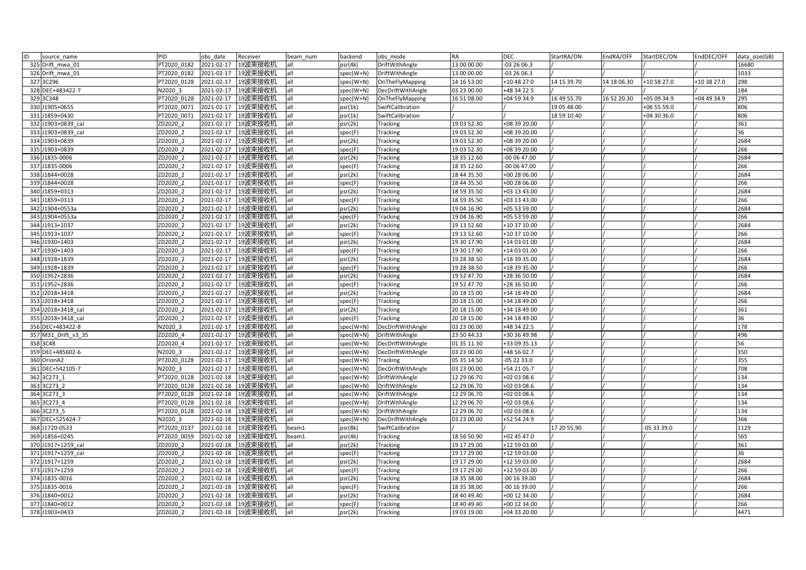| ID | source name         | PID         | obs date   | Receiver           | beam num | backend   | obs mode          | <b>RA</b>   | <b>DEC</b>   | StartRA/ON  | EndRA/OFF   | StartDEC/ON | EndDEC/OFF  | data size(GB) |
|----|---------------------|-------------|------------|--------------------|----------|-----------|-------------------|-------------|--------------|-------------|-------------|-------------|-------------|---------------|
|    | 325 Drift mwa 01    | PT2020 0182 | 2021-02-17 | 19波束接收机            | all      | osr(4k)   | DriftWithAngle    | 13 00 00.00 | -03 26 06.3  |             |             |             |             | 16680         |
|    | 326 Drift_mwa_01    | PT2020 0182 | 2021-02-17 | 19波束接收机            | all      | spec(W+N) | DriftWithAngle    | 13 00 00.00 | 03 26 06.3   |             |             |             |             | 1033          |
|    | 327 3C296           | PT2020 0128 | 2021-02-17 | 19波束接收机            | all      | spec(W+N) | OnTheFlyMapping   | 14 16 53.00 | +10 48 27.0  | 14 15 39.70 | 14 18 06.30 | +10 58 27.0 | +10 38 27.0 | 298           |
|    | 328 DEC+483422-7    | N2020 3     | 2021-02-17 | 19波束接收机            | all      | spec(W+N) | DecDriftWithAngle | 03 23 00.00 | +48 34 22.5  |             |             |             |             | 184           |
|    | 329 3C348           | PT2020 0128 | 2021-02-17 | 19波束接收机            | all      | spec(W+N) | OnTheFlyMapping   | 16 51 08.00 | +04 59 34.9  | 16 49 55.70 | 16 52 20.30 | +05 09 34.9 | +04 49 34.9 | 295           |
|    | 330 J1905+0655      | PT2020 0071 | 2021-02-17 | 19波束接收机            | all      | psr(1k)   | SwiftCalibration  |             |              | 19 05 48.00 |             | +06 55 59.0 |             | 806           |
|    | 331 J1859+0430      | PT2020 0071 | 2021-02-17 | 19波束接收机            | all      | psr(1k)   | SwiftCalibration  |             |              | 18 59 10.40 |             | +04 30 36.0 |             | 806           |
|    | 332 J1903+0839 cal  | ZD2020 2    | 2021-02-17 | 19波束接收机            | all      | psr(2k)   | <b>Tracking</b>   | 19 03 52.30 | +08 39 20.00 |             |             |             |             | 361           |
|    | 333 J1903+0839 cal  | ZD2020 2    | 2021-02-17 | 19波束接收机            | all      | spec(F)   | Tracking          | 19 03 52.30 | +08 39 20.00 |             |             |             |             | 36            |
|    | 334 J1903+0839      | ZD2020 2    | 2021-02-17 | 19波束接收机            | all      | psr(2k)   | Tracking          | 19 03 52.30 | +08 39 20.00 |             |             |             |             | 2684          |
|    | 335 J1903+0839      | ZD2020 2    | 2021-02-17 | 19波束接收机            | all      | spec(F)   | <b>Tracking</b>   | 19 03 52.30 | +08 39 20.00 |             |             |             |             | 266           |
|    | 336 J1835-0006      | ZD2020 2    | 2021-02-17 | 19波束接收机            | all      | psr(2k)   | Tracking          | 18 35 12.60 | $-000647.00$ |             |             |             |             | 2684          |
|    | 337 J1835-0006      | ZD2020 2    | 2021-02-17 | 19波束接收机            | all      | spec(F)   | Tracking          | 18 35 12.60 | 00 06 47.00  |             |             |             |             | 266           |
|    | 338 J1844+0028      | ZD2020 2    | 2021-02-17 | 19波束接收机            | all      | osr(2k)   | Tracking          | 18 44 35.50 | +00 28 06.00 |             |             |             |             | 2684          |
|    | 339 J1844+0028      | ZD2020 2    | 2021-02-17 | 19波束接收机            | all      | spec(F)   | Tracking          | 18 44 35.50 | +00 28 06.00 |             |             |             |             | 266           |
|    | 340 J1859+0313      | ZD2020 2    | 2021-02-17 | 19波束接收机            | all      | psr(2k)   | <b>Tracking</b>   | 18 59 35.50 | +03 13 43.00 |             |             |             |             | 2684          |
|    | 341 J1859+0313      | ZD2020 2    | 2021-02-17 | 19波束接收机            | all      | spec(F)   | <b>Tracking</b>   | 18 59 35.50 | +03 13 43.00 |             |             |             |             | 266           |
|    | 342 J1904+0553a     | ZD2020 2    | 2021-02-17 | 19波束接收机            | all      | psr(2k)   | Tracking          | 19 04 16.90 | +05 53 59.00 |             |             |             |             | 2684          |
|    | 343 J1904+0553a     | ZD2020 2    | 2021-02-17 | 19波束接收机            | all      | spec(F)   | Tracking          | 19 04 16.90 | +05 53 59.00 |             |             |             |             | 266           |
|    | 344 J1913+1037      | ZD2020 2    | 2021-02-17 | 19波束接收机            | all      | osr(2k)   | Tracking          | 19 13 52.60 | +10 37 10.00 |             |             |             |             | 2684          |
|    | 345 J1913+1037      | ZD2020 2    | 2021-02-17 | 19波束接收机            | all      | spec(F)   | Tracking          | 19 13 52.60 | +10 37 10.00 |             |             |             |             | 266           |
|    | 346 J1930+1403      | ZD2020 2    | 2021-02-17 | 19波束接收机            | all      | psr(2k)   | Tracking          | 19 30 17.90 | +14 03 01.00 |             |             |             |             | 2684          |
|    | 347 J1930+1403      | ZD2020 2    | 2021-02-17 | 19波束接收机            | all      | spec(F)   | Tracking          | 19 30 17.90 | +14 03 01.00 |             |             |             |             | 266           |
|    | 348 J1928+1839      | ZD2020 2    | 2021-02-17 | 19波束接收机            | all      | psr(2k)   | <b>Tracking</b>   | 19 28 38.50 | +18 39 35.00 |             |             |             |             | 2684          |
|    | 349 J1928+1839      | ZD2020 2    | 2021-02-17 | 19波束接收机            | all      | spec(F)   | <b>Tracking</b>   | 19 28 38.50 | +18 39 35.00 |             |             |             |             | 266           |
|    | 350 J1952+2836      | ZD2020 2    | 2021-02-17 | 19波束接收机            | all      | osr(2k)   | Tracking          | 19 52 47.70 | +28 36 50.00 |             |             |             |             | 2684          |
|    | 351 J1952+2836      | ZD2020 2    | 2021-02-17 | 19波束接收机            | all      | spec(F)   | <b>Tracking</b>   | 19 52 47.70 | +28 36 50.00 |             |             |             |             | 266           |
|    | 352 J2018+3418      | ZD2020 2    | 2021-02-17 | 19波束接收机            | all      | psr(2k)   | <b>Tracking</b>   | 20 18 15.00 | +34 18 49.00 |             |             |             |             | 2684          |
|    | 353 J2018+3418      | ZD2020 2    | 2021-02-17 | 19波束接收机            | all      | spec(F)   | Tracking          | 20 18 15.00 | +34 18 49.00 |             |             |             |             | 266           |
|    | 354 J2018+3418 cal  | ZD2020 2    | 2021-02-17 | 19波束接收机            | all      | osr(2k)   | Tracking          | 20 18 15.00 | +34 18 49.00 |             |             |             |             | 361           |
|    | 355 J2018+3418 cal  | ZD2020 2    | 2021-02-17 | 19波束接收机            | all      | spec(F)   | Tracking          | 20 18 15.00 | +34 18 49.00 |             |             |             |             | 36            |
|    | 356 DEC+483422-8    | N2020 3     | 2021-02-17 | 19波束接收机            | all      | spec(W+N) | DecDriftWithAngle | 03 23 00.00 | +48 34 22.5  |             |             |             |             | 178           |
|    | 357 M31 Drift v3 35 | ZD2020 4    | 2021-02-17 | 19波束接收机            | all      | spec(W+N) | DriftWithAngle    | 23 50 44.33 | +30 36 49.98 |             |             |             |             | 496           |
|    | 358 3C48            | ZD2020 4    | 2021-02-17 | 19波束接收机            | all      | spec(W+N) | DecDriftWithAngle | 01 35 11.30 | +33 09 35.13 |             |             |             |             | 56            |
|    | 359 DEC+485602-6    | N2020 3     | 2021-02-17 | 19波束接收机            | all      | spec(W+N) | DecDriftWithAngle | 03 23 00.00 | +48 56 02.7  |             |             |             |             | 350           |
|    | 360 OrionA2         | PT2020 0128 | 2021-02-17 | 19波束接收机            | all      | spec(W+N) | Tracking          | 05 35 14.50 | -05 22 33.0  |             |             |             |             | 355           |
|    | 361 DEC+542105-7    | N2020 3     | 2021-02-17 | 19波束接收机            | all      | spec(W+N) | DecDriftWithAngle | 03 23 00.00 | +54 21 05.7  |             |             |             |             | 708           |
|    | 362 3C273 1         | PT2020 0128 | 2021-02-18 | 19波束接收机            | all      | spec(W+N) | DriftWithAngle    | 12 29 06.70 | +02 03 08.6  |             |             |             |             | 134           |
|    | 363 3C273 2         | PT2020 0128 | 2021-02-18 | 19波束接收机            | all      | spec(W+N) | DriftWithAngle    | 12 29 06.70 | +02 03 08.6  |             |             |             |             | 134           |
|    | 364 3C273 3         | PT2020 0128 | 2021-02-18 | 19波束接收机            | all      | spec(W+N) | DriftWithAngle    | 12 29 06.70 | +02 03 08.6  |             |             |             |             | 134           |
|    | 365 3C273 4         | PT2020 0128 | 2021-02-18 | 19波束接收机            | all      | spec(W+N) | DriftWithAngle    | 12 29 06.70 | +02 03 08.6  |             |             |             |             | 134           |
|    | 366 3C273 5         | PT2020 0128 | 2021-02-18 | 19波束接收机            | all      | spec(W+N) | DriftWithAngle    | 12 29 06.70 | +02 03 08.6  |             |             |             |             | 134           |
|    | 367 DEC+525424-7    | N2020 3     | 2021-02-18 | 19波束接收机            | all      | spec(W+N) | DecDriftWithAngle | 03 23 00.00 | +52 54 24.9  |             |             |             |             | 366           |
|    | 368 J1720-0533      | PT2020 0137 | 2021-02-18 | 19波束接收机            | beam1    | psr(8k)   | SwiftCalibration  |             |              | 17 20 55.90 |             | -05 33 39.0 |             | 1129          |
|    | 369 J1856+0245      | PT2020 0059 | 2021-02-18 | 19波束接收机            | beam1    | psr(4k)   | Tracking          | 18 56 50.90 | +02 45 47.0  |             |             |             |             | 565           |
|    | 370 J1917+1259 cal  | ZD2020 2    | 2021-02-18 | 19波束接收机            | all      | osr(2k)   | Tracking          | 19 17 29.00 | +12 59 03.00 |             |             |             |             | 361           |
|    | 371 J1917+1259 cal  | ZD2020 2    | 2021-02-18 | 19波束接收机            | all      | spec(F)   | Tracking          | 19 17 29.00 | +12 59 03.00 |             |             |             |             | 36            |
|    | 372 J1917+1259      | ZD2020 2    | 2021-02-18 | 19波束接收机            | all      | psr(2k)   | Tracking          | 19 17 29.00 | +12 59 03.00 |             |             |             |             | 2684          |
|    | 373 J1917+1259      | ZD2020 2    | 2021-02-18 | 19波束接收机            | all      | spec(F)   | Tracking          | 19 17 29.00 | +12 59 03.00 |             |             |             |             | 266           |
|    | 374 J1835-0016      | ZD2020 2    | 2021-02-18 | 19波束接收机            | all      | psr(2k)   | Tracking          | 18 35 38.00 | -00 16 39.00 |             |             |             |             | 2684          |
|    | 375 J1835-0016      | ZD2020 2    | 2021-02-18 | 19波束接收机            | all      | spec(F)   | Tracking          | 18 35 38.00 | -00 16 39.00 |             |             |             |             | 266           |
|    | 376 J1840+0012      | ZD2020 2    | 2021-02-18 | 19波束接收机            | all      | osr(2k)   | Tracking          | 18 40 49.40 | +00 12 34.00 |             |             |             |             | 2684          |
|    | 377 J1840+0012      | ZD2020 2    | 2021-02-18 | 19波束接收机            | all      | spec(F)   | Tracking          | 18 40 49.40 | +00 12 34.00 |             |             |             |             | 266           |
|    | 378 J1903+0433      | ZD2020 2    |            | 2021-02-18 19波束接收机 | all      | psr(2k)   | <b>Tracking</b>   | 19 03 19.00 | +04 33 20.00 |             |             |             |             | 4471          |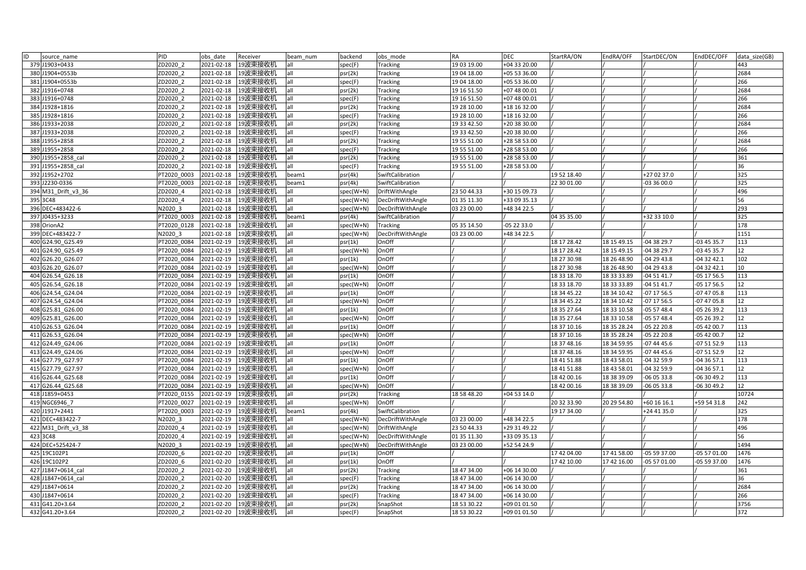| ID<br>source name   | PID         | obs date         | Receiver           | beam num | backend   | obs mode                 | <b>RA</b>   | <b>DEC</b>   | StartRA/ON  | EndRA/OFF   | StartDEC/ON   | EndDEC/OFF    | data size(GB)    |
|---------------------|-------------|------------------|--------------------|----------|-----------|--------------------------|-------------|--------------|-------------|-------------|---------------|---------------|------------------|
| 379 J1903+0433      | ZD2020 2    | 2021-02-18       | 19波束接收机            | lall     | spec(F)   | <b>Tracking</b>          | 19 03 19.00 | +04 33 20.00 |             |             |               |               | 443              |
| 380 J1904+0553b     | ZD2020 2    | 2021-02-18       | 19波束接收机            |          | psr(2k)   | Tracking                 | 19 04 18.00 | +05 53 36.00 |             |             |               |               | 2684             |
| 381 J1904+0553b     | ZD2020_2    | 2021-02-18       | 19波束接收机            | lall     | spec(F)   | Tracking                 | 19 04 18.00 | +05 53 36.00 |             |             |               |               | 266              |
| 382 J1916+0748      | ZD2020 2    | 2021-02-18       | 19波束接收机            | lall     | psr(2k)   | <b>Tracking</b>          | 19 16 51.50 | +07 48 00.01 |             |             |               |               | 2684             |
| 383 J1916+0748      | ZD2020 2    | 2021-02-18       | 19波束接收机            | all      | spec(F)   | <b>Tracking</b>          | 19 16 51.50 | +07 48 00.01 |             |             |               |               | 266              |
| 384 J1928+1816      | ZD2020 2    | 2021-02-18       | 19波束接收机            | lall     | psr(2k)   | <b>Tracking</b>          | 19 28 10.00 | +18 16 32.00 |             |             |               |               | 2684             |
| 385 J1928+1816      | ZD2020 2    | 2021-02-18       | 19波束接收机            | lall     | spec(F)   | Tracking                 | 19 28 10.00 | +18 16 32.00 |             |             |               |               | 266              |
| 386 J1933+2038      | ZD2020 2    | 2021-02-18       | 19波束接收机            | lall     | psr(2k)   | <b>Tracking</b>          | 19 33 42.50 | +20 38 30.00 |             |             |               |               | 2684             |
| 387 J1933+2038      | ZD2020 2    | 2021-02-18       | 19波束接收机            | all      | spec(F)   | Tracking                 | 19 33 42.50 | +20 38 30.00 |             |             |               |               | 266              |
| 388 J1955+2858      | ZD2020 2    | 2021-02-18       | 19波束接收机            | all      | psr(2k)   | <b>Tracking</b>          | 19 55 51.00 | +28 58 53.00 |             |             |               |               | 2684             |
| 389 J1955+2858      | ZD2020 2    | 2021-02-18       | 19波束接收机            | lall     | spec(F)   | Tracking                 | 19 55 51.00 | +28 58 53.00 |             |             |               |               | 266              |
| 390 J1955+2858 cal  | ZD2020 2    | 2021-02-18       | 19波束接收机            | all      | psr(2k)   | <b>Tracking</b>          | 19 55 51.00 | +28 58 53.00 |             |             |               |               | 361              |
| 391 J1955+2858 cal  | ZD2020 2    | 2021-02-18       | 19波束接收机            | all      | spec(F)   | Tracking                 | 19 55 51.00 | +28 58 53.00 |             |             |               |               | 36               |
| 392 J1952+2702      | PT2020 0003 | 2021-02-18       | 19波束接收机            | beam1    | psr(4k)   | SwiftCalibration         |             |              | 19 52 18.40 |             | +27 02 37.0   |               | 325              |
| 393 J2230-0336      | PT2020 0003 | 2021-02-18       | 19波束接收机            | beam1    | psr(4k)   | SwiftCalibration         |             |              | 22 30 01.00 |             | 03 36 00.0    |               | 325              |
| 394 M31 Drift v3 36 | ZD2020 4    | 2021-02-18       | 19波束接收机            | all      | spec(W+N) | DriftWithAngle           | 23 50 44.33 | +30 15 09.73 |             |             |               |               | 496              |
| 395 3C48            | ZD2020 4    | 2021-02-18       | 19波束接收机            | all      | spec(W+N) | <b>DecDriftWithAngle</b> | 01 35 11.30 | +33 09 35.13 |             |             |               |               | 56               |
| 396 DEC+483422-6    | N2020 3     | $2021 - 02 - 18$ | 19波束接收机            | all      | spec(W+N) | DecDriftWithAngle        | 03 23 00.00 | +48 34 22.5  |             |             |               |               | 293              |
| 397 J0435+3233      | PT2020 0003 | 2021-02-18       | 19波束接收机            | beam1    | psr(4k)   | SwiftCalibration         |             |              | 04 35 35.00 |             | +32 33 10.0   |               | 325              |
| 398 OrionA2         | PT2020 0128 | 2021-02-18       | 19波束接收机            | all      | spec(W+N) | Tracking                 | 05 35 14.50 | -05 22 33.0  |             |             |               |               | $\overline{178}$ |
| 399 DEC+483422-7    | N2020 3     | 2021-02-18       | 19波束接收机            | all      | spec(W+N) | DecDriftWithAngle        | 03 23 00.00 | +48 34 22.5  |             |             |               |               | 1151             |
| 400 G24.90_G25.49   | PT2020 0084 | 2021-02-19       | 19波束接收机            | lall     | psr(1k)   | OnOff                    |             |              | 18 17 28.42 | 18 15 49.15 | $-043829.7$   | $-034535.7$   | 113              |
| 401 G24.90 G25.49   | PT2020 0084 | 2021-02-19       | 19波束接收机            | all      | spec(W+N) | OnOff                    |             |              | 18 17 28.42 | 18 15 49.15 | -04 38 29.7   | $-034535.7$   | 12               |
| 402 G26.20 G26.07   | PT2020 0084 | 2021-02-19       | 19波束接收机            | all      | psr(1k)   | OnOff                    |             |              | 18 27 30.98 | 18 26 48.90 | $-042943.8$   | $-043242.1$   | 102              |
| 403 G26.20_G26.07   | PT2020 0084 | 2021-02-19       | 19波束接收机            | lall     | spec(W+N) | OnOff                    |             |              | 18 27 30.98 | 18 26 48.90 | $-042943.8$   | $-043242.1$   | 10               |
| 404 G26.54 G26.18   | PT2020 0084 | 2021-02-19       | 19波束接收机            | lall     | psr(1k)   | OnOff                    |             |              | 18 33 18.70 | 18 33 33.89 | $-045141.7$   | $-05$ 17 56.5 | 113              |
| 405 G26.54 G26.18   | PT2020 0084 | 2021-02-19       | 19波束接收机            | all      | spec(W+N) | OnOff                    |             |              | 18 33 18.70 | 18 33 33.89 | $-045141.7$   | $-051756.5$   | 12               |
| 406 G24.54 G24.04   | PT2020 0084 | 2021-02-19       | 19波束接收机            | all      | psr(1k)   | OnOff                    |             |              | 18 34 45.22 | 18 34 10.42 | $-07$ 17 56.5 | $-074705.8$   | 113              |
| 407 G24.54 G24.04   | PT2020 0084 | 2021-02-19       | 19波束接收机            | all      | spec(W+N) | OnOff                    |             |              | 18 34 45.22 | 18 34 10.42 | $-07$ 17 56.5 | $-074705.8$   | 12               |
| 408 G25.81 G26.00   | PT2020 0084 | 2021-02-19       | 19波束接收机            | lall     | psr(1k)   | OnOff                    |             |              | 18 35 27.64 | 18 33 10.58 | $-055748.4$   | $-052639.2$   | 113              |
| 409 G25.81 G26.00   | PT2020 0084 | 2021-02-19       | 19波束接收机            | lall     | spec(W+N) | OnOff                    |             |              | 18 35 27.64 | 18 33 10.58 | $-055748.4$   | $-052639.2$   | 12               |
| 410 G26.53 G26.04   | PT2020 0084 | 2021-02-19       | 19波束接收机            | lall     | psr(1k)   | OnOff                    |             |              | 18 37 10.16 | 18 35 28.24 | -05 22 20.8   | $-054200.7$   | 113              |
| 411 G26.53 G26.04   | PT2020 0084 | 2021-02-19       | 19波束接收机            | lall     | spec(W+N) | OnOff                    |             |              | 18 37 10.16 | 18 35 28.24 | $-052220.8$   | $-054200.7$   | 12               |
| 412 G24.49 G24.06   | PT2020 0084 | 2021-02-19       | 19波束接收机            | all      | psr(1k)   | OnOff                    |             |              | 18 37 48.16 | 18 34 59.95 | -07 44 45.6   | $-075152.9$   | 113              |
| 413 G24.49 G24.06   | PT2020 0084 | 2021-02-19       | 19波束接收机            | all      | spec(W+N) | OnOff                    |             |              | 18 37 48.16 | 18 34 59.95 | -07 44 45.6   | $-075152.9$   | 12               |
| 414 G27.79 G27.97   | PT2020 0084 | 2021-02-19       | 19波束接收机            | lall     | psr(1k)   | OnOff                    |             |              | 18 41 51.88 | 18 43 58.01 | -04 32 59.9   | $-043657.1$   | 113              |
| 415 G27.79 G27.97   | PT2020_0084 | 2021-02-19       | 19波束接收机            | all      | spec(W+N) | OnOff                    |             |              | 18 41 51.88 | 18 43 58.01 | -04 32 59.9   | $-043657.1$   | 12               |
| 416 G26.44 G25.68   | PT2020 0084 | 2021-02-19       | 19波束接收机            | all      | psr(1k)   | OnOff                    |             |              | 18 42 00.16 | 18 38 39.09 | 06 05 33.8    | 06 30 49.2    | 113              |
| 417 G26.44 G25.68   | PT2020 0084 | 2021-02-19       | 19波束接收机            | lall     | spec(W+N) | OnOff                    |             |              | 18 42 00.16 | 18 38 39.09 | -06 05 33.8   | $-063049.2$   | 12               |
| 418 J1859+0453      | PT2020 0155 | 2021-02-19       | 19波束接收机            | all      | psr(2k)   | <b>Tracking</b>          | 18 58 48.20 | $+045314.0$  |             |             |               |               | 10724            |
| 419 NGC6946 7       | PT2020 0027 | 2021-02-19       | 19波束接收机            | all      | spec(W+N) | OnOff                    |             |              | 20 32 33.90 | 20 29 54.80 | +60 16 16.1   | +59 54 31.8   | 242              |
| 420 J1917+2441      | PT2020 0003 | 2021-02-19       | 19波束接收机            | beam1    | psr(4k)   | SwiftCalibration         |             |              | 19 17 34.00 |             | +24 41 35.0   |               | 325              |
| 421 DEC+483422-7    | N2020 3     | 2021-02-19       | 19波束接收机            | all      | spec(W+N) | DecDriftWithAngle        | 03 23 00.00 | +48 34 22.5  |             |             |               |               | 178              |
| 422 M31 Drift v3 38 | ZD2020 4    | 2021-02-19       | 19波束接收机            | all      | spec(W+N) | DriftWithAngle           | 23 50 44.33 | +29 31 49.22 |             |             |               |               | 496              |
| 423 3C48            | ZD2020 4    | 2021-02-19       | 19波束接收机            | lall     | spec(W+N) | ecDriftWithAngle         | 01 35 11.30 | +33 09 35.13 |             |             |               |               | 56               |
| 424 DEC+525424-7    | N2020 3     | 2021-02-19       | 19波束接收机            | all      | spec(W+N) | DecDriftWithAngle        | 03 23 00.00 | +52 54 24.9  |             |             |               |               | 1494             |
| 425 19C102P1        | ZD2020 6    | 2021-02-20       | 19波束接收机            | lall     | psr(1k)   | OnOff                    |             |              | 17 42 04.00 | 17 41 58.00 | -05 59 37.00  | -05 57 01.00  | 1476             |
| 426 19C102P2        | ZD2020 6    | 2021-02-20       | 19波束接收机            | lall     | psr(1k)   | OnOff                    |             |              | 17 42 10.00 | 17 42 16.00 | $-055701.00$  | $-055937.00$  | 1476             |
| 427 J1847+0614 cal  | ZD2020 2    | 2021-02-20       | 19波束接收机            | all      | psr(2k)   | <b>Tracking</b>          | 18 47 34.00 | +06 14 30.00 |             |             |               |               | 361              |
| 428 J1847+0614 cal  | ZD2020 2    | 2021-02-20       | 19波束接收机            | lall     | spec(F)   | <b>Tracking</b>          | 18 47 34.00 | +06 14 30.00 |             |             |               |               | 36               |
| 429 J1847+0614      | ZD2020 2    | 2021-02-20       | 19波束接收机            | all      | psr(2k)   | <b>Tracking</b>          | 18 47 34.00 | +06 14 30.00 |             |             |               |               | 2684             |
| 430 J1847+0614      | ZD2020 2    | 2021-02-20       | 19波束接收机            | all      | spec(F)   | Tracking                 | 18 47 34.00 | +06 14 30.00 |             |             |               |               | 266              |
| 431 G41.20+3.64     | ZD2020 2    | 2021-02-20       | 19波束接收机            | lall     | psr(2k)   | SnapShot                 | 18 53 30.22 | +09 01 01.50 |             |             |               |               | 3756             |
| 432 G41.20+3.64     | ZD2020 2    |                  | 2021-02-20 19波束接收机 | lall     | spec(F)   | SnapShot                 | 18 53 30.22 | +09 01 01.50 |             |             |               |               | 372              |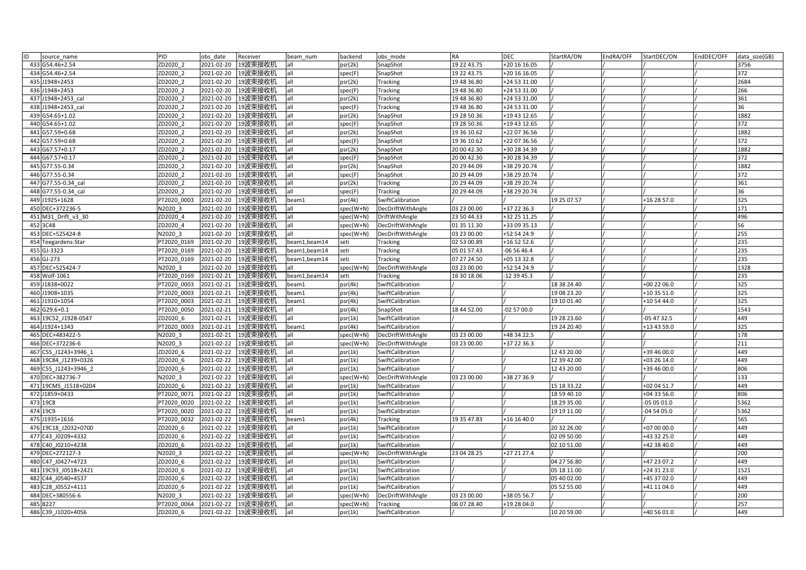| ID<br>source name     | PID         | obs date   | Receiver           | beam num      | backend   | obs mode          | <b>RA</b>   | <b>DEC</b>   | StartRA/ON  | EndRA/OFF | StartDEC/ON | EndDEC/OFF | data size(GB) |
|-----------------------|-------------|------------|--------------------|---------------|-----------|-------------------|-------------|--------------|-------------|-----------|-------------|------------|---------------|
| 433 G54.46+2.54       | ZD2020 2    | 2021-02-20 | 19波束接收机            | all           | psr(2k)   | SnapShot          | 19 22 43.75 | +20 16 16.05 |             |           |             |            | 3756          |
| G54.46+2.54<br>434    | ZD2020 2    | 2021-02-20 | 19波束接收机            |               | spec(F)   | SnapShot          | 19 22 43.75 | +20 16 16.05 |             |           |             |            | 372           |
| 435 J1948+2453        | ZD2020 2    | 2021-02-20 | 19波束接收机            | lall          | psr(2k)   | Tracking          | 19 48 36.80 | +24 53 31.00 |             |           |             |            | 2684          |
| 436 J1948+2453        | ZD2020 2    | 2021-02-20 | 19波束接收机            | lall          | spec(F)   | <b>Tracking</b>   | 19 48 36.80 | +24 53 31.00 |             |           |             |            | 266           |
| 437 J1948+2453 cal    | ZD2020 2    | 2021-02-20 | 19波束接收机            | all           | psr(2k)   | <b>Tracking</b>   | 19 48 36.80 | +24 53 31.00 |             |           |             |            | 361           |
| 438 J1948+2453 cal    | ZD2020 2    | 2021-02-20 | 19波束接收机            | all           | spec(F)   | <b>Tracking</b>   | 19 48 36.80 | +24 53 31.00 |             |           |             |            | 36            |
| 439 G54.65+1.02       | ZD2020 2    | 2021-02-20 | 19波束接收机            | lall          | psr(2k)   | SnapShot          | 19 28 50.36 | +19 43 12.65 |             |           |             |            | 1882          |
| 440 G54.65+1.02       | ZD2020 2    | 2021-02-20 | 19波束接收机            | all           | spec(F)   | SnapShot          | 19 28 50.36 | +19 43 12.65 |             |           |             |            | 372           |
| 441 G57.59+0.68       | ZD2020 2    | 2021-02-20 | 19波束接收机            | all           | psr(2k)   | SnapShot          | 19 36 10.62 | +22 07 36.56 |             |           |             |            | 1882          |
| 442 G57.59+0.68       | ZD2020 2    | 2021-02-20 | 19波束接收机            | all           | spec(F)   | SnapShot          | 19 36 10.62 | +22 07 36.56 |             |           |             |            | 372           |
| 443 G67.57+0.17       | ZD2020 2    | 2021-02-20 | 19波束接收机            | all           | psr(2k)   | SnapShot          | 20 00 42.30 | +30 28 34.39 |             |           |             |            | 1882          |
| 444 G67.57+0.17       | ZD2020 2    | 2021-02-20 | 19波束接收机            | all           | spec(F)   | SnapShot          | 20 00 42.30 | +30 28 34.39 |             |           |             |            | 372           |
| 445 G77.55-0.34       | ZD2020 2    | 2021-02-20 | 19波束接收机            | all           | psr(2k)   | SnapShot          | 20 29 44.09 | +38 29 20.74 |             |           |             |            | 1882          |
| 446 G77.55-0.34       | ZD2020 2    | 2021-02-20 | 19波束接收机            | lall          | spec(F)   | SnapShot          | 20 29 44.09 | +38 29 20.74 |             |           |             |            | 372           |
| 447 G77.55-0.34 cal   | ZD2020 2    | 2021-02-20 | 19波束接收机            | lall          | psr(2k)   | <b>Tracking</b>   | 20 29 44.09 | +38 29 20.74 |             |           |             |            | 361           |
| 448 G77.55-0.34 cal   | ZD2020 2    | 2021-02-20 | 19波束接收机            | all           | spec(F)   | <b>Tracking</b>   | 20 29 44.09 | +38 29 20.74 |             |           |             |            | 36            |
| 449 J1925+1628        | PT2020 0003 | 2021-02-20 | 19波束接收机            | beam1         | psr(4k)   | SwiftCalibration  |             |              | 19 25 07.57 |           | +16 28 57.0 |            | 325           |
| 450 DEC+372236-5      | N2020 3     | 2021-02-20 | 19波束接收机            | all           | spec(W+N) | DecDriftWithAngle | 03 23 00.00 | +37 22 36.3  |             |           |             |            | 171           |
| 451 M31_Drift_v3_30   | ZD2020 4    | 2021-02-20 | 19波束接收机            | all           | spec(W+N) | DriftWithAngle    | 23 50 44.33 | +32 25 11.25 |             |           |             |            | 496           |
| 452 3C48              | ZD2020 4    | 2021-02-20 | 19波束接收机            | all           | spec(W+N) | ecDriftWithAngle  | 01 35 11.30 | +33 09 35.13 |             |           |             |            | 56            |
| 453 DEC+525424-8      | N2020 3     | 2021-02-20 | 19波束接收机            | all           | spec(W+N) | DecDriftWithAngle | 03 23 00.00 | +52 54 24.9  |             |           |             |            | 255           |
| 454 Teegardens-Star   | PT2020 0169 | 2021-02-20 | 19波束接收机            | beam1, beam14 | seti      | Tracking          | 02 53 00.89 | +16 52 52.6  |             |           |             |            | 235           |
| 455 GJ-3323           | PT2020 0169 | 2021-02-20 | 19波束接收机            | beam1, beam14 | seti      | Tracking          | 05 01 57.43 | 06 56 46.4   |             |           |             |            | 235           |
| 456 GJ-273            | PT2020 0169 | 2021-02-20 | 19波束接收机            | beam1, beam14 | seti      | Tracking          | 07 27 24.50 | +05 13 32.8  |             |           |             |            | 235           |
| 457 DEC+525424-7      | N2020 3     | 2021-02-20 | 19波束接收机            | all           | spec(W+N) | DecDriftWithAngle | 03 23 00.00 | +52 54 24.9  |             |           |             |            | 1328          |
| 458 Wolf-1061         | PT2020 0169 | 2021-02-21 | 19波束接收机            | beam1, beam14 | seti      | Tracking          | 16 30 18.06 | $-123945.3$  |             |           |             |            | 235           |
| 459 J1838+0022        | PT2020 0003 | 2021-02-21 | 19波束接收机            | beam1         | psr(4k)   | SwiftCalibration  |             |              | 18 38 24.40 |           | +00 22 06.0 |            | 325           |
| 460 J1908+1035        | PT2020 0003 | 2021-02-21 | 19波束接收机            | beam1         | psr(4k)   | SwiftCalibration  |             |              | 19 08 23.20 |           | +10 35 51.0 |            | 325           |
| 461 J1910+1054        | PT2020 0003 | 2021-02-21 | 19波束接收机            | beam1         | psr(4k)   | SwiftCalibration  |             |              | 19 10 01.40 |           | +10 54 44.0 |            | 325           |
| 462 G29.6+0.1         | PT2020 0050 | 2021-02-21 | 19波束接收机            |               | psr(4k)   | SnapShot          | 18 44 52.00 | 02 57 00.0   |             |           |             |            | 1543          |
| 463 19C52 J1928-0547  | ZD2020 6    | 2021-02-21 | 19波束接收机            | all           | psr(1k)   | SwiftCalibration  |             |              | 19 28 23.60 |           | -05 47 32.5 |            | 449           |
| 464 J1924+1343        | PT2020 0003 | 2021-02-21 | 19波束接收机            | beam1         | psr(4k)   | SwiftCalibration  |             |              | 19 24 20.40 |           | +13 43 59.0 |            | 325           |
| 465 DEC+483422-5      | N2020 3     | 2021-02-21 | 19波束接收机            |               | spec(W+N) | DecDriftWithAngle | 03 23 00.00 | +48 34 22.5  |             |           |             |            | 178           |
| 466 DEC+372236-6      | N2020 3     | 2021-02-22 | 19波束接收机            | all           | spec(W+N) | DecDriftWithAngle | 03 23 00.00 | +37 22 36.3  |             |           |             |            | 211           |
| 467 C55_J1243+3946_1  | ZD2020 6    | 2021-02-22 | 19波束接收机            | lall          | psr(1k)   | SwiftCalibration  |             |              | 12 43 20.00 |           | +39 46 00.0 |            | 449           |
| 468 19C84 J1239+0326  | ZD2020 6    | 2021-02-22 | 19波束接收机            | lall          | psr(1k)   | SwiftCalibration  |             |              | 12 39 42.00 |           | +03 26 14.0 |            | 449           |
| 469 C55 J1243+3946 2  | ZD2020 6    | 2021-02-22 | 19波束接收机            | all           | psr(1k)   | SwiftCalibration  |             |              | 12 43 20.00 |           | +39 46 00.0 |            | 806           |
| 470 DEC+382736-7      | N2020 3     | 2021-02-22 | 19波束接收机            | all           | spec(W+N) | DecDriftWithAngle | 03 23 00.00 | +38 27 36.9  |             |           |             |            | 133           |
| 471 19CM5_J1518+0204  | ZD2020 6    | 2021-02-22 | 19波束接收机            | all           | psr(1k)   | SwiftCalibration  |             |              | 15 18 33.22 |           | +02 04 51.7 |            | 449           |
| 472 J1859+0433        | PT2020 0071 | 2021-02-22 | 19波束接收机            | all           | psr(1k)   | SwiftCalibration  |             |              | 18 59 40.10 |           | +04 33 56.0 |            | 806           |
| 473 19C8              | PT2020 0020 | 2021-02-22 | 19波束接收机            | all           | psr(1k)   | SwiftCalibration  |             |              | 18 29 35.00 |           | 05 05 01.0  |            | 5362          |
| 474 19C9              | PT2020 0020 | 2021-02-22 | 19波束接收机            | lall          | psr(1k)   | SwiftCalibration  |             |              | 19 19 11.00 |           | 04 54 05.0  |            | 5362          |
| 475 J1935+1616        | PT2020 0032 | 2021-02-22 | 19波束接收机            | beam1         | psr(4k)   | <b>Tracking</b>   | 19 35 47.83 | +16 16 40.0  |             |           |             |            | 565           |
| 476 19C18 J2032+0700  | ZD2020 6    | 2021-02-22 | 19波束接收机            | all           | psr(1k)   | SwiftCalibration  |             |              | 20 32 26.00 |           | +07 00 00.0 |            | 449           |
| 477 C43 J0209+4332    | ZD2020 6    | 2021-02-22 | 19波束接收机            | lall          | psr(1k)   | SwiftCalibration  |             |              | 02 09 50.00 |           | +43 32 25.0 |            | 449           |
| 478 C40 J0210+4238    | ZD2020 6    | 2021-02-22 | 19波束接收机            | lall          | psr(1k)   | SwiftCalibration  |             |              | 02 10 51.00 |           | +42 38 40.0 |            | 449           |
| 479 DEC+272127-3      | N2020 3     | 2021-02-22 | 19波束接收机            | lall          | spec(W+N) | DecDriftWithAngle | 23 04 28.25 | +27 21 27.4  |             |           |             |            | 200           |
| 480 C47 J0427+4723    | ZD2020 6    | 2021-02-22 | 19波束接收机            | lall          | psr(1k)   | SwiftCalibration  |             |              | 04 27 56.80 |           | +47 23 07.2 |            | 449           |
| 481 19C93 J0518+2421  | ZD2020 6    | 2021-02-22 | 19波束接收机            | lall          | psr(1k)   | SwiftCalibration  |             |              | 05 18 11.00 |           | +24 31 23.0 |            | 1521          |
| 482 C44 J0540+4537    | ZD2020 6    | 2021-02-22 | 19波束接收机            | lall          | psr(1k)   | SwiftCalibration  |             |              | 05 40 02.00 |           | +45 37 02.0 |            | 449           |
| C28 J0552+4111<br>483 | ZD2020 6    | 2021-02-22 | 19波束接收机            | all           | psr(1k)   | SwiftCalibration  |             |              | 05 52 55.00 |           | +41 11 04.0 |            | 449           |
| 484 DEC+380556-6      | N2020_3     | 2021-02-22 | 19波束接收机            | all           | spec(W+N) | DecDriftWithAngle | 03 23 00.00 | +38 05 56.7  |             |           |             |            | 200           |
| 485 B227              | PT2020_0064 | 2021-02-22 | 19波束接收机            | lall          | spec(W+N) | Tracking          | 06 07 28.40 | +19 28 04.0  |             |           |             |            | 257           |
| 486 C39_J1020+4056    | ZD2020 6    |            | 2021-02-22 19波束接收机 | all           | psr(1k)   | SwiftCalibration  |             |              | 10 20 59.00 |           | +40 56 01.0 |            | 449           |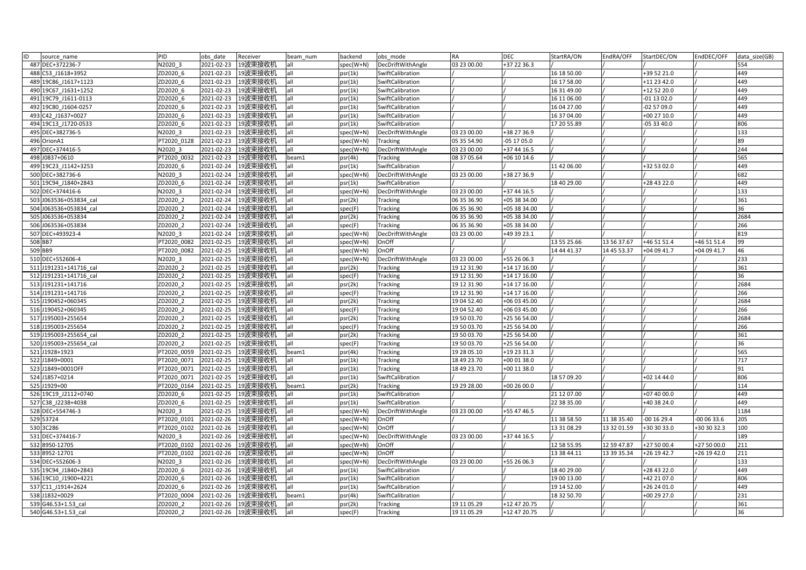| ID<br>source name      | PID         | obs date   | Receiver           | beam num | backend   | obs mode          | <b>RA</b>   | <b>DEC</b>     | StartRA/ON  | EndRA/OFF   | StartDEC/ON   | EndDEC/OFF  | data size(GB) |
|------------------------|-------------|------------|--------------------|----------|-----------|-------------------|-------------|----------------|-------------|-------------|---------------|-------------|---------------|
| 487 DEC+372236-7       | N2020 3     | 2021-02-23 | 19波束接收机            | lall     | spec(W+N) | DecDriftWithAngle | 03 23 00.00 | +37 22 36.3    |             |             |               |             | 554           |
| 488 C53 J1618+3952     | ZD2020 6    | 2021-02-23 | 19波束接收机            | all      | psr(1k)   | SwiftCalibration  |             |                | 16 18 50.00 |             | +39 52 21.0   |             | 449           |
| 489 19C86 J1617+1123   | ZD2020_6    | 2021-02-23 | 19波束接收机            | lall     | psr(1k)   | SwiftCalibration  |             |                | 16 17 58.00 |             | +11 23 42.0   |             | 449           |
| 490 19C67 J1631+1252   | ZD2020 6    | 2021-02-23 | 19波束接收机            | lall     | psr(1k)   | SwiftCalibration  |             |                | 16 31 49.00 |             | +12 52 20.0   |             | 449           |
| 491 19C79 J1611-0113   | ZD2020 6    | 2021-02-23 | 19波束接收机            | all      | psr(1k)   | SwiftCalibration  |             |                | 16 11 06.00 |             | -01 13 02.0   |             | 449           |
| 492 19C80 J1604-0257   | ZD2020 6    | 2021-02-23 | 19波束接收机            | all      | psr(1k)   | SwiftCalibration  |             |                | 16 04 27.00 |             | 02 57 09.0    |             | 449           |
| 493 C42 J1637+0027     | ZD2020 6    | 2021-02-23 | 19波束接收机            | lall     | psr(1k)   | SwiftCalibration  |             |                | 16 37 04.00 |             | +00 27 10.0   |             | 449           |
| 494 19C13 J1720-0533   | ZD2020 6    | 2021-02-23 | 19波束接收机            | all      | psr(1k)   | SwiftCalibration  |             |                | 17 20 55.89 |             | -05 33 40.0   |             | 806           |
| 495 DEC+382736-5       | N2020 3     | 2021-02-23 | 19波束接收机            | all      | spec(W+N) | DecDriftWithAngle | 03 23 00.00 | +38 27 36.9    |             |             |               |             | 133           |
| 496 OrionA1            | PT2020 0128 | 2021-02-23 | 19波束接收机            | all      | spec(W+N) | <b>Tracking</b>   | 05 35 54.90 | $-051705.0$    |             |             |               |             | 89            |
| 497 DEC+374416-5       | N2020 3     | 2021-02-23 | 19波束接收机            | lall     | spec(W+N) | DecDriftWithAngle | 03 23 00.00 | +37 44 16.5    |             |             |               |             | 244           |
| 498 J0837+0610         | PT2020 0032 | 2021-02-23 | 19波束接收机            | beam1    | psr(4k)   | Tracking          | 08 37 05.64 | $+06$ 10 14.6  |             |             |               |             | 565           |
| 499 19C23 J1142+3253   | ZD2020 6    | 2021-02-24 | 19波束接收机            | all      | psr(1k)   | SwiftCalibration  |             |                | 11 42 06.00 |             | +32 53 02.0   |             | 449           |
| 500 DEC+382736-6       | N2020 3     | 2021-02-24 | 19波束接收机            | lall     | spec(W+N) | DecDriftWithAngle | 03 23 00.00 | +38 27 36.9    |             |             |               |             | 682           |
| 501 19C94 J1840+2843   | ZD2020 6    | 2021-02-24 | 19波束接收机            | lall     | psr(1k)   | SwiftCalibration  |             |                | 18 40 29.00 |             | +28 43 22.0   |             | 449           |
| 502 DEC+374416-6       | N2020 3     | 2021-02-24 | 19波束接收机            | all      | spec(W+N) | DecDriftWithAngle | 03 23 00.00 | +37 44 16.5    |             |             |               |             | 133           |
| 503 J063536+053834 cal | ZD2020 2    | 2021-02-24 | 19波束接收机            | lall     | psr(2k)   | <b>Tracking</b>   | 06 35 36.90 | +05 38 34.00   |             |             |               |             | 361           |
| 504 J063536+053834 cal | ZD2020 2    | 2021-02-24 | 19波束接收机            | lall     | spec(F)   | <b>Tracking</b>   | 06 35 36.90 | +05 38 34.00   |             |             |               |             | 36            |
| 505 J063536+053834     | ZD2020 2    | 2021-02-24 | 19波束接收机            | all      | psr(2k)   | Tracking          | 06 35 36.90 | +05 38 34.00   |             |             |               |             | 2684          |
| 506 J063536+053834     | ZD2020 2    | 2021-02-24 | 19波束接收机            | lall     | spec(F)   | Tracking          | 06 35 36.90 | +05 38 34.00   |             |             |               |             | 266           |
| 507 DEC+493923-4       | N2020 3     | 2021-02-24 | 19波束接收机            | lall     | spec(W+N) | DecDriftWithAngle | 03 23 00.00 | +49 39 23.1    |             |             |               |             | 819           |
| 508 BB7                | PT2020 0082 | 2021-02-25 | 19波束接收机            | all      | spec(W+N) | OnOff             |             |                | 13 55 25.66 | 13 56 37.67 | +46 51 51.4   | +46 51 51.4 | 99            |
| 509 BB9                | PT2020 0082 | 2021-02-25 | 19波束接收机            | all      | spec(W+N) | OnOff             |             |                | 14 44 41.37 | 14 45 53.37 | +04 09 41.7   | +04 09 41.7 | 46            |
| 510 DEC+552606-4       | N2020 3     | 2021-02-25 | 19波束接收机            | all      | spec(W+N) | DecDriftWithAngle | 03 23 00.00 | +55 26 06.3    |             |             |               |             | 233           |
| 511 J191231+141716 cal | ZD2020 2    | 2021-02-25 | 19波束接收机            | lall     | psr(2k)   | <b>Tracking</b>   | 19 12 31.90 | $+14$ 17 16.00 |             |             |               |             | 361           |
| 512 J191231+141716 cal | ZD2020 2    | 2021-02-25 | 19波束接收机            | lall     | spec(F)   | <b>Tracking</b>   | 19 12 31.90 | +14 17 16.00   |             |             |               |             | 36            |
| 513 J191231+141716     | ZD2020 2    | 2021-02-25 | 19波束接收机            | lall     | psr(2k)   | <b>Tracking</b>   | 19 12 31.90 | +14 17 16.00   |             |             |               |             | 2684          |
| 514 J191231+141716     | ZD2020 2    | 2021-02-25 | 19波束接收机            | lall     | spec(F)   | <b>Tracking</b>   | 19 12 31.90 | +14 17 16.00   |             |             |               |             | 266           |
| 515 J190452+060345     | ZD2020 2    | 2021-02-25 | 19波束接收机            | all      | psr(2k)   | <b>Tracking</b>   | 19 04 52.40 | +06 03 45.00   |             |             |               |             | 2684          |
| 516 J190452+060345     | ZD2020 2    | 2021-02-25 | 19波束接收机            | all      | spec(F)   | <b>Tracking</b>   | 19 04 52.40 | +06 03 45.00   |             |             |               |             | 266           |
| 517 J195003+255654     | ZD2020 2    | 2021-02-25 | 19波束接收机            | lall     | psr(2k)   | <b>Tracking</b>   | 19 50 03.70 | +25 56 54.00   |             |             |               |             | 2684          |
| 518 J195003+255654     | ZD2020 2    | 2021-02-25 | 19波束接收机            | lall     | spec(F)   | <b>Tracking</b>   | 19 50 03.70 | +25 56 54.00   |             |             |               |             | 266           |
| 519 J195003+255654 cal | ZD2020 2    | 2021-02-25 | 19波束接收机            | all      | psr(2k)   | <b>Tracking</b>   | 19 50 03.70 | +25 56 54.00   |             |             |               |             | 361           |
| 520 J195003+255654 cal | ZD2020 2    | 2021-02-25 | 19波束接收机            | all      | spec(F)   | Tracking          | 19 50 03.70 | +25 56 54.00   |             |             |               |             | 36            |
| 521 J1928+1923         | PT2020 0059 | 2021-02-25 | 19波束接收机            | beam1    | psr(4k)   | <b>Tracking</b>   | 19 28 05.10 | +19 23 31.3    |             |             |               |             | 565           |
| 522 J1849+0001         | PT2020 0071 | 2021-02-25 | 19波束接收机            | lall     | psr(1k)   | <b>Tracking</b>   | 18 49 23.70 | +00 01 38.0    |             |             |               |             | 717           |
| 523 J1849+0001OFF      | PT2020 0071 | 2021-02-25 | 19波束接收机            | all      | psr(1k)   | Tracking          | 18 49 23.70 | +00 11 38.0    |             |             |               |             | 91            |
| 524 J1857+0214         | PT2020 0071 | 2021-02-25 | 19波束接收机            | all      | psr(1k)   | SwiftCalibration  |             |                | 18 57 09.20 |             | +02 14 44.0   |             | 806           |
| 525 J1929+00           | PT2020 0164 | 2021-02-25 | 19波束接收机            | beam1    | psr(2k)   | <b>Tracking</b>   | 19 29 28.00 | $+002600.0$    |             |             |               |             | 114           |
| 526 19C19 J2112+0740   | ZD2020 6    | 2021-02-25 | 19波束接收机            | all      | psr(1k)   | SwiftCalibration  |             |                | 21 12 07.00 |             | +07 40 00.0   |             | 449           |
| 527 C38 J2238+4038     | ZD2020 6    | 2021-02-25 | 19波束接收机            | all      | psr(1k)   | SwiftCalibration  |             |                | 22 38 35.00 |             | +40 38 24.0   |             | 449           |
| 528 DEC+554746-3       | N2020 3     | 2021-02-25 | 19波束接收机            | lall     | spec(W+N) | DecDriftWithAngle | 03 23 00.00 | +55 47 46.5    |             |             |               |             | 1184          |
| 529 53724              | PT2020 0101 | 2021-02-26 | 19波束接收机            | all      | spec(W+N) | OnOff             |             |                | 11 38 58.50 | 11 38 35.40 | $-00$ 16 29.4 | $-000633.6$ | 205           |
| 530 3C286              | PT2020 0102 | 2021-02-26 | 19波束接收机            | all      | spec(W+N) | OnOff             |             |                | 13 31 08.29 | 13 32 01.59 | +30 30 33.0   | +30 30 32.3 | 100           |
| 531 DEC+374416-7       | N2020 3     | 2021-02-26 | 19波束接收机            | all      | spec(W+N) | DecDriftWithAngle | 03 23 00.00 | +37 44 16.5    |             |             |               |             | 189           |
| 532 8950-12705         | PT2020 0102 | 2021-02-26 | 19波束接收机            | lall     | spec(W+N) | OnOff             |             |                | 12 58 55.95 | 12 59 47.87 | +27 50 00.4   | +27 50 00.0 | 211           |
| 533 8952-12701         | PT2020 0102 | 2021-02-26 | 19波束接收机            | lall     | spec(W+N) | OnOff             |             |                | 13 38 44.11 | 13 39 35.34 | +26 19 42.7   | +26 19 42.0 | 211           |
| 534 DEC+552606-3       | N2020 3     | 2021-02-26 | 19波束接收机            | lall     | spec(W+N) | DecDriftWithAngle | 03 23 00.00 | +55 26 06.3    |             |             |               |             | 133           |
| 535 19C94 J1840+2843   | ZD2020 6    | 2021-02-26 | 19波束接收机            | lall     | psr(1k)   | SwiftCalibration  |             |                | 18 40 29.00 |             | +28 43 22.0   |             | 449           |
| 536 19C10 J1900+4221   | ZD2020 6    | 2021-02-26 | 19波束接收机            | all      | psr(1k)   | SwiftCalibration  |             |                | 19 00 13.00 |             | +42 21 07.0   |             | 806           |
| 537 C11 J1914+2624     | ZD2020 6    | 2021-02-26 | 19波束接收机            | all      | psr(1k)   | SwiftCalibration  |             |                | 19 14 52.00 |             | +26 24 01.0   |             | 449           |
| 538 J1832+0029         | PT2020 0004 | 2021-02-26 | 19波束接收机            | beam1    | psr(4k)   | SwiftCalibration  |             |                | 18 32 50.70 |             | +00 29 27.0   |             | 231           |
| 539 G46.53+1.53 cal    | ZD2020 2    | 2021-02-26 | 19波束接收机            | all      | psr(2k)   | <b>Tracking</b>   | 19 11 05.29 | +12 47 20.75   |             |             |               |             | 361           |
| 540 G46.53+1.53 cal    | ZD2020 2    |            | 2021-02-26 19波束接收机 | all      | spec(F)   | Tracking          | 19 11 05.29 | +12 47 20.75   |             |             |               |             | 36            |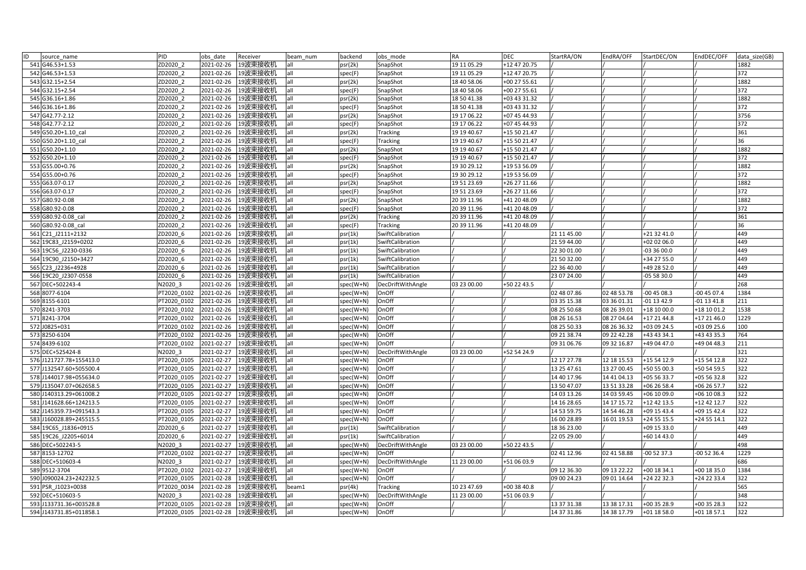| ID<br>source_name       | PID         | obs date   | Receiver           | beam num | backend     | obs mode          | RA          | <b>DEC</b>   | StartRA/ON  | EndRA/OFF   | StartDEC/ON   | EndDEC/OFF  | data size(GB) |
|-------------------------|-------------|------------|--------------------|----------|-------------|-------------------|-------------|--------------|-------------|-------------|---------------|-------------|---------------|
| 541 G46.53+1.53         | ZD2020 2    | 2021-02-26 | 19波束接收机            | all      | psr(2k)     | SnapShot          | 19 11 05.29 | +12 47 20.75 |             |             |               |             | 1882          |
| 542 G46.53+1.53         | ZD2020 2    | 2021-02-26 | 19波束接收机            | all      | spec(F)     | SnapShot          | 19 11 05.29 | +12 47 20.75 |             |             |               |             | 372           |
| 543 G32.15+2.54         | ZD2020 2    | 2021-02-26 | 19波束接收机            | all      | psr(2k)     | SnapShot          | 18 40 58.06 | +00 27 55.61 |             |             |               |             | 1882          |
| 544 G32.15+2.54         | ZD2020 2    | 2021-02-26 | 19波束接收机            | all      | spec(F)     | SnapShot          | 18 40 58.06 | +00 27 55.61 |             |             |               |             | 372           |
| 545 G36.16+1.86         | ZD2020 2    | 2021-02-26 | 19波束接收机            | all      | psr(2k)     | SnapShot          | 18 50 41.38 | +03 43 31.32 |             |             |               |             | 1882          |
| 546 G36.16+1.86         | ZD2020 2    | 2021-02-26 | 19波束接收机            | all      | spec(F)     | SnapShot          | 18 50 41.38 | +03 43 31.32 |             |             |               |             | 372           |
| 547 G42.77-2.12         | ZD2020_2    | 2021-02-26 | 19波束接收机            | all      | psr(2k)     | SnapShot          | 19 17 06.22 | +07 45 44.93 |             |             |               |             | 3756          |
| 548 G42.77-2.12         | ZD2020 2    | 2021-02-26 | 19波束接收机            | all      | spec(F)     | SnapShot          | 19 17 06.22 | +07 45 44.93 |             |             |               |             | 372           |
| 549 G50.20+1.10 cal     | ZD2020 2    | 2021-02-26 | 19波束接收机            | all      | psr(2k)     | <b>Tracking</b>   | 19 19 40.67 | +15 50 21.47 |             |             |               |             | 361           |
| 550 G50.20+1.10 cal     | ZD2020 2    | 2021-02-26 | 19波束接收机            | all      | spec(F)     | <b>Tracking</b>   | 19 19 40.67 | +15 50 21.47 |             |             |               |             | 36            |
| 551 G50.20+1.10         | ZD2020 2    | 2021-02-26 | 19波束接收机            | all      | psr(2k)     | SnapShot          | 19 19 40.67 | +15 50 21.47 |             |             |               |             | 1882          |
| 552 G50.20+1.10         | ZD2020 2    | 2021-02-26 | 19波束接收机            | all      | spec(F)     | SnapShot          | 19 19 40.67 | +15 50 21.47 |             |             |               |             | 372           |
| 553 G55.00+0.76         | ZD2020 2    | 2021-02-26 | 19波束接收机            | all      | psr(2k)     | SnapShot          | 19 30 29.12 | +19 53 56.09 |             |             |               |             | 1882          |
| 554 G55.00+0.76         | ZD2020 2    | 2021-02-26 | 19波束接收机            | all      | spec(F)     | SnapShot          | 19 30 29.12 | +19 53 56.09 |             |             |               |             | 372           |
| 555 G63.07-0.17         | ZD2020 2    | 2021-02-26 | 19波束接收机            | all      | psr(2k)     | SnapShot          | 19 51 23.69 | +26 27 11.66 |             |             |               |             | 1882          |
| 556 G63.07-0.17         | ZD2020 2    | 2021-02-26 | 19波束接收机            | all      | spec(F)     | SnapShot          | 19 51 23.69 | +26 27 11.66 |             |             |               |             | 372           |
| 557 G80.92-0.08         | ZD2020 2    | 2021-02-26 | 19波束接收机            | all      | psr(2k)     | SnapShot          | 20 39 11.96 | +41 20 48.09 |             |             |               |             | 1882          |
| 558 G80.92-0.08         | ZD2020 2    | 2021-02-26 | 19波束接收机            | all      | spec(F)     | SnapShot          | 20 39 11.96 | +41 20 48.09 |             |             |               |             | 372           |
| 559 G80.92-0.08 cal     | ZD2020 2    | 2021-02-26 | 19波束接收机            | all      | psr(2k)     | <b>Tracking</b>   | 20 39 11.96 | +41 20 48.09 |             |             |               |             | 361           |
| 560 G80.92-0.08 cal     | ZD2020 2    | 2021-02-26 | 19波束接收机            | all      | spec(F)     | <b>Tracking</b>   | 20 39 11.96 | +41 20 48.09 |             |             |               |             | 36            |
| 561 C21 J2111+2132      | ZD2020 6    | 2021-02-26 | 19波束接收机            | all      | psr(1k)     | SwiftCalibration  |             |              | 21 11 45.00 |             | +21 32 41.0   |             | 449           |
| 562 19C83 J2159+0202    | ZD2020 6    | 2021-02-26 | 19波束接收机            | all      | psr(1k)     | SwiftCalibration  |             |              | 21 59 44.00 |             | +02 02 06.0   |             | 449           |
| 563 19C56 J2230-0336    | ZD2020 6    | 2021-02-26 | 19波束接收机            | all      | psr(1k)     | SwiftCalibration  |             |              | 22 30 01.00 |             | $-033600.0$   |             | 449           |
| 564 19C90 J2150+3427    | ZD2020_6    | 2021-02-26 | 19波束接收机            | all      | psr(1k)     | SwiftCalibration  |             |              | 21 50 32.00 |             | +34 27 55.0   |             | 449           |
| 565 C23 J2236+4928      | ZD2020 6    | 2021-02-26 | 19波束接收机            | all      | psr(1k)     | SwiftCalibration  |             |              | 22 36 40.00 |             | +49 28 52.0   |             | 449           |
| 566 19C20 J2307-0558    | ZD2020 6    | 2021-02-26 | 19波束接收机            | all      | psr(1k)     | SwiftCalibration  |             |              | 23 07 24.00 |             | -05 58 30.0   |             | 449           |
| 567 DEC+502243-4        | N2020 3     | 2021-02-26 | 19波束接收机            | all      | spec(W+N)   | DecDriftWithAngle | 03 23 00.00 | +50 22 43.5  |             |             |               |             | 268           |
| 568 8077-6104           | PT2020 0102 | 2021-02-26 | 19波束接收机            | all      | spec(W+N)   | OnOff             |             |              | 02 48 07.86 | 02 48 53.78 | $-004508.3$   | $-004507.4$ | 1384          |
| 569 8155-6101           | PT2020 0102 | 2021-02-26 | 19波束接收机            | all      | spec(W+N)   | OnOff             |             |              | 03 35 15.38 | 03 36 01.31 | $-01$ 13 42.9 | 01 13 41.8  | 211           |
| 570 8241-3703           | PT2020 0102 | 2021-02-26 | 19波束接收机            | all      | spec(W+N)   | OnOff             |             |              | 08 25 50.68 | 08 26 39.01 | +18 10 00.0   | +18 10 01.2 | 1538          |
| 571 8241-3704           | PT2020 0102 | 2021-02-26 | 19波束接收机            | all      | spec(W+N)   | OnOff             |             |              | 08 26 16.53 | 08 27 04.64 | +17 21 44.8   | +17 21 46.0 | 1229          |
| 572 J0825+031           | PT2020 0102 | 2021-02-26 | 19波束接收机            | all      | spec(W+N)   | OnOff             |             |              | 08 25 50.33 | 08 26 36.32 | +03 09 24.5   | +03 09 25.6 | 100           |
| 573 8250-6104           | PT2020 0102 | 2021-02-26 | 19波束接收机            | all      | spec(W+N)   | OnOff             |             |              | 09 21 38.74 | 09 22 42.28 | +43 43 34.1   | +43 43 35.3 | 764           |
| 574 8439-6102           | PT2020 0102 | 2021-02-27 | 19波束接收机            | all      | spec(W+N)   | OnOff             |             |              | 09 31 06.76 | 09 32 16.87 | +49 04 47.0   | +49 04 48.3 | 211           |
| 575 DEC+525424-8        | N2020 3     | 2021-02-27 | 19波束接收机            | all      | spec(W+N)   | DecDriftWithAngle | 03 23 00.00 | +52 54 24.9  |             |             |               |             | 321           |
| 576 J121727.78+155413.0 | PT2020 0105 | 2021-02-27 | 19波束接收机            | all      | spec(W+N)   | OnOff             |             |              | 12 17 27.78 | 12 18 15.53 | +15 54 12.9   | +15 54 12.8 | 322           |
| 577 J132547.60+505500.4 | PT2020 0105 | 2021-02-27 | 19波束接收机            | all      | spec(W+N)   | OnOff             |             |              | 13 25 47.61 | 13 27 00.45 | +50 55 00.3   | +50 54 59.5 | 322           |
| 578 J144017.98+055634.0 | PT2020 0105 | 2021-02-27 | 19波束接收机            | all      | spec(W+N)   | OnOff             |             |              | 14 40 17.96 | 14 41 04.13 | +05 56 33.7   | +05 56 32.8 | 322           |
| 579 J135047.07+062658.5 | PT2020 0105 | 2021-02-27 | 19波束接收机            | all      | spec(W+N)   | OnOff             |             |              | 13 50 47.07 | 13 51 33.28 | +06 26 58.4   | +06 26 57.7 | 322           |
| 580 J140313.29+061008.2 | PT2020 0105 | 2021-02-27 | 19波束接收机            | all      | $spec(W+N)$ | OnOff             |             |              | 14 03 13.26 | 14 03 59.45 | +06 10 09.0   | +06 10 08.3 | 322           |
| 581 J141628.66+124213.5 | PT2020 0105 | 2021-02-27 | 19波束接收机            | all      | spec(W+N)   | OnOff             |             |              | 14 16 28.65 | 14 17 15.72 | +12 42 13.5   | +12 42 12.7 | 322           |
| 582 J145359.73+091543.3 | PT2020 0105 | 2021-02-27 | 19波束接收机            | all      | spec(W+N)   | OnOff             |             |              | 14 53 59.75 | 14 54 46.28 | +09 15 43.4   | +09 15 42.4 | 322           |
| 583 J160028.89+245515.5 | PT2020 0105 | 2021-02-27 | 19波束接收机            | all      | spec(W+N)   | OnOff             |             |              | 16 00 28.89 | 16 01 19.53 | +24 55 15.5   | +24 55 14.1 | 322           |
| 584 19C65 J1836+0915    | ZD2020 6    | 2021-02-27 | 19波束接收机            | all      | psr(1k)     | SwiftCalibration  |             |              | 18 36 23.00 |             | +09 15 33.0   |             | 449           |
| 585 19C26_J2205+6014    | ZD2020_6    | 2021-02-27 | 19波束接收机            | all      | psr(1k)     | SwiftCalibration  |             |              | 22 05 29.00 |             | +60 14 43.0   |             | 449           |
| 586 DEC+502243-5        | N2020 3     | 2021-02-27 | 19波束接收机            | all      | spec(W+N)   | DecDriftWithAngle | 03 23 00.00 | +50 22 43.5  |             |             |               |             | 498           |
| 587 8153-12702          | PT2020 0102 | 2021-02-27 | 19波束接收机            | all      | spec(W+N)   | OnOff             |             |              | 02 41 12.96 | 02 41 58.88 | $-005237.3$   | 00 52 36.4  | 1229          |
| 588 DEC+510603-4        | N2020 3     | 2021-02-27 | 19波束接收机            | all      | spec(W+N)   | DecDriftWithAngle | 11 23 00.00 | +51 06 03.9  |             |             |               |             | 686           |
| 589 9512-3704           | PT2020 0102 | 2021-02-27 | 19波束接收机            | all      | spec(W+N)   | OnOff             |             |              | 09 12 36.30 | 09 13 22.22 | +00 18 34.1   | +00 18 35.0 | 1384          |
| 590 J090024.23+242232.5 | PT2020 0105 | 2021-02-28 | 19波束接收机            | all      | spec(W+N)   | OnOff             |             |              | 09 00 24.23 | 09 01 14.64 | +24 22 32.3   | +24 22 33.4 | 322           |
| 591 PSR J1023+0038      | PT2020 0034 | 2021-02-28 | 19波束接收机            | oeam1    | psr(4k)     | <b>Tracking</b>   | 10 23 47.69 | +00 38 40.8  |             |             |               |             | 565           |
| 592 DEC+510603-5        | N2020 3     | 2021-02-28 | 19波束接收机            | all      | spec(W+N)   | DecDriftWithAngle | 11 23 00.00 | +51 06 03.9  |             |             |               |             | 348           |
| 593 J133731.36+003528.8 | PT2020 0105 | 2021-02-28 | 19波束接收机            | all      | spec(W+N)   | OnOff             |             |              | 13 37 31.38 | 13 38 17.31 | +00 35 28.9   | +00 35 28.3 | 322           |
| 594 J143731.85+011858.1 | PT2020 0105 |            | 2021-02-28 19波束接收机 | all      | spec(W+N)   | OnOff             |             |              | 14 37 31.86 | 14 38 17.79 | $+01$ 18 58.0 | +01 18 57.1 | 322           |
|                         |             |            |                    |          |             |                   |             |              |             |             |               |             |               |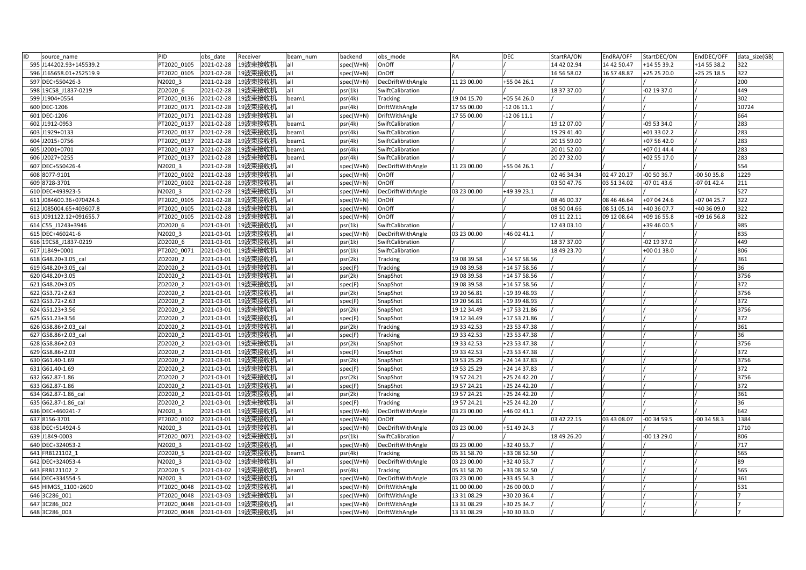| ID<br>source name       | PID         | obs date   | Receiver | beam num | backend   | obs mode          | <b>RA</b>   | <b>DEC</b>   | StartRA/ON  | EndRA/OFF   | StartDEC/ON   | EndDEC/OFF  | data size(GB) |
|-------------------------|-------------|------------|----------|----------|-----------|-------------------|-------------|--------------|-------------|-------------|---------------|-------------|---------------|
| 595 J144202.93+145539.2 | PT2020 0105 | 2021-02-28 | 19波束接收机  | all      | spec(W+N) | OnOff             |             |              | 14 42 02.94 | 14 42 50.47 | +14 55 39.2   | +14 55 38.2 | 322           |
| 596 J165658.01+252519.9 | PT2020 0105 | 2021-02-28 | 19波束接收机  | all      | spec(W+N) | OnOff             |             |              | 16 56 58.02 | 16 57 48.87 | +25 25 20.0   | +25 25 18.5 | 322           |
| 597 DEC+550426-3        | N2020 3     | 2021-02-28 | 19波束接收机  | all      | spec(W+N) | DecDriftWithAngle | 11 23 00.00 | +55 04 26.1  |             |             |               |             | 200           |
| 598 19C58 J1837-0219    | ZD2020 6    | 2021-02-28 | 19波束接收机  | all      | psr(1k)   | SwiftCalibration  |             |              | 18 37 37.00 |             | -02 19 37.0   |             | 449           |
| 599 J1904+0554          | PT2020 0136 | 2021-02-28 | 19波束接收机  | beam1    | psr(4k)   | Tracking          | 19 04 15.70 | +05 54 26.0  |             |             |               |             | 302           |
| 600 DEC-1206            | PT2020 0171 | 2021-02-28 | 19波束接收机  | all      | psr(4k)   | DriftWithAngle    | 17 55 00.00 | $-120611.1$  |             |             |               |             | 10724         |
| 601 DEC-1206            | PT2020 0171 | 2021-02-28 | 19波束接收机  | all      | spec(W+N) | DriftWithAngle    | 17 55 00.00 | $-120611.1$  |             |             |               |             | 664           |
| 602 J1912-0953          | PT2020 0137 | 2021-02-28 | 19波束接收机  | beam1    | psr(4k)   | SwiftCalibration  |             |              | 19 12 07.00 |             | -09 53 34.0   |             | 283           |
| 603 J1929+0133          | PT2020 0137 | 2021-02-28 | 19波束接收机  | beam1    | psr(4k)   | SwiftCalibration  |             |              | 19 29 41.40 |             | $+013302.2$   |             | 283           |
| 604 J2015+0756          | PT2020 0137 | 2021-02-28 | 19波束接收机  | beam1    | psr(4k)   | SwiftCalibration  |             |              | 20 15 59.00 |             | +07 56 42.0   |             | 283           |
| 605 J2001+0701          | PT2020 0137 | 2021-02-28 | 19波束接收机  | beam1    | psr(4k)   | SwiftCalibration  |             |              | 20 01 52.00 |             | +07 01 44.4   |             | 283           |
| 606 J2027+0255          | PT2020 0137 | 2021-02-28 | 19波束接收机  | beam1    | psr(4k)   | SwiftCalibration  |             |              | 20 27 32.00 |             | +02 55 17.0   |             | 283           |
| 607 DEC+550426-4        | N2020 3     | 2021-02-28 | 19波束接收机  | all      | spec(W+N) | DecDriftWithAngle | 11 23 00.00 | +55 04 26.1  |             |             |               |             | 554           |
| 608 8077-9101           | PT2020 0102 | 2021-02-28 | 19波束接收机  | all      | spec(W+N) | OnOff             |             |              | 02 46 34.34 | 02 47 20.27 | $-005036.7$   | $-005035.8$ | 1229          |
| 609 8728-3701           | PT2020 0102 | 2021-02-28 | 19波束接收机  | all      | spec(W+N) | OnOff             |             |              | 03 50 47.76 | 03 51 34.02 | $-070143.6$   | $-070142.4$ | 211           |
| 610 DEC+493923-5        | N2020 3     | 2021-02-28 | 19波束接收机  | all      | spec(W+N) | DecDriftWithAngle | 03 23 00.00 | +49 39 23.1  |             |             |               |             | 527           |
| 611 J084600.36+070424.6 | PT2020 0105 | 2021-02-28 | 19波束接收机  | all      | spec(W+N) | OnOff             |             |              | 08 46 00.37 | 08 46 46.64 | +07 04 24.6   | +07 04 25.7 | 322           |
| 612 J085004.65+403607.8 | PT2020 0105 | 2021-02-28 | 19波束接收机  | all      | spec(W+N) | OnOff             |             |              | 08 50 04.66 | 08 51 05.14 | +40 36 07.7   | +40 36 09.0 | 322           |
| 613 J091122.12+091655.7 | PT2020 0105 | 2021-02-28 | 19波束接收机  | all      | spec(W+N) | OnOff             |             |              | 09 11 22.11 | 09 12 08.64 | +09 16 55.8   | +09 16 56.8 | 322           |
| 614 C55 J1243+3946      | ZD2020 6    | 2021-03-01 | 19波束接收机  | all      | psr(1k)   | SwiftCalibration  |             |              | 12 43 03.10 |             | +39 46 00.5   |             | 985           |
| 615 DEC+460241-6        | N2020 3     | 2021-03-01 | 19波束接收机  | all      | spec(W+N) | DecDriftWithAngle | 03 23 00.00 | +46 02 41.1  |             |             |               |             | 835           |
| 616 19C58 J1837-0219    | ZD2020 6    | 2021-03-01 | 19波束接收机  | all      | psr(1k)   | SwiftCalibration  |             |              | 18 37 37.00 |             | $-02$ 19 37.0 |             | 449           |
| 617 J1849+0001          | PT2020 0071 | 2021-03-01 | 19波束接收机  | all      | psr(1k)   | SwiftCalibration  |             |              | 18 49 23.70 |             | +00 01 38.0   |             | 806           |
| 618 G48.20+3.05 cal     | ZD2020 2    | 2021-03-01 | 19波束接收机  | all      | psr(2k)   | <b>Tracking</b>   | 19 08 39.58 | +14 57 58.56 |             |             |               |             | 361           |
| 619 G48.20+3.05 cal     | ZD2020 2    | 2021-03-01 | 19波束接收机  | all      | spec(F)   | <b>Tracking</b>   | 19 08 39.58 | +14 57 58.56 |             |             |               |             | 36            |
| 620 G48.20+3.05         | ZD2020 2    | 2021-03-01 | 19波束接收机  | all      | psr(2k)   | SnapShot          | 19 08 39.58 | +14 57 58.56 |             |             |               |             | 3756          |
| 621 G48.20+3.05         | ZD2020_2    | 2021-03-01 | 19波束接收机  | all      | spec(F)   | SnapShot          | 19 08 39.58 | +14 57 58.56 |             |             |               |             | 372           |
| 622 G53.72+2.63         | ZD2020 2    | 2021-03-01 | 19波束接收机  | all      | psr(2k)   | SnapShot          | 19 20 56.81 | +19 39 48.93 |             |             |               |             | 3756          |
| 623 G53.72+2.63         | ZD2020 2    | 2021-03-01 | 19波束接收机  | all      | spec(F)   | SnapShot          | 19 20 56.81 | +19 39 48.93 |             |             |               |             | 372           |
| 624 G51.23+3.56         | ZD2020 2    | 2021-03-01 | 19波束接收机  | all      | psr(2k)   | SnapShot          | 19 12 34.49 | +17 53 21.86 |             |             |               |             | 3756          |
| 625 G51.23+3.56         | ZD2020 2    | 2021-03-01 | 19波束接收机  | all      | spec(F)   | SnapShot          | 19 12 34.49 | +17 53 21.86 |             |             |               |             | 372           |
| 626 G58.86+2.03 cal     | ZD2020 2    | 2021-03-01 | 19波束接收机  | all      | psr(2k)   | <b>Tracking</b>   | 19 33 42.53 | +23 53 47.38 |             |             |               |             | 361           |
| 627 G58.86+2.03 cal     | ZD2020 2    | 2021-03-01 | 19波束接收机  | all      | spec(F)   | <b>Tracking</b>   | 19 33 42.53 | +23 53 47.38 |             |             |               |             | 36            |
| 628 G58.86+2.03         | ZD2020 2    | 2021-03-01 | 19波束接收机  | all      | psr(2k)   | SnapShot          | 19 33 42.53 | +23 53 47.38 |             |             |               |             | 3756          |
| 629 G58.86+2.03         | ZD2020 2    | 2021-03-01 | 19波束接收机  | all      | spec(F)   | SnapShot          | 19 33 42.53 | +23 53 47.38 |             |             |               |             | 372           |
| 630 G61.40-1.69         | ZD2020 2    | 2021-03-01 | 19波束接收机  | all      | psr(2k)   | SnapShot          | 19 53 25.29 | +24 14 37.83 |             |             |               |             | 3756          |
| 631 G61.40-1.69         | ZD2020 2    | 2021-03-01 | 19波束接收机  | all      | spec(F)   | SnapShot          | 19 53 25.29 | +24 14 37.83 |             |             |               |             | 372           |
| 632 G62.87-1.86         | ZD2020 2    | 2021-03-01 | 19波束接收机  | all      | psr(2k)   | SnapShot          | 19 57 24.21 | +25 24 42.20 |             |             |               |             | 3756          |
| 633 G62.87-1.86         | ZD2020_2    | 2021-03-01 | 19波束接收机  | all      | spec(F)   | SnapShot          | 19 57 24.21 | +25 24 42.20 |             |             |               |             | 372           |
| 634 G62.87-1.86 cal     | ZD2020 2    | 2021-03-01 | 19波束接收机  | all      | psr(2k)   | Tracking          | 19 57 24.21 | +25 24 42.20 |             |             |               |             | 361           |
| 635 G62.87-1.86_cal     | ZD2020 2    | 2021-03-01 | 19波束接收机  | all      | spec(F)   | <b>Tracking</b>   | 19 57 24.21 | +25 24 42.20 |             |             |               |             | 36            |
| 636 DEC+460241-7        | N2020 3     | 2021-03-01 | 19波束接收机  | all      | spec(W+N) | DecDriftWithAngle | 03 23 00.00 | +46 02 41.1  |             |             |               |             | 642           |
| 637 8156-3701           | PT2020 0102 | 2021-03-01 | 19波束接收机  | all      | spec(W+N) | OnOff             |             |              | 03 42 22.15 | 03 43 08.07 | $-003459.5$   | $-003458.3$ | 1384          |
| 638 DEC+514924-5        | N2020 3     | 2021-03-01 | 19波束接收机  | all      | spec(W+N) | DecDriftWithAngle | 03 23 00.00 | +51 49 24.3  |             |             |               |             | 1710          |
| 639 J1849-0003          | PT2020 0071 | 2021-03-02 | 19波束接收机  | all      | psr(1k)   | SwiftCalibration  |             |              | 18 49 26.20 |             | $-00$ 13 29.0 |             | 806           |
| 640 DEC+324053-2        | N2020 3     | 2021-03-02 | 19波束接收机  | all      | spec(W+N) | DecDriftWithAngle | 03 23 00.00 | +32 40 53.7  |             |             |               |             | 717           |
| 641 FRB121102 1         | ZD2020 5    | 2021-03-02 | 19波束接收机  | beam1    | psr(4k)   | <b>Tracking</b>   | 05 31 58.70 | +33 08 52.50 |             |             |               |             | 565           |
| 642 DEC+324053-4        | N2020 3     | 2021-03-02 | 19波束接收机  | ۱l       | spec(W+N) | DecDriftWithAngle | 03 23 00.00 | +32 40 53.7  |             |             |               |             | 89            |
| 643 FRB121102 2         | ZD2020 5    | 2021-03-02 | 19波束接收机  | beam1    | psr(4k)   | Tracking          | 05 31 58.70 | +33 08 52.50 |             |             |               |             | 565           |
| 644 DEC+334554-5        | N2020 3     | 2021-03-02 | 19波束接收机  | all      | spec(W+N) | DecDriftWithAngle | 03 23 00.00 | +33 45 54.3  |             |             |               |             | 361           |
| 645 HIMGS 1100+2600     | PT2020 0048 | 2021-03-02 | 19波束接收机  | all      | spec(W+N) | DriftWithAngle    | 11 00 00.00 | +26 00 00.0  |             |             |               |             | 531           |
| 646 3C286 001           | PT2020 0048 | 2021-03-03 | 19波束接收机  | all      | spec(W+N) | DriftWithAngle    | 13 31 08.29 | +30 20 36.4  |             |             |               |             |               |
| 3C286 002<br>647        | PT2020 0048 | 2021-03-03 | 19波束接收机  | all      | spec(W+N) | DriftWithAngle    | 13 31 08.29 | +30 25 34.7  |             |             |               |             |               |
| 648 3C286 003           | PT2020 0048 | 2021-03-03 | 19波束接收机  | all      | spec(W+N) | DriftWithAngle    | 13 31 08.29 | +30 30 33.0  |             |             |               |             |               |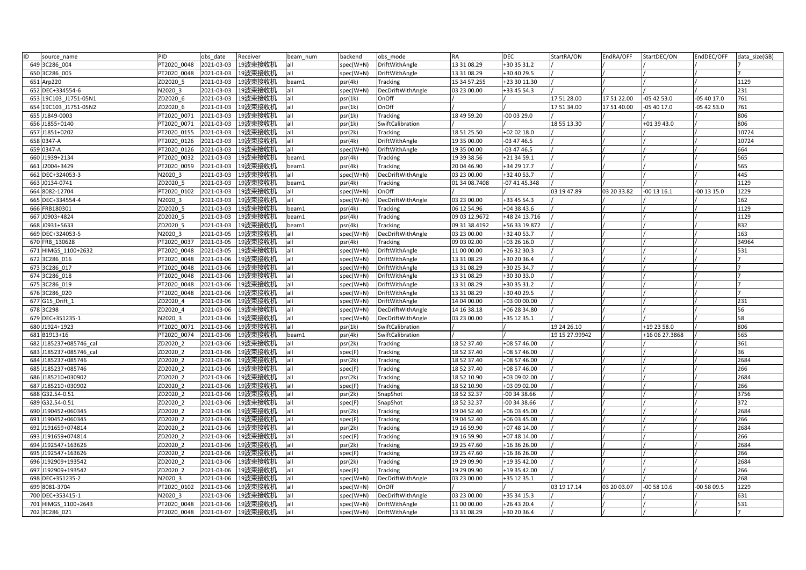| ID | source name            | PID         | obs date   | Receiver            | beam num | backend   | obs mode              | <b>RA</b>     | <b>DEC</b>    | StartRA/ON     | EndRA/OFF   | StartDEC/ON    | EndDEC/OFF  | data size(GB) |
|----|------------------------|-------------|------------|---------------------|----------|-----------|-----------------------|---------------|---------------|----------------|-------------|----------------|-------------|---------------|
|    | 649 3C286 004          | PT2020 0048 | 2021-03-03 | 19波束接收机             | all      | spec(W+N) | DriftWithAngle        | 13 31 08.29   | +30 35 31.2   |                |             |                |             |               |
|    | 650 3C286 005          | PT2020 0048 | 2021-03-03 | 19波束接收机             | all      | spec(W+N) | DriftWithAngle        | 13 31 08.29   | +30 40 29.5   |                |             |                |             |               |
|    | 651 Arp220             | ZD2020 5    | 2021-03-03 | 19波束接收机             | beam1    | psr(4k)   | Tracking              | 15 34 57.255  | +23 30 11.30  |                |             |                |             | 1129          |
|    | 652 DEC+334554-6       | N2020 3     | 2021-03-03 | 19波束接收机             | all      | spec(W+N) | DecDriftWithAngle     | 03 23 00.00   | +33 45 54.3   |                |             |                |             | 231           |
|    | 653 19C103 J1751-05N1  | ZD2020 6    | 2021-03-03 | 19波束接收机             | all      | psr(1k)   | OnOff                 |               |               | 17 51 28.00    | 17 51 22.00 | $-054253.0$    | 05 40 17.0  | 761           |
|    | 654 19C103 J1751-05N2  | ZD2020 6    | 2021-03-03 | 19波束接收机             | all      | psr(1k)   | OnOff                 |               |               | 17 51 34.00    | 17 51 40.00 | -05 40 17.0    | $-054253.0$ | 761           |
|    | 655 J1849-0003         | PT2020 0071 | 2021-03-03 | 19波束接收机             | all      | psr(1k)   | <b>Tracking</b>       | 18 49 59.20   | $-000329.0$   |                |             |                |             | 806           |
|    | 656 J1855+0140         | PT2020 0071 | 2021-03-03 | 19波束接收机             | all      | psr(1k)   | SwiftCalibration      |               |               | 18 55 13.30    |             | +01 39 43.0    |             | 806           |
|    | 657 J1851+0202         | PT2020 0155 | 2021-03-03 | 19波束接收机             | all      | psr(2k)   | Tracking              | 18 51 25.50   | +02 02 18.0   |                |             |                |             | 10724         |
|    | 658 0347-A             | PT2020 0126 | 2021-03-03 | 19波束接收机             | all      | psr(4k)   | DriftWithAngle        | 19 35 00.00   | $-034746.5$   |                |             |                |             | 10724         |
|    | 659 0347-A             | PT2020 0126 | 2021-03-03 | 19波束接收机             | all      | spec(W+N) | DriftWithAngle        | 19 35 00.00   | $-034746.5$   |                |             |                |             | 664           |
|    | 660 J1939+2134         | PT2020 0032 | 2021-03-03 | 19波束接收机             | beam1    | psr(4k)   | <b>Tracking</b>       | 19 39 38.56   | +21 34 59.1   |                |             |                |             | 565           |
|    | 661 J2004+3429         | PT2020 0059 | 2021-03-03 | 19波束接收机             | beam1    | psr(4k)   | Tracking              | 20 04 46.90   | +34 29 17.7   |                |             |                |             | 565           |
|    | 662 DEC+324053-3       | N2020 3     | 2021-03-03 | 19波束接收机             | all      | spec(W+N) | DecDriftWithAngle     | 03 23 00.00   | +32 40 53.7   |                |             |                |             | 445           |
|    | 663 J0134-0741         | ZD2020 5    | 2021-03-03 | 19波束接收机             | beam1    | psr(4k)   | Tracking              | 01 34 08.7408 | -07 41 45.348 |                |             |                |             | 1129          |
|    | 664 8082-12704         | PT2020 0102 | 2021-03-03 | 19波束接收机             | all      | spec(W+N) | OnOff                 |               |               | 03 19 47.89    | 03 20 33.82 | $-001316.1$    | 00 13 15.0  | 1229          |
|    | 665 DEC+334554-4       | N2020 3     | 2021-03-03 | 19波束接收机             | lall     | spec(W+N) | DecDriftWithAngle     | 03 23 00.00   | +33 45 54.3   |                |             |                |             | 162           |
|    | 666 FRB180301          | ZD2020 5    | 2021-03-03 | 19波束接收机             | beam1    | psr(4k)   | Tracking              | 06 12 54.96   | +04 38 43.6   |                |             |                |             | 1129          |
|    | 667 J0903+4824         | ZD2020 5    | 2021-03-03 | 19波束接收机             | beam1    | psr(4k)   | Tracking              | 09 03 12.9672 | +48 24 13.716 |                |             |                |             | 1129          |
|    | 668 J0931+5633         | ZD2020 5    | 2021-03-03 | 19波束接收机             | beam1    | psr(4k)   | Tracking              | 09 31 38.4192 | +56 33 19.872 |                |             |                |             | 832           |
|    | 669 DEC+324053-5       | N2020 3     | 2021-03-05 | 19波束接收机             | all      | spec(W+N) | DecDriftWithAngle     | 03 23 00.00   | +32 40 53.7   |                |             |                |             | 163           |
|    | 670 FRB 130628         | PT2020 0037 | 2021-03-05 | 19波束接收机             | all      | psr(4k)   | Tracking              | 09 03 02.00   | +03 26 16.0   |                |             |                |             | 34964         |
|    | 671 HIMGS 1100+2632    | PT2020 0048 | 2021-03-05 | 19波束接收机             | all      | spec(W+N) | DriftWithAngle        | 11 00 00.00   | +26 32 30.3   |                |             |                |             | 531           |
|    | 672 3C286 016          | PT2020 0048 | 2021-03-06 | 19波束接收机             | all      | spec(W+N) | DriftWithAngle        | 13 31 08.29   | +30 20 36.4   |                |             |                |             |               |
|    | 673 3C286 017          | PT2020 0048 | 2021-03-06 | 19波束接收机             | lall     | spec(W+N) | DriftWithAngle        | 13 31 08.29   | +30 25 34.7   |                |             |                |             |               |
|    | 674 3C286 018          | PT2020 0048 | 2021-03-06 | 19波束接收机             | all      | spec(W+N) | DriftWithAngle        | 13 31 08.29   | +30 30 33.0   |                |             |                |             |               |
|    | 675 3C286 019          | PT2020 0048 | 2021-03-06 | 19波束接收机             | all      | spec(W+N) | <b>DriftWithAngle</b> | 13 31 08.29   | +30 35 31.2   |                |             |                |             |               |
|    | 676 3C286 020          | PT2020 0048 | 2021-03-06 | 19波束接收机             | lall     | spec(W+N) | DriftWithAngle        | 13 31 08.29   | +30 40 29.5   |                |             |                |             |               |
|    | 677 G15 Drift 1        | ZD2020 4    | 2021-03-06 | 19波束接收机             | all      | spec(W+N) | <b>DriftWithAngle</b> | 14 04 00.00   | +03 00 00.00  |                |             |                |             | 231           |
|    | 678 3C298              | ZD2020 4    | 2021-03-06 | 19波束接收机             | all      | spec(W+N) | DecDriftWithAngle     | 14 16 38.18   | +06 28 34.80  |                |             |                |             | 56            |
|    | 679 DEC+351235-1       | N2020 3     | 2021-03-06 | 19波束接收机             | lall     | spec(W+N) | DecDriftWithAngle     | 03 23 00.00   | +35 12 35.1   |                |             |                |             | 58            |
|    | 680 J1924+1923         | PT2020 0071 | 2021-03-06 | 19波束接收机             | all      | psr(1k)   | SwiftCalibration      |               |               | 19 24 26.10    |             | +19 23 58.0    |             | 806           |
|    | 681 B1913+16           | PT2020 0074 | 2021-03-06 | 19波束接收机             | beam1    | psr(4k)   | SwiftCalibration      |               |               | 19 15 27.99942 |             | +16 06 27.3868 |             | 565           |
|    | 682 J185237+085746 cal | ZD2020 2    | 2021-03-06 | 19波束接收机             | all      | psr(2k)   | Tracking              | 18 52 37.40   | +08 57 46.00  |                |             |                |             | 361           |
|    | 683 J185237+085746 cal | ZD2020 2    | 2021-03-06 | 19波束接收机             | all      | spec(F)   | Tracking              | 18 52 37.40   | +08 57 46.00  |                |             |                |             | 36            |
|    | 684 J185237+085746     | ZD2020 2    | 2021-03-06 | 19波束接收机             | all      | psr(2k)   | Tracking              | 18 52 37.40   | +08 57 46.00  |                |             |                |             | 2684          |
|    | 685 J185237+085746     | ZD2020 2    | 2021-03-06 | 19波束接收机             | all      | spec(F)   | Tracking              | 18 52 37.40   | +08 57 46.00  |                |             |                |             | 266           |
|    | 686 J185210+030902     | ZD2020 2    | 2021-03-06 | 19波束接收机             | all      | psr(2k)   | Tracking              | 18 52 10.90   | +03 09 02.00  |                |             |                |             | 2684          |
|    | 687 J185210+030902     | ZD2020 2    | 2021-03-06 | 19波束接收机             | all      | spec(F)   | Tracking              | 18 52 10.90   | +03 09 02.00  |                |             |                |             | 266           |
|    | 688 G32.54-0.51        | ZD2020 2    | 2021-03-06 | 19波束接收机             | all      | psr(2k)   | SnapShot              | 18 52 32.37   | 00 34 38.66   |                |             |                |             | 3756          |
|    | 689 G32.54-0.51        | ZD2020 2    | 2021-03-06 | 19波束接收机             | all      | spec(F)   | SnapShot              | 18 52 32.37   | 00 34 38.66   |                |             |                |             | 372           |
|    | 690 J190452+060345     | ZD2020 2    | 2021-03-06 | 19波束接收机             | all      | psr(2k)   | <b>Tracking</b>       | 19 04 52.40   | +06 03 45.00  |                |             |                |             | 2684          |
|    | 691 J190452+060345     | ZD2020 2    | 2021-03-06 | 19波束接收机             | all      | spec(F)   | Tracking              | 19 04 52.40   | +06 03 45.00  |                |             |                |             | 266           |
|    | 692 J191659+074814     | ZD2020 2    | 2021-03-06 | 19波束接收机             | all      | psr(2k)   | Tracking              | 19 16 59.90   | +07 48 14.00  |                |             |                |             | 2684          |
|    | 693 J191659+074814     | ZD2020 2    | 2021-03-06 | 19波束接收机             | all      | spec(F)   | Tracking              | 19 16 59.90   | +07 48 14.00  |                |             |                |             | 266           |
|    | 694 J192547+163626     | ZD2020 2    | 2021-03-06 | 19波束接收机             | all      | psr(2k)   | Tracking              | 19 25 47.60   | +16 36 26.00  |                |             |                |             | 2684          |
|    | 695 J192547+163626     | ZD2020 2    | 2021-03-06 | 19波束接收机             | all      | spec(F)   | Tracking              | 19 25 47.60   | +16 36 26.00  |                |             |                |             | 266           |
|    | 696 J192909+193542     | ZD2020 2    | 2021-03-06 | 19波束接收机             | all      | psr(2k)   | <b>Tracking</b>       | 19 29 09.90   | +19 35 42.00  |                |             |                |             | 2684          |
|    | 697 J192909+193542     | ZD2020 2    | 2021-03-06 | 19波束接收机             | lall     | spec(F)   | Tracking              | 19 29 09.90   | +19 35 42.00  |                |             |                |             | 266           |
|    | 698 DEC+351235-2       | N2020 3     | 2021-03-06 | 19波束接收机             | all      | spec(W+N) | DecDriftWithAngle     | 03 23 00.00   | +35 12 35.1   |                |             |                |             | 268           |
|    | 699 8081-3704          | PT2020 0102 | 2021-03-06 | 19波束接收机             | all      | spec(W+N) | <b>OnOff</b>          |               |               | 03 19 17.14    | 03 20 03.07 | $-005810.6$    | 00 58 09.5  | 1229          |
|    | 700 DEC+353415-1       | N2020 3     | 2021-03-06 | 19波束接收机             | all      | spec(W+N) | ecDriftWithAngle      | 03 23 00.00   | +35 34 15.3   |                |             |                |             | 631           |
|    | 701 HIMGS 1100+2643    | PT2020 0048 | 2021-03-06 | 19波束接收机             | lall     | spec(W+N) | DriftWithAngle        | 11 00 00:00   | +26 43 20.4   |                |             |                |             | 531           |
|    | 702 3C286 021          | PT2020 0048 |            | 2021-03-07  19波束接收机 | all      | spec(W+N) | DriftWithAngle        | 13 31 08.29   | +30 20 36.4   |                |             |                |             |               |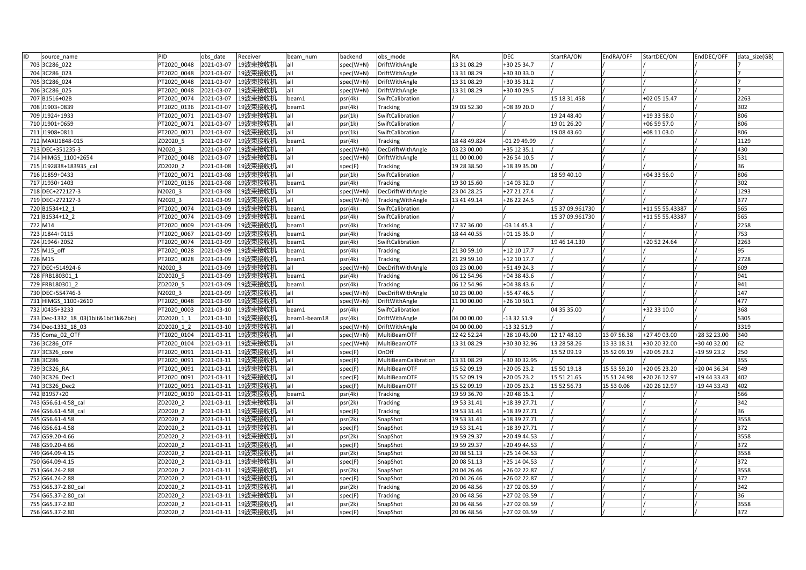| 703 3C286 022<br>PT2020 0048<br>2021-03-07<br>19波束接收机<br>19波束接收机<br>704 3C286 023<br>2021-03-07<br>PT2020 0048<br>all | spec(W+N)<br>all        | DriftWithAngle       | 13 31 08.29  | +30 25 34.7  |                 |             |                 |              |      |
|-----------------------------------------------------------------------------------------------------------------------|-------------------------|----------------------|--------------|--------------|-----------------|-------------|-----------------|--------------|------|
|                                                                                                                       |                         |                      |              |              |                 |             |                 |              |      |
|                                                                                                                       | spec(W+N)               | DriftWithAngle       | 13 31 08.29  | +30 30 33.0  |                 |             |                 |              |      |
| 19波束接收机<br>705 3C286 024<br>PT2020 0048<br>2021-03-07                                                                 | all<br>spec(W+N)        | DriftWithAngle       | 13 31 08.29  | +30 35 31.2  |                 |             |                 |              |      |
| 19波束接收机<br>706 3C286 025<br>PT2020 0048<br>2021-03-07                                                                 | all<br>spec(W+N)        | DriftWithAngle       | 13 31 08 29  | +30 40 29.5  |                 |             |                 |              |      |
| 707 B1516+02B<br>2021-03-07<br>19波束接收机<br>PT2020 0074                                                                 | beam1<br>psr(4k)        | SwiftCalibration     |              |              | 15 18 31.458    |             | +02 05 15.47    |              | 2263 |
| 2021-03-07<br>708 J1903+0839<br>PT2020 0136<br>19波束接收机                                                                | psr(4k)<br>beam1        | Tracking             | 19 03 52.30  | +08 39 20.0  |                 |             |                 |              | 302  |
| 2021-03-07<br>19波束接收机<br>709 J1924+1933<br>PT2020 0071                                                                | all<br>psr(1k)          | SwiftCalibration     |              |              | 19 24 48.40     |             | +19 33 58.0     |              | 806  |
| 710 J1901+0659<br>2021-03-07<br>19波束接收机<br>PT2020 0071                                                                | all<br>psr(1k)          | SwiftCalibration     |              |              | 19 01 26.20     |             | +06 59 57.0     |              | 806  |
| 711 J1908+0811<br>2021-03-07<br>19波束接收机<br>PT2020 0071                                                                | all<br>psr(1k)          | SwiftCalibration     |              |              | 19 08 43.60     |             | +08 11 03.0     |              | 806  |
| 712 MAXIJ1848-015<br>ZD2020 5<br>2021-03-07<br>19波束接收机                                                                | psr(4k)<br>beam1        | <b>Tracking</b>      | 18 48 49.824 | -01 29 49.99 |                 |             |                 |              | 1129 |
| 713 DEC+351235-3<br>2021-03-07<br>19波束接收机<br>N2020 3                                                                  | all<br>spec(W+N)        | DecDriftWithAngle    | 03 23 00.00  | +35 12 35.1  |                 |             |                 |              | 430  |
| 2021-03-07<br>19波束接收机<br>714 HIMGS 1100+2654<br>PT2020 0048                                                           | all<br>spec(W+N)        | DriftWithAngle       | 11 00 00.00  | +26 54 10.5  |                 |             |                 |              | 531  |
| ZD2020 2<br>2021-03-08<br>19波束接收机<br>715 J192838+183935 cal                                                           | all<br>spec(F)          | Tracking             | 19 28 38.50  | +18 39 35.00 |                 |             |                 |              | 36   |
| 716 J1859+0433<br>PT2020 0071<br>2021-03-08<br>19波束接收机                                                                | all<br>psr(1k)          | SwiftCalibration     |              |              | 18 59 40.10     |             | $+043356.0$     |              | 806  |
| 717 J1930+1403<br>2021-03-08<br>19波束接收机<br>PT2020 0136                                                                | psr(4k)<br>beam1        | <b>Tracking</b>      | 19 30 15.60  | +14 03 32.0  |                 |             |                 |              | 302  |
| 19波束接收机<br>718 DEC+272127-3<br>N2020 3<br>2021-03-08                                                                  | all<br>spec(W+N)        | DecDriftWithAngle    | 23 04 28.25  | +27 21 27.4  |                 |             |                 |              | 1293 |
| 2021-03-09<br>19波束接收机<br>719 DEC+272127-3<br>N2020 3                                                                  | all<br>spec(W+N)        | TrackingWithAngle    | 13 41 49.14  | +26 22 24.5  |                 |             |                 |              | 377  |
| PT2020 0074<br>2021-03-09<br>19波束接收机<br>720 B1534+12 1                                                                | psr(4k)<br>beam1        | SwiftCalibration     |              |              | 15 37 09.961730 |             | +11 55 55.43387 |              | 565  |
| 721 B1534+12 2<br>2021-03-09<br>19波束接收机<br>PT2020 0074                                                                | psr(4k)<br>beam1        | SwiftCalibration     |              |              | 15 37 09.961730 |             | +11 55 55.43387 |              | 565  |
| 2021-03-09<br>19波束接收机<br>722 M14<br>PT2020 0009                                                                       | psr(4k)<br>oeam1        | <b>Tracking</b>      | 17 37 36.00  | $-031445.3$  |                 |             |                 |              | 2258 |
| 723 J1844+0115<br>PT2020 0067<br>2021-03-09<br>19波束接收机                                                                | psr(4k)<br>beam1        | <b>Tracking</b>      | 18 44 40.55  | +01 15 35.0  |                 |             |                 |              | 753  |
| 724 J1946+2052<br>PT2020 0074<br>2021-03-09<br>19波束接收机                                                                | beam1<br>psr(4k)        | SwiftCalibration     |              |              | 19 46 14.130    |             | +20 52 24.64    |              | 2263 |
| 725 M15 off<br>2021-03-09<br>19波束接收机<br>PT2020 0028                                                                   | oeam1<br>psr(4k)        | Tracking             | 21 30 59.10  | +12 10 17.7  |                 |             |                 |              | 95   |
| 2021-03-09<br>19波束接收机<br>726 M15<br>PT2020 0028                                                                       | beam1<br>psr(4k)        | Tracking             | 21 29 59.10  | +12 10 17.7  |                 |             |                 |              | 2728 |
| 19波束接收机<br>727 DEC+514924-6<br>N2020 3<br>2021-03-09                                                                  | all<br>spec(W+N)        | DecDriftWithAngle    | 03 23 00.00  | +51 49 24.3  |                 |             |                 |              | 609  |
| 728 FRB180301 1<br>ZD2020 5<br>2021-03-09<br>19波束接收机                                                                  | beam1<br>psr(4k)        | Tracking             | 06 12 54.96  | +04 38 43.6  |                 |             |                 |              | 941  |
| l9波束接收机<br>ZD2020 5<br>2021-03-09<br>729 FRB180301 2                                                                  | psr(4k)<br>beam1        | Tracking             | 06 12 54.96  | +04 38 43.6  |                 |             |                 |              | 941  |
| 19波束接收机<br>730 DEC+554746-3<br>N2020 3<br>2021-03-09                                                                  | all<br>spec(W+N)        | DecDriftWithAngle    | 10 23 00.00  | +55 47 46.5  |                 |             |                 |              | 147  |
| 2021-03-09<br>19波束接收机<br>731 HIMGS_1100+2610<br>PT2020 0048                                                           | all<br>spec(W+N)        | DriftWithAngle       | 11 00 00.00  | +26 10 50.1  |                 |             |                 |              | 477  |
| 2021-03-10<br>19波束接收机<br>732 J0435+3233<br>PT2020 0003                                                                | psr(4k)<br>beam1        | SwiftCalibration     |              |              | 04 35 35.00     |             | +32 33 10.0     |              | 368  |
| 733 Dec-1332 18 03(1bit&1bit1k&2bit)<br>ZD2020 1 1<br>2021-03-10<br>19波束接收机                                           | psr(4k)<br>beam1-beam18 | DriftWithAngle       | 04 00 00.00  | -13 32 51.9  |                 |             |                 |              | 5305 |
| 19波束接收机<br>734 Dec-1332 18 03<br>ZD2020 1 2<br>2021-03-10                                                             | all<br>spec(W+N)        | DriftWithAngle       | 04 00 00.00  | -13 32 51.9  |                 |             |                 |              | 3319 |
| 735 Coma 02 OTF<br>PT2020 0104<br>2021-03-11<br>19波束接收机                                                               | all<br>spec(W+N)        | MultiBeamOTF         | 12 42 52.24  | +28 10 43.00 | 12 17 48.10     | 13 07 56.38 | +27 49 03.00    | +28 32 23.00 | 340  |
| 736 3C286 OTF<br>2021-03-11<br>19波束接收机<br>PT2020 0104                                                                 | all<br>spec(W+N)        | MultiBeamOTF         | 13 31 08.29  | +30 30 32.96 | 13 28 58.26     | 13 33 18.31 | +30 20 32.00    | +30 40 32.00 | 62   |
| 737 3C326 core<br>PT2020 0091<br>2021-03-11<br>19波束接收机                                                                | all<br>spec(F)          | OnOff                |              |              | 15 52 09.19     | 15 52 09.19 | +20 05 23.2     | +19 59 23.2  | 250  |
| 738 3C286<br>2021-03-11<br>19波束接收机<br>PT2020 0091                                                                     | all<br>spec(F)          | MultiBeamCalibration | 13 31 08.29  | +30 30 32.95 |                 |             |                 |              | 355  |
| 739 3C326 RA<br>PT2020 0091<br>2021-03-11<br>19波束接收机                                                                  | all<br>spec(F)          | MultiBeamOTF         | 15 52 09.19  | +20 05 23.2  | 15 50 19.18     | 15 53 59.20 | +20 05 23.20    | +20 04 36.34 | 549  |
| 740 3C326 Dec1<br>2021-03-11<br>19波束接收机<br>PT2020 0091                                                                | all<br>spec(F)          | MultiBeamOTF         | 15 52 09.19  | +20 05 23.2  | 15 51 21.65     | 15 51 24.98 | +20 26 12.97    | +19 44 33.43 | 402  |
| 2021-03-11<br>19波束接收机<br>741 3C326 Dec2<br>PT2020 0091                                                                | all<br>spec(F)          | MultiBeamOTF         | 15 52 09.19  | +20 05 23.2  | 15 52 56.73     | 15 53 0.06  | +20 26 12.97    | +19 44 33.43 | 402  |
| 742 B1957+20<br>2021-03-11<br>19波束接收机<br>PT2020 0030                                                                  | psr(4k)<br>beam1        | <b>Tracking</b>      | 19 59 36.70  | +20 48 15.1  |                 |             |                 |              | 566  |
| 19波束接收机<br>743 G56.61-4.58 cal<br>ZD2020 2<br>2021-03-11                                                              | all<br>psr(2k)          | Tracking             | 19 53 31.41  | +18 39 27.71 |                 |             |                 |              | 342  |
| 19波束接收机<br>744 G56.61-4.58 cal<br>ZD2020 2<br>2021-03-11                                                              | all<br>spec(F)          | <b>Tracking</b>      | 19 53 31.41  | +18 39 27.71 |                 |             |                 |              | 36   |
| 2021-03-11<br>19波束接收机<br>745 G56.61-4.58<br>ZD2020 2                                                                  | all<br>psr(2k)          | SnapShot             | 19 53 31.41  | +18 39 27.71 |                 |             |                 |              | 3558 |
| 746 G56.61-4.58<br>ZD2020 2<br>2021-03-11<br>19波束接收机                                                                  | all<br>spec(F)          | SnapShot             | 19 53 31.41  | +18 39 27.71 |                 |             |                 |              | 372  |
| 2021-03-11<br>19波束接收机<br>747 G59.20-4.66<br>ZD2020 2                                                                  | all<br>psr(2k)          | SnapShot             | 19 59 29.37  | +20 49 44.53 |                 |             |                 |              | 3558 |
| 748 G59.20-4.66<br>ZD2020 2<br>2021-03-11<br>19波束接收机                                                                  | all<br>spec(F)          | SnapShot             | 19 59 29.37  | +20 49 44.53 |                 |             |                 |              | 372  |
| 19波束接收机<br>749 G64.09-4.15<br>ZD2020 2<br>2021-03-11                                                                  | psr(2k)<br>all          | SnapShot             | 20 08 51.13  | +25 14 04.53 |                 |             |                 |              | 3558 |
| 750 G64.09-4.15<br>19波束接收机<br>ZD2020 2<br>2021-03-11                                                                  | all<br>spec(F)          | SnapShot             | 20 08 51.13  | +25 14 04.53 |                 |             |                 |              | 372  |
| 751 G64.24-2.88<br>ZD2020 2<br>2021-03-11<br>19波束接收机                                                                  | all<br>psr(2k)          | SnapShot             | 20 04 26.46  | +26 02 22.87 |                 |             |                 |              | 3558 |
| 752 G64.24-2.88<br>ZD2020 2<br>2021-03-11<br>19波束接收机                                                                  | all<br>spec(F)          | SnapShot             | 20 04 26.46  | +26 02 22.87 |                 |             |                 |              | 372  |
| 753 G65.37-2.80 cal<br>ZD2020 2<br>2021-03-11<br>19波束接收机                                                              | all<br>psr(2k)          | <b>Tracking</b>      | 20 06 48.56  | +27 02 03.59 |                 |             |                 |              | 342  |
|                                                                                                                       |                         |                      | 20 06 48.56  | +27 02 03.59 |                 |             |                 |              | 36   |
| 754 G65.37-2.80 cal<br>ZD2020 2<br>2021-03-11<br>19波束接收机                                                              | all<br>spec(F)          | <b>Tracking</b>      |              |              |                 |             |                 |              |      |
| 19波束接收机<br>755 G65.37-2.80<br>ZD2020 2<br>2021-03-11                                                                  | all<br>psr(2k)          | SnapShot             | 20 06 48.56  | +27 02 03.59 |                 |             |                 |              | 3558 |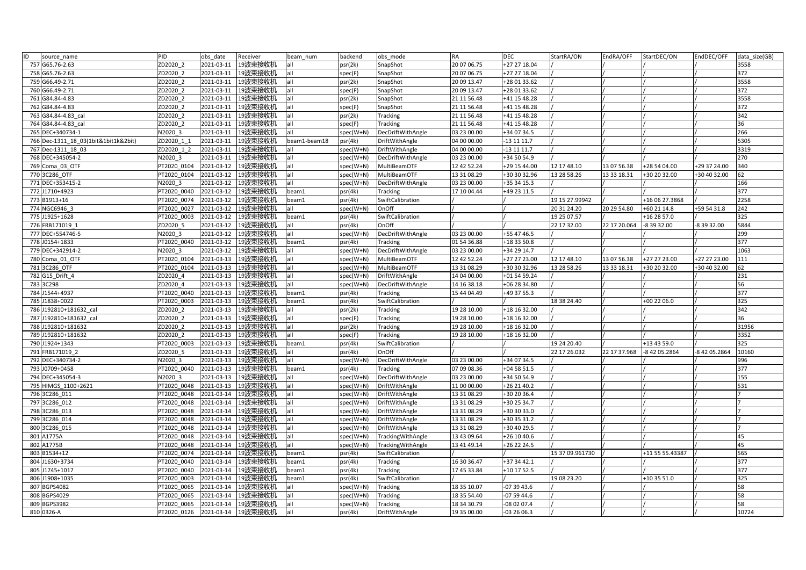| ID | source_name                          | PID         | obs date   | Receiver | beam num     | backend   | obs mode          | <b>RA</b>   | DEC          | StartRA/ON      | EndRA/OFF    | StartDEC/ON     | EndDEC/OFF    | data size(GB) |
|----|--------------------------------------|-------------|------------|----------|--------------|-----------|-------------------|-------------|--------------|-----------------|--------------|-----------------|---------------|---------------|
|    | 757 G65.76-2.63                      | ZD2020 2    | 2021-03-11 | 19波束接收机  | all          | psr(2k)   | SnapShot          | 20 07 06.75 | +27 27 18.04 |                 |              |                 |               | 3558          |
|    | 758 G65.76-2.63                      | ZD2020 2    | 2021-03-11 | 19波束接收机  | all          | spec(F)   | SnapShot          | 20 07 06.75 | +27 27 18.04 |                 |              |                 |               | 372           |
|    | 759 G66.49-2.71                      | ZD2020 2    | 2021-03-11 | 19波束接收机  | all          | psr(2k)   | SnapShot          | 20 09 13.47 | +28 01 33.62 |                 |              |                 |               | 3558          |
|    | 760 G66.49-2.71                      | ZD2020 2    | 2021-03-11 | 19波束接收机  | all          | spec(F)   | SnapShot          | 20 09 13.47 | +28 01 33.62 |                 |              |                 |               | 372           |
|    | 761 G84.84-4.83                      | ZD2020 2    | 2021-03-11 | 19波束接收机  | all          | psr(2k)   | SnapShot          | 21 11 56.48 | +41 15 48.28 |                 |              |                 |               | 3558          |
|    | 762 G84.84-4.83                      | ZD2020 2    | 2021-03-11 | 19波束接收机  | all          | spec(F)   | SnapShot          | 21 11 56.48 | +41 15 48.28 |                 |              |                 |               | 372           |
|    | 763 G84.84-4.83 cal                  | ZD2020 2    | 2021-03-11 | 19波束接收机  | all          | psr(2k)   | Tracking          | 21 11 56.48 | +41 15 48.28 |                 |              |                 |               | 342           |
|    | 764 G84.84-4.83 cal                  | ZD2020 2    | 2021-03-11 | 19波束接收机  | all          | spec(F)   | Tracking          | 21 11 56.48 | +41 15 48.28 |                 |              |                 |               | 36            |
|    | 765 DEC+340734-1                     | N2020 3     | 2021-03-11 | 19波束接收机  | all          | spec(W+N) | DecDriftWithAngle | 03 23 00.00 | +34 07 34.5  |                 |              |                 |               | 266           |
|    | 766 Dec-1311 18 03(1bit&1bit1k&2bit) | ZD2020 1 1  | 2021-03-11 | 19波束接收机  | beam1-beam18 | psr(4k)   | DriftWithAngle    | 04 00 00.00 | -13 11 11.7  |                 |              |                 |               | 5305          |
|    | 767 Dec-1311 18 03                   | ZD2020 1 2  | 2021-03-11 | 19波束接收机  | all          | spec(W+N) | DriftWithAngle    | 04 00 00.00 | -13 11 11.7  |                 |              |                 |               | 3319          |
|    | 768 DEC+345054-2                     | N2020 3     | 2021-03-11 | 19波束接收机  | all          | spec(W+N) | DecDriftWithAngle | 03 23 00.00 | +34 50 54.9  |                 |              |                 |               | 270           |
|    | 769 Coma 03 OTF                      | PT2020 0104 | 2021-03-12 | 19波束接收机  | all          | spec(W+N) | MultiBeamOTF      | 12 42 52.24 | +29 15 44.00 | 12 17 48.10     | 13 07 56.38  | +28 54 04.00    | +29 37 24.00  | 340           |
|    | 770 3C286 OTF                        | PT2020 0104 | 2021-03-12 | 19波束接收机  | all          | spec(W+N) | MultiBeamOTF      | 13 31 08.29 | +30 30 32.96 | 13 28 58.26     | 13 33 18.31  | +30 20 32.00    | +30 40 32.00  | 62            |
|    | 771 DEC+353415-2                     | N2020 3     | 2021-03-12 | 19波束接收机  | all          | spec(W+N) | DecDriftWithAngle | 03 23 00.00 | +35 34 15.3  |                 |              |                 |               | 166           |
|    | 772 J1710+4923                       | PT2020_0040 | 2021-03-12 | 19波束接收机  | beam1        | psr(4k)   | Tracking          | 17 10 04.44 | +49 23 11.5  |                 |              |                 |               | 377           |
|    | 773 B1913+16                         | PT2020 0074 | 2021-03-12 | 19波束接收机  | beam1        | psr(4k)   | SwiftCalibration  |             |              | 19 15 27.99942  |              | +16 06 27.3868  |               | 2258          |
|    | 774 NGC6946 3                        | PT2020 0027 | 2021-03-12 | 19波束接收机  | all          | spec(W+N) | OnOff             |             |              | 20 31 24.20     | 20 29 54.80  | +60 21 14.8     | +59 54 31.8   | 242           |
|    | 775 J1925+1628                       | PT2020 0003 | 2021-03-12 | 19波束接收机  | beam1        | psr(4k)   | SwiftCalibration  |             |              | 19 25 07.57     |              | +16 28 57.0     |               | 325           |
|    | 776 FRB171019 1                      | ZD2020 5    | 2021-03-12 | 19波束接收机  | all          | psr(4k)   | OnOff             |             |              | 22 17 32.00     | 22 17 20.064 | -8 39 32.00     | -8 39 32.00   | 5844          |
|    | 777 DEC+554746-5                     | N2020 3     | 2021-03-12 | 19波束接收机  | all          | spec(W+N) | DecDriftWithAngle | 03 23 00.00 | +55 47 46.5  |                 |              |                 |               | 299           |
|    | 778 J0154+1833                       | PT2020 0040 | 2021-03-12 | 19波束接收机  | beam1        | psr(4k)   | Tracking          | 01 54 36.88 | +18 33 50.8  |                 |              |                 |               | 377           |
|    | 779 DEC+342914-2                     | N2020 3     | 2021-03-12 | 19波束接收机  | all          | spec(W+N) | DecDriftWithAngle | 03 23 00.00 | +34 29 14.7  |                 |              |                 |               | 1063          |
|    | 780 Coma 01 OTF                      | PT2020 0104 | 2021-03-13 | 19波束接收机  | all          | spec(W+N) | MultiBeamOTF      | 12 42 52.24 | +27 27 23.00 | 12 17 48.10     | 13 07 56.38  | +27 27 23.00    | +27 27 23.00  | 111           |
|    | 781 3C286 OTF                        | PT2020 0104 | 2021-03-13 | 19波束接收机  | all          | spec(W+N) | MultiBeamOTF      | 13 31 08.29 | +30 30 32.96 | 13 28 58.26     | 13 33 18.31  | +30 20 32.00    | +30 40 32.00  | 62            |
|    | 782 G15 Drift 4                      | ZD2020 4    | 2021-03-13 | 19波束接收机  | all          | spec(W+N) | DriftWithAngle    | 14 04 00.00 | +01 54 59.24 |                 |              |                 |               | 231           |
|    | 783 3C298                            | ZD2020 4    | 2021-03-13 | 19波束接收机  | all          | spec(W+N) | DecDriftWithAngle | 14 16 38.18 | +06 28 34.80 |                 |              |                 |               | 56            |
|    | 784 J1544+4937                       | PT2020 0040 | 2021-03-13 | 19波束接收机  | beam1        | psr(4k)   | <b>Tracking</b>   | 15 44 04.49 | +49 37 55.3  |                 |              |                 |               | 377           |
|    | 785 J1838+0022                       | PT2020 0003 | 2021-03-13 | 19波束接收机  | beam1        | psr(4k)   | SwiftCalibration  |             |              | 18 38 24.40     |              | +00 22 06.0     |               | 325           |
|    | 786 J192810+181632 cal               | ZD2020 2    | 2021-03-13 | 19波束接收机  | all          | psr(2k)   | <b>Tracking</b>   | 19 28 10.00 | +18 16 32.00 |                 |              |                 |               | 342           |
|    | 787 J192810+181632 cal               | ZD2020 2    | 2021-03-13 | 19波束接收机  | all          | spec(F)   | <b>Tracking</b>   | 19 28 10.00 | +18 16 32.00 |                 |              |                 |               | 36            |
|    | 788 J192810+181632                   | ZD2020 2    | 2021-03-13 | 19波束接收机  | all          | psr(2k)   | Tracking          | 19 28 10.00 | +18 16 32.00 |                 |              |                 |               | 31956         |
|    | 789 J192810+181632                   | ZD2020 2    | 2021-03-13 | 19波束接收机  | all          | spec(F)   | Tracking          | 19 28 10.00 | +18 16 32.00 |                 |              |                 |               | 3352          |
|    | 790 J1924+1343                       | PT2020 0003 | 2021-03-13 | 19波束接收机  | beam1        | psr(4k)   | SwiftCalibration  |             |              | 19 24 20.40     |              | +13 43 59.0     |               | 325           |
|    | 791 FRB171019 2                      | ZD2020 5    | 2021-03-13 | 19波束接收机  | all          | psr(4k)   | OnOff             |             |              | 22 17 26.032    | 22 17 37.968 | -8 42 05.2864   | -8 42 05.2864 | 10160         |
|    | 792 DEC+340734-2                     | N2020 3     | 2021-03-13 | 19波束接收机  | all          | spec(W+N) | DecDriftWithAngle | 03 23 00.00 | +34 07 34.5  |                 |              |                 |               | 996           |
|    | 793 J0709+0458                       | PT2020 0040 | 2021-03-13 | 19波束接收机  | beam1        | psr(4k)   | Tracking          | 07 09 08.36 | +04 58 51.5  |                 |              |                 |               | 377           |
|    | 794 DEC+345054-3                     | N2020 3     | 2021-03-13 | 19波束接收机  | all          | spec(W+N) | DecDriftWithAngle | 03 23 00.00 | +34 50 54.9  |                 |              |                 |               | 155           |
|    | 795 HIMGS 1100+2621                  | PT2020 0048 | 2021-03-13 | 19波束接收机  | all          | spec(W+N) | DriftWithAngle    | 11 00 00.00 | +26 21 40.2  |                 |              |                 |               | 531           |
|    | 796 3C286 011                        | PT2020 0048 | 2021-03-14 | 19波束接收机  | all          | spec(W+N) | DriftWithAngle    | 13 31 08.29 | +30 20 36.4  |                 |              |                 |               |               |
|    | 797 3C286 012                        | PT2020 0048 | 2021-03-14 | 19波束接收机  | all          | spec(W+N) | DriftWithAngle    | 13 31 08.29 | +30 25 34.7  |                 |              |                 |               |               |
|    | 798 3C286 013                        | PT2020 0048 | 2021-03-14 | 19波束接收机  | all          | spec(W+N) | DriftWithAngle    | 13 31 08.29 | +30 30 33.0  |                 |              |                 |               |               |
|    | 799 3C286 014                        | PT2020 0048 | 2021-03-14 | 19波束接收机  | all          | spec(W+N) | DriftWithAngle    | 13 31 08.29 | +30 35 31.2  |                 |              |                 |               |               |
|    | 800 3C286 015                        | PT2020 0048 | 2021-03-14 | l9波束接收机  | all          | spec(W+N) | DriftWithAngle    | 13 31 08.29 | +30 40 29.5  |                 |              |                 |               |               |
|    | 801 A1775A                           | PT2020 0048 | 2021-03-14 | 19波束接收机  | all          | spec(W+N) | TrackingWithAngle | 13 43 09.64 | +26 10 40.6  |                 |              |                 |               | 45            |
|    | 802 A1775B                           | PT2020 0048 | 2021-03-14 | 19波束接收机  | all          | spec(W+N) | TrackingWithAngle | 13 41 49.14 | +26 22 24.5  |                 |              |                 |               | 45            |
|    | 803 B1534+12                         | PT2020 0074 | 2021-03-14 | 19波束接收机  | beam1        | psr(4k)   | SwiftCalibration  |             |              | 15 37 09.961730 |              | +11 55 55.43387 |               | 565           |
|    | 804 J1630+3734                       | PT2020 0040 | 2021-03-14 | 19波束接收机  | beam1        | psr(4k)   | <b>Tracking</b>   | 16 30 36.47 | +37 34 42.1  |                 |              |                 |               | 377           |
|    | 805 J1745+1017                       | PT2020 0040 | 2021-03-14 | 19波束接收机  | beam1        | psr(4k)   | Tracking          | 17 45 33.84 | +10 17 52.5  |                 |              |                 |               | 377           |
|    | 806 J1908+1035                       | PT2020 0003 | 2021-03-14 | 19波束接收机  | beam1        | psr(4k)   | SwiftCalibration  |             |              | 19 08 23.20     |              | +10 35 51.0     |               | 325           |
|    | 807 BGPS4082                         | PT2020 0065 | 2021-03-14 | 19波束接收机  | all          | spec(W+N) | Tracking          | 18 35 10.07 | 07 39 43.6   |                 |              |                 |               | 58            |
|    | 808 BGPS4029                         | PT2020 0065 | 2021-03-14 | 19波束接收机  | all          | spec(W+N) | Tracking          | 18 35 54.40 | $-075944.6$  |                 |              |                 |               | 58            |
|    | 809 BGPS3982                         | PT2020 0065 | 2021-03-14 | 19波束接收机  | all          | spec(W+N) | Tracking          | 18 34 30.79 | $-080207.4$  |                 |              |                 |               | 58            |
|    | 810 0326-A                           | PT2020 0126 | 2021-03-14 | 19波束接收机  | all          | psr(4k)   | DriftWithAngle    | 19 35 00.00 | -03 26 06.3  |                 |              |                 |               | 10724         |
|    |                                      |             |            |          |              |           |                   |             |              |                 |              |                 |               |               |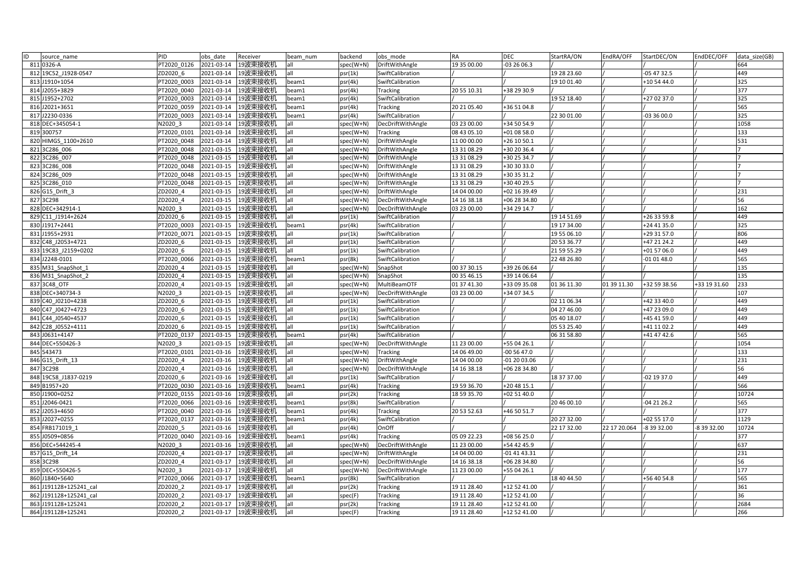| ID<br>source name      | PID         | obs date   | Receiver           | beam num | backend   | obs mode            | <b>RA</b>   | <b>DEC</b>   | StartRA/ON  | EndRA/OFF    | StartDEC/ON   | EndDEC/OFF   | data size(GB) |
|------------------------|-------------|------------|--------------------|----------|-----------|---------------------|-------------|--------------|-------------|--------------|---------------|--------------|---------------|
| 811 0326-A             | PT2020 0126 | 2021-03-14 | 19波束接收机            | all      | spec(W+N) | DriftWithAngle      | 19 35 00.00 | -03 26 06.3  |             |              |               |              | 664           |
| 812 19C52 J1928-0547   | ZD2020 6    | 2021-03-14 | 19波束接收机            | all      | psr(1k)   | SwiftCalibration    |             |              | 19 28 23.60 |              | -05 47 32.5   |              | 449           |
| 813 J1910+1054         | PT2020 0003 | 2021-03-14 | 19波束接收机            | beam1    | psr(4k)   | SwiftCalibration    |             |              | 19 10 01.40 |              | +10 54 44.0   |              | 325           |
| 814 J2055+3829         | PT2020 0040 | 2021-03-14 | 19波束接收机            | beam1    | psr(4k)   | <b>Tracking</b>     | 20 55 10.31 | +38 29 30.9  |             |              |               |              | 377           |
| 815 J1952+2702         | PT2020 0003 | 2021-03-14 | 19波束接收机            | beam1    | psr(4k)   | SwiftCalibration    |             |              | 19 52 18.40 |              | +27 02 37.0   |              | 325           |
| 816 J2021+3651         | PT2020 0059 | 2021-03-14 | 19波束接收机            | beam1    | psr(4k)   | Tracking            | 20 21 05.40 | +36 51 04.8  |             |              |               |              | 565           |
| 817 J2230-0336         | PT2020_0003 | 2021-03-14 | 19波束接收机            | beam1    | psr(4k)   | SwiftCalibration    |             |              | 22 30 01.00 |              | $-033600.0$   |              | 325           |
| 818 DEC+345054-1       | N2020 3     | 2021-03-14 | 19波束接收机            | all      | spec(W+N) | DecDriftWithAngle   | 03 23 00.00 | +34 50 54.9  |             |              |               |              | 1058          |
| 819 300757             | PT2020 0101 | 2021-03-14 | 19波束接收机            | all      | spec(W+N) | Tracking            | 08 43 05.10 | +01 08 58.0  |             |              |               |              | 133           |
| 820 HIMGS 1100+2610    | PT2020 0048 | 2021-03-14 | 19波束接收机            | all      | spec(W+N) | DriftWithAngle      | 11 00 00.00 | +26 10 50.1  |             |              |               |              | 531           |
| 821 3C286 006          | PT2020 0048 | 2021-03-15 | 19波束接收机            | all      | spec(W+N) | DriftWithAngle      | 13 31 08.29 | +30 20 36.4  |             |              |               |              |               |
| 822 3C286 007          | PT2020 0048 | 2021-03-15 | 19波束接收机            | all      | spec(W+N) | DriftWithAngle      | 13 31 08.29 | +30 25 34.7  |             |              |               |              |               |
| 823 3C286 008          | PT2020 0048 | 2021-03-15 | 19波束接收机            | all      | spec(W+N) | DriftWithAngle      | 13 31 08.29 | +30 30 33.0  |             |              |               |              |               |
| 824 3C286 009          | PT2020 0048 | 2021-03-15 | 19波束接收机            | all      | spec(W+N) | DriftWithAngle      | 13 31 08.29 | +30 35 31.2  |             |              |               |              |               |
| 825 3C286 010          | PT2020 0048 | 2021-03-15 | 19波束接收机            | all      | spec(W+N) | DriftWithAngle      | 13 31 08.29 | +30 40 29.5  |             |              |               |              |               |
| 826 G15 Drift 3        | ZD2020 4    | 2021-03-15 | 19波束接收机            | all      | spec(W+N) | DriftWithAngle      | 14 04 00.00 | +02 16 39.49 |             |              |               |              | 231           |
| 827 3C298              | ZD2020 4    | 2021-03-15 | 19波束接收机            | all      | spec(W+N) | DecDriftWithAngle   | 14 16 38.18 | +06 28 34.80 |             |              |               |              | 56            |
| 828 DEC+342914-1       | N2020_3     | 2021-03-15 | 19波束接收机            | all      | spec(W+N) | DecDriftWithAngle   | 03 23 00.00 | +34 29 14.7  |             |              |               |              | 162           |
| 829 C11 J1914+2624     | ZD2020 6    | 2021-03-15 | 19波束接收机            | all      | psr(1k)   | SwiftCalibration    |             |              | 19 14 51.69 |              | +26 33 59.8   |              | 449           |
| 830 J1917+2441         | PT2020 0003 | 2021-03-15 | 19波束接收机            | beam1    | psr(4k)   | SwiftCalibration    |             |              | 19 17 34.00 |              | +24 41 35.0   |              | 325           |
| 831 J1955+2931         | PT2020 0071 | 2021-03-15 | 19波束接收机            | all      | psr(1k)   | SwiftCalibration    |             |              | 19 55 06.10 |              | +29 31 57.0   |              | 806           |
| 832 C48 J2053+4721     | ZD2020 6    | 2021-03-15 | 19波束接收机            | all      | psr(1k)   | SwiftCalibration    |             |              | 20 53 36.77 |              | +47 21 24.2   |              | 449           |
| 833 19C83 J2159+0202   | ZD2020 6    | 2021-03-15 | 19波束接收机            | all      | psr(1k)   | SwiftCalibration    |             |              | 21 59 55.29 |              | +01 57 06.0   |              | 449           |
| 834 J2248-0101         | PT2020 0066 | 2021-03-15 | 19波束接收机            | beam1    | psr(8k)   | SwiftCalibration    |             |              | 22 48 26.80 |              | $-010148.0$   |              | 565           |
| 835 M31 SnapShot 1     | ZD2020 4    | 2021-03-15 | 19波束接收机            | lall     | spec(W+N) | SnapShot            | 00 37 30.15 | +39 26 06.64 |             |              |               |              | 135           |
| 836 M31_SnapShot_2     | ZD2020 4    | 2021-03-15 | 19波束接收机            | all      | spec(W+N) | SnapShot            | 00 35 46.15 | +39 14 06.64 |             |              |               |              | 135           |
| 837 3C48 OTF           | ZD2020 4    | 2021-03-15 | 19波束接收机            | all      | spec(W+N) | <b>MultiBeamOTF</b> | 01 37 41.30 | +33 09 35.08 | 01 36 11.30 | 01 39 11.30  | +32 59 38.56  | +33 19 31.60 | 233           |
| 838 DEC+340734-3       | N2020 3     | 2021-03-15 | 19波束接收机            | all      | spec(W+N) | DecDriftWithAngle   | 03 23 00.00 | +34 07 34.5  |             |              |               |              | 107           |
| 839 C40 J0210+4238     | ZD2020 6    | 2021-03-15 | 19波束接收机            | all      | psr(1k)   | SwiftCalibration    |             |              | 02 11 06.34 |              | +42 33 40.0   |              | 449           |
| 840 C47 J0427+4723     | ZD2020 6    | 2021-03-15 | 19波束接收机            | all      | psr(1k)   | SwiftCalibration    |             |              | 04 27 46.00 |              | +47 23 09.0   |              | 449           |
| 841 C44 J0540+4537     | ZD2020 6    | 2021-03-15 | 19波束接收机            | all      | psr(1k)   | SwiftCalibration    |             |              | 05 40 18.07 |              | +45 41 59.0   |              | 449           |
| 842 C28 J0552+4111     | ZD2020 6    | 2021-03-15 | 19波束接收机            | all      | psr(1k)   | SwiftCalibration    |             |              | 05 53 25.40 |              | +41 11 02.2   |              | 449           |
| 843 J0631+4147         | PT2020 0137 | 2021-03-15 | 19波束接收机            | beam1    | psr(4k)   | SwiftCalibration    |             |              | 06 31 58.80 |              | +41 47 42.6   |              | 565           |
| 844 DEC+550426-3       | N2020 3     | 2021-03-15 | 19波束接收机            | all      | spec(W+N) | DecDriftWithAngle   | 11 23 00.00 | +55 04 26.1  |             |              |               |              | 1054          |
| 845 543473             | PT2020 0101 | 2021-03-16 | 19波束接收机            | lall     | spec(W+N) | Tracking            | 14 06 49.00 | $-005647.0$  |             |              |               |              | 133           |
| 846 G15 Drift 13       | ZD2020 4    | 2021-03-16 | 19波束接收机            | all      | spec(W+N) | DriftWithAngle      | 14 04 00.00 | -01 20 03.06 |             |              |               |              | 231           |
| 847 3C298              | ZD2020 4    | 2021-03-16 | 19波束接收机            | all      | spec(W+N) | DecDriftWithAngle   | 14 16 38.18 | +06 28 34.80 |             |              |               |              | 56            |
| 848 19C58 J1837-0219   | ZD2020 6    | 2021-03-16 | 19波束接收机            | lall     | psr(1k)   | SwiftCalibration    |             |              | 18 37 37.00 |              | $-02$ 19 37.0 |              | 449           |
| 849 B1957+20           | PT2020 0030 | 2021-03-16 | 19波束接收机            | beam1    | psr(4k)   | <b>Tracking</b>     | 19 59 36.70 | +20 48 15.1  |             |              |               |              | 566           |
| 850 J1900+0252         | PT2020 0155 | 2021-03-16 | 19波束接收机            | all      | psr(2k)   | Tracking            | 18 59 35.70 | +02 51 40.0  |             |              |               |              | 10724         |
| 851 J2046-0421         | PT2020 0066 | 2021-03-16 | 19波束接收机            | beam1    | psr(8k)   | SwiftCalibration    |             |              | 20 46 00.10 |              | -04 21 26.2   |              | 565           |
| 852 J2053+4650         | PT2020 0040 | 2021-03-16 | 19波束接收机            | beam1    | psr(4k)   | <b>Tracking</b>     | 20 53 52.63 | +46 50 51.7  |             |              |               |              | 377           |
| 853 J2027+0255         | PT2020 0137 | 2021-03-16 | 19波束接收机            | beam1    | psr(4k)   | SwiftCalibration    |             |              | 20 27 32.00 |              | +02 55 17.0   |              | 1129          |
| 854 FRB171019 1        | ZD2020 5    | 2021-03-16 | 19波束接收机            | all      | psr(4k)   | OnOff               |             |              | 22 17 32.00 | 22 17 20.064 | 8 39 32.00    | -8 39 32.00  | 10724         |
| 855 J0509+0856         | PT2020 0040 | 2021-03-16 | 19波束接收机            | beam1    | psr(4k)   | Tracking            | 05 09 22.23 | +08 56 25.0  |             |              |               |              | 377           |
| 856 DEC+544245-4       | N2020 3     | 2021-03-16 | 19波束接收机            | lall     | spec(W+N) | DecDriftWithAngle   | 11 23 00.00 | +54 42 45.9  |             |              |               |              | 637           |
| 857 G15 Drift 14       | ZD2020 4    | 2021-03-17 | 19波束接收机            | lall     | spec(W+N) | DriftWithAngle      | 14 04 00.00 | $-014143.31$ |             |              |               |              | 231           |
| 858 3C298              | ZD2020 4    | 2021-03-17 | 19波束接收机            | all      | spec(W+N) | DecDriftWithAngle   | 14 16 38.18 | +06 28 34.80 |             |              |               |              | 56            |
| 859 DEC+550426-5       | N2020 3     | 2021-03-17 | 19波束接收机            | all      | spec(W+N) | DecDriftWithAngle   | 11 23 00.00 | +55 04 26.1  |             |              |               |              | 177           |
| 860 J1840+5640         | PT2020 0066 | 2021-03-17 | 19波束接收机            | beam1    | psr(8k)   | SwiftCalibration    |             |              | 18 40 44.50 |              | +56 40 54.8   |              | 565           |
| 861 J191128+125241 cal | ZD2020 2    | 2021-03-17 | 19波束接收机            | all      | psr(2k)   | Tracking            | 19 11 28.40 | +12 52 41.00 |             |              |               |              | 361           |
| 862 J191128+125241 cal | ZD2020 2    | 2021-03-17 | 19波束接收机            | lall     | spec(F)   | Tracking            | 19 11 28.40 | +12 52 41.00 |             |              |               |              | 36            |
| 863 J191128+125241     | ZD2020 2    | 2021-03-17 | 19波束接收机            | all      | psr(2k)   | <b>Tracking</b>     | 19 11 28.40 | +12 52 41.00 |             |              |               |              | 2684          |
| 864 J191128+125241     | ZD2020 2    |            | 2021-03-17 19波束接收机 | all      | spec(F)   | <b>Tracking</b>     | 19 11 28.40 | +12 52 41.00 |             |              |               |              | 266           |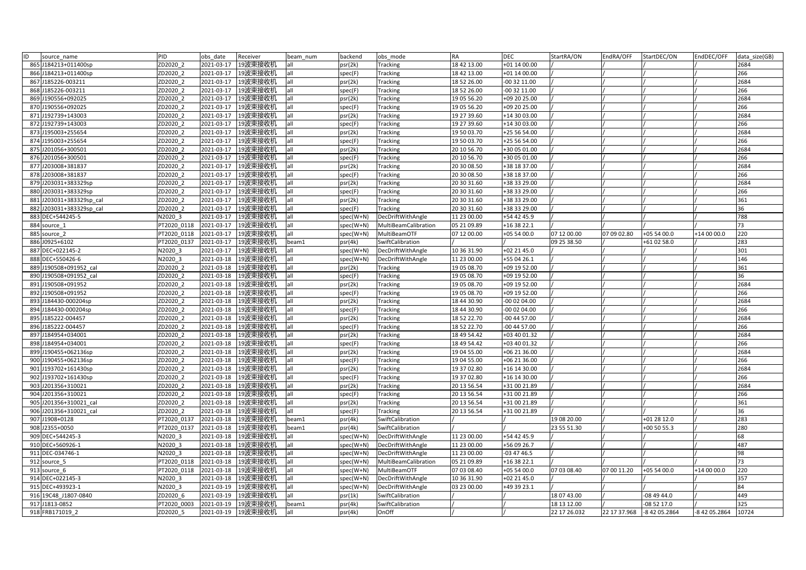| ID<br>source_name           | PID         | obs date   | Receiver           | beam num | backend   | obs mode             | <b>RA</b>   | <b>DEC</b>                | StartRA/ON   | EndRA/OFF    | StartDEC/ON   | EndDEC/OFF    | data size(GB) |
|-----------------------------|-------------|------------|--------------------|----------|-----------|----------------------|-------------|---------------------------|--------------|--------------|---------------|---------------|---------------|
| 865 J184213+011400sp        | ZD2020 2    | 2021-03-17 | 19波束接收机            | all      | osr(2k)   | <b>Tracking</b>      | 18 42 13.00 | +01 14 00.00              |              |              |               |               | 2684          |
| 866 J184213+011400sp        | ZD2020 2    | 2021-03-17 | 19波束接收机            | all      | spec(F)   | <b>Tracking</b>      | 18 42 13.00 | +01 14 00.00              |              |              |               |               | 266           |
| 867 J185226-003211          | ZD2020 2    | 2021-03-17 | 19波束接收机            | all      | psr(2k)   | Tracking             | 18 52 26.00 | 00 32 11.00               |              |              |               |               | 2684          |
| 868 J185226-003211          | ZD2020 2    | 2021-03-17 | 19波束接收机            | all      | spec(F)   | <b>Tracking</b>      | 18 52 26.00 | 00 32 11.00               |              |              |               |               | 266           |
| 869 J190556+092025          | ZD2020 2    | 2021-03-17 | 19波束接收机            | all      | psr(2k)   | Tracking             | 19 05 56.20 | +09 20 25.00              |              |              |               |               | 2684          |
| 870 J190556+092025          | ZD2020 2    | 2021-03-17 | 19波束接收机            | all      | spec(F)   | Tracking             | 19 05 56.20 | $\overline{+09}$ 20 25.00 |              |              |               |               | 266           |
| 871 J192739+143003          | ZD2020 2    | 2021-03-17 | 19波束接收机            | all      | osr(2k)   | Tracking             | 19 27 39.60 | +14 30 03.00              |              |              |               |               | 2684          |
| 872 J192739+143003          | ZD2020 2    | 2021-03-17 | 19波束接收机            | all      | spec(F)   | <b>Tracking</b>      | 19 27 39.60 | +14 30 03.00              |              |              |               |               | 266           |
| 873 J195003+255654          | ZD2020 2    | 2021-03-17 | 19波束接收机            | all      | psr(2k)   | Tracking             | 19 50 03.70 | +25 56 54.00              |              |              |               |               | 2684          |
| 874 J195003+255654          | ZD2020 2    | 2021-03-17 | 19波束接收机            | all      | spec(F)   | Tracking             | 19 50 03.70 | +25 56 54.00              |              |              |               |               | 266           |
| 875 J201056+300501          | ZD2020 2    | 2021-03-17 | 19波束接收机            | all      | psr(2k)   | Tracking             | 20 10 56.70 | +30 05 01.00              |              |              |               |               | 2684          |
| 876 J201056+300501          | ZD2020 2    | 2021-03-17 | 19波束接收机            | all      | spec(F)   | <b>Tracking</b>      | 20 10 56.70 | +30 05 01.00              |              |              |               |               | 266           |
| 877 J203008+381837          | ZD2020 2    | 2021-03-17 | 19波束接收机            | all      | psr(2k)   | Tracking             | 20 30 08.50 | +38 18 37.00              |              |              |               |               | 2684          |
| 878 J203008+381837          | ZD2020 2    | 2021-03-17 | 19波束接收机            | all      | spec(F)   | Tracking             | 20 30 08.50 | +38 18 37.00              |              |              |               |               | 266           |
| 879 J203031+383329sp        | ZD2020 2    | 2021-03-17 | 19波束接收机            | all      | osr(2k)   | <b>Tracking</b>      | 20 30 31.60 | +38 33 29.00              |              |              |               |               | 2684          |
| J203031+383329sp<br>880     | ZD2020 2    | 2021-03-17 | 19波束接收机            | all      | spec(F)   | Tracking             | 20 30 31.60 | +38 33 29.00              |              |              |               |               | 266           |
| J203031+383329sp_cal<br>881 | ZD2020 2    | 2021-03-17 | 19波束接收机            | all      | psr(2k)   | Tracking             | 20 30 31.60 | +38 33 29.00              |              |              |               |               | 361           |
| 882 J203031+383329sp cal    | ZD2020 2    | 2021-03-17 | 19波束接收机            | all      | spec(F)   | Tracking             | 20 30 31.60 | +38 33 29.00              |              |              |               |               | 36            |
| 883 DEC+544245-5            | N2020 3     | 2021-03-17 | 19波束接收机            | all      | spec(W+N) | DecDriftWithAngle    | 11 23 00.00 | +54 42 45.9               |              |              |               |               | 788           |
| 884<br>source 1             | PT2020 0118 | 2021-03-17 | 19波束接收机            | all      | spec(W+N) | MultiBeamCalibration | 05 21 09.89 | +16 38 22.1               |              |              |               |               | 73            |
| 885 source 2                | PT2020 0118 | 2021-03-17 | 19波束接收机            | all      | spec(W+N) | MultiBeamOTF         | 07 12 00.00 | +05 54 00.0               | 07 12 00.00  | 07 09 02.80  | +05 54 00.0   | +14 00 00.0   | 220           |
| 886 J0925+6102              | PT2020 0137 | 2021-03-17 | 19波束接收机            | beam1    | psr(4k)   | SwiftCalibration     |             |                           | 09 25 38.50  |              | +61 02 58.0   |               | 283           |
| 887 DEC+022145-2            | N2020 3     | 2021-03-17 | 19波束接收机            | all      | spec(W+N) | DecDriftWithAngle    | 10 36 31.90 | +02 21 45.0               |              |              |               |               | 301           |
| 888 DEC+550426-6            | N2020 3     | 2021-03-18 | 19波束接收机            | all      | spec(W+N) | DecDriftWithAngle    | 11 23 00.00 | +55 04 26.1               |              |              |               |               | 146           |
| 889 J190508+091952 cal      | ZD2020 2    | 2021-03-18 | 19波束接收机            | all      | psr(2k)   | Tracking             | 19 05 08.70 | +09 19 52.00              |              |              |               |               | 361           |
| 890 J190508+091952 cal      | ZD2020 2    | 2021-03-18 | 19波束接收机            | all      | spec(F)   | Tracking             | 19 05 08.70 | +09 19 52.00              |              |              |               |               | 36            |
| 891 J190508+091952          | ZD2020 2    | 2021-03-18 | 19波束接收机            | all      | psr(2k)   | Tracking             | 19 05 08.70 | +09 19 52.00              |              |              |               |               | 2684          |
| 892 J190508+091952          | ZD2020 2    | 2021-03-18 | 19波束接收机            | all      | spec(F)   | <b>Tracking</b>      | 19 05 08.70 | +09 19 52.00              |              |              |               |               | 266           |
| 893 J184430-000204sp        | ZD2020 2    | 2021-03-18 | 19波束接收机            | all      | osr(2k)   | Tracking             | 18 44 30.90 | -00 02 04.00              |              |              |               |               | 2684          |
| J184430-000204sp<br>894     | ZD2020 2    | 2021-03-18 | 19波束接收机            | all      | spec(F)   | Tracking             | 18 44 30.90 | 00 02 04.00               |              |              |               |               | 266           |
| 895 J185222-004457          | ZD2020 2    | 2021-03-18 | 19波束接收机            | all      | psr(2k)   | <b>Tracking</b>      | 18 52 22.70 | $-004457.00$              |              |              |               |               | 2684          |
| 896 J185222-004457          | ZD2020 2    | 2021-03-18 | 19波束接收机            | all      | spec(F)   | Tracking             | 18 52 22.70 | 00 44 57.00               |              |              |               |               | 266           |
| 897 J184954+034001          | ZD2020 2    | 2021-03-18 | 19波束接收机            | all      | psr(2k)   | Tracking             | 18 49 54.42 | +03 40 01.32              |              |              |               |               | 2684          |
| 898 J184954+034001          | ZD2020 2    | 2021-03-18 | 19波束接收机            | all      | spec(F)   | <b>Tracking</b>      | 18 49 54.42 | +03 40 01.32              |              |              |               |               | 266           |
| 899 J190455+062136sp        | ZD2020 2    | 2021-03-18 | 19波束接收机            | all      | psr(2k)   | Tracking             | 19 04 55.00 | +06 21 36.00              |              |              |               |               | 2684          |
| 900 J190455+062136sp        | ZD2020 2    | 2021-03-18 | 19波束接收机            | all      | spec(F)   | Tracking             | 19 04 55.00 | +06 21 36.00              |              |              |               |               | 266           |
| 901 J193702+161430sp        | ZD2020 2    | 2021-03-18 | 19波束接收机            | all      | psr(2k)   | Tracking             | 19 37 02.80 | +16 14 30.00              |              |              |               |               | 2684          |
| 902 J193702+161430sp        | ZD2020_2    | 2021-03-18 | 19波束接收机            | all      | spec(F)   | Tracking             | 19 37 02.80 | +16 14 30.00              |              |              |               |               | 266           |
| 903 J201356+310021          | ZD2020 2    | 2021-03-18 | 19波束接收机            | all      | psr(2k)   | Tracking             | 20 13 56.54 | +31 00 21.89              |              |              |               |               | 2684          |
| 904 J201356+310021          | ZD2020 2    | 2021-03-18 | 19波束接收机            | all      | spec(F)   | <b>Tracking</b>      | 20 13 56.54 | +31 00 21.89              |              |              |               |               | 266           |
| 905 J201356+310021 cal      | ZD2020 2    | 2021-03-18 | 19波束接收机            | all      | psr(2k)   | <b>Tracking</b>      | 20 13 56.54 | +31 00 21.89              |              |              |               |               | 361           |
| 906 J201356+310021 cal      | ZD2020 2    | 2021-03-18 | 19波束接收机            | all      | spec(F)   | <b>Tracking</b>      | 20 13 56.54 | +31 00 21.89              |              |              |               |               | 36            |
| 907 J1908+0128              | PT2020 0137 | 2021-03-18 | 19波束接收机            | beam1    | psr(4k)   | SwiftCalibration     |             |                           | 19 08 20.00  |              | +01 28 12.0   |               | 283           |
| 908 J2355+0050              | PT2020 0137 | 2021-03-18 | 19波束接收机            | beam1    | osr(4k)   | SwiftCalibration     |             |                           | 23 55 51.30  |              | +00 50 55.3   |               | 280           |
| 909 DEC+544245-3            | N2020 3     | 2021-03-18 | 19波束接收机            | all      | spec(W+N) | DecDriftWithAngle    | 11 23 00.00 | +54 42 45.9               |              |              |               |               | 68            |
| 910 DEC+560926-1            | N2020 3     | 2021-03-18 | 19波束接收机            | all      | spec(W+N) | DecDriftWithAngle    | 11 23 00.00 | +56 09 26.7               |              |              |               |               | 487           |
| 911 DEC-034746-1            | N2020 3     | 2021-03-18 | 19波束接收机            | all      | spec(W+N) | DecDriftWithAngle    | 11 23 00.00 | -03 47 46.5               |              |              |               |               | 98            |
| 912 source 5                | PT2020 0118 | 2021-03-18 | 19波束接收机            | all      | spec(W+N) | MultiBeamCalibration | 05 21 09.89 | +16 38 22.1               |              |              |               |               | 73            |
| 913 source 6                | PT2020 0118 | 2021-03-18 | 19波束接收机            | all      | spec(W+N) | MultiBeamOTF         | 07 03 08.40 | +05 54 00.0               | 07 03 08.40  | 07 00 11.20  | +05 54 00.0   | +14 00 00.0   | 220           |
| 914 DEC+022145-3            | N2020 3     | 2021-03-18 | 19波束接收机            | all      | spec(W+N) | DecDriftWithAngle    | 10 36 31.90 | +02 21 45.0               |              |              |               |               | 357           |
| 915 DEC+493923-1            | N2020 3     | 2021-03-19 | 19波束接收机            | all      | spec(W+N) | DecDriftWithAngle    | 03 23 00.00 | +49 39 23.1               |              |              |               |               | 84            |
| 916 19C48 J1807-0840        | ZD2020 6    | 2021-03-19 | 19波束接收机            | all      | osr(1k)   | SwiftCalibration     |             |                           | 18 07 43.00  |              | $-084944.0$   |               | 449           |
| 917 J1813-0852              | PT2020 0003 | 2021-03-19 | 19波束接收机            | beam1    | psr(4k)   | SwiftCalibration     |             |                           | 18 13 12.00  |              | $-085217.0$   |               | 325           |
| 918 FRB171019 2             | ZD2020 5    |            | 2021-03-19 19波束接收机 | all      | psr(4k)   | OnOff                |             |                           | 22 17 26.032 | 22 17 37.968 | -8 42 05.2864 | -8 42 05.2864 | 10724         |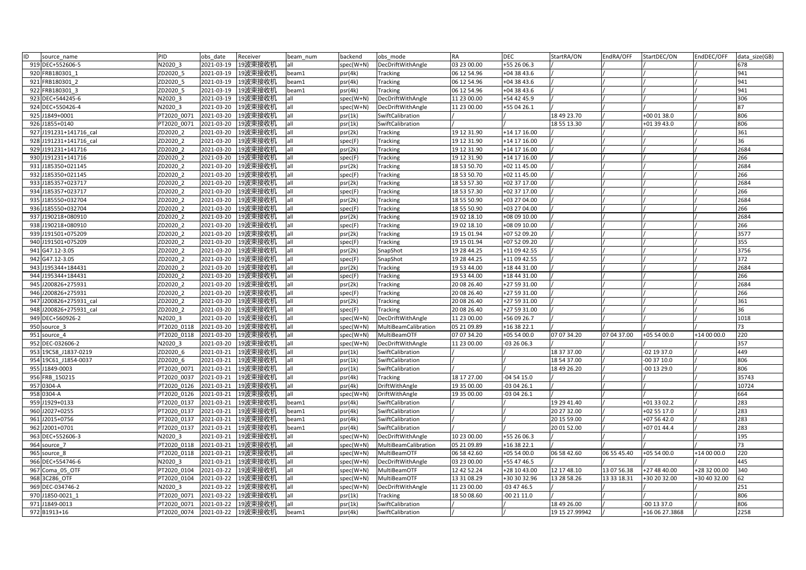| ID | source_name            | PID         | obs date   | Receiver            | beam num | backend   | obs mode             | <b>RA</b>   | <b>DEC</b>   | StartRA/ON     | EndRA/OFF   | StartDEC/ON    | EndDEC/OFF   | data size(GB) |
|----|------------------------|-------------|------------|---------------------|----------|-----------|----------------------|-------------|--------------|----------------|-------------|----------------|--------------|---------------|
|    | 919 DEC+552606-5       | N2020 3     | 2021-03-19 | 19波束接收机             | all      | spec(W+N) | DecDriftWithAngle    | 03 23 00.00 | +55 26 06.3  |                |             |                |              | 678           |
|    | 920 FRB180301 1        | ZD2020 5    | 2021-03-19 | 9波束接收机              | beam1    | osr(4k)   | Tracking             | 06 12 54.96 | +04 38 43.6  |                |             |                |              | 941           |
|    | 921 FRB180301 2        | ZD2020 5    | 2021-03-19 | 19波束接收机             | beam1    | psr(4k)   | Tracking             | 06 12 54.96 | +04 38 43.6  |                |             |                |              | 941           |
|    | 922 FRB180301 3        | ZD2020 5    | 2021-03-19 | 19波束接收机             | beam1    | osr(4k)   | Tracking             | 06 12 54.96 | +04 38 43.6  |                |             |                |              | 941           |
|    | 923 DEC+544245-6       | N2020 3     | 2021-03-19 | 19波束接收机             | all      | spec(W+N) | DecDriftWithAngle    | 11 23 00.00 | +54 42 45.9  |                |             |                |              | 306           |
|    | 924 DEC+550426-4       | N2020 3     | 2021-03-20 | 19波束接收机             | all      | spec(W+N) | DecDriftWithAngle    | 11 23 00.00 | +55 04 26.1  |                |             |                |              | 87            |
|    | 925 J1849+0001         | PT2020 0071 | 2021-03-20 | 19波束接收机             | all      | osr(1k)   | SwiftCalibration     |             |              | 18 49 23.70    |             | +00 01 38.0    |              | 806           |
|    | 926 J1855+0140         | PT2020 0071 | 2021-03-20 | 19波束接收机             | all      | osr(1k)   | SwiftCalibration     |             |              | 18 55 13.30    |             | +01 39 43.0    |              | 806           |
|    | 927 J191231+141716 cal | ZD2020 2    | 2021-03-20 | 19波束接收机             | all      | psr(2k)   | Tracking             | 19 12 31.90 | +14 17 16.00 |                |             |                |              | 361           |
|    | 928 J191231+141716 cal | ZD2020 2    | 2021-03-20 | 19波束接收机             | all      | spec(F)   | Tracking             | 19 12 31.90 | +14 17 16.00 |                |             |                |              | 36            |
|    | 929 J191231+141716     | ZD2020 2    | 2021-03-20 | 19波束接收机             | all      | psr(2k)   | Tracking             | 19 12 31.90 | +14 17 16.00 |                |             |                |              | 2684          |
|    | 930 J191231+141716     | ZD2020 2    | 2021-03-20 | 19波束接收机             | all      | spec(F)   | <b>Tracking</b>      | 19 12 31.90 | +14 17 16.00 |                |             |                |              | 266           |
|    | 931 J185350+021145     | ZD2020 2    | 2021-03-20 | !9波束接收机             | all      | osr(2k)   | Tracking             | 18 53 50.70 | +02 11 45.00 |                |             |                |              | 2684          |
|    | 932 J185350+021145     | ZD2020 2    | 2021-03-20 | 19波束接收机             | all      | spec(F)   | Tracking             | 18 53 50.70 | +02 11 45.00 |                |             |                |              | 266           |
|    | 933 J185357+023717     | ZD2020 2    | 2021-03-20 | !9波束接收机             | all      | osr(2k)   | <b>Tracking</b>      | 18 53 57.30 | +02 37 17.00 |                |             |                |              | 2684          |
|    | 934 J185357+023717     | ZD2020 2    | 2021-03-20 | 9波束接收机              | all      | spec(F)   | Tracking             | 18 53 57.30 | +02 37 17.00 |                |             |                |              | 266           |
|    | 935 J185550+032704     | ZD2020 2    | 2021-03-20 | 19波束接收机             | all      | osr(2k)   | <b>Tracking</b>      | 18 55 50.90 | +03 27 04.00 |                |             |                |              | 2684          |
|    | 936 J185550+032704     | ZD2020 2    | 2021-03-20 | 19波束接收机             | all      | spec(F)   | <b>Tracking</b>      | 18 55 50.90 | +03 27 04.00 |                |             |                |              | 266           |
|    | 937 J190218+080910     | ZD2020 2    | 2021-03-20 | 19波束接收机             | all      | osr(2k)   | <b>Tracking</b>      | 19 02 18.10 | +08 09 10.00 |                |             |                |              | 2684          |
|    | 938 J190218+080910     | ZD2020 2    | 2021-03-20 | 19波束接收机             | all      | spec(F)   | Tracking             | 19 02 18.10 | +08 09 10.00 |                |             |                |              | 266           |
|    | 939 J191501+075209     | ZD2020 2    | 2021-03-20 | 19波束接收机             | all      | psr(2k)   | Tracking             | 19 15 01.94 | +07 52 09.20 |                |             |                |              | 3577          |
|    | 940 J191501+075209     | ZD2020 2    | 2021-03-20 | 19波束接收机             | all      | spec(F)   | <b>Tracking</b>      | 19 15 01.94 | +07 52 09.20 |                |             |                |              | 355           |
|    | 941 G47.12-3.05        | ZD2020 2    | 2021-03-20 | 19波束接收机             | all      | osr(2k)   | SnapShot             | 19 28 44.25 | +11 09 42.55 |                |             |                |              | 3756          |
|    | 942 G47.12-3.05        | ZD2020 2    | 2021-03-20 | 19波束接收机             | all      | spec(F)   | SnapShot             | 19 28 44.25 | +11 09 42.55 |                |             |                |              | 372           |
|    | 943 J195344+184431     | ZD2020 2    | 2021-03-20 | 19波束接收机             | all      | psr(2k)   | Tracking             | 19 53 44.00 | +18 44 31.00 |                |             |                |              | 2684          |
|    | 944 J195344+184431     | ZD2020 2    | 2021-03-20 | 19波束接收机             | all      | spec(F)   | Tracking             | 19 53 44.00 | +18 44 31.00 |                |             |                |              | 266           |
|    | 945 J200826+275931     | ZD2020 2    | 2021-03-20 | 19波束接收机             | all      | psr(2k)   | <b>Tracking</b>      | 20 08 26.40 | +27 59 31.00 |                |             |                |              | 2684          |
|    | 946 J200826+275931     | ZD2020 2    | 2021-03-20 | 19波束接收机             | all      | spec(F)   | <b>Tracking</b>      | 20 08 26.40 | +27 59 31.00 |                |             |                |              | 266           |
|    | 947 J200826+275931 cal | ZD2020 2    | 2021-03-20 | 19波束接收机             | all      | osr(2k)   | Tracking             | 20 08 26.40 | +27 59 31.00 |                |             |                |              | 361           |
|    | 948 J200826+275931 cal | ZD2020 2    | 2021-03-20 | 19波束接收机             | all      | spec(F)   | <b>Tracking</b>      | 20 08 26.40 | +27 59 31.00 |                |             |                |              | 36            |
|    | 949 DEC+560926-2       | N2020 3     | 2021-03-20 | 19波束接收机             | all      | spec(W+N) | DecDriftWithAngle    | 11 23 00.00 | +56 09 26.7  |                |             |                |              | 1018          |
|    | 950 source 3           | PT2020 0118 | 2021-03-20 | 19波束接收机             | all      | spec(W+N) | MultiBeamCalibration | 05 21 09.89 | +16 38 22.1  |                |             |                |              | 73            |
|    | 951 source 4           | PT2020 0118 | 2021-03-20 | 19波束接收机             | all      | spec(W+N) | MultiBeamOTF         | 07 07 34.20 | +05 54 00.0  | 07 07 34.20    | 07 04 37.00 | +05 54 00.0    | +14 00 00.0  | 220           |
|    | 952 DEC-032606-2       | N2020 3     | 2021-03-20 | 19波束接收机             | all      | spec(W+N) | DecDriftWithAngle    | 11 23 00.00 | $-032606.3$  |                |             |                |              | 357           |
|    | 953 19C58_J1837-0219   | ZD2020 6    | 2021-03-21 | 19波束接收机             | all      | psr(1k)   | SwiftCalibration     |             |              | 18 37 37.00    |             | -02 19 37.0    |              | 449           |
|    | 954 19C61 J1854-0037   | ZD2020 6    | 2021-03-21 | 19波束接收机             | all      | psr(1k)   | SwiftCalibration     |             |              | 18 54 37.00    |             | 00 37 10.0     |              | 806           |
|    | 955 J1849-0003         | PT2020 0071 | 2021-03-21 | 19波束接收机             | all      | psr(1k)   | SwiftCalibration     |             |              | 18 49 26.20    |             | 00 13 29.0     |              | 806           |
|    | 956 FRB 150215         | PT2020 0037 | 2021-03-21 | 19波束接收机             | all      | psr(4k)   | Tracking             | 18 17 27.00 | $-045415.0$  |                |             |                |              | 35743         |
|    | 957 0304-A             | PT2020 0126 | 2021-03-21 | 19波束接收机             | all      | psr(4k)   | DriftWithAngle       | 19 35 00.00 | $-030426.1$  |                |             |                |              | 10724         |
|    | 958 0304-A             | PT2020 0126 | 2021-03-21 | 19波束接收机             | all      | spec(W+N) | DriftWithAngle       | 19 35 00.00 | $-030426.1$  |                |             |                |              | 664           |
|    | 959 J1929+0133         | PT2020 0137 | 2021-03-21 | 19波束接收机             | beam1    | osr(4k)   | SwiftCalibration     |             |              | 19 29 41.40    |             | +01 33 02.2    |              | 283           |
|    | 960 J2027+0255         | PT2020 0137 | 2021-03-21 | 19波束接收机             | beam1    | psr(4k)   | SwiftCalibration     |             |              | 20 27 32.00    |             | +02 55 17.0    |              | 283           |
|    | 961 J2015+0756         | PT2020 0137 | 2021-03-21 | 19波束接收机             | beam1    | osr(4k)   | SwiftCalibration     |             |              | 20 15 59.00    |             | +07 56 42.0    |              | 283           |
|    | 962 J2001+0701         | PT2020 0137 | 2021-03-21 | 19波束接收机             | beam1    | osr(4k)   | SwiftCalibration     |             |              | 20 01 52.00    |             | +07 01 44.4    |              | 283           |
|    | 963 DEC+552606-3       | N2020 3     | 2021-03-21 | 19波束接收机             | all      | spec(W+N) | DecDriftWithAngle    | 10 23 00.00 | +55 26 06.3  |                |             |                |              | 195           |
|    | 964 source 7           | PT2020 0118 | 2021-03-21 | 19波束接收机             | all      | spec(W+N) | MultiBeamCalibration | 05 21 09.89 | +16 38 22.1  |                |             |                |              | 73            |
|    | 965 source 8           | PT2020 0118 | 2021-03-21 | 19波束接收机             | all      | spec(W+N) | MultiBeamOTF         | 06 58 42.60 | +05 54 00.0  | 06 58 42.60    | 06 55 45.40 | +05 54 00.0    | $+140000.0$  | 220           |
|    | 966 DEC+554746-6       | N2020 3     | 2021-03-21 | 19波束接收机             | all      | spec(W+N) | DecDriftWithAngle    | 03 23 00.00 | +55 47 46.5  |                |             |                |              | 445           |
|    | 967 Coma 05 OTF        | PT2020 0104 | 2021-03-22 | 19波束接收机             | all      | spec(W+N) | MultiBeamOTF         | 12 42 52.24 | +28 10 43.00 | 12 17 48.10    | 13 07 56.38 | +27 48 40.00   | +28 32 00.00 | 340           |
|    | 968 3C286 OTF          | PT2020 0104 | 2021-03-22 | 19波束接收机             | all      | spec(W+N) | MultiBeamOTF         | 13 31 08.29 | +30 30 32.96 | 13 28 58.26    | 13 33 18.31 | +30 20 32.00   | +30 40 32.00 | 52            |
|    | 969 DEC-034746-2       | N2020 3     | 2021-03-22 | 19波束接收机             | all      | spec(W+N) | DecDriftWithAngle    | 11 23 00.00 | $-034746.5$  |                |             |                |              | 251           |
|    | 970 J1850-0021 1       | PT2020 0071 | 2021-03-22 | 19波束接收机             | all      | osr(1k)   | Tracking             | 18 50 08.60 | $-002111.0$  |                |             |                |              | 806           |
|    | 971 J1849-0013         | PT2020 0071 | 2021-03-22 | 19波束接收机             | all      | osr(1k)   | SwiftCalibration     |             |              | 18 49 26.00    |             | 00 13 37.0     |              | 806           |
|    | 972 B1913+16           | PT2020 0074 |            | 2021-03-22  19波束接收机 | beam1    | psr(4k)   | SwiftCalibration     |             |              | 19 15 27.99942 |             | +16 06 27.3868 |              | 2258          |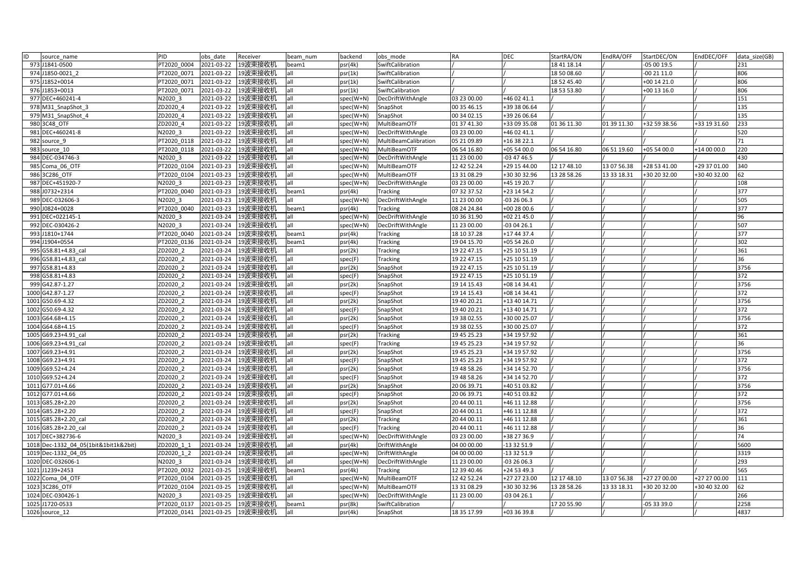| ID | source name                           | PID         | obs date   | Receiver             | beam num | backend   | obs mode             | <b>RA</b>   | <b>DEC</b>   | StartRA/ON  | EndRA/OFF   | StartDEC/ON  | EndDEC/OFF   | data size(GB) |
|----|---------------------------------------|-------------|------------|----------------------|----------|-----------|----------------------|-------------|--------------|-------------|-------------|--------------|--------------|---------------|
|    | 973 J1841-0500                        | PT2020 0004 | 2021-03-22 | 19波束接收机              | beam1    | osr(4k)   | SwiftCalibration     |             |              | 18 41 18.14 |             | -05 00 19.5  |              | 231           |
|    | 974 J1850-0021 2                      | PT2020 0071 | 2021-03-22 | 19波束接收机              |          | psr(1k)   | SwiftCalibration     |             |              | 18 50 08.60 |             | 00 21 11.0   |              | 806           |
|    | 975 J1852+0014                        | PT2020 0071 | 2021-03-22 | 19波束接收机              | all      | psr(1k)   | SwiftCalibration     |             |              | 18 52 45.40 |             | +00 14 21.0  |              | 806           |
|    | 976 J1853+0013                        | PT2020 0071 | 2021-03-22 | 19波束接收机              | all      | osr(1k)   | SwiftCalibration     |             |              | 18 53 53.80 |             | +00 13 16.0  |              | 806           |
|    | 977 DEC+460241-4                      | N2020 3     | 2021-03-22 | 19波束接收机              | all      | spec(W+N) | DecDriftWithAngle    | 03 23 00.00 | +46 02 41.1  |             |             |              |              | 151           |
|    | 978 M31_SnapShot_3                    | ZD2020 4    | 2021-03-22 | 19波束接收机              | all      | spec(W+N) | SnapShot             | 00 35 46.15 | +39 38 06.64 |             |             |              |              | 135           |
|    | 979 M31_SnapShot_4                    | ZD2020 4    | 2021-03-22 | 19波束接收机              | all      | spec(W+N) | SnapShot             | 00 34 02.15 | +39 26 06.64 |             |             |              |              | 135           |
|    | 980 3C48 OTF                          | ZD2020 4    | 2021-03-22 | 19波束接收机              | all      | spec(W+N) | MultiBeamOTF         | 01 37 41.30 | +33 09 35.08 | 01 36 11.30 | 01 39 11.30 | +32 59 38.56 | +33 19 31.60 | 233           |
|    | 981 DEC+460241-8                      | N2020 3     | 2021-03-22 | 19波束接收机              | all      | spec(W+N) | DecDriftWithAngle    | 03 23 00.00 | +46 02 41.1  |             |             |              |              | 520           |
|    | 982 source 9                          | PT2020 0118 | 2021-03-22 | 19波束接收机              | all      | spec(W+N) | MultiBeamCalibration | 05 21 09.89 | +16 38 22.1  |             |             |              |              | 71            |
|    | 983 source 10                         | PT2020 0118 | 2021-03-22 | 19波束接收机              | all      | spec(W+N) | MultiBeamOTF         | 06 54 16.80 | +05 54 00.0  | 06 54 16.80 | 06 51 19.60 | +05 54 00.0  | +14 00 00.0  | 220           |
|    | 984 DEC-034746-3                      | N2020 3     | 2021-03-22 | 19波束接收机              | all      | spec(W+N) | DecDriftWithAngle    | 11 23 00.00 | $-034746.5$  |             |             |              |              | 430           |
|    | 985 Coma 06 OTF                       | PT2020 0104 | 2021-03-23 | 19波束接收机              | all      | spec(W+N) | MultiBeamOTF         | 12 42 52.24 | +29 15 44.00 | 12 17 48.10 | 13 07 56.38 | +28 53 41.00 | +29 37 01.00 | 340           |
|    | 986 3C286 OTF                         | PT2020 0104 | 2021-03-23 | 19波束接收机              | all      | spec(W+N) | MultiBeamOTF         | 13 31 08.29 | +30 30 32.96 | 13 28 58.26 | 13 33 18.31 | +30 20 32.00 | +30 40 32.00 | 62            |
|    | 987 DEC+451920-7                      | N2020 3     | 2021-03-23 | 19波束接收机              | all      | spec(W+N) | DecDriftWithAngle    | 03 23 00.00 | +45 19 20.7  |             |             |              |              | 108           |
|    | 988 J0732+2314                        | PT2020 0040 | 2021-03-23 | 19波束接收机              | beam1    | osr(4k)   | Tracking             | 07 32 37.52 | +23 14 54.2  |             |             |              |              | 377           |
|    | 989 DEC-032606-3                      | N2020 3     | 2021-03-23 | 19波束接收机              | all      | spec(W+N) | DecDriftWithAngle    | 11 23 00.00 | $-032606.3$  |             |             |              |              | 505           |
|    | 990 J0824+0028                        | PT2020 0040 | 2021-03-23 | 19波束接收机              | beam1    | psr(4k)   | Tracking             | 08 24 24.84 | +00 28 00.6  |             |             |              |              | 377           |
|    | 991 DEC+022145-1                      | N2020 3     | 2021-03-24 | 19波束接收机              | all      | spec(W+N) | DecDriftWithAngle    | 10 36 31.90 | +02 21 45.0  |             |             |              |              | 96            |
|    | 992 DEC-030426-2                      | N2020 3     | 2021-03-24 | 19波束接收机              | all      | spec(W+N) | DecDriftWithAngle    | 11 23 00.00 | $-030426.1$  |             |             |              |              | 507           |
|    | 993 J1810+1744                        | PT2020 0040 | 2021-03-24 | 19波束接收机              | beam1    | psr(4k)   | <b>Tracking</b>      | 18 10 37.28 | +17 44 37.4  |             |             |              |              | 377           |
|    | 994 J1904+0554                        | PT2020 0136 | 2021-03-24 | 19波束接收机              | beam1    | psr(4k)   | Tracking             | 19 04 15.70 | +05 54 26.0  |             |             |              |              | 302           |
|    | 995 G58.81+4.83 cal                   | ZD2020 2    | 2021-03-24 | 19波束接收机              | all      | osr(2k)   | <b>Tracking</b>      | 19 22 47.15 | +25 10 51.19 |             |             |              |              | 361           |
|    | 996 G58.81+4.83 cal                   | ZD2020 2    | 2021-03-24 | 19波束接收机              | all      | spec(F)   | Tracking             | 19 22 47.15 | +25 10 51.19 |             |             |              |              | 36            |
|    | 997 G58.81+4.83                       | ZD2020 2    | 2021-03-24 | 19波束接收机              | all      | psr(2k)   | SnapShot             | 19 22 47.15 | +25 10 51.19 |             |             |              |              | 3756          |
|    | 998 G58.81+4.83                       | ZD2020 2    | 2021-03-24 | 19波束接收机              | all      | spec(F)   | SnapShot             | 19 22 47.15 | +25 10 51.19 |             |             |              |              | 372           |
|    | 999 G42.87-1.27                       | ZD2020 2    | 2021-03-24 | 19波束接收机              | all      | psr(2k)   | SnapShot             | 19 14 15.43 | +08 14 34.41 |             |             |              |              | 3756          |
|    | 1000 G42.87-1.27                      | ZD2020 2    | 2021-03-24 | 19波束接收机              | all      | spec(F)   | SnapShot             | 19 14 15.43 | +08 14 34.41 |             |             |              |              | 372           |
|    | 1001 G50.69-4.32                      | ZD2020 2    | 2021-03-24 | 19波束接收机              | all      | psr(2k)   | SnapShot             | 19 40 20.21 | +13 40 14.71 |             |             |              |              | 3756          |
|    | 1002 G50.69-4.32                      | ZD2020 2    | 2021-03-24 | 19波束接收机              | all      | spec(F)   | SnapShot             | 19 40 20.21 | +13 40 14.71 |             |             |              |              | 372           |
|    | 1003 G64.68+4.15                      | ZD2020 2    | 2021-03-24 | 19波束接收机              | all      | psr(2k)   | SnapShot             | 19 38 02.55 | +30 00 25.07 |             |             |              |              | 3756          |
|    | 1004 G64.68+4.15                      | ZD2020 2    | 2021-03-24 | 19波束接收机              | all      | spec(F)   | SnapShot             | 19 38 02.55 | +30 00 25.07 |             |             |              |              | 372           |
|    | 1005 G69.23+4.91 cal                  | ZD2020 2    | 2021-03-24 | 19波束接收机              | all      | psr(2k)   | Tracking             | 19 45 25.23 | +34 19 57.92 |             |             |              |              | 361           |
|    | 1006 G69.23+4.91 cal                  | ZD2020 2    | 2021-03-24 | 19波束接收机              | all      | spec(F)   | <b>Tracking</b>      | 19 45 25.23 | +34 19 57.92 |             |             |              |              | 36            |
|    | 1007 G69.23+4.91                      | ZD2020 2    | 2021-03-24 | 19波束接收机              | all      | psr(2k)   | SnapShot             | 19 45 25.23 | +34 19 57.92 |             |             |              |              | 3756          |
|    | 1008 G69.23+4.91                      | ZD2020 2    | 2021-03-24 | 19波束接收机              | all      | spec(F)   | SnapShot             | 19 45 25.23 | +34 19 57.92 |             |             |              |              | 372           |
|    | 1009 G69.52+4.24                      | ZD2020 2    | 2021-03-24 | 19波束接收机              | all      | psr(2k)   | SnapShot             | 19 48 58.26 | +34 14 52.70 |             |             |              |              | 3756          |
|    | 1010 G69.52+4.24                      | ZD2020 2    | 2021-03-24 | 19波束接收机              | all      | spec(F)   | SnapShot             | 19 48 58.26 | +34 14 52.70 |             |             |              |              | 372           |
|    | 1011 G77.01+4.66                      | ZD2020 2    | 2021-03-24 | 19波束接收机              | all      | psr(2k)   | SnapShot             | 20 06 39.71 | +40 51 03.82 |             |             |              |              | 3756          |
|    | 1012 G77.01+4.66                      | ZD2020 2    | 2021-03-24 | 19波束接收机              | all      | spec(F)   | SnapShot             | 20 06 39.71 | +40 51 03.82 |             |             |              |              | 372           |
|    | 1013 G85.28+2.20                      | ZD2020 2    | 2021-03-24 | 19波束接收机              | all      | psr(2k)   | SnapShot             | 20 44 00.11 | +46 11 12.88 |             |             |              |              | 3756          |
|    | 1014 G85.28+2.20                      | ZD2020 2    | 2021-03-24 | 19波束接收机              | all      | spec(F)   | SnapShot             | 20 44 00.11 | +46 11 12.88 |             |             |              |              | 372           |
|    | 1015 G85.28+2.20 cal                  | ZD2020 2    | 2021-03-24 | 19波束接收机              | all      | psr(2k)   | Tracking             | 20 44 00.11 | +46 11 12.88 |             |             |              |              | 361           |
|    | 1016 G85.28+2.20 cal                  | ZD2020 2    | 2021-03-24 | 19波束接收机              | all      | spec(F)   | Tracking             | 20 44 00.11 | +46 11 12.88 |             |             |              |              | 36            |
|    | 1017 DEC+382736-6                     | N2020 3     | 2021-03-24 | 19波束接收机              | all      | spec(W+N) | DecDriftWithAngle    | 03 23 00.00 | +38 27 36.9  |             |             |              |              | 74            |
|    | 1018 Dec-1332_04_05(1bit&1bit1k&2bit) | ZD2020 1 1  | 2021-03-24 | 19波束接收机              | all      | osr(4k)   | DriftWithAngle       | 04 00 00.00 | -13 32 51.9  |             |             |              |              | 5600          |
|    | 1019 Dec-1332 04 05                   | ZD2020 1 2  | 2021-03-24 | 19波束接收机              | all      | spec(W+N) | DriftWithAngle       | 04 00 00.00 | $-133251.9$  |             |             |              |              | 3319          |
|    | 1020 DEC-032606-1                     | N2020 3     | 2021-03-24 | 19波束接收机              | all      | spec(W+N) | DecDriftWithAngle    | 11 23 00.00 | $-032606.3$  |             |             |              |              | 293           |
|    | 1021 J1239+2453                       | PT2020 0032 | 2021-03-25 | 19波束接收机              | beam1    | psr(4k)   | Tracking             | 12 39 40.46 | +24 53 49.3  |             |             |              |              | 565           |
|    | 1022 Coma 04 OTF                      | PT2020 0104 | 2021-03-25 | 19波束接收机              | all      | spec(W+N) | MultiBeamOTF         | 12 42 52.24 | +27 27 23.00 | 12 17 48.10 | 13 07 56.38 | +27 27 00.00 | +27 27 00.00 | 111           |
|    | 1023 3C286 OTF                        | PT2020 0104 | 2021-03-25 | 19波束接收机              | all      | spec(W+N) | MultiBeamOTF         | 13 31 08.29 | +30 30 32.96 | 13 28 58.26 | 13 33 18.31 | +30 20 32.00 | +30 40 32.00 | 62            |
|    | 1024 DEC-030426-1                     | N2020 3     | 2021-03-25 | 19波束接收机              | all      | spec(W+N) | DecDriftWithAngle    | 11 23 00.00 | $-030426.1$  |             |             |              |              | 266           |
|    | 1025 J1720-0533                       | PT2020 0137 | 2021-03-25 | 19波束接收机              | beam1    | osr(8k)   | SwiftCalibration     |             |              | 17 20 55.90 |             | -05 33 39.0  |              | 2258          |
|    | 1026 source 12                        | PT2020 0141 |            | 2021-03-25   19波束接收机 | all      | psr(4k)   | SnapShot             | 18 35 17.99 | +03 36 39.8  |             |             |              |              | 4837          |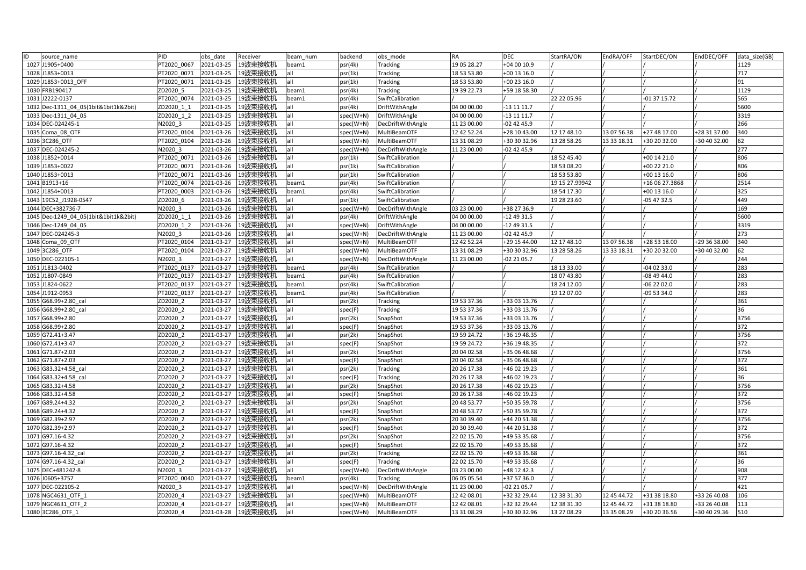| ID   | source name                           | PID         | obs date   | Receiver           | beam num | backend   | obs mode          | RA          | <b>DEC</b>   | StartRA/ON     | EndRA/OFF   | StartDEC/ON    | EndDEC/OFF   | data size(GB) |
|------|---------------------------------------|-------------|------------|--------------------|----------|-----------|-------------------|-------------|--------------|----------------|-------------|----------------|--------------|---------------|
|      | 1027 J1905+0400                       | PT2020 0067 | 2021-03-25 | 19波束接收机            | beam1    | psr(4k)   | Tracking          | 19 05 28.27 | +04 00 10.9  |                |             |                |              | 1129          |
|      | 1028 J1853+0013                       | PT2020 0071 | 2021-03-25 | 19波束接收机            | all      | psr(1k)   | Tracking          | 18 53 53.80 | +00 13 16.0  |                |             |                |              | 717           |
|      | 1029 J1853+0013 OFF                   | PT2020 0071 | 2021-03-25 | 19波束接收机            | all      | psr(1k)   | <b>Tracking</b>   | 18 53 53.80 | +00 23 16.0  |                |             |                |              | 91            |
|      | 1030 FRB190417                        | ZD2020 5    | 2021-03-25 | 19波束接收机            | beam1    | psr(4k)   | <b>Tracking</b>   | 19 39 22.73 | +59 18 58.30 |                |             |                |              | 1129          |
|      | 1031 J2222-0137                       | PT2020 0074 | 2021-03-25 | 19波束接收机            | beam1    | psr(4k)   | SwiftCalibration  |             |              | 22 22 05.96    |             | -01 37 15.72   |              | 565           |
|      | 1032 Dec-1311 04 05(1bit&1bit1k&2bit) | ZD2020 1 1  | 2021-03-25 | 19波束接收机            | all      | psr(4k)   | DriftWithAngle    | 04 00 00.00 | -13 11 11.7  |                |             |                |              | 5600          |
|      | 1033 Dec-1311 04 05                   | ZD2020 1 2  | 2021-03-25 | 19波束接收机            | all      | spec(W+N) | DriftWithAngle    | 04 00 00.00 | 13 11 11.7   |                |             |                |              | 3319          |
|      | 1034 DEC-024245-1                     | N2020 3     | 2021-03-25 | 19波束接收机            | all      | spec(W+N) | DecDriftWithAngle | 11 23 00.00 | 02 42 45.9   |                |             |                |              | 266           |
|      | 1035 Coma 08 OTF                      | PT2020 0104 | 2021-03-26 | 19波束接收机            | all      | spec(W+N) | MultiBeamOTF      | 12 42 52.24 | +28 10 43.00 | 12 17 48.10    | 13 07 56.38 | +27 48 17.00   | +28 31 37.00 | 340           |
|      | 1036 3C286 OTF                        | PT2020 0104 | 2021-03-26 | 19波束接收机            | all      | spec(W+N) | MultiBeamOTF      | 13 31 08.29 | +30 30 32.96 | 13 28 58.26    | 13 33 18.31 | +30 20 32.00   | +30 40 32.00 | 62            |
|      | 1037 DEC-024245-2                     | N2020 3     | 2021-03-26 | 19波束接收机            | all      | spec(W+N) | DecDriftWithAngle | 11 23 00.00 | 02 42 45.9   |                |             |                |              | 277           |
|      | 1038 J1852+0014                       | T2020 0071  | 2021-03-26 | 19波束接收机            | all      | psr(1k)   | SwiftCalibration  |             |              | 18 52 45.40    |             | +00 14 21.0    |              | 806           |
|      | 1039 J1853+0022                       | PT2020 0071 | 2021-03-26 | 19波束接收机            | all      | psr(1k)   | SwiftCalibration  |             |              | 18 53 08.20    |             | +00 22 21.0    |              | 806           |
|      | 1040 J1853+0013                       | PT2020 0071 | 2021-03-26 | 19波束接收机            | all      | psr(1k)   | SwiftCalibration  |             |              | 18 53 53.80    |             | +00 13 16.0    |              | 806           |
|      | 1041 B1913+16                         | PT2020 0074 | 2021-03-26 | 19波束接收机            | beam1    | psr(4k)   | SwiftCalibration  |             |              | 19 15 27.99942 |             | +16 06 27.3868 |              | 2514          |
|      | 1042 J1854+0013                       | PT2020 0003 | 2021-03-26 | 19波束接收机            | beam1    | psr(4k)   | SwiftCalibration  |             |              | 18 54 17.30    |             | +00 13 16.0    |              | 325           |
|      | 1043 19C52 J1928-0547                 | ZD2020 6    | 2021-03-26 | 19波束接收机            | all      | psr(1k)   | SwiftCalibration  |             |              | 19 28 23.60    |             | -05 47 32.5    |              | 449           |
|      | 1044 DEC+382736-7                     | N2020 3     | 2021-03-26 | 19波束接收机            | all      | spec(W+N) | DecDriftWithAngle | 03 23 00.00 | +38 27 36.9  |                |             |                |              | 169           |
|      | 1045 Dec-1249 04 05(1bit&1bit1k&2bit) | ZD2020 1 1  | 2021-03-26 | 19波束接收机            | all      | psr(4k)   | DriftWithAngle    | 04 00 00.00 | 12 49 31.5   |                |             |                |              | 5600          |
|      | 1046 Dec-1249 04 05                   | ZD2020 1 2  | 2021-03-26 | 19波束接收机            | all      | spec(W+N) | DriftWithAngle    | 04 00 00.00 | -12 49 31.5  |                |             |                |              | 3319          |
|      | 1047 DEC-024245-3                     | N2020 3     | 2021-03-26 | 19波束接收机            | all      | spec(W+N) | DecDriftWithAngle | 11 23 00.00 | -02 42 45.9  |                |             |                |              | 273           |
|      | 1048 Coma 09 OTF                      | PT2020 0104 | 2021-03-27 | 19波束接收机            | all      | spec(W+N) | MultiBeamOTF      | 12 42 52.24 | +29 15 44.00 | 12 17 48.10    | 13 07 56.38 | +28 53 18.00   | +29 36 38.00 | 340           |
|      | 1049 3C286 OTF                        | PT2020 0104 | 2021-03-27 | 19波束接收机            | all      | spec(W+N) | MultiBeamOTF      | 13 31 08.29 | +30 30 32.96 | 13 28 58.26    | 13 33 18.31 | +30 20 32.00   | +30 40 32.00 | 52            |
|      | 1050 DEC-022105-1                     | N2020 3     | 2021-03-27 | 19波束接收机            | all      | spec(W+N) | DecDriftWithAngle | 11 23 00.00 | -02 21 05.7  |                |             |                |              | 244           |
|      | 1051 J1813-0402                       | PT2020 0137 | 2021-03-27 | 19波束接收机            | beam1    | psr(4k)   | SwiftCalibration  |             |              | 18 13 33.00    |             | -04 02 33.0    |              | 283           |
|      | 1052 J1807-0849                       | PT2020 0137 | 2021-03-27 | 19波束接收机            | beam1    | psr(4k)   | SwiftCalibration  |             |              | 18 07 43.80    |             | -08 49 44.0    |              | 283           |
|      | 1053 J1824-0622                       | PT2020 0137 | 2021-03-27 | 19波束接收机            | beam1    | psr(4k)   | SwiftCalibration  |             |              | 18 24 12.00    |             | -06 22 02.0    |              | 283           |
|      | 1054 J1912-0953                       | PT2020 0137 | 2021-03-27 | 19波束接收机            | beam1    | psr(4k)   | SwiftCalibration  |             |              | 19 12 07.00    |             | -09 53 34.0    |              | 283           |
|      | 1055 G68.99+2.80 cal                  | ZD2020 2    | 2021-03-27 | 19波束接收机            | all      | psr(2k)   | <b>Tracking</b>   | 19 53 37.36 | +33 03 13.76 |                |             |                |              | 361           |
|      | 1056 G68.99+2.80 cal                  | ZD2020 2    | 2021-03-27 | 19波束接收机            | all      | spec(F)   | Tracking          | 19 53 37.36 | +33 03 13.76 |                |             |                |              | 36            |
| 1057 | G68.99+2.80                           | ZD2020 2    | 2021-03-27 | 19波束接收机            | all      | psr(2k)   | SnapShot          | 19 53 37.36 | +33 03 13.76 |                |             |                |              | 3756          |
| 1058 | G68.99+2.80                           | ZD2020_2    | 2021-03-27 | 19波束接收机            | all      | spec(F)   | SnapShot          | 19 53 37.36 | +33 03 13.76 |                |             |                |              | 372           |
|      | 1059 G72.41+3.47                      | ZD2020 2    | 2021-03-27 | 19波束接收机            | all      | psr(2k)   | SnapShot          | 19 59 24.72 | +36 19 48.35 |                |             |                |              | 3756          |
|      | 1060 G72.41+3.47                      | ZD2020 2    | 2021-03-27 | 19波束接收机            | all      | spec(F)   | SnapShot          | 19 59 24.72 | +36 19 48.35 |                |             |                |              | 372           |
|      | 1061 G71.87+2.03                      | ZD2020 2    | 2021-03-27 | 19波束接收机            | all      | psr(2k)   | SnapShot          | 20 04 02.58 | +35 06 48.68 |                |             |                |              | 3756          |
|      | 1062 G71.87+2.03                      | ZD2020 2    | 2021-03-27 | 19波束接收机            | all      | spec(F)   | SnapShot          | 20 04 02.58 | +35 06 48.68 |                |             |                |              | 372           |
|      | 1063 G83.32+4.58 cal                  | ZD2020 2    | 2021-03-27 | 19波束接收机            | all      | psr(2k)   | Tracking          | 20 26 17.38 | +46 02 19.23 |                |             |                |              | 361           |
|      | 1064 G83.32+4.58 cal                  | ZD2020 2    | 2021-03-27 | 19波束接收机            | all      | spec(F)   | Tracking          | 20 26 17.38 | +46 02 19.23 |                |             |                |              | 36            |
|      | 1065 G83.32+4.58                      | ZD2020 2    | 2021-03-27 | 19波束接收机            | all      | psr(2k)   | SnapShot          | 20 26 17.38 | +46 02 19.23 |                |             |                |              | 3756          |
|      | 1066 G83.32+4.58                      | ZD2020 2    | 2021-03-27 | 19波束接收机            | all      | spec(F)   | SnapShot          | 20 26 17.38 | +46 02 19.23 |                |             |                |              | 372           |
|      | 1067 G89.24+4.32                      | ZD2020 2    | 2021-03-27 | 19波束接收机            | all      | psr(2k)   | SnapShot          | 20 48 53.77 | +50 35 59.78 |                |             |                |              | 3756          |
|      | 1068 G89.24+4.32                      | ZD2020 2    | 2021-03-27 | 19波束接收机            | all      | spec(F)   | SnapShot          | 20 48 53.77 | +50 35 59.78 |                |             |                |              | 372           |
|      | 1069 G82.39+2.97                      | ZD2020 2    | 2021-03-27 | 19波束接收机            | all      | psr(2k)   | SnapShot          | 20 30 39.40 | +44 20 51.38 |                |             |                |              | 3756          |
|      | 1070 G82.39+2.97                      | ZD2020 2    | 2021-03-27 | 19波束接收机            | all      | spec(F)   | SnapShot          | 20 30 39.40 | +44 20 51.38 |                |             |                |              | 372           |
|      | 1071 G97.16-4.32                      | ZD2020 2    | 2021-03-27 | 19波束接收机            | all      | psr(2k)   | SnapShot          | 22 02 15.70 | +49 53 35.68 |                |             |                |              | 3756          |
|      | 1072 G97.16-4.32                      | ZD2020 2    | 2021-03-27 | 19波束接收机            | all      | spec(F)   | SnapShot          | 22 02 15.70 | +49 53 35.68 |                |             |                |              | 372           |
|      | 1073 G97.16-4.32 cal                  | ZD2020 2    | 2021-03-27 | 19波束接收机            | all      | psr(2k)   | Tracking          | 22 02 15.70 | +49 53 35.68 |                |             |                |              | 361           |
|      | 1074 G97.16-4.32 cal                  | ZD2020 2    | 2021-03-27 | 19波束接收机            | all      | spec(F)   | Tracking          | 22 02 15.70 | +49 53 35.68 |                |             |                |              | 36            |
|      | 1075 DEC+481242-8                     | N2020 3     | 2021-03-27 | 19波束接收机            | all      | spec(W+N) | DecDriftWithAngle | 03 23 00.00 | +48 12 42.3  |                |             |                |              | 908           |
|      | 1076 J0605+3757                       | PT2020 0040 | 2021-03-27 | 19波束接收机            | beam1    | psr(4k)   | Tracking          | 06 05 05.54 | +37 57 36.0  |                |             |                |              | 377           |
|      | 1077 DEC-022105-2                     | N2020 3     | 2021-03-27 | 19波束接收机            | all      | spec(W+N) | DecDriftWithAngle | 11 23 00.00 | 02 21 05.7   |                |             |                |              | 421           |
|      | 1078 NGC4631 OTF 1                    | ZD2020 4    | 2021-03-27 | 19波束接收机            | all      | spec(W+N) | MultiBeamOTF      | 12 42 08.01 | +32 32 29.44 | 12 38 31.30    | 12 45 44.72 | +31 38 18.80   | +33 26 40.08 | 106           |
|      | 1079 NGC4631 OTF 2                    | ZD2020 4    | 2021-03-27 | 19波束接收机            | all      | spec(W+N) | MultiBeamOTF      | 12 42 08.01 | +32 32 29.44 | 12 38 31.30    | 12 45 44.72 | +31 38 18.80   | +33 26 40.08 | 113           |
|      | 1080 3C286 OTF 1                      | ZD2020 4    |            | 2021-03-28 19波束接收机 | all      | spec(W+N) | MultiBeamOTF      | 13 31 08.29 | +30 30 32.96 | 13 27 08.29    | 13 35 08.29 | +30 20 36.56   | +30 40 29.36 | 510           |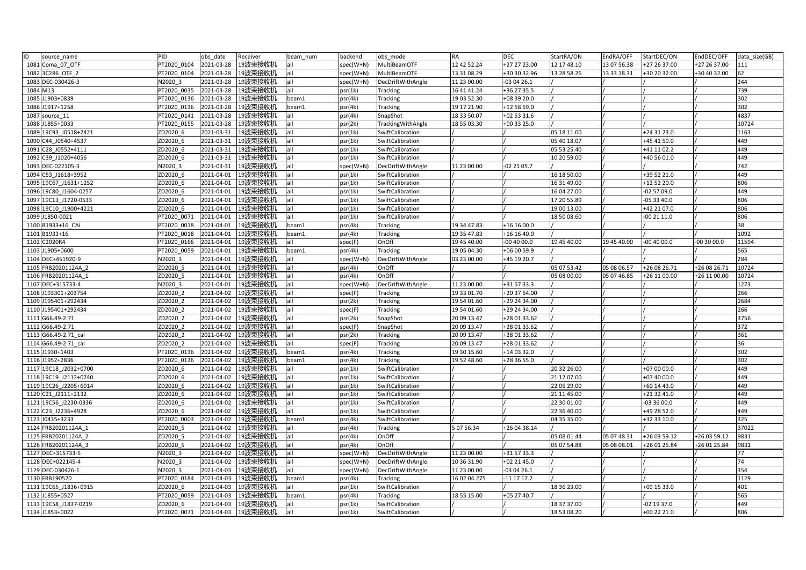| ID<br>source name     | PID         | obs date   | Receiver             | beam num | backend   | obs mode          | RA           | <b>DEC</b>   | StartRA/ON  | EndRA/OFF   | StartDEC/ON  | EndDEC/OFF   | data size(GB) |
|-----------------------|-------------|------------|----------------------|----------|-----------|-------------------|--------------|--------------|-------------|-------------|--------------|--------------|---------------|
| 1081 Coma 07 OTF      | PT2020 0104 | 2021-03-28 | 19波束接收机              | all      | spec(W+N) | MultiBeamOTF      | 12 42 52.24  | +27 27 23.00 | 12 17 48.10 | 13 07 56.38 | +27 26 37.00 | +27 26 37.00 | 111           |
| 1082 3C286 OTF 2      | PT2020 0104 | 2021-03-28 | 19波束接收机              | all      | spec(W+N) | MultiBeamOTF      | 13 31 08.29  | +30 30 32.96 | 13 28 58.26 | 13 33 18.31 | +30 20 32.00 | +30 40 32.00 |               |
| 1083 DEC-030426-3     | N2020 3     | 2021-03-28 | 19波束接收机              | all      | spec(W+N) | DecDriftWithAngle | 11 23 00.00  | -03 04 26.1  |             |             |              |              | 244           |
| 1084 M13              | PT2020 0035 | 2021-03-28 | 19波束接收机              | all      | psr(1k)   | Tracking          | 16 41 41.24  | +36 27 35.5  |             |             |              |              | 739           |
| 1085 J1903+0839       | PT2020 0136 | 2021-03-28 | 19波束接收机              | beam1    | psr(4k)   | Tracking          | 19 03 52.30  | +08 39 20.0  |             |             |              |              | 302           |
| 1086 J1917+1258       | PT2020 0136 | 2021-03-28 | 19波束接收机              | beam1    | psr(4k)   | Tracking          | 19 17 21.90  | +12 58 59.0  |             |             |              |              | 302           |
| 1087 source 11        | PT2020 0141 | 2021-03-28 | 19波束接收机              | all      | psr(4k)   | SnapShot          | 18 33 50.07  | +02 53 31.6  |             |             |              |              | 4837          |
| 1088 J1855+0033       | PT2020 0155 | 2021-03-28 | 19波束接收机              | all      | psr(2k)   | TrackingWithAngle | 18 55 03.30  | +00 33 25.0  |             |             |              |              | 10724         |
| 1089 19C93 J0518+2421 | ZD2020 6    | 2021-03-31 | 19波束接收机              | all      | psr(1k)   | SwiftCalibration  |              |              | 05 18 11.00 |             | +24 31 23.0  |              | 1163          |
| 1090 C44 J0540+4537   | ZD2020 6    | 2021-03-31 | 19波束接收机              | all      | psr(1k)   | SwiftCalibration  |              |              | 05 40 18.07 |             | +45 41 59.0  |              | 449           |
| 1091 C28 J0552+4111   | ZD2020 6    | 2021-03-31 | 19波束接收机              | all      | psr(1k)   | SwiftCalibration  |              |              | 05 53 25.40 |             | +41 11 02.2  |              | 449           |
| 1092 C39 J1020+4056   | ZD2020 6    | 2021-03-31 | 19波束接收机              | all      | psr(1k)   | SwiftCalibration  |              |              | 10 20 59.00 |             | +40 56 01.0  |              | 449           |
| 1093 DEC-022105-3     | N2020 3     | 2021-03-31 | 19波束接收机              | all      | spec(W+N) | DecDriftWithAngle | 11 23 00.00  | -02 21 05.7  |             |             |              |              | 742           |
| 1094 C53 J1618+3952   | ZD2020_6    | 2021-04-01 | 19波束接收机              | all      | psr(1k)   | SwiftCalibration  |              |              | 16 18 50.00 |             | +39 52 21.0  |              | 449           |
| 1095 19C67 J1631+1252 | ZD2020 6    | 2021-04-01 | 19波束接收机              | all      | psr(1k)   | SwiftCalibration  |              |              | 16 31 49.00 |             | +12 52 20.0  |              | 806           |
| 1096 19C80_J1604-0257 | ZD2020 6    | 2021-04-01 | 19波束接收机              | all      | psr(1k)   | SwiftCalibration  |              |              | 16 04 27.00 |             | -02 57 09.0  |              | 449           |
| 1097 19C13 J1720-0533 | ZD2020 6    | 2021-04-01 | 19波束接收机              | all      | psr(1k)   | SwiftCalibration  |              |              | 17 20 55.89 |             | -05 33 40.0  |              | 806           |
| 1098 19C10 J1900+4221 | ZD2020 6    | 2021-04-01 | 19波束接收机              | all      | psr(1k)   | SwiftCalibration  |              |              | 19 00 13.00 |             | +42 21 07.0  |              | 806           |
| 1099 J1850-0021       | PT2020 0071 | 2021-04-01 | 19波束接收机              | all      | psr(1k)   | SwiftCalibration  |              |              | 18 50 08.60 |             | 00 21 11.0   |              | 806           |
| 1100 B1933+16 CAL     | PT2020 0018 | 2021-04-01 | 19波束接收机              | beam1    | psr(4k)   | Tracking          | 19 34 47.83  | +16 16 00.0  |             |             |              |              | 38            |
| 1101 B1933+16         | PT2020 0018 | 2021-04-01 | 19波束接收机              | beam1    | psr(4k)   | <b>Tracking</b>   | 19 35 47.83  | +16 16 40.0  |             |             |              |              | 1092          |
| 1102 C2020R4          | PT2020 0166 | 2021-04-01 | 19波束接收机              | all      | spec(F)   | OnOff             | 19 45 40.00  | 00 40 00.0   | 19 45 40.00 | 19 45 40.00 | -00 40 00.0  | 00 30 00.0   | 11594         |
| 1103 J1905+0600       | PT2020 0059 | 2021-04-01 | 19波束接收机              | beam1    | psr(4k)   | Tracking          | 19 05 04.30  | +06 00 59.9  |             |             |              |              | 565           |
| 1104 DEC+451920-9     | N2020 3     | 2021-04-01 | 19波束接收机              | all      | spec(W+N) | DecDriftWithAngle | 03 23 00.00  | +45 19 20.7  |             |             |              |              | 284           |
| 1105 FRB20201124A 2   | ZD2020 5    | 2021-04-01 | 19波束接收机              | all      | psr(4k)   | OnOff             |              |              | 05 07 53.42 | 05 08 06.57 | +26 08 26.71 | +26 08 26.71 | 10724         |
| 1106 FRB20201124A 1   | ZD2020 5    | 2021-04-01 | 19波束接收机              | all      | psr(4k)   | OnOff             |              |              | 05 08 00.00 | 05 07 46.85 | +26 11 00.00 | +26 11 00.00 | 10724         |
| 1107 DEC+315733-4     | N2020 3     | 2021-04-01 | 19波束接收机              | all      | spec(W+N) | DecDriftWithAngle | 11 23 00.00  | +31 57 33.3  |             |             |              |              | 1273          |
| 1108 J193301+203754   | ZD2020 2    | 2021-04-02 | 19波束接收机              | all      | spec(F)   | <b>Tracking</b>   | 19 33 01.70  | +20 37 54.00 |             |             |              |              | 266           |
| 1109 J195401+292434   | ZD2020 2    | 2021-04-02 | 19波束接收机              | all      | psr(2k)   | <b>Tracking</b>   | 19 54 01.60  | +29 24 34.00 |             |             |              |              | 2684          |
| 1110 J195401+292434   | ZD2020 2    | 2021-04-02 | 19波束接收机              | all      | spec(F)   | Tracking          | 19 54 01.60  | +29 24 34.00 |             |             |              |              | 266           |
| 1111 G66.49-2.71      | ZD2020 2    | 2021-04-02 | 19波束接收机              | all      | psr(2k)   | SnapShot          | 20 09 13.47  | +28 01 33.62 |             |             |              |              | 3756          |
| 1112 G66.49-2.71      | ZD2020 2    | 2021-04-02 | 19波束接收机              | all      | spec(F)   | SnapShot          | 20 09 13.47  | +28 01 33.62 |             |             |              |              | 372           |
| 1113 G66.49-2.71 cal  | ZD2020 2    | 2021-04-02 | 19波束接收机              | all      | psr(2k)   | Tracking          | 20 09 13.47  | +28 01 33.62 |             |             |              |              | 361           |
| 1114 G66.49-2.71 cal  | ZD2020 2    | 2021-04-02 | 19波束接收机              | all      | spec(F)   | <b>Tracking</b>   | 20 09 13.47  | +28 01 33.62 |             |             |              |              | 36            |
| 1115 J1930+1403       | PT2020 0136 | 2021-04-02 | 19波束接收机              | beam1    | psr(4k)   | Tracking          | 19 30 15.60  | +14 03 32.0  |             |             |              |              | 302           |
| 1116 J1952+2836       | PT2020 0136 | 2021-04-02 | 19波束接收机              | beam1    | psr(4k)   | Tracking          | 19 52 48.60  | +28 36 55.0  |             |             |              |              | 302           |
| 1117 19C18 J2032+0700 | ZD2020 6    | 2021-04-02 | 19波束接收机              | all      | psr(1k)   | SwiftCalibration  |              |              | 20 32 26.00 |             | +07 00 00.0  |              | 449           |
| 1118 19C19 J2112+0740 | ZD2020 6    | 2021-04-02 | 19波束接收机              | all      | psr(1k)   | SwiftCalibration  |              |              | 21 12 07.00 |             | +07 40 00.0  |              | 449           |
| 1119 19C26 J2205+6014 | ZD2020 6    | 2021-04-02 | 19波束接收机              | all      | psr(1k)   | SwiftCalibration  |              |              | 22 05 29.00 |             | +60 14 43.0  |              | 449           |
| 1120 C21 J2111+2132   | ZD2020 6    | 2021-04-02 | 19波束接收机              | all      | psr(1k)   | SwiftCalibration  |              |              | 21 11 45.00 |             | +21 32 41.0  |              | 449           |
| 1121 19C56 J2230-0336 | ZD2020 6    | 2021-04-02 | 19波束接收机              | all      | psr(1k)   | SwiftCalibration  |              |              | 22 30 01.00 |             | -03 36 00.0  |              | 449           |
| 1122 C23 J2236+4928   | ZD2020 6    | 2021-04-02 | 19波束接收机              | all      | psr(1k)   | SwiftCalibration  |              |              | 22 36 40.00 |             | +49 28 52.0  |              | 449           |
| 1123 J0435+3233       | PT2020 0003 | 2021-04-02 | 19波束接收机              | beam1    | psr(4k)   | SwiftCalibration  |              |              | 04 35 35.00 |             | +32 33 10.0  |              | 325           |
| 1124 FRB20201124A 1   | ZD2020 5    | 2021-04-02 | 19波束接收机              |          | psr(4k)   | Tracking          | 5 07 56.34   | -26 04 38.14 |             |             |              |              | 37022         |
| 1125 FRB20201124A_2   | ZD2020_5    | 2021-04-02 | 19波束接收机              | all      | psr(4k)   | OnOff             |              |              | 05 08 01.44 | 05 07 48.31 | +26 03 59.12 | +26 03 59.12 | 9831          |
| 1126 FRB20201124A 3   | ZD2020 5    | 2021-04-02 | 19波束接收机              | all      | psr(4k)   | OnOff             |              |              | 05 07 54.88 | 05 08 08.01 | +26 01 25.84 | +26 01 25.84 | 9831          |
| 1127 DEC+315733-5     | N2020 3     | 2021-04-02 | 19波束接收机              | all      | spec(W+N) | DecDriftWithAngle | 11 23 00.00  | +31 57 33.3  |             |             |              |              | 77            |
| 1128 DEC+022145-4     | N2020 3     | 2021-04-02 | 19波束接收机              | all      | spec(W+N) | DecDriftWithAngle | 10 36 31.90  | +02 21 45.0  |             |             |              |              | 74            |
| 1129 DEC-030426-1     | N2020 3     | 2021-04-03 | 19波束接收机              | all      | spec(W+N) | DecDriftWithAngle | 11 23 00.00  | -03 04 26.1  |             |             |              |              | 354           |
| 1130 FRB190520        | PT2020 0184 | 2021-04-03 | 19波束接收机              | beam1    | psr(4k)   | Tracking          | 16 02 04.275 | -11 17 17.2  |             |             |              |              | 1129          |
| 1131 19C65 J1836+0915 | ZD2020 6    | 2021-04-03 | 19波束接收机              | all      | psr(1k)   | SwiftCalibration  |              |              | 18 36 23.00 |             | +09 15 33.0  |              | 401           |
| 1132 J1855+0527       | PT2020 0059 | 2021-04-03 | 19波束接收机              | beam1    | psr(4k)   | <b>Tracking</b>   | 18 55 15.00  | +05 27 40.7  |             |             |              |              | 565           |
| 1133 19C58 J1837-0219 | ZD2020 6    | 2021-04-03 | 19波束接收机              | all      | psr(1k)   | SwiftCalibration  |              |              | 18 37 37.00 |             | -02 19 37.0  |              | 449           |
| 1134 J1853+0022       | PT2020 0071 |            | 2021-04-03   19波束接收机 | all      | psr(1k)   | SwiftCalibration  |              |              | 18 53 08.20 |             | +00 22 21.0  |              | 806           |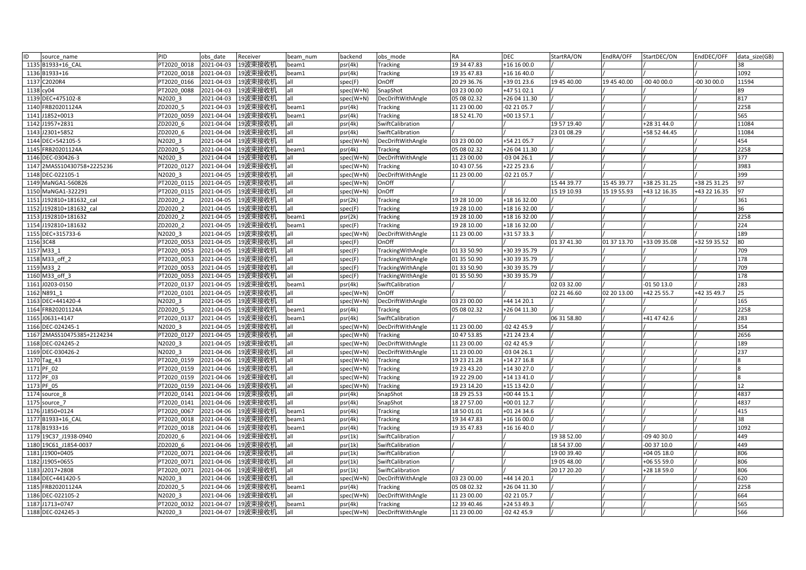| ID<br>source name          | PID         | obs date   | Receiver           | beam num | backend     | obs mode          | <b>RA</b>   | <b>DEC</b>    | StartRA/ON  | EndRA/OFF   | StartDEC/ON  | EndDEC/OFF   | data size(GB) |
|----------------------------|-------------|------------|--------------------|----------|-------------|-------------------|-------------|---------------|-------------|-------------|--------------|--------------|---------------|
| 1135 B1933+16 CAL          | PT2020 0018 | 2021-04-03 | 19波束接收机            | beam1    | psr(4k)     | Tracking          | 19 34 47.83 | +16 16 00.0   |             |             |              |              | 38            |
| 1136 B1933+16              | PT2020 0018 | 2021-04-03 | 19波束接收机            | beam1    | psr(4k)     | Tracking          | 19 35 47.83 | +16 16 40.0   |             |             |              |              | 1092          |
| 1137 C2020R4               | PT2020 0166 | 2021-04-03 | 19波束接收机            | all      | spec(F)     | OnOff             | 20 29 36.76 | +39 01 23.6   | 19 45 40.00 | 19 45 40.00 | $-004000.0$  | $-003000.0$  | 11594         |
| 1138 cy04                  | PT2020 0088 | 2021-04-03 | 19波束接收机            | all      | spec(W+N)   | SnapShot          | 03 23 00.00 | +47 51 02.1   |             |             |              |              | 89            |
| 1139 DEC+475102-8          | N2020 3     | 2021-04-03 | 19波束接收机            | all      | spec(W+N)   | DecDriftWithAngle | 05 08 02.32 | +26 04 11.30  |             |             |              |              | 817           |
| 1140 FRB20201124A          | ZD2020 5    | 2021-04-03 | 19波束接收机            | beam1    | psr(4k)     | Tracking          | 11 23 00.00 | 02 21 05.7    |             |             |              |              | 2258          |
| 1141 J1852+0013            | PT2020 0059 | 2021-04-04 | 19波束接收机            | beam1    | psr(4k)     | <b>Tracking</b>   | 18 52 41.70 | +00 13 57.1   |             |             |              |              | 565           |
| 1142 J1957+2831            | ZD2020 6    | 2021-04-04 | 19波束接收机            | all      | psr(4k)     | SwiftCalibration  |             |               | 19 57 19.40 |             | +28 31 44.0  |              | 11084         |
| 1143 J2301+5852            | ZD2020 6    | 2021-04-04 | 19波束接收机            | all      | psr(4k)     | SwiftCalibration  |             |               | 23 01 08.29 |             | +58 52 44.45 |              | 11084         |
| 1144 DEC+542105-5          | N2020 3     | 2021-04-04 | 19波束接收机            | all      | spec(W+N)   | DecDriftWithAngle | 03 23 00.00 | +54 21 05.7   |             |             |              |              | 454           |
| 1145 FRB20201124A          | ZD2020_5    | 2021-04-04 | 19波束接收机            | beam1    | psr(4k)     | Tracking          | 05 08 02.32 | +26 04 11.30  |             |             |              |              | 2258          |
| 1146 DEC-030426-3          | V2020 3     | 2021-04-04 | 19波束接收机            | all      | spec(W+N)   | DecDriftWithAngle | 11 23 00.00 | 03 04 26.1    |             |             |              |              | 377           |
| 1147 2MASS10430758+2225236 | PT2020 0127 | 2021-04-04 | 19波束接收机            | all      | spec(W+N)   | Tracking          | 10 43 07.56 | +22 25 23.6   |             |             |              |              | 3983          |
| 1148 DEC-022105-1          | N2020 3     | 2021-04-05 | 19波束接收机            | all      | spec(W+N)   | DecDriftWithAngle | 11 23 00.00 | -02 21 05.7   |             |             |              |              | 399           |
| 1149 MaNGA1-560826         | PT2020 0115 | 2021-04-05 | 19波束接收机            | all      | spec(W+N)   | OnOff             |             |               | 15 44 39.77 | 15 45 39.77 | +38 25 31.25 | +38 25 31.25 | 97            |
| 1150 MaNGA1-322291         | PT2020 0115 | 2021-04-05 | 19波束接收机            | all      | spec(W+N)   | OnOff             |             |               | 15 19 10.93 | 15 19 55.93 | +43 12 16.35 | +43 22 16.35 | 97            |
| 1151 J192810+181632 cal    | ZD2020 2    | 2021-04-05 | 19波束接收机            | all      | psr(2k)     | <b>Tracking</b>   | 19 28 10.00 | +18 16 32.00  |             |             |              |              | 361           |
| 1152 J192810+181632 cal    | ZD2020 2    | 2021-04-05 | 19波束接收机            | all      | spec(F)     | <b>Tracking</b>   | 19 28 10.00 | +18 16 32.00  |             |             |              |              | 36            |
| 1153 J192810+181632        | ZD2020 2    | 2021-04-05 | 19波束接收机            | beam1    | psr(2k)     | Tracking          | 19 28 10.00 | +18 16 32.00  |             |             |              |              | 2258          |
| 1154 J192810+181632        | ZD2020 2    | 2021-04-05 | 19波束接收机            | beam1    | spec(F)     | Tracking          | 19 28 10.00 | +18 16 32.00  |             |             |              |              | 224           |
| 1155 DEC+315733-6          | N2020 3     | 2021-04-05 | 19波束接收机            | all      | spec(W+N)   | DecDriftWithAngle | 11 23 00.00 | +31 57 33.3   |             |             |              |              | 189           |
| 1156 3C48                  | PT2020_0053 | 2021-04-05 | 19波束接收机            | all      | spec(F)     | OnOff             |             |               | 01 37 41.30 | 01 37 13.70 | +33 09 35.08 | +32 59 35.52 | 80            |
| 1157 M33 1                 | PT2020 0053 | 2021-04-05 | 19波束接收机            | all      | spec(F)     | TrackingWithAngle | 01 33 50.90 | +30 39 35.79  |             |             |              |              | 709           |
| 1158 M33_off_2             | PT2020 0053 | 2021-04-05 | 19波束接收机            | all      | spec(F)     | TrackingWithAngle | 01 35 50.90 | +30 39 35.79  |             |             |              |              | 178           |
| 1159 M33 2                 | PT2020 0053 | 2021-04-05 | 19波束接收机            | all      | spec(F)     | TrackingWithAngle | 01 33 50.90 | +30 39 35.79  |             |             |              |              | 709           |
| 1160 M33 off 3             | PT2020 0053 | 2021-04-05 | 19波束接收机            | all      | spec(F)     | TrackingWithAngle | 01 35 50.90 | +30 39 35.79  |             |             |              |              | 178           |
| 1161 J0203-0150            | PT2020 0137 | 2021-04-05 | 19波束接收机            | beam1    | psr(4k)     | SwiftCalibration  |             |               | 02 03 32.00 |             | 01 50 13.0   |              | 283           |
| 1162 N891 1                | PT2020 0101 | 2021-04-05 | 19波束接收机            | all      | spec(W+N)   | OnOff             |             |               | 02 21 46.60 | 02 20 13.00 | +42 25 55.7  | +42 35 49.7  | 25            |
| 1163 DEC+441420-4          | N2020 3     | 2021-04-05 | 19波束接收机            | all      | spec(W+N)   | DecDriftWithAngle | 03 23 00.00 | +44 14 20.1   |             |             |              |              | 165           |
| 1164 FRB20201124A          | ZD2020 5    | 2021-04-05 | 19波束接收机            | beam1    | psr(4k)     | Tracking          | 05 08 02.32 | +26 04 11.30  |             |             |              |              | 2258          |
| 1165 J0631+4147            | PT2020 0137 | 2021-04-05 | 19波束接收机            | beam1    | psr(4k)     | SwiftCalibration  |             |               | 06 31 58.80 |             | +41 47 42.6  |              | 283           |
| 1166 DEC-024245-1          | N2020 3     | 2021-04-05 | 19波束接收机            | all      | spec(W+N)   | DecDriftWithAngle | 11 23 00.00 | -02 42 45.9   |             |             |              |              | 354           |
| 1167 2MASS10475385+2124234 | PT2020 0127 | 2021-04-05 | 19波束接收机            | all      | spec(W+N)   | <b>Tracking</b>   | 10 47 53.85 | +21 24 23.4   |             |             |              |              | 2656          |
| 1168 DEC-024245-2          | V2020 3     | 2021-04-05 | 19波束接收机            | all      | spec(W+N)   | DecDriftWithAngle | 11 23 00.00 | 02 42 45.9    |             |             |              |              | 189           |
| 1169 DEC-030426-2          | N2020 3     | 2021-04-06 | 19波束接收机            | all      | spec(W+N)   | DecDriftWithAngle | 11 23 00.00 | $-030426.1$   |             |             |              |              | 237           |
| 1170 Tag 43                | PT2020 0159 | 2021-04-06 | 19波束接收机            | all      | spec(W+N)   | <b>Tracking</b>   | 19 23 21.28 | +14 27 16.8   |             |             |              |              |               |
| 1171 PF 02                 | PT2020 0159 | 2021-04-06 | 19波束接收机            | all      | spec(W+N)   | Tracking          | 19 23 43.20 | +14 30 27.0   |             |             |              |              |               |
| 1172 PF 03                 | PT2020 0159 | 2021-04-06 | 19波束接收机            | all      | spec(W+N)   | Tracking          | 19 22 29.00 | +14 13 41.0   |             |             |              |              |               |
| 1173 PF 05                 | PT2020 0159 | 2021-04-06 | 19波束接收机            | all      | spec(W+N)   | <b>Tracking</b>   | 19 23 14.20 | +15 13 42.0   |             |             |              |              | 12            |
| 1174 source 8              | PT2020 0141 | 2021-04-06 | 19波束接收机            | all      | psr(4k)     | SnapShot          | 18 29 25.53 | $+004415.1$   |             |             |              |              | 4837          |
| 1175 source 7              | PT2020 0141 | 2021-04-06 | 19波束接收机            | all      | psr(4k)     | SnapShot          | 18 27 57.00 | +00 01 12.7   |             |             |              |              | 4837          |
| 1176 J1850+0124            | PT2020 0067 | 2021-04-06 | 19波束接收机            | beam1    | psr(4k)     | <b>Tracking</b>   | 18 50 01.01 | +01 24 34.6   |             |             |              |              | 415           |
| 1177 B1933+16 CAL          | PT2020 0018 | 2021-04-06 | 19波束接收机            | beam1    | psr(4k)     | Tracking          | 19 34 47.83 | +16 16 00.0   |             |             |              |              | 38            |
| 1178 B1933+16              | PT2020 0018 | 2021-04-06 | 19波束接收机            | beam1    | psr(4k)     | Tracking          | 19 35 47.83 | +16 16 40.0   |             |             |              |              | 1092          |
| 1179 19C37 J1938-0940      | ZD2020 6    | 2021-04-06 | 19波束接收机            | all      | psr(1k)     | SwiftCalibration  |             |               | 19 38 52.00 |             | 09 40 30.0   |              | 449           |
| 1180 19C61 J1854-0037      | ZD2020 6    | 2021-04-06 | 19波束接收机            | all      | psr(1k)     | SwiftCalibration  |             |               | 18 54 37.00 |             | 00 37 10.0   |              | 449           |
| 1181 J1900+0405            | PT2020 0071 | 2021-04-06 | 19波束接收机            | all      | psr(1k)     | SwiftCalibration  |             |               | 19 00 39.40 |             | +04 05 18.0  |              | 806           |
| 1182 J1905+0655            | PT2020 0071 | 2021-04-06 | 19波束接收机            | all      | psr(1k)     | SwiftCalibration  |             |               | 19 05 48.00 |             | +06 55 59.0  |              | 806           |
| 1183 J2017+2808            | PT2020 0071 | 2021-04-06 | 19波束接收机            | all      | psr(1k)     | SwiftCalibration  |             |               | 20 17 20.20 |             | +28 18 59.0  |              | 806           |
| 1184 DEC+441420-5          | N2020 3     | 2021-04-06 | 19波束接收机            | all      | spec(W+N)   | DecDriftWithAngle | 03 23 00.00 | +44 14 20.1   |             |             |              |              | 620           |
| 1185 FRB20201124A          | ZD2020 5    | 2021-04-06 | 19波束接收机            | beam1    | psr(4k)     | Tracking          | 05 08 02.32 | +26 04 11.30  |             |             |              |              | 2258          |
| 1186 DEC-022105-2          | N2020 3     | 2021-04-06 | 19波束接收机            | all      | spec(W+N)   | DecDriftWithAngle | 11 23 00.00 | 02 21 05.7    |             |             |              |              | 664           |
| 1187 J1713+0747            | PT2020 0032 | 2021-04-07 | 19波束接收机            | beam1    | psr(4k)     | Tracking          | 12 39 40.46 | +24 53 49.3   |             |             |              |              | 565           |
| 1188 DEC-024245-3          | N2020 3     |            | 2021-04-07 19波束接收机 | all      | $spec(W+N)$ | DecDriftWithAngle | 11 23 00.00 | $-02$ 42 45.9 |             |             |              |              | 566           |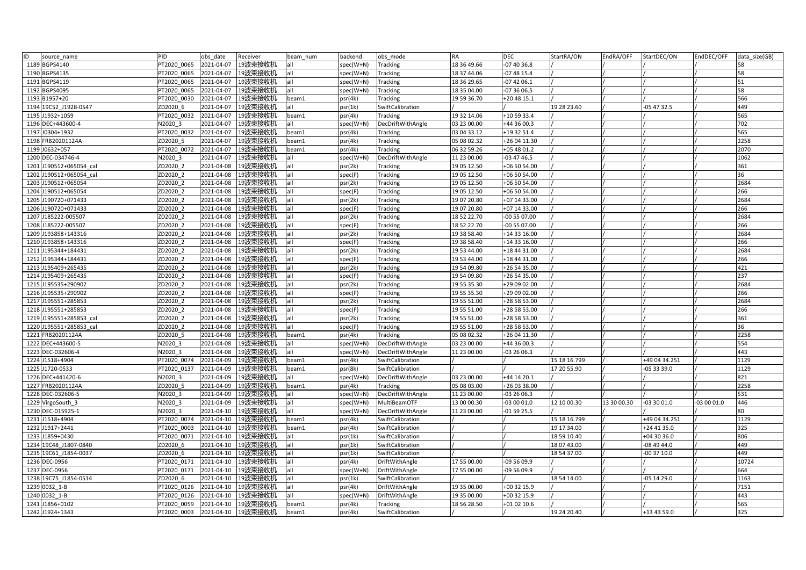| ID<br>source name       | PID         | obs date   | Receiver           | beam num | backend   | obs mode          | RA          | <b>DEC</b>   | StartRA/ON   | EndRA/OFF   | StartDEC/ON   | EndDEC/OFF  | data size(GB) |
|-------------------------|-------------|------------|--------------------|----------|-----------|-------------------|-------------|--------------|--------------|-------------|---------------|-------------|---------------|
| 1189 BGPS4140           | PT2020 0065 | 2021-04-07 | 19波束接收机            | all      | spec(W+N) | Tracking          | 18 36 49.66 | -07 40 36.8  |              |             |               |             | 58            |
| 1190 BGPS4135           | PT2020 0065 | 2021-04-07 | 19波束接收机            | all      | spec(W+N) | <b>Tracking</b>   | 18 37 44.06 | $-074815.4$  |              |             |               |             | 58            |
| 1191 BGPS4119           | PT2020 0065 | 2021-04-07 | 19波束接收机            | all      | spec(W+N) | <b>Tracking</b>   | 18 36 29.65 | $-074206.1$  |              |             |               |             | 51            |
| 1192 BGPS4095           | PT2020 0065 | 2021-04-07 | 19波束接收机            | all      | spec(W+N) | Tracking          | 18 35 04.00 | -07 36 06.5  |              |             |               |             | 58            |
| 1193 B1957+20           | PT2020 0030 | 2021-04-07 | 19波束接收机            | beam1    | psr(4k)   | Tracking          | 19 59 36.70 | +20 48 15.1  |              |             |               |             | 566           |
| 1194 19C52 J1928-0547   | ZD2020 6    | 2021-04-07 | 19波束接收机            | all      | psr(1k)   | SwiftCalibration  |             |              | 19 28 23.60  |             | 05 47 32.5    |             | 449           |
| 1195 J1932+1059         | PT2020 0032 | 2021-04-07 | 19波束接收机            | beam1    | psr(4k)   | Tracking          | 19 32 14.06 | +10 59 33.4  |              |             |               |             | 565           |
| 1196 DEC+443600-4       | V2020 3     | 2021-04-07 | 19波束接收机            | all      | spec(W+N) | DecDriftWithAngle | 03 23 00.00 | +44 36 00.3  |              |             |               |             | 702           |
| 1197 J0304+1932         | PT2020 0032 | 2021-04-07 | 19波束接收机            | beam1    | psr(4k)   | Tracking          | 03 04 33.12 | +19 32 51.4  |              |             |               |             | 565           |
| 1198 FRB20201124A       | ZD2020 5    | 2021-04-07 | 19波束接收机            | beam1    | psr(4k)   | Tracking          | 05 08 02.32 | +26 04 11.30 |              |             |               |             | 2258          |
| 1199 J0632+057          | PT2020 0072 | 2021-04-07 | 19波束接收机            | beam1    | psr(4k)   | Tracking          | 06 32 59.26 | +05 48 01.2  |              |             |               |             | 2070          |
| 1200 DEC-034746-4       | N2020 3     | 2021-04-07 | 19波束接收机            | all      | spec(W+N) | DecDriftWithAngle | 11 23 00.00 | 03 47 46.5   |              |             |               |             | 1062          |
| 1201 J190512+065054 cal | ZD2020 2    | 2021-04-08 | 19波束接收机            | all      | psr(2k)   | Tracking          | 19 05 12.50 | +06 50 54.00 |              |             |               |             | 361           |
| 1202 J190512+065054 cal | ZD2020 2    | 2021-04-08 | 19波束接收机            | all      | spec(F)   | <b>Tracking</b>   | 19 05 12.50 | +06 50 54.00 |              |             |               |             | 36            |
| 1203 J190512+065054     | ZD2020 2    | 2021-04-08 | 19波束接收机            | all      | psr(2k)   | Tracking          | 19 05 12.50 | +06 50 54.00 |              |             |               |             | 2684          |
| 1204 J190512+065054     | ZD2020 2    | 2021-04-08 | 19波束接收机            | all      | spec(F)   | Tracking          | 19 05 12.50 | +06 50 54.00 |              |             |               |             | 266           |
| 1205 J190720+071433     | ZD2020 2    | 2021-04-08 | 19波束接收机            | all      | psr(2k)   | Tracking          | 19 07 20.80 | +07 14 33.00 |              |             |               |             | 2684          |
| 1206 J190720+071433     | ZD2020 2    | 2021-04-08 | 19波束接收机            | all      | spec(F)   | <b>Tracking</b>   | 19 07 20.80 | +07 14 33.00 |              |             |               |             | 266           |
| 1207 J185222-005507     | ZD2020 2    | 2021-04-08 | 19波束接收机            | all      | psr(2k)   | Tracking          | 18 52 22.70 | -00 55 07.00 |              |             |               |             | 2684          |
| 1208 J185222-005507     | ZD2020 2    | 2021-04-08 | 19波束接收机            | all      | spec(F)   | Tracking          | 18 52 22.70 | 00 55 07.00  |              |             |               |             | 266           |
| 1209 J193858+143316     | ZD2020 2    | 2021-04-08 | 19波束接收机            | all      | psr(2k)   | <b>Tracking</b>   | 19 38 58.40 | +14 33 16.00 |              |             |               |             | 2684          |
| 1210 J193858+143316     | ZD2020 2    | 2021-04-08 | 19波束接收机            | all      | spec(F)   | Tracking          | 19 38 58.40 | +14 33 16.00 |              |             |               |             | 266           |
| 1211 J195344+184431     | ZD2020 2    | 2021-04-08 | 19波束接收机            | all      | psr(2k)   | Tracking          | 19 53 44.00 | +18 44 31.00 |              |             |               |             | 2684          |
| 1212 J195344+184431     | ZD2020_2    | 2021-04-08 | 19波束接收机            | all      | spec(F)   | Tracking          | 19 53 44.00 | +18 44 31.00 |              |             |               |             | 266           |
| 1213 J195409+265435     | ZD2020 2    | 2021-04-08 | 19波束接收机            | all      | psr(2k)   | Tracking          | 19 54 09.80 | +26 54 35.00 |              |             |               |             | 421           |
| 1214 J195409+265435     | ZD2020 2    | 2021-04-08 | 19波束接收机            | all      | spec(F)   | Tracking          | 19 54 09.80 | +26 54 35.00 |              |             |               |             | 237           |
| 1215 J195535+290902     | ZD2020 2    | 2021-04-08 | 19波束接收机            | all      | psr(2k)   | Tracking          | 19 55 35.30 | +29 09 02.00 |              |             |               |             | 2684          |
| 1216 J195535+290902     | ZD2020 2    | 2021-04-08 | 19波束接收机            | all      | spec(F)   | Tracking          | 19 55 35.30 | +29 09 02.00 |              |             |               |             | 266           |
| 1217 J195551+285853     | ZD2020 2    | 2021-04-08 | 19波束接收机            | all      | psr(2k)   | Tracking          | 19 55 51.00 | +28 58 53.00 |              |             |               |             | 2684          |
| 1218 J195551+285853     | ZD2020 2    | 2021-04-08 | 19波束接收机            | all      | spec(F)   | Tracking          | 19 55 51.00 | +28 58 53.00 |              |             |               |             | 266           |
| 1219 J195551+285853 cal | ZD2020 2    | 2021-04-08 | 19波束接收机            | all      | psr(2k)   | Tracking          | 19 55 51.00 | +28 58 53.00 |              |             |               |             | 361           |
| 1220 J195551+285853 cal | ZD2020 2    | 2021-04-08 | 19波束接收机            | all      | spec(F)   | Tracking          | 19 55 51.00 | +28 58 53.00 |              |             |               |             | 36            |
| 1221 FRB20201124A       | ZD2020 5    | 2021-04-08 | 19波束接收机            | beam1    | psr(4k)   | Tracking          | 05 08 02.32 | +26 04 11.30 |              |             |               |             | 2258          |
| 1222 DEC+443600-5       | N2020 3     | 2021-04-08 | 19波束接收机            | all      | spec(W+N) | DecDriftWithAngle | 03 23 00.00 | +44 36 00.3  |              |             |               |             | 554           |
| 1223 DEC-032606-4       | N2020 3     | 2021-04-08 | 19波束接收机            | all      | spec(W+N) | DecDriftWithAngle | 11 23 00.00 | -03 26 06.3  |              |             |               |             | 443           |
| 1224 J1518+4904         | PT2020 0074 | 2021-04-09 | 19波束接收机            | beam1    | psr(4k)   | SwiftCalibration  |             |              | 15 18 16.799 |             | +49 04 34.251 |             | 1129          |
| 1225 J1720-0533         | PT2020 0137 | 2021-04-09 | 19波束接收机            | beam1    | psr(8k)   | SwiftCalibration  |             |              | 17 20 55.90  |             | 05 33 39.0    |             | 1129          |
| 1226 DEC+441420-6       | N2020 3     | 2021-04-09 | 19波束接收机            | all      | spec(W+N) | DecDriftWithAngle | 03 23 00.00 | +44 14 20.1  |              |             |               |             | 821           |
| 1227 FRB20201124A       | ZD2020 5    | 2021-04-09 | 19波束接收机            | beam1    | psr(4k)   | Tracking          | 05 08 03.00 | +26 03 38.00 |              |             |               |             | 2258          |
| 1228 DEC-032606-5       | N2020 3     | 2021-04-09 | 19波束接收机            | all      | spec(W+N) | DecDriftWithAngle | 11 23 00.00 | 03 26 06.3   |              |             |               |             | 531           |
| 1229 VirgoSouth 3       | N2020 3     | 2021-04-09 | 19波束接收机            | all      | spec(W+N) | MultiBeamOTF      | 13 00 00.30 | -03 00 01.0  | 12 10 00.30  | 13 30 00.30 | -03 30 01.0   | $-030001.0$ | 446           |
| 1230 DEC-015925-1       | N2020 3     | 2021-04-10 | 19波束接收机            | all      | spec(W+N) | DecDriftWithAngle | 11 23 00.00 | -01 59 25.5  |              |             |               |             | 80            |
| 1231 J1518+4904         | PT2020 0074 | 2021-04-10 | 19波束接收机            | beam1    | psr(4k)   | SwiftCalibration  |             |              | 15 18 16.799 |             | +49 04 34.251 |             | 1129          |
| 1232 J1917+2441         | PT2020 0003 | 2021-04-10 | 19波束接收机            | beam1    | psr(4k)   | SwiftCalibration  |             |              | 19 17 34.00  |             | +24 41 35.0   |             | 325           |
| 1233 J1859+0430         | PT2020 0071 | 2021-04-10 | 19波束接收机            | all      | psr(1k)   | SwiftCalibration  |             |              | 18 59 10.40  |             | +04 30 36.0   |             | 806           |
| 1234 19C48_J1807-0840   | ZD2020 6    | 2021-04-10 | 19波束接收机            | all      | psr(1k)   | SwiftCalibration  |             |              | 18 07 43.00  |             | -08 49 44.0   |             | 449           |
| 1235 19C61 J1854-0037   | ZD2020 6    | 2021-04-10 | 19波束接收机            | all      | psr(1k)   | SwiftCalibration  |             |              | 18 54 37.00  |             | 00 37 10.0    |             | 449           |
| 1236 DEC-0956           | PT2020 0171 | 2021-04-10 | 19波束接收机            | all      | psr(4k)   | DriftWithAngle    | 17 55 00.00 | -09 56 09.9  |              |             |               |             | 10724         |
| 1237 DEC-0956           | PT2020 0171 | 2021-04-10 | 19波束接收机            | all      | spec(W+N) | DriftWithAngle    | 17 55 00.00 | -09 56 09.9  |              |             |               |             | 664           |
| 1238 19C75 J1854-0514   | ZD2020 6    | 2021-04-10 | 19波束接收机            | all      | psr(1k)   | SwiftCalibration  |             |              | 18 54 14.00  |             | 05 14 29.0    |             | 1163          |
| 1239 0032 1-B           | PT2020 0126 | 2021-04-10 | 19波束接收机            | all      | osr(4k)   | DriftWithAngle    | 19 35 00.00 | +00 32 15.9  |              |             |               |             | 7151          |
| 1240 0032 1-B           | PT2020 0126 | 2021-04-10 | 19波束接收机            | all      | spec(W+N) | DriftWithAngle    | 19 35 00.00 | +00 32 15.9  |              |             |               |             | 443           |
| 1241 J1856+0102         | PT2020 0059 | 2021-04-10 | 19波束接收机            | beam1    | psr(4k)   | Tracking          | 18 56 28.50 | +01 02 10.6  |              |             |               |             | 565           |
| 1242 J1924+1343         | PT2020 0003 |            | 2021-04-10 19波束接收机 | beam1    | psr(4k)   | SwiftCalibration  |             |              | 19 24 20.40  |             | +13 43 59.0   |             | 325           |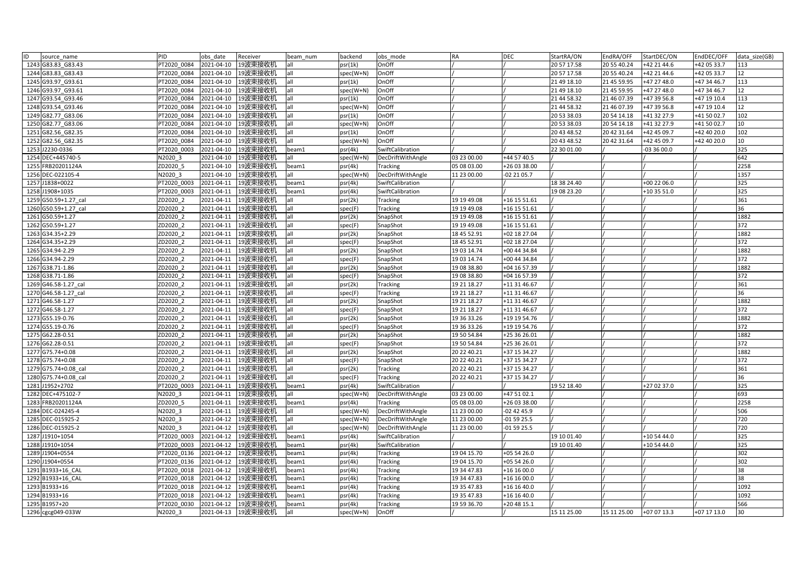| ID | source name          | PID         | obs date   | Receiver            | beam num | backend   | obs mode          | <b>RA</b>   | <b>DEC</b>    | StartRA/ON  | EndRA/OFF   | StartDEC/ON | EndDEC/OFF  | data size(GB) |
|----|----------------------|-------------|------------|---------------------|----------|-----------|-------------------|-------------|---------------|-------------|-------------|-------------|-------------|---------------|
|    | 1243 G83.83 G83.43   | PT2020 0084 | 2021-04-10 | 19波束接收机             | all      | psr(1k)   | OnOff             |             |               | 20 57 17.58 | 20 55 40.24 | +42 21 44.6 | +42 05 33.7 | 113           |
|    | 1244 G83.83 G83.43   | PT2020 0084 | 2021-04-10 | 19波束接收机             | all      | spec(W+N) | OnOff             |             |               | 20 57 17.58 | 20 55 40.24 | +42 21 44.6 | +42 05 33.7 | 12            |
|    | 1245 G93.97_G93.61   | PT2020 0084 | 2021-04-10 | 19波束接收机             | all      | psr(1k)   | OnOff             |             |               | 21 49 18.10 | 21 45 59.95 | +47 27 48.0 | +47 34 46.7 | 113           |
|    | 1246 G93.97 G93.61   | PT2020 0084 | 2021-04-10 | 19波束接收机             | all      | spec(W+N) | OnOff             |             |               | 21 49 18.10 | 21 45 59.95 | +47 27 48.0 | +47 34 46.7 | 12            |
|    | 1247 G93.54 G93.46   | PT2020 0084 | 2021-04-10 | 19波束接收机             | all      | psr(1k)   | OnOff             |             |               | 21 44 58.32 | 21 46 07.39 | +47 39 56.8 | +47 19 10.4 | 113           |
|    | 1248 G93.54 G93.46   | PT2020 0084 | 2021-04-10 | 19波束接收机             | all      | spec(W+N) | OnOff             |             |               | 21 44 58.32 | 21 46 07.39 | +47 39 56.8 | +47 19 10.4 | 12            |
|    | 1249 G82.77 G83.06   | PT2020 0084 | 2021-04-10 | 19波束接收机             | all      | psr(1k)   | OnOff             |             |               | 20 53 38.03 | 20 54 14.18 | +41 32 27.9 | +41 50 02.7 | 102           |
|    | 1250 G82.77 G83.06   | PT2020 0084 | 2021-04-10 | 19波束接收机             | all      | spec(W+N) | OnOff             |             |               | 20 53 38.03 | 20 54 14.18 | +41 32 27.9 | +41 50 02.7 | 10            |
|    | 1251 G82.56 G82.35   | PT2020 0084 | 2021-04-10 | 19波束接收机             | all      | psr(1k)   | OnOff             |             |               | 20 43 48.52 | 20 42 31.64 | +42 45 09.7 | +42 40 20.0 | 102           |
|    | 1252 G82.56 G82.35   | PT2020 0084 | 2021-04-10 | 19波束接收机             | all      | spec(W+N) | OnOff             |             |               | 20 43 48.52 | 20 42 31.64 | +42 45 09.7 | +42 40 20.0 | 10            |
|    | 1253 J2230-0336      | PT2020 0003 | 2021-04-10 | 19波束接收机             | beam1    | psr(4k)   | SwiftCalibration  |             |               | 22 30 01.00 |             | $-033600.0$ |             | 325           |
|    | 1254 DEC+445740-5    | N2020 3     | 2021-04-10 | 19波束接收机             | all      | spec(W+N) | DecDriftWithAngle | 03 23 00.00 | +44 57 40.5   |             |             |             |             | 642           |
|    | 1255 FRB20201124A    | ZD2020 5    | 2021-04-10 | 19波束接收机             | beam1    | psr(4k)   | Tracking          | 05 08 03.00 | +26 03 38.00  |             |             |             |             | 2258          |
|    | 1256 DEC-022105-4    | N2020 3     | 2021-04-10 | 19波束接收机             | all      | spec(W+N) | DecDriftWithAngle | 11 23 00.00 | 02 21 05.7    |             |             |             |             | 1357          |
|    | 1257 J1838+0022      | PT2020 0003 | 2021-04-11 | 19波束接收机             | beam1    | psr(4k)   | SwiftCalibration  |             |               | 18 38 24.40 |             | +00 22 06.0 |             | 325           |
|    | 1258 J1908+1035      | PT2020 0003 | 2021-04-11 | 19波束接收机             | beam1    | psr(4k)   | SwiftCalibration  |             |               | 19 08 23.20 |             | +10 35 51.0 |             | 325           |
|    | 1259 G50.59+1.27 cal | ZD2020 2    | 2021-04-11 | 19波束接收机             | all      | psr(2k)   | <b>Tracking</b>   | 19 19 49 08 | +16 15 51.61  |             |             |             |             | 361           |
|    | 1260 G50.59+1.27 cal | ZD2020 2    | 2021-04-11 | 19波束接收机             | all      | spec(F)   | <b>Tracking</b>   | 19 19 49 08 | +16 15 51.61  |             |             |             |             | 36            |
|    | 1261 G50.59+1.27     | ZD2020 2    | 2021-04-11 | 19波束接收机             | all      | psr(2k)   | SnapShot          | 19 19 49 08 | +16 15 51.61  |             |             |             |             | 1882          |
|    | 1262 G50.59+1.27     | ZD2020 2    | 2021-04-11 | 19波束接收机             | all      | spec(F)   | SnapShot          | 19 19 49.08 | +16 15 51.61  |             |             |             |             | 372           |
|    | 1263 G34.35+2.29     | ZD2020 2    | 2021-04-11 | 19波束接收机             | all      | psr(2k)   | SnapShot          | 18 45 52.91 | +02 18 27.04  |             |             |             |             | 1882          |
|    | 1264 G34.35+2.29     | ZD2020 2    | 2021-04-11 | 19波束接收机             | all      | spec(F)   | SnapShot          | 18 45 52.91 | +02 18 27.04  |             |             |             |             | 372           |
|    | 1265 G34.94-2.29     | ZD2020 2    | 2021-04-11 | 19波束接收机             | all      | psr(2k)   | SnapShot          | 19 03 14.74 | +00 44 34.84  |             |             |             |             | 1882          |
|    | 1266 G34.94-2.29     | ZD2020_2    | 2021-04-11 | 19波束接收机             | all      | spec(F)   | SnapShot          | 19 03 14.74 | +00 44 34.84  |             |             |             |             | 372           |
|    | 1267 G38.71-1.86     | ZD2020 2    | 2021-04-11 | 19波束接收机             | all      | psr(2k)   | SnapShot          | 19 08 38.80 | +04 16 57.39  |             |             |             |             | 1882          |
|    | 1268 G38.71-1.86     | ZD2020 2    | 2021-04-11 | 19波束接收机             | all      | spec(F)   | SnapShot          | 19 08 38.80 | +04 16 57.39  |             |             |             |             | 372           |
|    | 1269 G46.58-1.27 cal | ZD2020 2    | 2021-04-11 | 19波束接收机             | all      | psr(2k)   | <b>Tracking</b>   | 19 21 18.27 | +11 31 46.67  |             |             |             |             | 361           |
|    | 1270 G46.58-1.27 cal | ZD2020 2    | 2021-04-11 | 19波束接收机             | all      | spec(F)   | Tracking          | 19 21 18.27 | +11 31 46.67  |             |             |             |             | 36            |
|    | 1271 G46.58-1.27     | ZD2020 2    | 2021-04-11 | 19波束接收机             | all      | psr(2k)   | SnapShot          | 19 21 18.27 | +11 31 46.67  |             |             |             |             | 1882          |
|    | 1272 G46.58-1.27     | ZD2020 2    | 2021-04-11 | 19波束接收机             | all      | spec(F)   | SnapShot          | 19 21 18.27 | +11 31 46.67  |             |             |             |             | 372           |
|    | 1273 G55.19-0.76     | ZD2020 2    | 2021-04-11 | 19波束接收机             | all      | psr(2k)   | SnapShot          | 19 36 33.26 | +19 19 54.76  |             |             |             |             | 1882          |
|    | 1274 G55.19-0.76     | ZD2020 2    | 2021-04-11 | 19波束接收机             | all      | spec(F)   | SnapShot          | 19 36 33.26 | +19 19 54.76  |             |             |             |             | 372           |
|    | 1275 G62.28-0.51     | ZD2020 2    | 2021-04-11 | 19波束接收机             | all      | psr(2k)   | SnapShot          | 19 50 54.84 | $+253626.01$  |             |             |             |             | 1882          |
|    | 1276 G62.28-0.51     | ZD2020 2    | 2021-04-11 | 19波束接收机             | all      | spec(F)   | SnapShot          | 19 50 54.84 | +25 36 26.01  |             |             |             |             | 372           |
|    | 1277 G75.74+0.08     | ZD2020 2    | 2021-04-11 | 19波束接收机             | all      | psr(2k)   | SnapShot          | 20 22 40.21 | +37 15 34.27  |             |             |             |             | 1882          |
|    | 1278 G75.74+0.08     | ZD2020_2    | 2021-04-11 | 19波束接收机             | all      | spec(F)   | SnapShot          | 20 22 40.21 | +37 15 34.27  |             |             |             |             | 372           |
|    | 1279 G75.74+0.08 cal | ZD2020 2    | 2021-04-11 | 19波束接收机             | all      | psr(2k)   | Tracking          | 20 22 40.21 | +37 15 34.27  |             |             |             |             | 361           |
|    | 1280 G75.74+0.08 cal | ZD2020 2    | 2021-04-11 | 19波束接收机             | all      | spec(F)   | Tracking          | 20 22 40.21 | +37 15 34.27  |             |             |             |             | 36            |
|    | 1281 J1952+2702      | PT2020 0003 | 2021-04-11 | 19波束接收机             | beam1    | psr(4k)   | SwiftCalibration  |             |               | 19 52 18.40 |             | +27 02 37.0 |             | 325           |
|    | 1282 DEC+475102-7    | N2020 3     | 2021-04-11 | 19波束接收机             | all      | spec(W+N) | DecDriftWithAngle | 03 23 00.00 | +47 51 02.1   |             |             |             |             | 693           |
|    | 1283 FRB20201124A    | ZD2020 5    | 2021-04-11 | 19波束接收机             | beam1    | psr(4k)   | <b>Tracking</b>   | 05 08 03.00 | +26 03 38.00  |             |             |             |             | 2258          |
|    | 1284 DEC-024245-4    | N2020 3     | 2021-04-11 | 19波束接收机             | all      | spec(W+N) | DecDriftWithAngle | 11 23 00.00 | $-02$ 42 45.9 |             |             |             |             | 506           |
|    | 1285 DEC-015925-2    | N2020 3     | 2021-04-12 | 19波束接收机             | all      | spec(W+N) | DecDriftWithAngle | 11 23 00.00 | $-015925.5$   |             |             |             |             | 720           |
|    | 1286 DEC-015925-2    | N2020 3     | 2021-04-12 | 19波束接收机             | all      | spec(W+N) | DecDriftWithAngle | 11 23 00.00 | $-015925.5$   |             |             |             |             | 720           |
|    | 1287 J1910+1054      | PT2020 0003 | 2021-04-12 | 19波束接收机             | beam1    | psr(4k)   | SwiftCalibration  |             |               | 19 10 01.40 |             | +10 54 44.0 |             | 325           |
|    | 1288 J1910+1054      | PT2020 0003 | 2021-04-12 | 19波束接收机             | beam1    | psr(4k)   | SwiftCalibration  |             |               | 19 10 01.40 |             | +10 54 44.0 |             | 325           |
|    | 1289 J1904+0554      | PT2020 0136 | 2021-04-12 | 19波束接收机             | beam1    | psr(4k)   | <b>Tracking</b>   | 19 04 15.70 | +05 54 26.0   |             |             |             |             | 302           |
|    | 1290 J1904+0554      | PT2020 0136 | 2021-04-12 | 19波束接收机             | beam1    | psr(4k)   | Tracking          | 19 04 15.70 | +05 54 26.0   |             |             |             |             | 302           |
|    | 1291 B1933+16 CAL    | PT2020 0018 | 2021-04-12 | 19波束接收机             | beam1    | psr(4k)   | Tracking          | 19 34 47.83 | +16 16 00.0   |             |             |             |             | 38            |
|    | 1292 B1933+16 CAL    | PT2020 0018 | 2021-04-12 | 19波束接收机             | beam1    | psr(4k)   | Tracking          | 19 34 47.83 | +16 16 00.0   |             |             |             |             | 38            |
|    | 1293 B1933+16        | PT2020 0018 | 2021-04-12 | 19波束接收机             | beam1    | psr(4k)   | Tracking          | 19 35 47.83 | +16 16 40.0   |             |             |             |             | 1092          |
|    | 1294 B1933+16        | PT2020 0018 | 2021-04-12 | 19波束接收机             | beam1    | psr(4k)   | Tracking          | 19 35 47.83 | +16 16 40.0   |             |             |             |             | 1092          |
|    | 1295 B1957+20        | PT2020 0030 | 2021-04-12 | 19波束接收机             | beam1    | psr(4k)   | Tracking          | 19 59 36.70 | $+204815.1$   |             |             |             |             | 566           |
|    | 1296 cgcg049-033W    | N2020 3     |            | 2021-04-13  19波束接收机 | all      | spec(W+N) | OnOff             |             |               | 15 11 25.00 | 15 11 25.00 | +07 07 13.3 | +07 17 13.0 | 30            |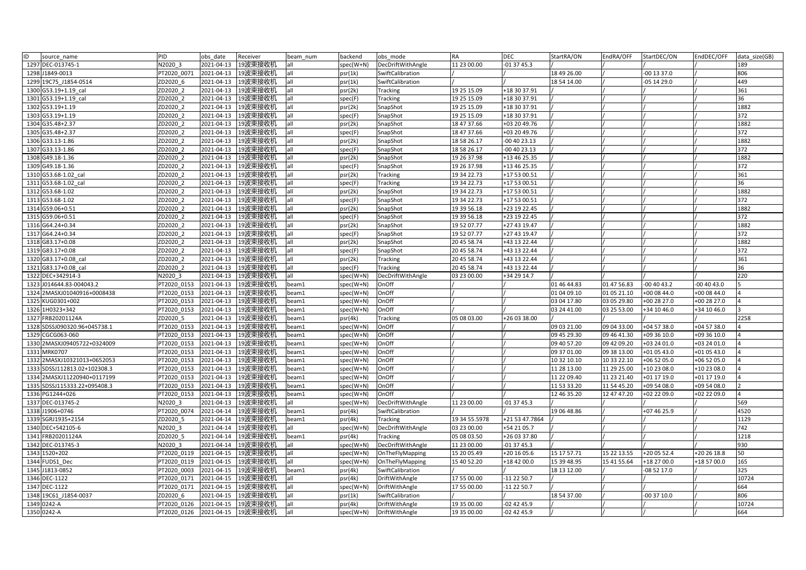| ID<br>source name            | PID         | obs date   | Receiver             | beam num | backend   | obs mode          | <b>RA</b>     | <b>DEC</b>     | StartRA/ON  | EndRA/OFF   | StartDEC/ON   | EndDEC/OFF  | data size(GB)  |
|------------------------------|-------------|------------|----------------------|----------|-----------|-------------------|---------------|----------------|-------------|-------------|---------------|-------------|----------------|
| 1297 DEC-013745-1            | N2020 3     | 2021-04-13 | 19波束接收机              | lall     | spec(W+N) | DecDriftWithAngle | 11 23 00.00   | $-013745.3$    |             |             |               |             | 189            |
| 1298 J1849-0013              | T2020 0071  | 2021-04-13 | 19波束接收机              | all      | psr(1k)   | SwiftCalibration  |               |                | 18 49 26.00 |             | $-00$ 13 37.0 |             | 806            |
| 1299 19C75 J1854-0514        | ZD2020 6    | 2021-04-13 | 19波束接收机              | lall     | psr(1k)   | SwiftCalibration  |               |                | 18 54 14.00 |             | $-05$ 14 29.0 |             | 449            |
| 1300 G53.19+1.19 cal         | ZD2020 2    | 2021-04-13 | 19波束接收机              | lall     | psr(2k)   | Tracking          | 19 25 15.09   | +18 30 37.91   |             |             |               |             | 361            |
| 1301 G53.19+1.19 cal         | ZD2020 2    | 2021-04-13 | 19波束接收机              | all      | spec(F)   | Tracking          | 19 25 15.09   | +18 30 37.91   |             |             |               |             | 36             |
| 1302 G53.19+1.19             | ZD2020 2    | 2021-04-13 | 19波束接收机              | all      | psr(2k)   | SnapShot          | 19 25 15.09   | +18 30 37.91   |             |             |               |             | 1882           |
| 1303 G53.19+1.19             | ZD2020 2    | 2021-04-13 | 19波束接收机              | lall     | spec(F)   | SnapShot          | 19 25 15.09   | +18 30 37.91   |             |             |               |             | 372            |
| 1304 G35.48+2.37             | ZD2020 2    | 2021-04-13 | 19波束接收机              | all      | psr(2k)   | SnapShot          | 18 47 37.66   | +03 20 49.76   |             |             |               |             | 1882           |
| 1305 G35.48+2.37             | ZD2020 2    | 2021-04-13 | 19波束接收机              | lall     | spec(F)   | SnapShot          | 18 47 37.66   | +03 20 49.76   |             |             |               |             | 372            |
| 1306 G33.13-1.86             | ZD2020 2    | 2021-04-13 | 19波束接收机              | all      | psr(2k)   | SnapShot          | 18 58 26.17   | 00 40 23.13    |             |             |               |             | 1882           |
| 1307 G33.13-1.86             | ZD2020 2    | 2021-04-13 | 19波束接收机              | lall     | spec(F)   | SnapShot          | 18 58 26.17   | -00 40 23.13   |             |             |               |             | 372            |
| 1308 G49.18-1.36             | ZD2020 2    | 2021-04-13 | 19波束接收机              | all      | psr(2k)   | SnapShot          | 19 26 37.98   | +13 46 25.35   |             |             |               |             | 1882           |
| 1309 G49.18-1.36             | ZD2020 2    | 2021-04-13 | 19波束接收机              | all      | spec(F)   | SnapShot          | 19 26 37.98   | +13 46 25.35   |             |             |               |             | 372            |
| 1310 G53.68-1.02 cal         | ZD2020 2    | 2021-04-13 | 19波束接收机              | lall     | psr(2k)   | <b>Tracking</b>   | 19 34 22.73   | +17 53 00.51   |             |             |               |             | 361            |
| 1311 G53.68-1.02 cal         | ZD2020 2    | 2021-04-13 | 19波束接收机              | all      | spec(F)   | Tracking          | 19 34 22.73   | +17 53 00.51   |             |             |               |             | 36             |
| 1312 G53.68-1.02             | ZD2020 2    | 2021-04-13 | 19波束接收机              | all      | psr(2k)   | SnapShot          | 19 34 22.73   | +17 53 00.51   |             |             |               |             | 1882           |
| 1313 G53.68-1.02             | ZD2020 2    | 2021-04-13 | 19波束接收机              | all      | spec(F)   | SnapShot          | 19 34 22.73   | +17 53 00.51   |             |             |               |             | 372            |
| 1314 G59.06+0.51             | ZD2020 2    | 2021-04-13 | 19波束接收机              | all      | psr(2k)   | SnapShot          | 19 39 56.18   | +23 19 22.45   |             |             |               |             | 1882           |
| 1315 G59.06+0.51             | ZD2020 2    | 2021-04-13 | 19波束接收机              | all      | spec(F)   | SnapShot          | 19 39 56.18   | +23 19 22.45   |             |             |               |             | 372            |
| 1316 G64.24+0.34             | ZD2020 2    | 2021-04-13 | 19波束接收机              | all      | psr(2k)   | SnapShot          | 19 52 07.77   | +27 43 19.47   |             |             |               |             | 1882           |
| 1317 G64.24+0.34             | ZD2020 2    | 2021-04-13 | 19波束接收机              | lall     | spec(F)   | SnapShot          | 19 52 07.77   | +27 43 19.47   |             |             |               |             | 372            |
| 1318 G83.17+0.08             | ZD2020 2    | 2021-04-13 | 19波束接收机              | lall     | psr(2k)   | SnapShot          | 20 45 58.74   | +43 13 22.44   |             |             |               |             | 1882           |
| 1319 G83.17+0.08             | ZD2020 2    | 2021-04-13 | 19波束接收机              | all      | spec(F)   | SnapShot          | 20 45 58.74   | +43 13 22.44   |             |             |               |             | 372            |
| 1320 G83.17+0.08 cal         | ZD2020 2    | 2021-04-13 | 19波束接收机              | all      | psr(2k)   | Tracking          | 20 45 58.74   | +43 13 22.44   |             |             |               |             | 361            |
| 1321 G83.17+0.08 cal         | ZD2020 2    | 2021-04-13 | 19波束接收机              | all      | spec(F)   | Tracking          | 20 45 58.74   | +43 13 22.44   |             |             |               |             | 36             |
| 1322 DEC+342914-3            | N2020 3     | 2021-04-13 | 19波束接收机              | lall     | spec(W+N) | DecDriftWithAngle | 03 23 00.00   | +34 29 14.7    |             |             |               |             | 220            |
| 1323 J014644.83-004043.2     | PT2020 0153 | 2021-04-13 | 19波束接收机              | beam1    | spec(W+N) | OnOff             |               |                | 01 46 44.83 | 01 47 56.83 | $-004043.2$   | 00 40 43.0  |                |
| 1324 2MASXJ01040916+0008438  | PT2020_0153 | 2021-04-13 | 19波束接收机              | beam1    | spec(W+N) | OnOff             |               |                | 01 04 09.10 | 01 05 21.10 | +00 08 44.0   | +00 08 44.0 |                |
| 1325 KUG0301+002             | PT2020 0153 | 2021-04-13 | 19波束接收机              | beam1    | spec(W+N) | OnOff             |               |                | 03 04 17.80 | 03 05 29.80 | +00 28 27.0   | +00 28 27.0 |                |
| 1326 1H0323+342              | PT2020 0153 | 2021-04-13 | 19波束接收机              | beam1    | spec(W+N) | OnOff             |               |                | 03 24 41.00 | 03 25 53.00 | +34 10 46.0   | +34 10 46.0 |                |
| 1327 FRB20201124A            | ZD2020 5    | 2021-04-13 | 19波束接收机              | beam1    | psr(4k)   | Tracking          | 05 08 03.00   | +26 03 38.00   |             |             |               |             | 2258           |
| 1328 SDSSJ090320.96+045738.1 | PT2020 0153 | 2021-04-13 | 19波束接收机              | beam1    | spec(W+N) | OnOff             |               |                | 09 03 21.00 | 09 04 33.00 | +04 57 38.0   | +04 57 38.0 |                |
| 1329 CGCG063-060             | PT2020 0153 | 2021-04-13 | 19波束接收机              | beam1    | spec(W+N) | OnOff             |               |                | 09 45 29.30 | 09 46 41.30 | +09 36 10.0   | +09 36 10.0 |                |
| 1330 2MASXJ09405722+0324009  | T2020 0153  | 2021-04-13 | 19波束接收机              | beam1    | spec(W+N) | OnOff             |               |                | 09 40 57.20 | 09 42 09.20 | +03 24 01.0   | +03 24 01.0 |                |
| 1331 MRK0707                 | PT2020 0153 | 2021-04-13 | 19波束接收机              | beam1    | spec(W+N) | OnOff             |               |                | 09 37 01.00 | 09 38 13.00 | +01 05 43.0   | +01 05 43.0 |                |
| 1332 2MASXJ10321013+0652053  | PT2020 0153 | 2021-04-13 | 19波束接收机              | beam1    | spec(W+N) | OnOff             |               |                | 10 32 10.10 | 10 33 22.10 | +06 52 05.0   | +06 52 05.0 |                |
| 1333 SDSSJ112813.02+102308.3 | T2020 0153  | 2021-04-13 | 19波束接收机              | beam1    | spec(W+N) | OnOff             |               |                | 11 28 13.00 | 11 29 25.00 | +10 23 08.0   | +10 23 08.0 |                |
| 1334 2MASXJ11220940+0117199  | PT2020 0153 | 2021-04-13 | 19波束接收机              | beam1    | spec(W+N) | OnOff             |               |                | 11 22 09.40 | 11 23 21.40 | +01 17 19.0   | +01 17 19.0 |                |
| 1335 SDSSJ115333.22+095408.3 | PT2020 0153 | 2021-04-13 | 19波束接收机              | beam1    | spec(W+N) | OnOff             |               |                | 11 53 33.20 | 11 54 45.20 | +09 54 08.0   | +09 54 08.0 | $\overline{2}$ |
| 1336 PG1244+026              | PT2020 0153 | 2021-04-13 | 19波束接收机              | beam1    | spec(W+N) | OnOff             |               |                | 12 46 35.20 | 12 47 47.20 | +02 22 09.0   | +02 22 09.0 | 4              |
| 1337 DEC-013745-2            | N2020 3     | 2021-04-13 | 19波束接收机              | all      | spec(W+N) | DecDriftWithAngle | 11 23 00.00   | -01 37 45.3    |             |             |               |             | 569            |
| 1338 J1906+0746              | PT2020_0074 | 2021-04-14 | 19波束接收机              | beam1    | psr(4k)   | SwiftCalibration  |               |                | 19 06 48.86 |             | +07 46 25.9   |             | 4520           |
| 1339 SGRJ1935+2154           | ZD2020 5    | 2021-04-14 | 19波束接收机              | beam1    | psr(4k)   | <b>Tracking</b>   | 19 34 55.5978 | +21 53 47.7864 |             |             |               |             | 1129           |
| 1340 DEC+542105-6            | N2020 3     | 2021-04-14 | 19波束接收机              | all      | spec(W+N) | DecDriftWithAngle | 03 23 00.00   | +54 21 05.7    |             |             |               |             | 742            |
| 1341 FRB20201124A            | ZD2020 5    | 2021-04-14 | 19波束接收机              | beam1    | psr(4k)   | <b>Tracking</b>   | 05 08 03.50   | +26 03 37.80   |             |             |               |             | 1218           |
| 1342 DEC-013745-3            | V2020 3     | 2021-04-14 | 19波束接收机              | all      | spec(W+N) | DecDriftWithAngle | 11 23 00.00   | 01 37 45.3     |             |             |               |             | 930            |
| 1343 1520+202                | PT2020 0119 | 2021-04-15 | 19波束接收机              | all      | spec(W+N) | OnTheFlyMapping   | 15 20 05.49   | +20 16 05.6    | 15 17 57.71 | 15 22 13.55 | +20 05 52.4   | +20 26 18.8 | 50             |
| 1344 FUDS1 Dec               | T2020 0119  | 2021-04-15 | 19波束接收机              | all      | spec(W+N) | OnTheFlyMapping   | 15 40 52.20   | +18 42 00.0    | 15 39 48.95 | 15 41 55.64 | +18 27 00.0   | +18 57 00.0 | 165            |
| 1345 J1813-0852              | PT2020 0003 | 2021-04-15 | 19波束接收机              | beam1    | psr(4k)   | SwiftCalibration  |               |                | 18 13 12.00 |             | -08 52 17.0   |             | 325            |
| 1346 DEC-1122                | PT2020 0171 | 2021-04-15 | 19波束接收机              | lall     | psr(4k)   | DriftWithAngle    | 17 55 00.00   | $-112250.7$    |             |             |               |             | 10724          |
| 1347 DEC-1122                | PT2020 0171 | 2021-04-15 | 19波束接收机              | all      | spec(W+N) | DriftWithAngle    | 17 55 00.00   | -11 22 50.7    |             |             |               |             | 664            |
| 1348 19C61 J1854-0037        | ZD2020 6    | 2021-04-15 | 19波束接收机              | all      | psr(1k)   | SwiftCalibration  |               |                | 18 54 37.00 |             | $-003710.0$   |             | 806            |
| 1349 0242-A                  | PT2020 0126 | 2021-04-15 | 19波束接收机              | lall     | psr(4k)   | DriftWithAngle    | 19 35 00.00   | $-024245.9$    |             |             |               |             | 10724          |
| 1350 0242-A                  | PT2020 0126 |            | 2021-04-15   19波束接收机 | lall     | spec(W+N) | DriftWithAngle    | 19 35 00.00   | $-02$ 42 45.9  |             |             |               |             | 664            |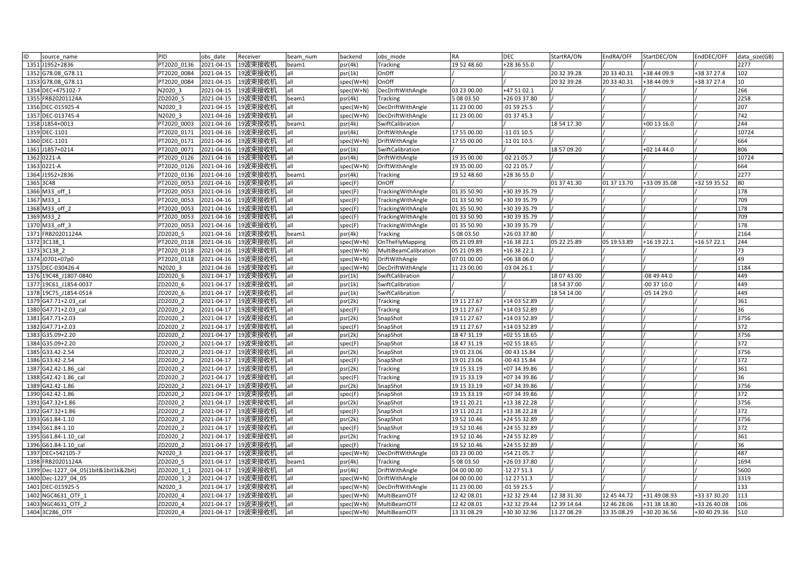| ID<br>source name                     | PID         | obs date   | Receiver           | beam num | backend   | obs mode             | <b>RA</b>   | <b>DEC</b>   | StartRA/ON  | EndRA/OFF   | StartDEC/ON   | EndDEC/OFF   | data size(GB) |
|---------------------------------------|-------------|------------|--------------------|----------|-----------|----------------------|-------------|--------------|-------------|-------------|---------------|--------------|---------------|
| 1351 J1952+2836                       | T2020 0136  | 2021-04-15 | 19波束接收机            | beam1    | psr(4k)   | Tracking             | 19 52 48.60 | +28 36 55.0  |             |             |               |              | 2277          |
| 1352 G78.08 G78.11                    | T2020 0084  | 2021-04-15 | 19波束接收机            | all      | psr(1k)   | OnOff                |             |              | 20 32 39.28 | 20 33 40.31 | +38 44 09.9   | +38 37 27.4  | 102           |
| 1353 G78.08 G78.11                    | PT2020 0084 | 2021-04-15 | 19波束接收机            | all      | spec(W+N) | OnOff                |             |              | 20 32 39.28 | 20 33 40.31 | +38 44 09.9   | +38 37 27.4  | 10            |
| 1354 DEC+475102-7                     | N2020 3     | 2021-04-15 | 19波束接收机            | lall     | spec(W+N) | DecDriftWithAngle    | 03 23 00.00 | +47 51 02.1  |             |             |               |              | 266           |
| 1355 FRB20201124A                     | ZD2020 5    | 2021-04-15 | 19波束接收机            | beam1    | psr(4k)   | Tracking             | 50803.50    | +26 03 37.80 |             |             |               |              | 2258          |
| 1356 DEC-015925-4                     | N2020 3     | 2021-04-15 | 19波束接收机            | all      | spec(W+N) | DecDriftWithAngle    | 11 23 00.00 | 01 59 25.5   |             |             |               |              | 207           |
| 1357 DEC-013745-4                     | N2020 3     | 2021-04-16 | 19波束接收机            | all      | spec(W+N) | DecDriftWithAngle    | 11 23 00.00 | $-013745.3$  |             |             |               |              | 742           |
| 1358 J1854+0013                       | PT2020 0003 | 2021-04-16 | 19波束接收机            | beam1    | psr(4k)   | SwiftCalibration     |             |              | 18 54 17.30 |             | +00 13 16.0   |              | 244           |
| 1359 DEC-1101                         | T2020 0171  | 2021-04-16 | 19波束接收机            | all      | psr(4k)   | DriftWithAngle       | 17 55 00.00 | -11 01 10.5  |             |             |               |              | 10724         |
| 1360 DEC-1101                         | PT2020 0171 | 2021-04-16 | 19波束接收机            | lall     | spec(W+N) | DriftWithAngle       | 17 55 00.00 | 11 01 10.5   |             |             |               |              | 664           |
| 1361 J1857+0214                       | PT2020 0071 | 2021-04-16 | 19波束接收机            | lall     | psr(1k)   | SwiftCalibration     |             |              | 18 57 09.20 |             | +02 14 44.0   |              | 806           |
| 1362 0221-A                           | T2020 0126  | 2021-04-16 | 19波束接收机            | all      | psr(4k)   | DriftWithAngle       | 19 35 00.00 | -02 21 05.7  |             |             |               |              | 10724         |
| 1363 0221-A                           | T2020 0126  | 2021-04-16 | 19波束接收机            | all      | spec(W+N) | DriftWithAngle       | 19 35 00.00 | -02 21 05.7  |             |             |               |              | 664           |
| 1364 J1952+2836                       | PT2020 0136 | 2021-04-16 | 19波束接收机            | beam1    | psr(4k)   | Tracking             | 19 52 48.60 | +28 36 55.0  |             |             |               |              | 2277          |
| 1365 3C48                             | PT2020 0053 | 2021-04-16 | 19波束接收机            | lall     | spec(F)   | OnOff                |             |              | 01 37 41.30 | 01 37 13.70 | +33 09 35.08  | +32 59 35.52 | 80            |
| 1366 M33 off 1                        | PT2020 0053 | 2021-04-16 | 19波束接收机            | all      | spec(F)   | TrackingWithAngle    | 01 35 50.90 | +30 39 35.79 |             |             |               |              | 178           |
| 1367 M33 1                            | PT2020 0053 | 2021-04-16 | 19波束接收机            | all      | spec(F)   | TrackingWithAngle    | 01 33 50.90 | +30 39 35.79 |             |             |               |              | 709           |
| 1368 M33 off 2                        | PT2020 0053 | 2021-04-16 | 19波束接收机            | all      | spec(F)   | TrackingWithAngle    | 01 35 50.90 | +30 39 35.79 |             |             |               |              | 178           |
| 1369 M33 2                            | PT2020 0053 | 2021-04-16 | 19波束接收机            | all      | spec(F)   | TrackingWithAngle    | 01 33 50.90 | +30 39 35.79 |             |             |               |              | 709           |
| 1370 M33 off 3                        | PT2020 0053 | 2021-04-16 | 19波束接收机            | all      | spec(F)   | TrackingWithAngle    | 01 35 50.90 | +30 39 35.79 |             |             |               |              | 178           |
| 1371 FRB20201124A                     | ZD2020 5    | 2021-04-16 | 19波束接收机            | beam1    | psr(4k)   | Tracking             | 5 08 03.50  | +26 03 37.80 |             |             |               |              | 2164          |
| 1372 3C138 1                          | PT2020 0118 | 2021-04-16 | 19波束接收机            | all      | spec(W+N) | OnTheFlyMapping      | 05 21 09.89 | +16 38 22.1  | 05 22 25.89 | 05 19 53.89 | +16 19 22.1   | +16 57 22.1  | 244           |
| 1373 3C138 2                          | T2020 0118  | 2021-04-16 | 19波束接收机            | all      | spec(W+N) | MultiBeamCalibration | 05 21 09.89 | +16 38 22.1  |             |             |               |              | 73            |
| 1374 J0701+07p0                       | PT2020 0118 | 2021-04-16 | 19波束接收机            | all      | spec(W+N) | DriftWithAngle       | 07 01 00:00 | +06 38 06.0  |             |             |               |              | 49            |
| 1375 DEC-030426-4                     | N2020 3     | 2021-04-16 | 19波束接收机            | all      | spec(W+N) | DecDriftWithAngle    | 11 23 00.00 | 03 04 26.1   |             |             |               |              | 1184          |
| 1376 19C48 J1807-0840                 | ZD2020 6    | 2021-04-17 | 19波束接收机            | all      | psr(1k)   | SwiftCalibration     |             |              | 18 07 43.00 |             | $-084944.0$   |              | 449           |
| 1377 19C61 J1854-0037                 | ZD2020 6    | 2021-04-17 | 19波束接收机            | all      | psr(1k)   | SwiftCalibration     |             |              | 18 54 37.00 |             | $-003710.0$   |              | 449           |
| 1378 19C75 J1854-0514                 | ZD2020 6    | 2021-04-17 | 19波束接收机            | all      | psr(1k)   | SwiftCalibration     |             |              | 18 54 14.00 |             | $-05$ 14 29.0 |              | 449           |
| 1379 G47.71+2.03 cal                  | ZD2020 2    | 2021-04-17 | 19波束接收机            | all      | psr(2k)   | Tracking             | 19 11 27.67 | +14 03 52.89 |             |             |               |              | 361           |
| 1380 G47.71+2.03 cal                  | ZD2020 2    | 2021-04-17 | 19波束接收机            | all      | spec(F)   | <b>Tracking</b>      | 19 11 27.67 | +14 03 52.89 |             |             |               |              | 36            |
| 1381 G47.71+2.03                      | ZD2020 2    | 2021-04-17 | 19波束接收机            | all      | psr(2k)   | SnapShot             | 19 11 27.67 | +14 03 52.89 |             |             |               |              | 3756          |
| 1382 G47.71+2.03                      | ZD2020 2    | 2021-04-17 | 19波束接收机            | lall     | spec(F)   | SnapShot             | 19 11 27.67 | +14 03 52.89 |             |             |               |              | 372           |
| 1383 G35.09+2.20                      | ZD2020 2    | 2021-04-17 | 19波束接收机            | all      | psr(2k)   | SnapShot             | 18 47 31.19 | +02 55 18.65 |             |             |               |              | 3756          |
| 1384 G35.09+2.20                      | ZD2020 2    | 2021-04-17 | 19波束接收机            | all      | spec(F)   | SnapShot             | 18 47 31.19 | +02 55 18.65 |             |             |               |              | 372           |
| 1385 G33.42-2.54                      | ZD2020 2    | 2021-04-17 | 19波束接收机            | lall     | psr(2k)   | SnapShot             | 19 01 23.06 | -00 43 15.84 |             |             |               |              | 3756          |
| 1386 G33.42-2.54                      | ZD2020 2    | 2021-04-17 | 19波束接收机            | all      | spec(F)   | SnapShot             | 19 01 23.06 | 00 43 15.84  |             |             |               |              | 372           |
| 1387 G42.42-1.86 cal                  | ZD2020 2    | 2021-04-17 | 19波束接收机            | all      | psr(2k)   | Tracking             | 19 15 33.19 | +07 34 39.86 |             |             |               |              | 361           |
| 1388 G42.42-1.86 cal                  | ZD2020 2    | 2021-04-17 | 19波束接收机            | all      | spec(F)   | Tracking             | 19 15 33.19 | +07 34 39.86 |             |             |               |              | 36            |
| 1389 G42.42-1.86                      | ZD2020 2    | 2021-04-17 | 19波束接收机            | lall     | psr(2k)   | SnapShot             | 19 15 33.19 | +07 34 39.86 |             |             |               |              | 3756          |
| 1390 G42.42-1.86                      | ZD2020 2    | 2021-04-17 | 19波束接收机            | all      | spec(F)   | SnapShot             | 19 15 33.19 | +07 34 39.86 |             |             |               |              | 372           |
| 1391 G47.32+1.86                      | ZD2020 2    | 2021-04-17 | 19波束接收机            | all      | psr(2k)   | SnapShot             | 19 11 20.21 | +13 38 22.28 |             |             |               |              | 3756          |
| 1392 G47.32+1.86                      | ZD2020 2    | 2021-04-17 | 19波束接收机            | all      | spec(F)   | SnapShot             | 19 11 20.21 | +13 38 22.28 |             |             |               |              | 372           |
| 1393 G61.84-1.10                      | ZD2020 2    | 2021-04-17 | 19波束接收机            | all      | psr(2k)   | SnapShot             | 19 52 10.46 | +24 55 32.89 |             |             |               |              | 3756          |
| 1394 G61.84-1.10                      | ZD2020 2    | 2021-04-17 | 19波束接收机            | all      | spec(F)   | SnapShot             | 19 52 10.46 | +24 55 32.89 |             |             |               |              | 372           |
| 1395 G61.84-1.10 cal                  | ZD2020 2    | 2021-04-17 | 19波束接收机            | lall     | psr(2k)   | Tracking             | 19 52 10.46 | +24 55 32.89 |             |             |               |              | 361           |
| 1396 G61.84-1.10_cal                  | ZD2020 2    | 2021-04-17 | 19波束接收机            | all      | spec(F)   | Tracking             | 19 52 10.46 | +24 55 32.89 |             |             |               |              | 36            |
| 1397 DEC+542105-7                     | N2020 3     | 2021-04-17 | 19波束接收机            | all      | spec(W+N) | DecDriftWithAngle    | 03 23 00.00 | +54 21 05.7  |             |             |               |              | 487           |
| 1398 FRB20201124A                     | ZD2020 5    | 2021-04-17 | 19波束接收机            | beam1    | psr(4k)   | <b>Tracking</b>      | 5 08 03.50  | +26 03 37.80 |             |             |               |              | 1694          |
| 1399 Dec-1227 04 05(1bit&1bit1k&2bit) | ZD2020 1 1  | 2021-04-17 | 19波束接收机            | all      | psr(4k)   | DriftWithAngle       | 04 00 00.00 | -12 27 51.3  |             |             |               |              | 5600          |
| 1400 Dec-1227 04 05                   | ZD2020 1 2  | 2021-04-17 | 19波束接收机            | all      | spec(W+N) | DriftWithAngle       | 04 00 00.00 | -12 27 51.3  |             |             |               |              | 3319          |
| 1401 DEC-015925-5                     | N2020 3     | 2021-04-17 | 19波束接收机            | all      | spec(W+N) | DecDriftWithAngle    | 11 23 00.00 | $-015925.5$  |             |             |               |              | 133           |
| 1402 NGC4631 OTF 1                    | ZD2020 4    | 2021-04-17 | 19波束接收机            | all      | spec(W+N) | MultiBeamOTF         | 12 42 08.01 | +32 32 29.44 | 12 38 31.30 | 12 45 44.72 | +31 49 08.93  | +33 37 30.20 | 113           |
| 1403 NGC4631_OTF_2                    | ZD2020 4    | 2021-04-17 | 19波束接收机            | all      | spec(W+N) | MultiBeamOTF         | 12 42 08.01 | +32 32 29.44 | 12 39 14.64 | 12 46 28.06 | +31 38 18.80  | +33 26 40.08 | 106           |
| 1404 3C286 OTF                        | ZD2020 4    |            | 2021-04-17 19波束接收机 | lall     | spec(W+N) | MultiBeamOTF         | 13 31 08.29 | +30 30 32.96 | 13 27 08.29 | 13 35 08.29 | +30 20 36.56  | +30 40 29.36 | 510           |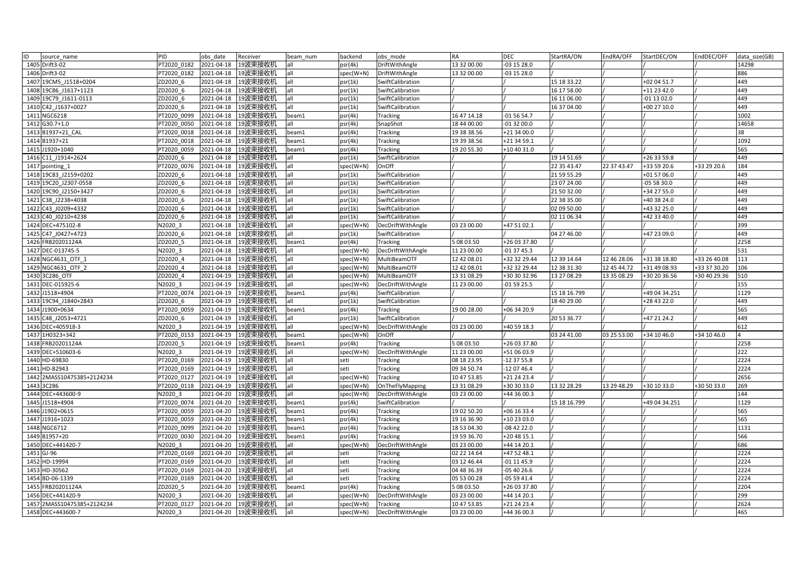| ID<br>source name          | PID         | obs date   | Receiver            | beam num | backend     | obs mode          | RA          | <b>DEC</b>   | StartRA/ON   | EndRA/OFF   | StartDEC/ON   | EndDEC/OFF   | data size(GB)  |
|----------------------------|-------------|------------|---------------------|----------|-------------|-------------------|-------------|--------------|--------------|-------------|---------------|--------------|----------------|
| 1405 Drift3-02             | PT2020 0182 | 2021-04-18 | 19波束接收机             | all      | psr(4k)     | DriftWithAngle    | 13 32 00.00 | -03 15 28.0  |              |             |               |              | 14298          |
| 1406 Drift3-02             | PT2020 0182 | 2021-04-18 | 19波束接收机             | all      | spec(W+N)   | DriftWithAngle    | 13 32 00.00 | -03 15 28.0  |              |             |               |              | 886            |
| 1407 19CM5 J1518+0204      | ZD2020 6    | 2021-04-18 | 19波束接收机             | all      | psr(1k)     | SwiftCalibration  |             |              | 15 18 33.22  |             | +02 04 51.7   |              | 449            |
| 1408 19C86 J1617+1123      | ZD2020 6    | 2021-04-18 | 19波束接收机             | all      | psr(1k)     | SwiftCalibration  |             |              | 16 17 58.00  |             | +11 23 42.0   |              | 449            |
| 1409 19C79 J1611-0113      | ZD2020 6    | 2021-04-18 | 19波束接收机             | lall     | psr(1k)     | SwiftCalibration  |             |              | 16 11 06.00  |             | $-01$ 13 02.0 |              | 449            |
| 1410 C42 J1637+0027        | ZD2020 6    | 2021-04-18 | 19波束接收机             | all      | psr(1k)     | SwiftCalibration  |             |              | 16 37 04.00  |             | +00 27 10.0   |              | 449            |
| 1411 NGC6218               | PT2020 0099 | 2021-04-18 | 19波束接收机             | beam1    | psr(4k)     | <b>Tracking</b>   | 16 47 14.18 | $-015654.7$  |              |             |               |              | 1002           |
| 1412 G30.7+1.0             | PT2020 0050 | 2021-04-18 | 19波束接收机             | all      | psr(4k)     | SnapShot          | 18 44 00.00 | $-013200.0$  |              |             |               |              | 14658          |
| 1413 B1937+21 CAL          | PT2020 0018 | 2021-04-18 | 19波束接收机             | beam1    | psr(4k)     | Tracking          | 19 38 38.56 | +21 34 00.0  |              |             |               |              | 38             |
| 1414 B1937+21              | PT2020 0018 | 2021-04-18 | 19波束接收机             | beam1    | psr(4k)     | Tracking          | 19 39 38.56 | +21 34 59.1  |              |             |               |              | 1092           |
| 1415 J1920+1040            | PT2020 0059 | 2021-04-18 | 19波束接收机             | beam1    | psr(4k)     | Tracking          | 19 20 55.30 | +10 40 31.0  |              |             |               |              | 565            |
| 1416 C11 J1914+2624        | ZD2020 6    | 2021-04-18 | 19波束接收机             | all      | psr(1k)     | SwiftCalibration  |             |              | 19 14 51.69  |             | +26 33 59.8   |              | 449            |
| 1417 pointing 1            | PT2020 0076 | 2021-04-18 | 19波束接收机             | all      | spec(W+N)   | OnOff             |             |              | 22 35 43.47  | 22 37 43.47 | +33 59 20.6   | +33 29 20.6  | 184            |
| 1418 19C83 J2159+0202      | ZD2020 6    | 2021-04-18 | 19波束接收机             | all      | psr(1k)     | SwiftCalibration  |             |              | 21 59 55.29  |             | +01 57 06.0   |              | 449            |
| 1419 19C20 J2307-0558      | ZD2020 6    | 2021-04-18 | 19波束接收机             | all      | psr(1k)     | SwiftCalibration  |             |              | 23 07 24.00  |             | -05 58 30.0   |              | 449            |
| 1420 19C90 J2150+3427      | ZD2020 6    | 2021-04-18 | 19波束接收机             | all      | psr(1k)     | SwiftCalibration  |             |              | 21 50 32.00  |             | +34 27 55.0   |              | 449            |
| 1421 C38 J2238+4038        | ZD2020 6    | 2021-04-18 | 19波束接收机             | lall     | psr(1k)     | SwiftCalibration  |             |              | 22 38 35.00  |             | +40 38 24.0   |              | 449            |
| 1422 C43 J0209+4332        | ZD2020 6    | 2021-04-18 | 19波束接收机             | all      | psr(1k)     | SwiftCalibration  |             |              | 02 09 50.00  |             | +43 32 25.0   |              | 449            |
| 1423 C40 J0210+4238        | ZD2020 6    | 2021-04-18 | 19波束接收机             | all      | psr(1k)     | SwiftCalibration  |             |              | 02 11 06.34  |             | +42 33 40.0   |              | 449            |
| 1424 DEC+475102-8          | N2020 3     | 2021-04-18 | 19波束接收机             | all      | spec(W+N)   | DecDriftWithAngle | 03 23 00.00 | +47 51 02.1  |              |             |               |              | 399            |
| 1425 C47 J0427+4723        | ZD2020 6    | 2021-04-18 | 19波束接收机             | all      | psr(1k)     | SwiftCalibration  |             |              | 04 27 46.00  |             | +47 23 09.0   |              | 449            |
| 1426 FRB20201124A          | ZD2020 5    | 2021-04-18 | 19波束接收机             | beam1    | psr(4k)     | Tracking          | 5 08 03.50  | +26 03 37.80 |              |             |               |              | 2258           |
| 1427 DEC-013745-5          | N2020 3     | 2021-04-18 | 19波束接收机             | all      | spec(W+N)   | DecDriftWithAngle | 11 23 00.00 | $-013745.3$  |              |             |               |              | 531            |
| 1428 NGC4631 OTF 1         | ZD2020 4    | 2021-04-18 | 19波束接收机             | all      | spec(W+N)   | MultiBeamOTF      | 12 42 08.01 | +32 32 29.44 | 12 39 14.64  | 12 46 28.06 | +31 38 18.80  | +33 26 40.08 | 113            |
| 1429 NGC4631 OTF 2         | ZD2020 4    | 2021-04-18 | 19波束接收机             | lall     | spec(W+N)   | MultiBeamOTF      | 12 42 08.01 | +32 32 29.44 | 12 38 31.30  | 12 45 44.72 | +31 49 08.93  | +33 37 30.20 | 106            |
| 1430 3C286 OTF             | ZD2020 4    | 2021-04-19 | 19波束接收机             | all      | spec(W+N)   | MultiBeamOTF      | 13 31 08.29 | +30 30 32.96 | 13 27 08.29  | 13 35 08.29 | +30 20 36.56  | +30 40 29.36 | 510            |
| 1431 DEC-015925-6          | N2020 3     | 2021-04-19 | 19波束接收机             | all      | spec(W+N)   | DecDriftWithAngle | 11 23 00.00 | -01 59 25.5  |              |             |               |              | 155            |
| 1432 J1518+4904            | PT2020 0074 | 2021-04-19 | 19波束接收机             | beam1    | psr(4k)     | SwiftCalibration  |             |              | 15 18 16.799 |             | +49 04 34.251 |              | 1129           |
| 1433 19C94 J1840+2843      | ZD2020 6    | 2021-04-19 | 19波束接收机             | all      | psr(1k)     | SwiftCalibration  |             |              | 18 40 29.00  |             | +28 43 22.0   |              | 449            |
| 1434 J1900+0634            | PT2020 0059 | 2021-04-19 | 19波束接收机             | beam1    | psr(4k)     | Tracking          | 19 00 28.00 | +06 34 20.9  |              |             |               |              | 565            |
| 1435 C48 J2053+4721        | ZD2020 6    | 2021-04-19 | 19波束接收机             | all      | psr(1k)     | SwiftCalibration  |             |              | 20 53 36.77  |             | +47 21 24.2   |              | 449            |
| 1436 DEC+405918-3          | N2020 3     | 2021-04-19 | 19波束接收机             | all      | spec(W+N)   | DecDriftWithAngle | 03 23 00.00 | +40 59 18.3  |              |             |               |              | 612            |
| 1437 1H0323+342            | PT2020 0153 | 2021-04-19 | 19波束接收机             | beam1    | spec(W+N)   | OnOff             |             |              | 03 24 41.00  | 03 25 53.00 | +34 10 46.0   | +34 10 46.0  | $\overline{4}$ |
| 1438 FRB20201124A          | ZD2020 5    | 2021-04-19 | 19波束接收机             | beam1    | psr(4k)     | Tracking          | 5 08 03.50  | +26 03 37.80 |              |             |               |              | 2258           |
| 1439 DEC+510603-6          | N2020 3     | 2021-04-19 | 19波束接收机             | all      | spec(W+N)   | DecDriftWithAngle | 11 23 00.00 | +51 06 03.9  |              |             |               |              | 222            |
| 1440 HD-69830              | PT2020 0169 | 2021-04-19 | 19波束接收机             | lall     | seti        | Tracking          | 08 18 23.95 | -12 37 55.8  |              |             |               |              | 2224           |
| 1441 HD-82943              | PT2020 0169 | 2021-04-19 | 19波束接收机             | lall     | seti        | <b>Tracking</b>   | 09 34 50.74 | -12 07 46.4  |              |             |               |              | 2224           |
| 1442 2MASS10475385+2124234 | PT2020 0127 | 2021-04-19 | 19波束接收机             | all      | spec(W+N)   | Tracking          | 10 47 53.85 | +21 24 23.4  |              |             |               |              | 2656           |
| 1443 3C286                 | PT2020 0118 | 2021-04-19 | 19波束接收机             | all      | $spec(W+N)$ | OnTheFlyMapping   | 13 31 08.29 | +30 30 33.0  | 13 32 28.29  | 13 29 48.29 | +30 10 33.0   | +30 50 33.0  | 269            |
| 1444 DEC+443600-9          | N2020 3     | 2021-04-20 | 19波束接收机             | all      | spec(W+N)   | DecDriftWithAngle | 03 23 00.00 | +44 36 00.3  |              |             |               |              | 144            |
| 1445 J1518+4904            | PT2020 0074 | 2021-04-20 | 19波束接收机             | beam1    | psr(4k)     | SwiftCalibration  |             |              | 15 18 16.799 |             | +49 04 34.251 |              | 1129           |
| 1446 J1902+0615            | PT2020 0059 | 2021-04-20 | 19波束接收机             | beam1    | psr(4k)     | Tracking          | 19 02 50.20 | +06 16 33.4  |              |             |               |              | 565            |
| 1447 J1916+1023            | PT2020 0059 | 2021-04-20 | 19波束接收机             | beam1    | psr(4k)     | Tracking          | 19 16 36.90 | +10 23 03.0  |              |             |               |              | 565            |
| 1448 NGC6712               | PT2020 0099 | 2021-04-20 | 19波束接收机             | beam1    | psr(4k)     | Tracking          | 18 53 04.30 | 08 42 22.0   |              |             |               |              | 1131           |
| 1449 B1957+20              | PT2020 0030 | 2021-04-20 | 19波束接收机             | beam1    | psr(4k)     | Tracking          | 19 59 36.70 | +20 48 15.1  |              |             |               |              | 566            |
| 1450 DEC+441420-7          | N2020 3     | 2021-04-20 | 19波束接收机             | all      | spec(W+N)   | DecDriftWithAngle | 03 23 00.00 | +44 14 20.1  |              |             |               |              | 686            |
| 1451 GJ-96                 | PT2020 0169 | 2021-04-20 | 19波束接收机             | all      | seti        | <b>Tracking</b>   | 02 22 14.64 | +47 52 48.1  |              |             |               |              | 2224           |
| 1452 HD-19994              | PT2020 0169 | 2021-04-20 | 19波束接收机             | all      | seti        | Tracking          | 03 12 46.44 | 01 11 45.9   |              |             |               |              | 2224           |
| 1453 HD-30562              | PT2020 0169 | 2021-04-20 | 19波束接收机             | all      | seti        | Tracking          | 04 48 36.39 | $-054026.6$  |              |             |               |              | 2224           |
| 1454 BD-06-1339            | PT2020 0169 | 2021-04-20 | 19波束接收机             | all      | seti        | Tracking          | 05 53 00.28 | $-055941.4$  |              |             |               |              | 2224           |
| 1455 FRB20201124A          | ZD2020 5    | 2021-04-20 | 19波束接收机             | beam1    | psr(4k)     | Tracking          | 5 08 03.50  | +26 03 37.80 |              |             |               |              | 2204           |
| 1456 DEC+441420-9          | N2020 3     | 2021-04-20 | 19波束接收机             | all      | spec(W+N)   | DecDriftWithAngle | 03 23 00.00 | +44 14 20.1  |              |             |               |              | 299            |
| 1457 2MASS10475385+2124234 | PT2020 0127 | 2021-04-20 | 19波束接收机             | lall     | spec(W+N)   | <b>Tracking</b>   | 10 47 53.85 | +21 24 23.4  |              |             |               |              | 2624           |
| 1458 DEC+443600-7          | N2020 3     |            | 2021-04-20  19波束接收机 | all      | spec(W+N)   | DecDriftWithAngle | 03 23 00.00 | +44 36 00.3  |              |             |               |              | 465            |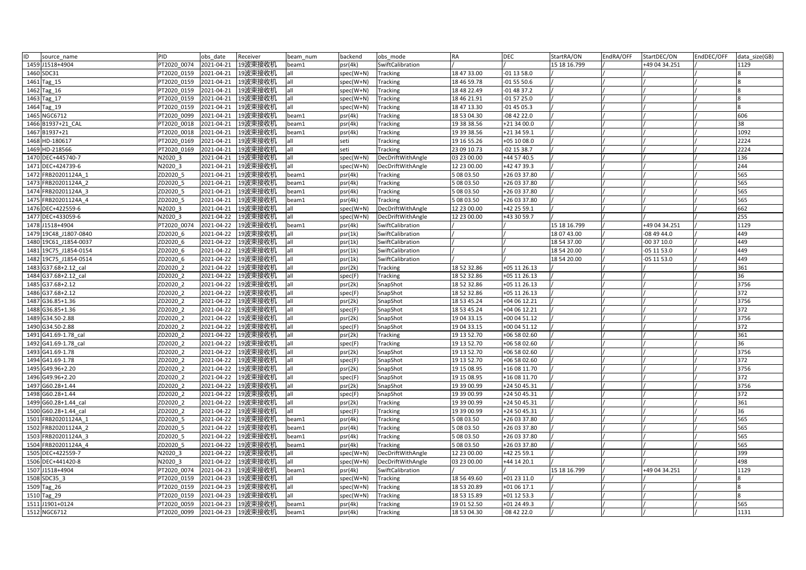| ID<br>source name     | PID         | obs date   | Receiver | beam num | backend     | obs mode          | <b>RA</b>   | <b>DEC</b>   | StartRA/ON   | EndRA/OFF | StartDEC/ON   | EndDEC/OFF | data size(GB) |
|-----------------------|-------------|------------|----------|----------|-------------|-------------------|-------------|--------------|--------------|-----------|---------------|------------|---------------|
| 1459 J1518+4904       | PT2020 0074 | 2021-04-21 | 19波束接收机  | beam1    | osr(4k)     | SwiftCalibration  |             |              | 15 18 16.799 |           | +49 04 34.251 |            | 1129          |
| 1460 SDC31            | PT2020 0159 | 2021-04-21 | 19波束接收机  |          | spec(W+N)   | Tracking          | 18 47 33.00 | -01 13 58.0  |              |           |               |            |               |
| 1461 Tag_15           | PT2020 0159 | 2021-04-21 | 19波束接收机  | all      | spec(W+N)   | <b>Tracking</b>   | 18 46 59.78 | $-015550.6$  |              |           |               |            |               |
| 1462 Tag 16           | PT2020 0159 | 2021-04-21 | 19波束接收机  | all      | spec(W+N)   | Tracking          | 18 48 22.49 | $-014837.2$  |              |           |               |            |               |
| 1463 Tag 17           | PT2020 0159 | 2021-04-21 | 19波束接收机  | all      | spec(W+N)   | Tracking          | 18 46 21.91 | $-015725.0$  |              |           |               |            |               |
| 1464 Tag_19           | PT2020 0159 | 2021-04-21 | 19波束接收机  | all      | spec(W+N)   | Tracking          | 18 47 13.30 | $-014505.3$  |              |           |               |            |               |
| 1465 NGC6712          | PT2020 0099 | 2021-04-21 | 19波束接收机  | beam1    | psr(4k)     | Tracking          | 18 53 04.30 | -08 42 22.0  |              |           |               |            | 606           |
| 1466 B1937+21 CAL     | PT2020 0018 | 2021-04-21 | 19波束接收机  | beam1    | psr(4k)     | Tracking          | 19 38 38.56 | +21 34 00.0  |              |           |               |            | 38            |
| 1467 B1937+21         | PT2020 0018 | 2021-04-21 | 19波束接收机  | beam1    | osr(4k)     | Tracking          | 19 39 38.56 | +21 34 59.1  |              |           |               |            | 1092          |
| 1468 HD-180617        | PT2020 0169 | 2021-04-21 | 19波束接收机  | all      | seti        | Tracking          | 19 16 55.26 | +05 10 08.0  |              |           |               |            | 2224          |
| 1469 HD-218566        | PT2020 0169 | 2021-04-21 | 19波束接收机  | all      | seti        | Tracking          | 23 09 10.73 | -02 15 38.7  |              |           |               |            | 2224          |
| 1470 DEC+445740-7     | N2020 3     | 2021-04-21 | 19波束接收机  | all      | spec(W+N)   | DecDriftWithAngle | 03 23 00.00 | +44 57 40.5  |              |           |               |            | 136           |
| 1471 DEC+424739-6     | N2020 3     | 2021-04-21 | 19波束接收机  | all      | spec(W+N)   | DecDriftWithAngle | 12 23 00.00 | +42 47 39.3  |              |           |               |            | 244           |
| 1472 FRB20201124A 1   | ZD2020 5    | 2021-04-21 | 19波束接收机  | beam1    | psr(4k)     | Tracking          | 5 08 03.50  | +26 03 37.80 |              |           |               |            | 565           |
| 1473 FRB20201124A 2   | ZD2020 5    | 2021-04-21 | 19波束接收机  | beam1    | osr(4k)     | Tracking          | 5 08 03.50  | +26 03 37.80 |              |           |               |            | 565           |
| 1474 FRB20201124A 3   | ZD2020 5    | 2021-04-21 | 19波束接收机  | beam1    | osr(4k)     | Tracking          | 5 08 03.50  | +26 03 37.80 |              |           |               |            | 565           |
| 1475 FRB20201124A 4   | ZD2020 5    | 2021-04-21 | 19波束接收机  | beam1    | osr(4k)     | Tracking          | 5 08 03.50  | +26 03 37.80 |              |           |               |            | 565           |
| 1476 DEC+422559-6     | N2020 3     | 2021-04-21 | 19波束接收机  | all      | spec(W+N)   | DecDriftWithAngle | 12 23 00.00 | +42 25 59.1  |              |           |               |            | 662           |
| 1477 DEC+433059-6     | N2020 3     | 2021-04-22 | 19波束接收机  | all      | spec(W+N)   | DecDriftWithAngle | 12 23 00.00 | +43 30 59.7  |              |           |               |            | 255           |
| 1478 J1518+4904       | PT2020 0074 | 2021-04-22 | 19波束接收机  | beam1    | osr(4k)     | SwiftCalibration  |             |              | 15 18 16.799 |           | +49 04 34.251 |            | 1129          |
| 1479 19C48 J1807-0840 | ZD2020 6    | 2021-04-22 | 19波束接收机  | all      | psr(1k)     | SwiftCalibration  |             |              | 18 07 43.00  |           | -08 49 44.0   |            | 449           |
| 1480 19C61 J1854-0037 | ZD2020 6    | 2021-04-22 | 19波束接收机  | all      | psr(1k)     | SwiftCalibration  |             |              | 18 54 37.00  |           | -00 37 10.0   |            | 449           |
| 1481 19C75 J1854-0154 | ZD2020 6    | 2021-04-22 | 19波束接收机  | all      | osr(1k)     | SwiftCalibration  |             |              | 18 54 20.00  |           | $-05$ 11 53.0 |            | 449           |
| 1482 19C75 J1854-0514 | ZD2020 6    | 2021-04-22 | 19波束接收机  | all      | psr(1k)     | SwiftCalibration  |             |              | 18 54 20.00  |           | $-05$ 11 53.0 |            | 449           |
| 1483 G37.68+2.12 cal  | ZD2020 2    | 2021-04-22 | 19波束接收机  | all      | psr(2k)     | Tracking          | 18 52 32.86 | +05 11 26.13 |              |           |               |            | 361           |
| 1484 G37.68+2.12 cal  | ZD2020 2    | 2021-04-22 | 19波束接收机  | all      | spec(F)     | Tracking          | 18 52 32.86 | +05 11 26.13 |              |           |               |            | 36            |
| 1485 G37.68+2.12      | ZD2020 2    | 2021-04-22 | 19波束接收机  | all      | osr(2k)     | SnapShot          | 18 52 32.86 | +05 11 26.13 |              |           |               |            | 3756          |
| 1486 G37.68+2.12      | ZD2020 2    | 2021-04-22 | 19波束接收机  | all      | spec(F)     | SnapShot          | 18 52 32.86 | +05 11 26.13 |              |           |               |            | 372           |
| 1487 G36.85+1.36      | ZD2020 2    | 2021-04-22 | 19波束接收机  | all      | osr(2k)     | SnapShot          | 18 53 45.24 | +04 06 12.21 |              |           |               |            | 3756          |
| 1488 G36.85+1.36      | ZD2020 2    | 2021-04-22 | 19波束接收机  | all      | spec(F)     | SnapShot          | 18 53 45.24 | +04 06 12.21 |              |           |               |            | 372           |
| 1489 G34.50-2.88      | ZD2020 2    | 2021-04-22 | 19波束接收机  | all      | psr(2k)     | SnapShot          | 19 04 33.15 | +00 04 51.12 |              |           |               |            | 3756          |
| 1490 G34.50-2.88      | ZD2020 2    | 2021-04-22 | 19波束接收机  | all      | spec(F)     | SnapShot          | 19 04 33.15 | +00 04 51.12 |              |           |               |            | 372           |
| 1491 G41.69-1.78 cal  | ZD2020 2    | 2021-04-22 | 19波束接收机  | all      | psr(2k)     | Tracking          | 19 13 52.70 | +06 58 02.60 |              |           |               |            | 361           |
| 1492 G41.69-1.78 cal  | ZD2020 2    | 2021-04-22 | 19波束接收机  | all      | spec(F)     | <b>Tracking</b>   | 19 13 52.70 | +06 58 02.60 |              |           |               |            | 36            |
| 1493 G41.69-1.78      | ZD2020 2    | 2021-04-22 | 19波束接收机  | all      | osr(2k)     | SnapShot          | 19 13 52.70 | +06 58 02.60 |              |           |               |            | 3756          |
| 1494 G41.69-1.78      | ZD2020_2    | 2021-04-22 | 19波束接收机  | all      | spec(F)     | SnapShot          | 19 13 52.70 | +06 58 02.60 |              |           |               |            | 372           |
| 1495 G49.96+2.20      | ZD2020 2    | 2021-04-22 | 19波束接收机  | all      | psr(2k)     | SnapShot          | 19 15 08.95 | +16 08 11.70 |              |           |               |            | 3756          |
| 1496 G49.96+2.20      | ZD2020 2    | 2021-04-22 | 19波束接收机  | all      | spec(F)     | SnapShot          | 19 15 08.95 | +16 08 11.70 |              |           |               |            | 372           |
| 1497 G60.28+1.44      | ZD2020 2    | 2021-04-22 | 19波束接收机  | all      | psr(2k)     | SnapShot          | 19 39 00.99 | +24 50 45.31 |              |           |               |            | 3756          |
| 1498 G60.28+1.44      | ZD2020 2    | 2021-04-22 | 19波束接收机  | all      | spec(F)     | SnapShot          | 19 39 00.99 | +24 50 45.31 |              |           |               |            | 372           |
| 1499 G60.28+1.44_cal  | ZD2020 2    | 2021-04-22 | 19波束接收机  | all      | psr(2k)     | Tracking          | 19 39 00.99 | +24 50 45.31 |              |           |               |            | 361           |
| 1500 G60.28+1.44 cal  | ZD2020 2    | 2021-04-22 | 19波束接收机  | all      | spec(F)     | <b>Tracking</b>   | 19 39 00.99 | +24 50 45.31 |              |           |               |            | 36            |
| 1501 FRB20201124A 1   | ZD2020 5    | 2021-04-22 | 19波束接收机  | beam1    | psr(4k)     | Tracking          | 5 08 03.50  | +26 03 37.80 |              |           |               |            | 565           |
| 1502 FRB20201124A 2   | ZD2020 5    | 2021-04-22 | 19波束接收机  | beam1    | osr(4k)     | <b>Tracking</b>   | 5 08 03.50  | +26 03 37.80 |              |           |               |            | 565           |
| 1503 FRB20201124A 3   | ZD2020 5    | 2021-04-22 | 19波束接收机  | beam1    | psr(4k)     | Tracking          | 5 08 03.50  | +26 03 37.80 |              |           |               |            | 565           |
| 1504 FRB20201124A 4   | ZD2020 5    | 2021-04-22 | 19波束接收机  | beam1    | psr(4k)     | Tracking          | 5 08 03.50  | +26 03 37.80 |              |           |               |            | 565           |
| 1505 DEC+422559-7     | N2020 3     | 2021-04-22 | 19波束接收机  | all      | spec(W+N)   | DecDriftWithAngle | 12 23 00.00 | +42 25 59.1  |              |           |               |            | 399           |
| 1506 DEC+441420-8     | N2020 3     | 2021-04-22 | 19波束接收机  | all      | spec(W+N)   | DecDriftWithAngle | 03 23 00.00 | +44 14 20.1  |              |           |               |            | 498           |
| 1507 J1518+4904       | PT2020 0074 | 2021-04-23 | 19波束接收机  | beam1    | psr(4k)     | SwiftCalibration  |             |              | 15 18 16.799 |           | +49 04 34.251 |            | 1129          |
| 1508 SDC35 3          | PT2020 0159 | 2021-04-23 | 19波束接收机  | all      | spec(W+N)   | Tracking          | 18 56 49.60 | +01 23 11.0  |              |           |               |            |               |
| 1509 Tag 26           | PT2020 0159 | 2021-04-23 | 19波束接收机  | all      | $spec(W+N)$ | <b>Tracking</b>   | 18 53 20.89 | +01 06 17.1  |              |           |               |            |               |
| 1510 Tag 29           | PT2020 0159 | 2021-04-23 | 19波束接收机  | ۱l       | spec(W+N)   | <b>Tracking</b>   | 18 53 15.89 | +01 12 53.3  |              |           |               |            |               |
| 1511 J1901+0124       | PT2020 0059 | 2021-04-23 | 19波束接收机  | beam1    | psr(4k)     | Tracking          | 19 01 52.50 | +01 24 49.3  |              |           |               |            | 565           |
| 1512 NGC6712          | PT2020 0099 | 2021-04-23 | 19波束接收机  | beam1    | psr(4k)     | Tracking          | 18 53 04.30 | $-084222.0$  |              |           |               |            | 1131          |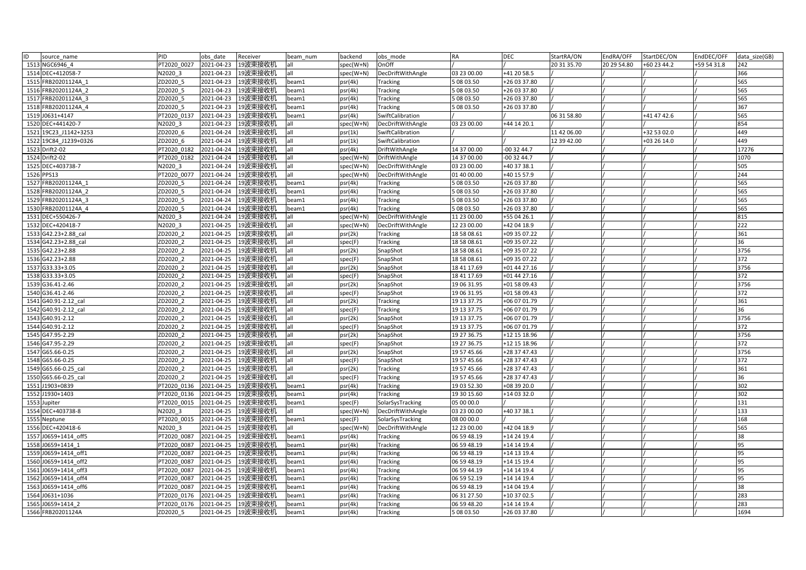| ID           | source name           | <b>PID</b>  | obs date   | Receiver           | beam num | backend   | obs mode          | RA          | <b>DEC</b>   | StartRA/ON  | EndRA/OFF   | StartDEC/ON | EndDEC/OFF  | data size(GB) |
|--------------|-----------------------|-------------|------------|--------------------|----------|-----------|-------------------|-------------|--------------|-------------|-------------|-------------|-------------|---------------|
|              | 1513 NGC6946 4        | PT2020 0027 | 2021-04-23 | 19波束接收机            | all      | spec(W+N) | OnOff             |             |              | 20 31 35.70 | 20 29 54.80 | +60 23 44.2 | +59 54 31.8 | 242           |
|              | 1514 DEC+412058-7     | V2020 3     | 2021-04-23 | 19波束接收机            | all      | spec(W+N) | DecDriftWithAngle | 03 23 00.00 | +41 20 58.5  |             |             |             |             | 366           |
|              | 1515 FRB20201124A 1   | ZD2020 5    | 2021-04-23 | 19波束接收机            | beam1    | psr(4k)   | Tracking          | 5 08 03.50  | +26 03 37.80 |             |             |             |             | 565           |
|              | 1516 FRB20201124A 2   | ZD2020 5    | 2021-04-23 | 19波束接收机            | beam1    | psr(4k)   | <b>Tracking</b>   | 5 08 03.50  | +26 03 37.80 |             |             |             |             | 565           |
|              | 1517 FRB20201124A 3   | ZD2020 5    | 2021-04-23 | 19波束接收机            | beam1    | psr(4k)   | Tracking          | 5 08 03.50  | +26 03 37.80 |             |             |             |             | 565           |
|              | 1518 FRB20201124A 4   | ZD2020 5    | 2021-04-23 | 19波束接收机            | beam1    | psr(4k)   | Tracking          | 5 08 03.50  | +26 03 37.80 |             |             |             |             | 367           |
|              | 1519 J0631+4147       | PT2020 0137 | 2021-04-23 | 19波束接收机            | beam1    | psr(4k)   | SwiftCalibration  |             |              | 06 31 58.80 |             | +41 47 42.6 |             | 565           |
|              | 1520 DEC+441420-7     | N2020 3     | 2021-04-23 | 19波束接收机            | all      | spec(W+N) | DecDriftWithAngle | 03 23 00.00 | +44 14 20.1  |             |             |             |             | 854           |
|              | 1521 19C23 J1142+3253 | ZD2020 6    | 2021-04-24 | 19波束接收机            | all      | psr(1k)   | SwiftCalibration  |             |              | 11 42 06.00 |             | +32 53 02.0 |             | 449           |
|              | 1522 19C84 J1239+0326 | ZD2020 6    | 2021-04-24 | 19波束接收机            | all      | psr(1k)   | SwiftCalibration  |             |              | 12 39 42.00 |             | +03 26 14.0 |             | 449           |
|              | 1523 Drift2-02        | PT2020 0182 | 2021-04-24 | 19波束接收机            | all      | psr(4k)   | DriftWithAngle    | 14 37 00.00 | $-003244.7$  |             |             |             |             | 17276         |
|              | 1524 Drift2-02        | PT2020 0182 | 2021-04-24 | 19波束接收机            | all      | spec(W+N) | DriftWithAngle    | 14 37 00.00 | 00 32 44.7   |             |             |             |             | 1070          |
|              | 1525 DEC+403738-7     | N2020 3     | 2021-04-24 | 19波束接收机            | all      | spec(W+N) | DecDriftWithAngle | 03 23 00.00 | +40 37 38.1  |             |             |             |             | 505           |
| 1526 PPS13   |                       | PT2020 0077 | 2021-04-24 | 19波束接收机            | all      | spec(W+N) | DecDriftWithAngle | 01 40 00.00 | +40 15 57.9  |             |             |             |             | 244           |
|              | 1527 FRB20201124A 1   | ZD2020 5    | 2021-04-24 | 19波束接收机            | beam1    | psr(4k)   | Tracking          | 5 08 03.50  | +26 03 37.80 |             |             |             |             | 565           |
|              | 1528 FRB20201124A 2   | ZD2020 5    | 2021-04-24 | 19波束接收机            | beam1    | psr(4k)   | Tracking          | 5 08 03.50  | +26 03 37.80 |             |             |             |             | 565           |
|              | 1529 FRB20201124A 3   | ZD2020 5    | 2021-04-24 | 19波束接收机            | beam1    | psr(4k)   | <b>Tracking</b>   | 5 08 03.50  | +26 03 37.80 |             |             |             |             | 565           |
|              | 1530 FRB20201124A 4   | ZD2020_5    | 2021-04-24 | 19波束接收机            | beam1    | psr(4k)   | Tracking          | 5 08 03.50  | +26 03 37.80 |             |             |             |             | 565           |
|              | 1531 DEC+550426-7     | N2020 3     | 2021-04-24 | 19波束接收机            | all      | spec(W+N) | DecDriftWithAngle | 11 23 00.00 | +55 04 26.1  |             |             |             |             | 815           |
|              | 1532 DEC+420418-7     | N2020 3     | 2021-04-25 | 19波束接收机            | all      | spec(W+N) | DecDriftWithAngle | 12 23 00.00 | +42 04 18.9  |             |             |             |             | 222           |
|              | 1533 G42.23+2.88 cal  | ZD2020 2    | 2021-04-25 | 19波束接收机            | all      | psr(2k)   | Tracking          | 18 58 08.61 | +09 35 07.22 |             |             |             |             | 361           |
|              | 1534 G42.23+2.88 cal  | ZD2020 2    | 2021-04-25 | 19波束接收机            | all      | spec(F)   | Tracking          | 18 58 08.61 | +09 35 07.22 |             |             |             |             | 36            |
|              | 1535 G42.23+2.88      | ZD2020 2    | 2021-04-25 | 19波束接收机            | all      | psr(2k)   | SnapShot          | 18 58 08.61 | +09 35 07.22 |             |             |             |             | 3756          |
|              | 1536 G42.23+2.88      | ZD2020 2    | 2021-04-25 | 19波束接收机            | all      | spec(F)   | SnapShot          | 18 58 08.61 | +09 35 07.22 |             |             |             |             | 372           |
|              | 1537 G33.33+3.05      | ZD2020 2    | 2021-04-25 | 19波束接收机            | all      | psr(2k)   | SnapShot          | 18 41 17.69 | +01 44 27.16 |             |             |             |             | 3756          |
|              | 1538 G33.33+3.05      | ZD2020 2    | 2021-04-25 | 19波束接收机            | all      | spec(F)   | SnapShot          | 18 41 17.69 | +01 44 27.16 |             |             |             |             | 372           |
|              | 1539 G36.41-2.46      | ZD2020 2    | 2021-04-25 | 19波束接收机            | all      | psr(2k)   | SnapShot          | 19 06 31.95 | +01 58 09.43 |             |             |             |             | 3756          |
|              | 1540 G36.41-2.46      | ZD2020 2    | 2021-04-25 | 19波束接收机            | all      | spec(F)   | SnapShot          | 19 06 31.95 | +01 58 09.43 |             |             |             |             | 372           |
|              | 1541 G40.91-2.12 cal  | ZD2020 2    | 2021-04-25 | 19波束接收机            | all      | psr(2k)   | <b>Tracking</b>   | 19 13 37.75 | +06 07 01.79 |             |             |             |             | 361           |
|              | 1542 G40.91-2.12 cal  | ZD2020 2    | 2021-04-25 | 19波束接收机            | all      | spec(F)   | <b>Tracking</b>   | 19 13 37.75 | +06 07 01.79 |             |             |             |             | 36            |
|              | 1543 G40.91-2.12      | ZD2020 2    | 2021-04-25 | 19波束接收机            | all      | psr(2k)   | SnapShot          | 19 13 37.75 | +06 07 01.79 |             |             |             |             | 3756          |
|              | 1544 G40.91-2.12      | ZD2020 2    | 2021-04-25 | 19波束接收机            | all      | spec(F)   | SnapShot          | 19 13 37.75 | +06 07 01.79 |             |             |             |             | 372           |
|              | 1545 G47.95-2.29      | ZD2020 2    | 2021-04-25 | 19波束接收机            | all      | psr(2k)   | SnapShot          | 19 27 36.75 | +12 15 18.96 |             |             |             |             | 3756          |
|              | 1546 G47.95-2.29      | ZD2020 2    | 2021-04-25 | 19波束接收机            | all      | spec(F)   | SnapShot          | 19 27 36.75 | +12 15 18.96 |             |             |             |             | 372           |
|              | 1547 G65.66-0.25      | ZD2020 2    | 2021-04-25 | 19波束接收机            | all      | psr(2k)   | SnapShot          | 19 57 45.66 | +28 37 47.43 |             |             |             |             | 3756          |
|              | 1548 G65.66-0.25      | ZD2020 2    | 2021-04-25 | 19波束接收机            | all      | spec(F)   | SnapShot          | 19 57 45.66 | +28 37 47.43 |             |             |             |             | 372           |
|              | 1549 G65.66-0.25 cal  | ZD2020 2    | 2021-04-25 | 19波束接收机            | all      | psr(2k)   | Tracking          | 19 57 45.66 | +28 37 47.43 |             |             |             |             | 361           |
|              | 1550 G65.66-0.25 cal  | ZD2020 2    | 2021-04-25 | 19波束接收机            | all      | spec(F)   | Tracking          | 19 57 45.66 | +28 37 47.43 |             |             |             |             | 36            |
|              | 1551 J1903+0839       | PT2020 0136 | 2021-04-25 | 19波束接收机            | beam1    | psr(4k)   | <b>Tracking</b>   | 19 03 52.30 | +08 39 20.0  |             |             |             |             | 302           |
|              | 1552 J1930+1403       | PT2020 0136 | 2021-04-25 | 19波束接收机            | beam1    | psr(4k)   | Tracking          | 19 30 15.60 | +14 03 32.0  |             |             |             |             | 302           |
| 1553 Jupiter |                       | PT2020 0015 | 2021-04-25 | 19波束接收机            | beam1    | spec(F)   | SolarSysTracking  | 05 00 00.0  |              |             |             |             |             | 131           |
|              | 1554 DEC+403738-8     | N2020 3     | 2021-04-25 | 19波束接收机            | all      | spec(W+N) | DecDriftWithAngle | 03 23 00.00 | +40 37 38.1  |             |             |             |             | 133           |
|              | 1555 Neptune          | PT2020 0015 | 2021-04-25 | 19波束接收机            | beam1    | spec(F)   | SolarSysTracking  | 08 00 00.0  |              |             |             |             |             | 168           |
|              | 1556 DEC+420418-6     | N2020 3     | 2021-04-25 | 19波束接收机            | all      | spec(W+N) | DecDriftWithAngle | 12 23 00.00 | +42 04 18.9  |             |             |             |             | 565           |
|              | 1557 J0659+1414 off5  | PT2020 0087 | 2021-04-25 | 19波束接收机            | beam1    | psr(4k)   | Tracking          | 06 59 48.19 | +14 24 19.4  |             |             |             |             | 38            |
|              | 1558 J0659+1414 1     | PT2020 0087 | 2021-04-25 | 19波束接收机            | beam1    | psr(4k)   | <b>Tracking</b>   | 06 59 48.19 | +14 14 19.4  |             |             |             |             | 95            |
|              | 1559 J0659+1414 off1  | PT2020 0087 | 2021-04-25 | 19波束接收机            | beam1    | psr(4k)   | Tracking          | 06 59 48.19 | +14 13 19.4  |             |             |             |             | 95            |
|              | 1560 J0659+1414 off2  | PT2020 0087 | 2021-04-25 | 19波束接收机            | beam1    | psr(4k)   | Tracking          | 06 59 48.19 | +14 15 19.4  |             |             |             |             | 95            |
|              | 1561 J0659+1414 off3  | PT2020 0087 | 2021-04-25 | 19波束接收机            | beam1    | psr(4k)   | Tracking          | 06 59 44.19 | +14 14 19.4  |             |             |             |             | 95            |
|              | 1562 J0659+1414 off4  | PT2020 0087 | 2021-04-25 | 19波束接收机            | beam1    | psr(4k)   | <b>Tracking</b>   | 06 59 52.19 | +14 14 19.4  |             |             |             |             | 95            |
|              | 1563 J0659+1414 off6  | PT2020 0087 | 2021-04-25 | 19波束接收机            | beam1    | psr(4k)   | <b>Tracking</b>   | 06 59 48.19 | +14 04 19.4  |             |             |             |             | 38            |
|              | 1564 J0631+1036       | PT2020 0176 | 2021-04-25 | 19波束接收机            | beam1    | psr(4k)   | Tracking          | 06 31 27.50 | +10 37 02.5  |             |             |             |             | 283           |
|              | 1565 J0659+1414 2     | PT2020 0176 | 2021-04-25 | 19波束接收机            | beam1    | psr(4k)   | Tracking          | 06 59 48.20 | +14 14 19.4  |             |             |             |             | 283           |
|              | 1566 FRB20201124A     | ZD2020 5    |            | 2021-04-25 19波束接收机 | beam1    | psr(4k)   | <b>Tracking</b>   | 5 08 03.50  | +26 03 37.80 |             |             |             |             | 1694          |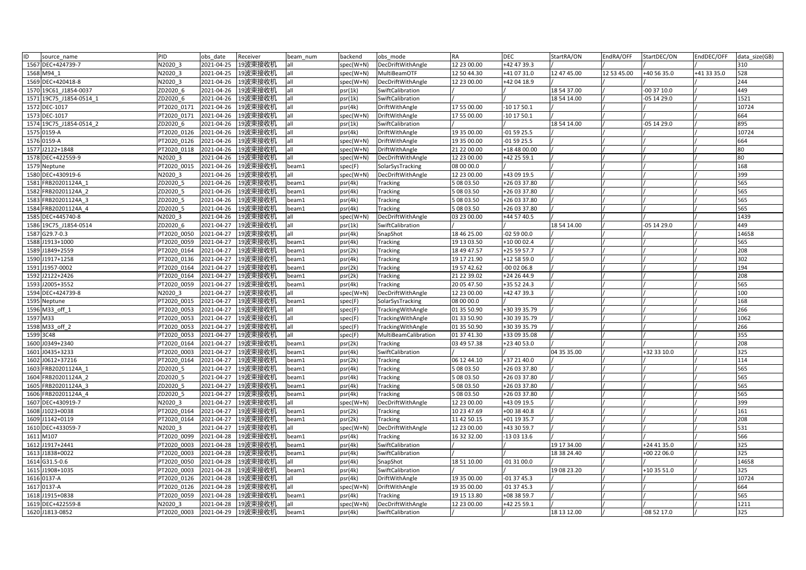| ID<br>source name                          | PID                  | obs date                 | Receiver           | beam num       | backend            | obs mode             | RA                       | <b>DEC</b>                   | StartRA/ON  | EndRA/OFF   | StartDEC/ON | EndDEC/OFF  | data size(GB) |
|--------------------------------------------|----------------------|--------------------------|--------------------|----------------|--------------------|----------------------|--------------------------|------------------------------|-------------|-------------|-------------|-------------|---------------|
| 1567 DEC+424739-7                          | N2020 3              | 2021-04-25               | 19波束接收机            | all            | spec(W+N)          | DecDriftWithAngle    | 12 23 00.00              | +42 47 39.3                  |             |             |             |             | 310           |
| 1568 M94 1                                 | N2020 3              | 2021-04-25               | 19波束接收机            | all            | spec(W+N)          | MultiBeamOTF         | 12 50 44.30              | +41 07 31.0                  | 12 47 45.00 | 12 53 45.00 | +40 56 35.0 | +41 33 35.0 | 528           |
| 1569 DEC+420418-8                          | N2020 3              | 2021-04-26               | 19波束接收机            | all            | spec(W+N)          | DecDriftWithAngle    | 12 23 00.00              | +42 04 18.9                  |             |             |             |             | 244           |
| 1570 19C61 J1854-0037                      | ZD2020 6             | 2021-04-26               | 19波束接收机            | all            | psr(1k)            | SwiftCalibration     |                          |                              | 18 54 37.00 |             | 00 37 10.0  |             | 449           |
| 1571 19C75 J1854-0514 1                    | ZD2020 6             | 2021-04-26               | 19波束接收机            | all            | psr(1k)            | SwiftCalibration     |                          |                              | 18 54 14.00 |             | 05 14 29.0  |             | 1521          |
| 1572 DEC-1017                              | PT2020 0171          | 2021-04-26               | 19波束接收机            | all            | psr(4k)            | DriftWithAngle       | 17 55 00.00              | 10 17 50.1                   |             |             |             |             | 10724         |
| 1573 DEC-1017                              | PT2020 0171          | 2021-04-26               | 19波束接收机            | all            | spec(W+N)          | DriftWithAngle       | 17 55 00.00              | $-101750.1$                  |             |             |             |             | 664           |
| 1574 19C75 J1854-0514 2                    | ZD2020 6             | 2021-04-26               | 19波束接收机            | all            | psr(1k)            | SwiftCalibration     |                          |                              | 18 54 14.00 |             | -05 14 29.0 |             | 895           |
| 1575 0159-A                                | PT2020 0126          | 2021-04-26               | 19波束接收机            | all            | psr(4k)            | DriftWithAngle       | 19 35 00.00              | -01 59 25.5                  |             |             |             |             | 10724         |
| 1576 0159-A                                | PT2020 0126          | 2021-04-26               | 19波束接收机            | all            | spec(W+N)          | DriftWithAngle       | 19 35 00.00              | $-015925.5$                  |             |             |             |             | 664           |
| 1577 J2122+1848                            | PT2020 0118          | 2021-04-26               | 19波束接收机            | all            | spec(W+N)          | DriftWithAngle       | 21 22 00.00              | +18 48 00.00                 |             |             |             |             | 80            |
| 1578 DEC+422559-9                          | N2020 3              | 2021-04-26               | 19波束接收机            | all            | spec(W+N)          | DecDriftWithAngle    | 12 23 00.00              | +42 25 59.1                  |             |             |             |             | 80            |
| 1579 Neptune                               | PT2020 0015          | 2021-04-26               | 19波束接收机            | beam1          | spec(F)            | SolarSysTracking     | 08 00 00.0               |                              |             |             |             |             | 168           |
| 1580 DEC+430919-6                          | N2020 3              | 2021-04-26               | 19波束接收机            | all            | spec(W+N)          | DecDriftWithAngle    | 12 23 00.00              | +43 09 19.5                  |             |             |             |             | 399           |
| 1581 FRB20201124A 1                        | ZD2020 5             | 2021-04-26               | 19波束接收机            | beam1          | psr(4k)            | Tracking             | 5 08 03.50               | +26 03 37.80                 |             |             |             |             | 565           |
| 1582 FRB20201124A 2                        | ZD2020 5             | 2021-04-26               | 19波束接收机            | beam1          | psr(4k)            | Tracking             | 5 08 03.50               | +26 03 37.80                 |             |             |             |             | 565           |
| 1583 FRB20201124A 3                        | ZD2020 5             | 2021-04-26               | 19波束接收机            | beam1          | psr(4k)            | Tracking             | 5 08 03.50               | +26 03 37.80                 |             |             |             |             | 565           |
| 1584 FRB20201124A 4                        | ZD2020_5             | 2021-04-26               | 19波束接收机            | beam1          | psr(4k)            | Tracking             | 5 08 03.50               | +26 03 37.80                 |             |             |             |             | 565           |
| 1585 DEC+445740-8                          | N2020 3              | 2021-04-26               | 19波束接收机            | all            | spec(W+N)          | DecDriftWithAngle    | 03 23 00.00              | +44 57 40.5                  |             |             |             |             | 1439          |
| 1586 19C75 J1854-0514                      | ZD2020 6             | 2021-04-27               | 19波束接收机            | all            | psr(1k)            | SwiftCalibration     |                          |                              | 18 54 14.00 |             | -05 14 29.0 |             | 449           |
| 1587 G29.7-0.3                             | PT2020 0050          | 2021-04-27               | 19波束接收机            | all            | psr(4k)            | SnapShot             | 18 46 25.00              | -02 59 00.0                  |             |             |             |             | 14658         |
| 1588 J1913+1000                            | PT2020 0059          | 2021-04-27               | 19波束接收机            | beam1          | psr(4k)            | Tracking             | 19 13 03.50              | +10 00 02.4                  |             |             |             |             | 565           |
| 1589 J1849+2559                            | PT2020 0164          | 2021-04-27               | 19波束接收机            | beam1          | psr(2k)            | Tracking             | 18 49 47.57              | +25 59 57.7                  |             |             |             |             | 208           |
| 1590 J1917+1258                            | PT2020 0136          | 2021-04-27               | 19波束接收机            | beam1          | psr(4k)            | Tracking             | 19 17 21.90              | +12 58 59.0                  |             |             |             |             | 302           |
| 1591 J1957-0002                            | PT2020 0164          | 2021-04-27               | 19波束接收机            | beam1          | psr(2k)            | <b>Tracking</b>      | 19 57 42.62              | $-000206.8$                  |             |             |             |             | 194           |
| 1592 J2122+2426                            | PT2020 0164          | 2021-04-27               | 19波束接收机            | beam1          | psr(2k)            | Tracking             | 21 22 39.02              | +24 26 44.9                  |             |             |             |             | 208           |
| 1593 J2005+3552                            | PT2020 0059          | 2021-04-27               | 19波束接收机            | beam1          | psr(4k)            | Tracking             | 20 05 47.50              | +35 52 24.3                  |             |             |             |             | 565           |
| 1594 DEC+424739-8                          | N2020 3              | 2021-04-27               | 19波束接收机            | all            | spec(W+N)          | DecDriftWithAngle    | 12 23 00.00              | +42 47 39.3                  |             |             |             |             | 100           |
| 1595 Neptune                               | PT2020 0015          | 2021-04-27               | 19波束接收机            | beam1          | spec(F)            | SolarSysTracking     | 08 00 00.0               |                              |             |             |             |             | 168           |
| 1596 M33 off 1                             | PT2020 0053          | 2021-04-27               | 19波束接收机            | all            | spec(F)            | TrackingWithAngle    | 01 35 50.90              | +30 39 35.79                 |             |             |             |             | 266           |
| 1597 M33                                   | PT2020 0053          | 2021-04-27               | 19波束接收机            | all            | spec(F)            | TrackingWithAngle    | 01 33 50.90              | +30 39 35.79                 |             |             |             |             | 1062          |
| 1598 M33 off 2                             | PT2020 0053          | 2021-04-27               | 19波束接收机            | all            | spec(F)            | TrackingWithAngle    | 01 35 50.90              | +30 39 35.79                 |             |             |             |             | 266           |
| 1599 3C48                                  | PT2020 0053          | 2021-04-27               | 19波束接收机            | all            | spec(F)            | MultiBeamCalibration | 01 37 41.30              | +33 09 35.08                 |             |             |             |             | 355           |
| 1600 J0349+2340                            | PT2020 0164          | 2021-04-27               | 19波束接收机            | beam1          | psr(2k)            | Tracking             | 03 49 57.38              | +23 40 53.0                  |             |             |             |             | 208           |
| 1601 J0435+3233                            | PT2020 0003          | 2021-04-27               | 19波束接收机            | beam1          | psr(4k)            | SwiftCalibration     |                          |                              | 04 35 35.00 |             | +32 33 10.0 |             | 325           |
| 1602 J0612+37216                           | PT2020 0164          | 2021-04-27               | 19波束接收机            | beam1          | psr(2k)            | <b>Tracking</b>      | 06 12 44.10              | +37 21 40.0                  |             |             |             |             | 114<br>565    |
| 1603 FRB20201124A 1                        | ZD2020 5             | 2021-04-27               | 19波束接收机            | beam1          | psr(4k)            | Tracking             | 5 08 03.50               | +26 03 37.80                 |             |             |             |             |               |
| 1604 FRB20201124A 2<br>1605 FRB20201124A 3 | ZD2020 5<br>ZD2020 5 | 2021-04-27<br>2021-04-27 | 19波束接收机<br>19波束接收机 | beam1<br>beam1 | psr(4k)            | Tracking<br>Tracking | 5 08 03.50<br>5 08 03.50 | +26 03 37.80<br>+26 03 37.80 |             |             |             |             | 565<br>565    |
| 1606 FRB20201124A 4                        | ZD2020 5             | 2021-04-27               | 19波束接收机            | beam1          | psr(4k)<br>psr(4k) | Tracking             | 5 08 03.50               | +26 03 37.80                 |             |             |             |             | 565           |
| 1607 DEC+430919-7                          | N2020 3              | 2021-04-27               | 19波束接收机            | all            | spec(W+N)          | DecDriftWithAngle    | 12 23 00.00              | +43 09 19.5                  |             |             |             |             | 399           |
| 1608 J1023+0038                            | PT2020 0164          | 2021-04-27               | 19波束接收机            | beam1          | psr(2k)            | <b>Tracking</b>      | 10 23 47.69              | +00 38 40.8                  |             |             |             |             | 161           |
| 1609 J1142+0119                            | PT2020 0164          | 2021-04-27               | 19波束接收机            | beam1          | psr(2k)            | Tracking             | 11 42 50.15              | +01 19 35.7                  |             |             |             |             | 208           |
| 1610 DEC+433059-7                          | N2020 3              | 2021-04-27               | 19波束接收机            | all            | spec(W+N)          | DecDriftWithAngle    | 12 23 00.00              | +43 30 59.7                  |             |             |             |             | 531           |
| 1611 M107                                  | PT2020 0099          | 2021-04-28               | 19波束接收机            | beam1          | psr(4k)            | Tracking             | 16 32 32.00              | 13 03 13.6                   |             |             |             |             | 566           |
| 1612 J1917+2441                            | PT2020 0003          | 2021-04-28               | 19波束接收机            | beam1          | psr(4k)            | SwiftCalibration     |                          |                              | 19 17 34.00 |             | +24 41 35.0 |             | 325           |
| 1613 J1838+0022                            | PT2020 0003          | 2021-04-28               | 19波束接收机            | beam1          | psr(4k)            | SwiftCalibration     |                          |                              | 18 38 24.40 |             | +00 22 06.0 |             | 325           |
| 1614 G31.5-0.6                             | PT2020 0050          | 2021-04-28               | 19波束接收机            | all            | psr(4k)            | SnapShot             | 18 51 10.00              | $-013100.0$                  |             |             |             |             | 14658         |
| 1615 J1908+1035                            | PT2020 0003          | 2021-04-28               | 19波束接收机            | beam1          | psr(4k)            | SwiftCalibration     |                          |                              | 19 08 23.20 |             | +10 35 51.0 |             | 325           |
| 1616 0137-A                                | PT2020 0126          | 2021-04-28               | 19波束接收机            | all            | psr(4k)            | DriftWithAngle       | 19 35 00.00              | $-013745.3$                  |             |             |             |             | 10724         |
| 1617 0137-A                                | PT2020 0126          | 2021-04-28               | 19波束接收机            | all            | spec(W+N)          | DriftWithAngle       | 19 35 00.00              | $-013745.3$                  |             |             |             |             | 664           |
| 1618 J1915+0838                            | PT2020 0059          | 2021-04-28               | 19波束接收机            | beam1          | psr(4k)            | Tracking             | 19 15 13.80              | +08 38 59.7                  |             |             |             |             | 565           |
| 1619 DEC+422559-8                          | N2020 3              | 2021-04-28               | 19波束接收机            | all            | spec(W+N)          | DecDriftWithAngle    | 12 23 00.00              | +42 25 59.1                  |             |             |             |             | 1211          |
| 1620 J1813-0852                            | PT2020 0003          | 2021-04-29               | 19波束接收机            | beam1          | psr(4k)            | SwiftCalibration     |                          |                              | 18 13 12.00 |             | $-085217.0$ |             | 325           |
|                                            |                      |                          |                    |                |                    |                      |                          |                              |             |             |             |             |               |